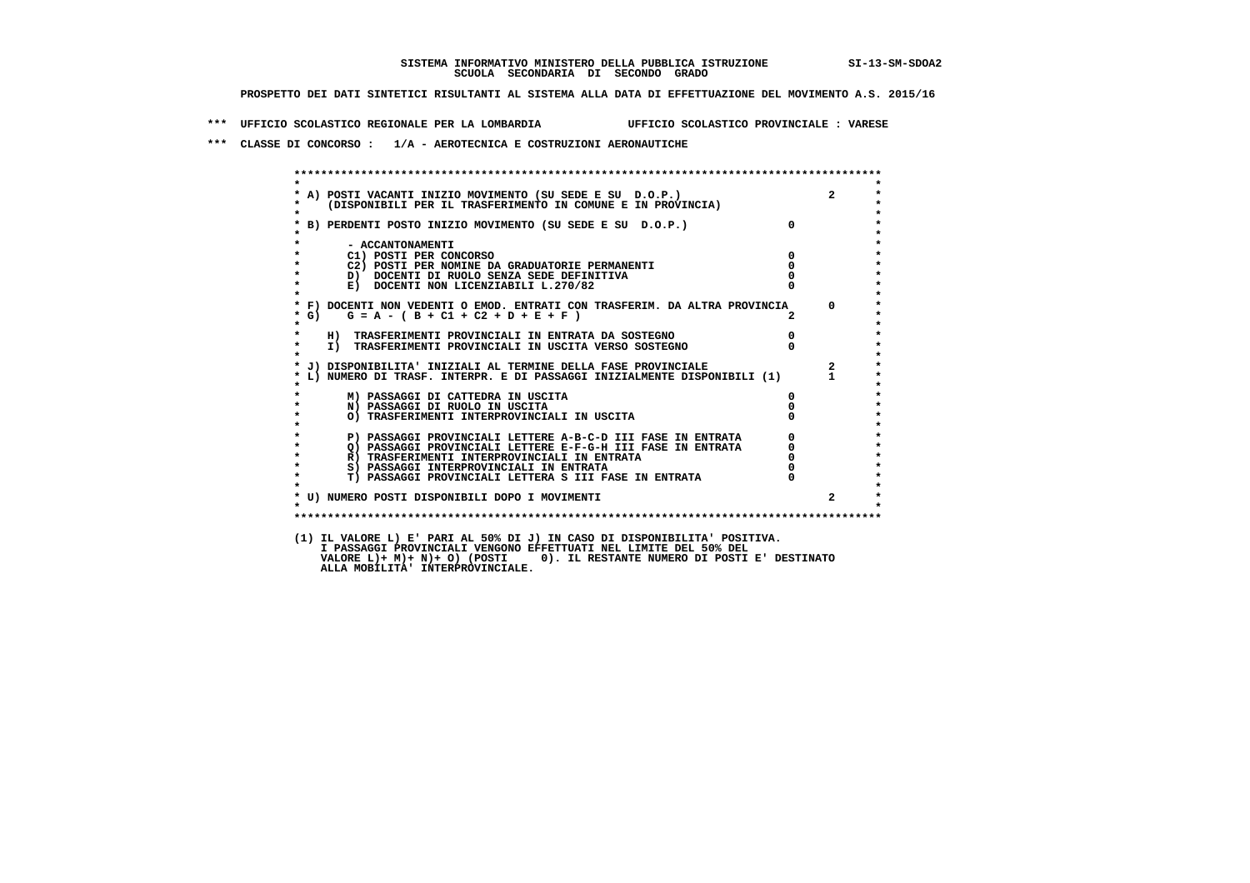## **SISTEMA INFORMATIVO MINISTERO DELLA PUBBLICA ISTRUZIONE SI-13-SM-SDOA2 SCUOLA SECONDARIA DI SECONDO GRADO**

 **PROSPETTO DEI DATI SINTETICI RISULTANTI AL SISTEMA ALLA DATA DI EFFETTUAZIONE DEL MOVIMENTO A.S. 2015/16**

 **\*\*\* UFFICIO SCOLASTICO REGIONALE PER LA LOMBARDIA UFFICIO SCOLASTICO PROVINCIALE : VARESE**

 **\*\*\* CLASSE DI CONCORSO : 1/A - AEROTECNICA E COSTRUZIONI AERONAUTICHE**

 **\*\*\*\*\*\*\*\*\*\*\*\*\*\*\*\*\*\*\*\*\*\*\*\*\*\*\*\*\*\*\*\*\*\*\*\*\*\*\*\*\*\*\*\*\*\*\*\*\*\*\*\*\*\*\*\*\*\*\*\*\*\*\*\*\*\*\*\*\*\*\*\*\*\*\*\*\*\*\*\*\*\*\*\*\*\*\*\* \* \*** $\star$  **\* A) POSTI VACANTI INIZIO MOVIMENTO (SU SEDE E SU D.O.P.) 2 \* \* (DISPONIBILI PER IL TRASFERIMENTO IN COMUNE E IN PROVINCIA) \* \* \* \* B) PERDENTI POSTO INIZIO MOVIMENTO (SU SEDE E SU D.O.P.) 0 \* \* \* \* - ACCANTONAMENTI \* \* C1) POSTI PER CONCORSO 0 \* <sup>C2</sup>) POSTI PER NOMINE DA GRADUATORIE PERMANENTI**  $\begin{bmatrix} 0 \\ 0 \end{bmatrix}$  **of**  $\begin{bmatrix} 0 \\ 0 \end{bmatrix}$  **of**  $\begin{bmatrix} 0 \\ 0 \end{bmatrix}$  **of**  $\begin{bmatrix} 0 \\ 0 \end{bmatrix}$  **of**  $\begin{bmatrix} 0 \\ 0 \end{bmatrix}$  **of**  $\begin{bmatrix} 0 \\ 0 \end{bmatrix}$  **of**  $\begin{bmatrix} 0 \\ 0 \end{bmatrix}$  **of \begin{bmatrix} 0 \\ D)** DOCENTI DI RUOLO SENZA SEDE DEFINITIVA  $\overline{0}$  **b**  $\overline{1}$  0  $\overline{1}$  0  $\overline{2}$  0  $\overline{0}$  0  $\overline{1}$  0  $\overline{1}$  0  $\overline{0}$  0  $\overline{0}$  0  $\overline{1}$  0  $\overline{0}$  0  $\overline{1}$  0  $\overline{1}$  0  $\overline{1}$  0  $\overline{1}$  0  $\overline{1}$  0 **E)** DOCENTI NON LICENZIABILI L.270/82  **\* \* \* F) DOCENTI NON VEDENTI O EMOD. ENTRATI CON TRASFERIM. DA ALTRA PROVINCIA 0 \* \* G) G = A - ( B + C1 + C2 + D + E + F ) 2 \* \* \* \* H) TRASFERIMENTI PROVINCIALI IN ENTRATA DA SOSTEGNO 0 \* \* I) TRASFERIMENTI PROVINCIALI IN USCITA VERSO SOSTEGNO 0 \* \* \*** $\star$  **\* J) DISPONIBILITA' INIZIALI AL TERMINE DELLA FASE PROVINCIALE 2 \*** $\star$  **\* L) NUMERO DI TRASF. INTERPR. E DI PASSAGGI INIZIALMENTE DISPONIBILI (1) 1 \* \* \* \* M) PASSAGGI DI CATTEDRA IN USCITA 0 \*** $\star$ **A**  $\overline{N}$  **PASSAGGI DI RUOLO IN USCITA** 1 1 USCITA 0 0 **1 TRASFERIMENTI INTERPROVINCIALI IN USCITA** 0 0  **\* O) TRASFERIMENTI INTERPROVINCIALI IN USCITA 0 \* \* \* \* P) PASSAGGI PROVINCIALI LETTERE A-B-C-D III FASE IN ENTRATA 0 \*2) PASSAGGI PROVINCIALI LETTERE E-F-G-H III FASE IN ENTRATA 6**<br> **R**) TRASFERIMENTI INTERPROVINCIALI IN ENTRATA 6 **R) TRASFERIMENTI INTERPROVINCIALI IN ENTRATA**  $\bullet$  **\* S) PASSAGGI INTERPROVINCIALI IN ENTRATA 0 \* \* T) PASSAGGI PROVINCIALI LETTERA S III FASE IN ENTRATA 0 \*** $\star$  **\* \*** $\lambda$  **\* U) NUMERO POSTI DISPONIBILI DOPO I MOVIMENTI 2 \*** $\ddot{\phantom{1}}$  **\* \* \*\*\*\*\*\*\*\*\*\*\*\*\*\*\*\*\*\*\*\*\*\*\*\*\*\*\*\*\*\*\*\*\*\*\*\*\*\*\*\*\*\*\*\*\*\*\*\*\*\*\*\*\*\*\*\*\*\*\*\*\*\*\*\*\*\*\*\*\*\*\*\*\*\*\*\*\*\*\*\*\*\*\*\*\*\*\*\* (1) IL VALORE L) E' PARI AL 50% DI J) IN CASO DI DISPONIBILITA' POSITIVA.**

 **I PASSAGGI PROVINCIALI VENGONO EFFETTUATI NEL LIMITE DEL 50% DEL VALORE L)+ M)+ N)+ O) (POSTI 0). IL RESTANTE NUMERO DI POSTI E' DESTINATO ALLA MOBILITA' INTERPROVINCIALE.**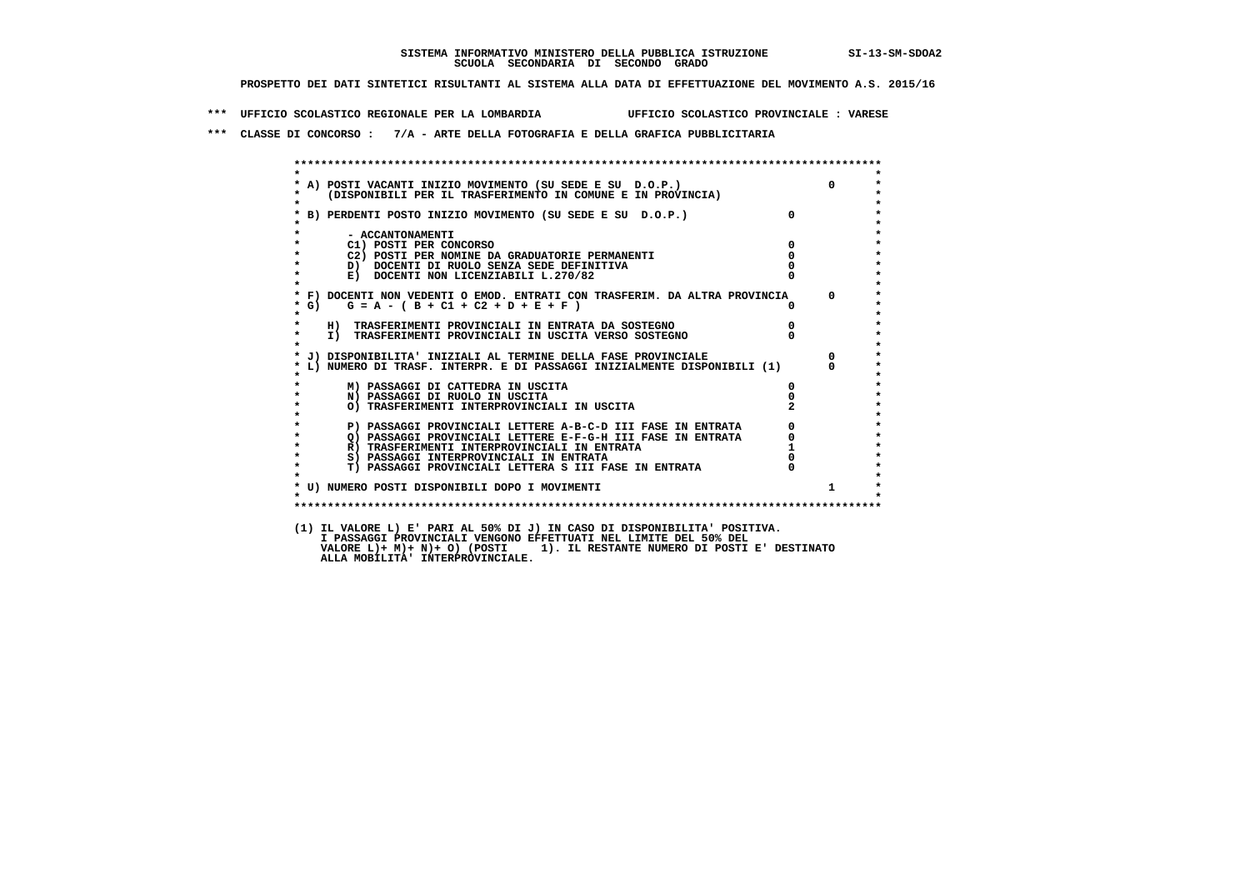**\*\*\* UFFICIO SCOLASTICO REGIONALE PER LA LOMBARDIA UFFICIO SCOLASTICO PROVINCIALE : VARESE**

 **\*\*\* CLASSE DI CONCORSO : 7/A - ARTE DELLA FOTOGRAFIA E DELLA GRAFICA PUBBLICITARIA**

|              |                                                                                                                            |              | $\overline{0}$ |
|--------------|----------------------------------------------------------------------------------------------------------------------------|--------------|----------------|
| $\mathbf{r}$ | * A) POSTI VACANTI INIZIO MOVIMENTO (SU SEDE E SU D.O.P.)<br>* (DISPONIBILI PER IL TRASFERIMENTO IN COMUNE E IN PROVINCIA) |              |                |
|              | * B) PERDENTI POSTO INIZIO MOVIMENTO (SU SEDE E SU D.O.P.)                                                                 | $\mathbf{0}$ |                |
|              | - ACCANTONAMENTI                                                                                                           |              |                |
| $\star$      | C1) POSTI PER CONCORSO                                                                                                     | $\Omega$     |                |
|              | C2) POSTI PER NOMINE DA GRADUATORIE PERMANENTI                                                                             | $^{\circ}$   |                |
| $\star$      | D) DOCENTI DI RUOLO SENZA SEDE DEFINITIVA                                                                                  |              |                |
| $\star$      | E) DOCENTI NON LICENZIABILI L.270/82                                                                                       |              |                |
|              | * F) DOCENTI NON VEDENTI O EMOD. ENTRATI CON TRASFERIM. DA ALTRA PROVINCIA                                                 |              | $\Omega$       |
| $*$ G)       | $G = A - (B + C1 + C2 + D + E + F)$                                                                                        |              |                |
| $\star$      | H) TRASFERIMENTI PROVINCIALI IN ENTRATA DA SOSTEGNO                                                                        | $\Omega$     |                |
| $\star$      | I) TRASFERIMENTI PROVINCIALI IN USCITA VERSO SOSTEGNO                                                                      |              |                |
|              | * J) DISPONIBILITA' INIZIALI AL TERMINE DELLA FASE PROVINCIALE                                                             |              | $\mathbf{0}$   |
|              | * L) NUMERO DI TRASF. INTERPR. E DI PASSAGGI INIZIALMENTE DISPONIBILI (1)                                                  |              | n.             |
|              | M) PASSAGGI DI CATTEDRA IN USCITA                                                                                          | 0            |                |
| $\star$      | N) PASSAGGI DI RUOLO IN USCITA                                                                                             |              |                |
| $\star$      | O) TRASFERIMENTI INTERPROVINCIALI IN USCITA                                                                                |              |                |
| $\star$      | P) PASSAGGI PROVINCIALI LETTERE A-B-C-D III FASE IN ENTRATA                                                                |              |                |
| $\star$      | Q) PASSAGGI PROVINCIALI LETTERE E-F-G-H III FASE IN ENTRATA                                                                |              |                |
| $\star$      | R) TRASFERIMENTI INTERPROVINCIALI IN ENTRATA                                                                               |              |                |
| $\star$      | S) PASSAGGI INTERPROVINCIALI IN ENTRATA                                                                                    |              |                |
| $\star$      | T) PASSAGGI PROVINCIALI LETTERA S III FASE IN ENTRATA                                                                      |              |                |
|              | * U) NUMERO POSTI DISPONIBILI DOPO I MOVIMENTI                                                                             |              | $\mathbf{1}$   |
| $\star$      |                                                                                                                            |              |                |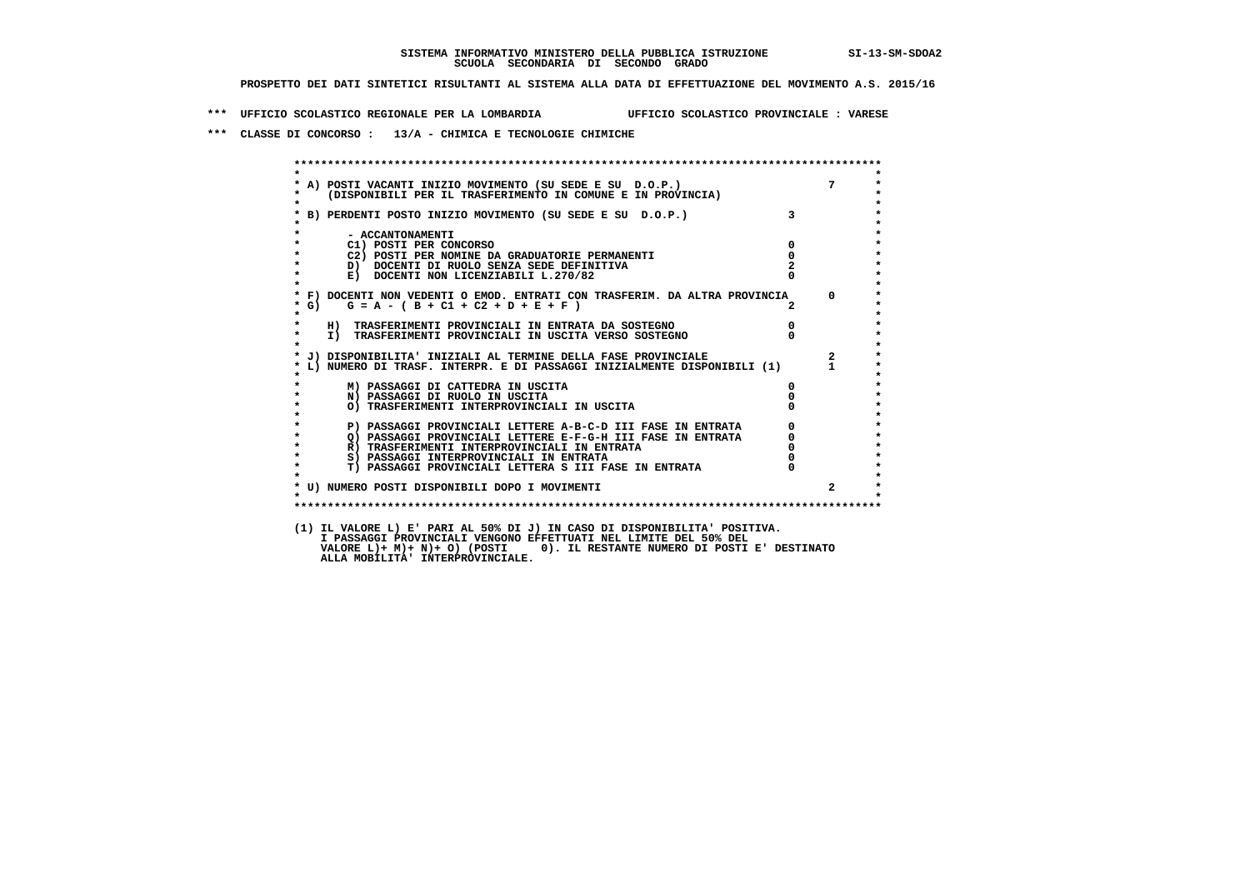**\*\*\* UFFICIO SCOLASTICO REGIONALE PER LA LOMBARDIA UFFICIO SCOLASTICO PROVINCIALE : VARESE**

 **\*\*\* CLASSE DI CONCORSO : 13/A - CHIMICA E TECNOLOGIE CHIMICHE**

|                    | A) POSTI VACANTI INIZIO MOVIMENTO (SU SEDE E SU D.O.P.) 7<br>(DISPONIBILI PER IL TRASFERIMENTO IN COMUNE E IN PROVINCIA)                             |                         |                         |
|--------------------|------------------------------------------------------------------------------------------------------------------------------------------------------|-------------------------|-------------------------|
|                    | * B) PERDENTI POSTO INIZIO MOVIMENTO (SU SEDE E SU D.O.P.)<br>*                                                                                      | $\overline{\mathbf{3}}$ |                         |
|                    | - ACCANTONAMENTI                                                                                                                                     |                         |                         |
| $\star$            | $\overline{\mathbf{0}}$<br>C1) POSTI PER CONCORSO                                                                                                    |                         |                         |
|                    | C2) POSTI PER NOMINE DA GRADUATORIE PERMANENTI                                                                                                       | $\overline{0}$          |                         |
| $\star$            | D) DOCENTI DI RUOLO SENZA SEDE DEFINITIVA                                                                                                            |                         |                         |
|                    | E) DOCENTI NON LICENZIABILI L.270/82                                                                                                                 |                         |                         |
|                    | * F) DOCENTI NON VEDENTI O EMOD. ENTRATI CON TRASFERIM. DA ALTRA PROVINCIA 0                                                                         |                         |                         |
| $\star$            | * G) $G = A - (B + C1 + C2 + D + E + F)$                                                                                                             |                         |                         |
| $\star$            | H) TRASFERIMENTI PROVINCIALI IN ENTRATA DA SOSTEGNO                                                                                                  |                         |                         |
| $\star$            | $\begin{matrix}0\\0\end{matrix}$<br>I) TRASFERIMENTI PROVINCIALI IN USCITA VERSO SOSTEGNO                                                            |                         |                         |
|                    |                                                                                                                                                      |                         |                         |
|                    | * J) DISPONIBILITA' INIZIALI AL TERMINE DELLA FASE PROVINCIALE                                                                                       |                         | $\overline{\mathbf{a}}$ |
|                    | L) NUMERO DI TRASF. INTERPR. E DI PASSAGGI INIZIALMENTE DISPONIBILI (1) 1                                                                            |                         |                         |
|                    | M) PASSAGGI DI CATTEDRA IN USCITA                                                                                                                    | $\Omega$                |                         |
| $\star$            | N) PASSAGGI DI RUOLO IN USCITA                                                                                                                       |                         |                         |
|                    | O) TRASFERIMENTI INTERPROVINCIALI IN USCITA                                                                                                          |                         |                         |
|                    |                                                                                                                                                      |                         |                         |
|                    | P) PASSAGGI PROVINCIALI LETTERE A-B-C-D III FASE IN ENTRATA                                                                                          | $\frac{0}{2}$           |                         |
| $\star$<br>$\star$ | THE RESEARCH PROVINCIALI LETTERE E-F-G-H III FASE IN ENTRATA R) TRASFERIMENTI INTERPROVINCIALI IN ENTRATA S) PASSAGGI INTERPROVINCIALI IN ENTRATA S) | $\frac{0}{0}$           |                         |
| $\star$            |                                                                                                                                                      |                         |                         |
| $\star$            | T) PASSAGGI PROVINCIALI LETTERA S III FASE IN ENTRATA                                                                                                |                         |                         |
|                    |                                                                                                                                                      |                         |                         |
|                    | * U) NUMERO POSTI DISPONIBILI DOPO I MOVIMENTI                                                                                                       |                         |                         |
|                    |                                                                                                                                                      |                         |                         |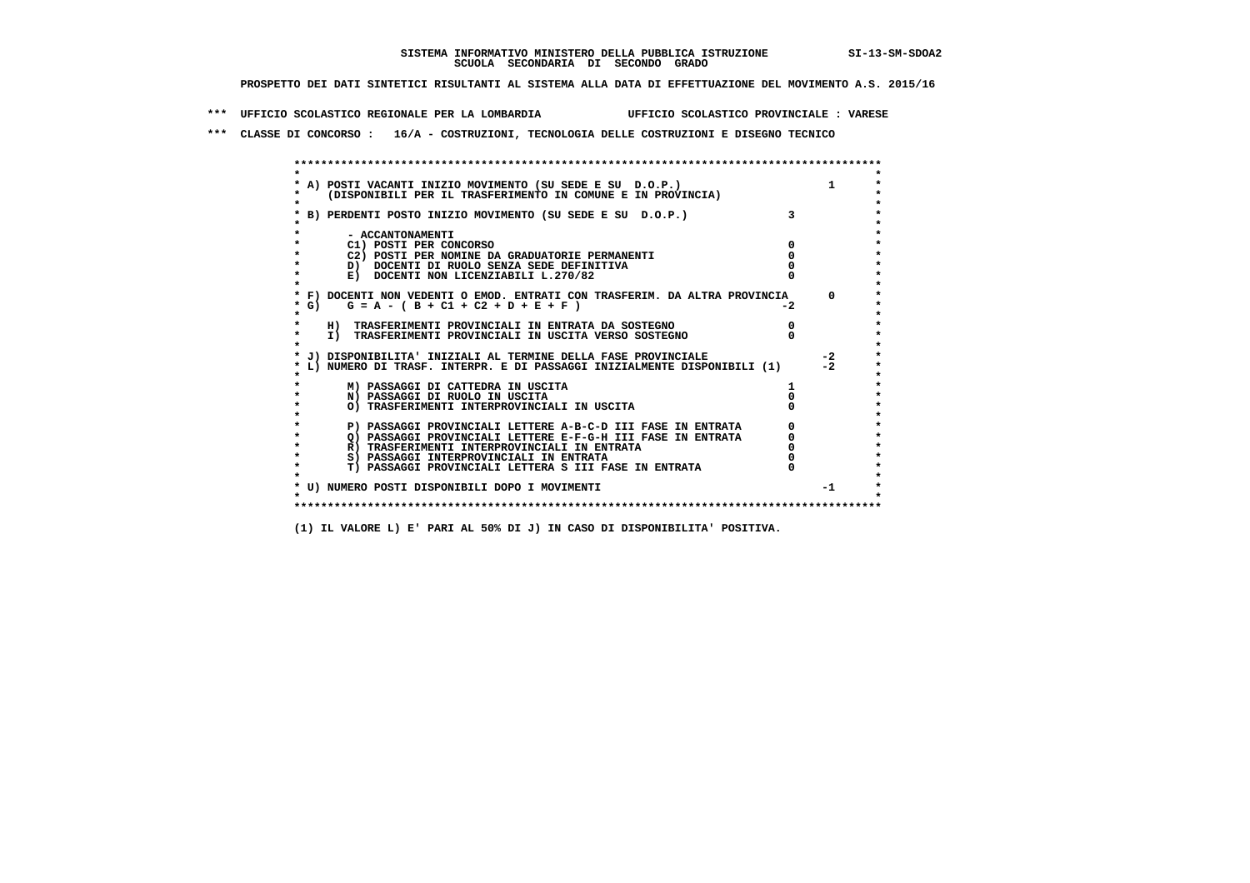**\*\*\* UFFICIO SCOLASTICO REGIONALE PER LA LOMBARDIA UFFICIO SCOLASTICO PROVINCIALE : VARESE**

 **\*\*\* CLASSE DI CONCORSO : 16/A - COSTRUZIONI, TECNOLOGIA DELLE COSTRUZIONI E DISEGNO TECNICO**

 **\*\*\*\*\*\*\*\*\*\*\*\*\*\*\*\*\*\*\*\*\*\*\*\*\*\*\*\*\*\*\*\*\*\*\*\*\*\*\*\*\*\*\*\*\*\*\*\*\*\*\*\*\*\*\*\*\*\*\*\*\*\*\*\*\*\*\*\*\*\*\*\*\*\*\*\*\*\*\*\*\*\*\*\*\*\*\*\* \* \*** $\ddot{\phantom{0}}$  **\* A) POSTI VACANTI INIZIO MOVIMENTO (SU SEDE E SU D.O.P.) 1 \*** $\star$  **\* (DISPONIBILI PER IL TRASFERIMENTO IN COMUNE E IN PROVINCIA) \* \* \* \* B) PERDENTI POSTO INIZIO MOVIMENTO (SU SEDE E SU D.O.P.) 3 \* \* \* \* - ACCANTONAMENTI \* \* C1) POSTI PER CONCORSO 0 \* \* C2) POSTI PER NOMINE DA GRADUATORIE PERMANENTI 0 \*D)** DOCENTI DI RUOLO SENZA SEDE DEFINITIVA  $\overline{a}$  0  $\overline{b}$  0  $\overline{c}$  0  $\overline{c}$  0  $\overline{c}$  0  $\overline{a}$  0  $\overline{b}$ **E) DOCENTI NON LICENZIABILI L.270/82 \* \* \* F) DOCENTI NON VEDENTI O EMOD. ENTRATI CON TRASFERIM. DA ALTRA PROVINCIA 0 \*** $\star$  G) G = A - ( B + C1 + C2 + D + E + F )  **\* \* \* H) TRASFERIMENTI PROVINCIALI IN ENTRATA DA SOSTEGNO 0 \* \* I) TRASFERIMENTI PROVINCIALI IN USCITA VERSO SOSTEGNO 0 \* \* \* \* J) DISPONIBILITA' INIZIALI AL TERMINE DELLA FASE PROVINCIALE -2 \* \* L) NUMERO DI TRASF. INTERPR. E DI PASSAGGI INIZIALMENTE DISPONIBILI (1) -2 \* \* \* \* M) PASSAGGI DI CATTEDRA IN USCITA 1 \* \* N) PASSAGGI DI RUOLO IN USCITA 0 \* \* O) TRASFERIMENTI INTERPROVINCIALI IN USCITA 0 \* \* \* P) PASSAGGI PROVINCIALI LETTERE A-B-C-D III FASE IN ENTRATA** 0 <sup>0</sup> **DASSAGGI PROVINCIALI LETTERE E-F-G-H** III FASE IN ENTRATA 0 <sup>0</sup>  **\* Q) PASSAGGI PROVINCIALI LETTERE E-F-G-H III FASE IN ENTRATA 0 \* \* R) TRASFERIMENTI INTERPROVINCIALI IN ENTRATA 0 \* \* S) PASSAGGI INTERPROVINCIALI IN ENTRATA 0 \*** $\ddot{\phantom{1}}$  **\* T) PASSAGGI PROVINCIALI LETTERA S III FASE IN ENTRATA 0 \*** $\star$  **\* \* \* U) NUMERO POSTI DISPONIBILI DOPO I MOVIMENTI -1 \* \* \* \*\*\*\*\*\*\*\*\*\*\*\*\*\*\*\*\*\*\*\*\*\*\*\*\*\*\*\*\*\*\*\*\*\*\*\*\*\*\*\*\*\*\*\*\*\*\*\*\*\*\*\*\*\*\*\*\*\*\*\*\*\*\*\*\*\*\*\*\*\*\*\*\*\*\*\*\*\*\*\*\*\*\*\*\*\*\*\***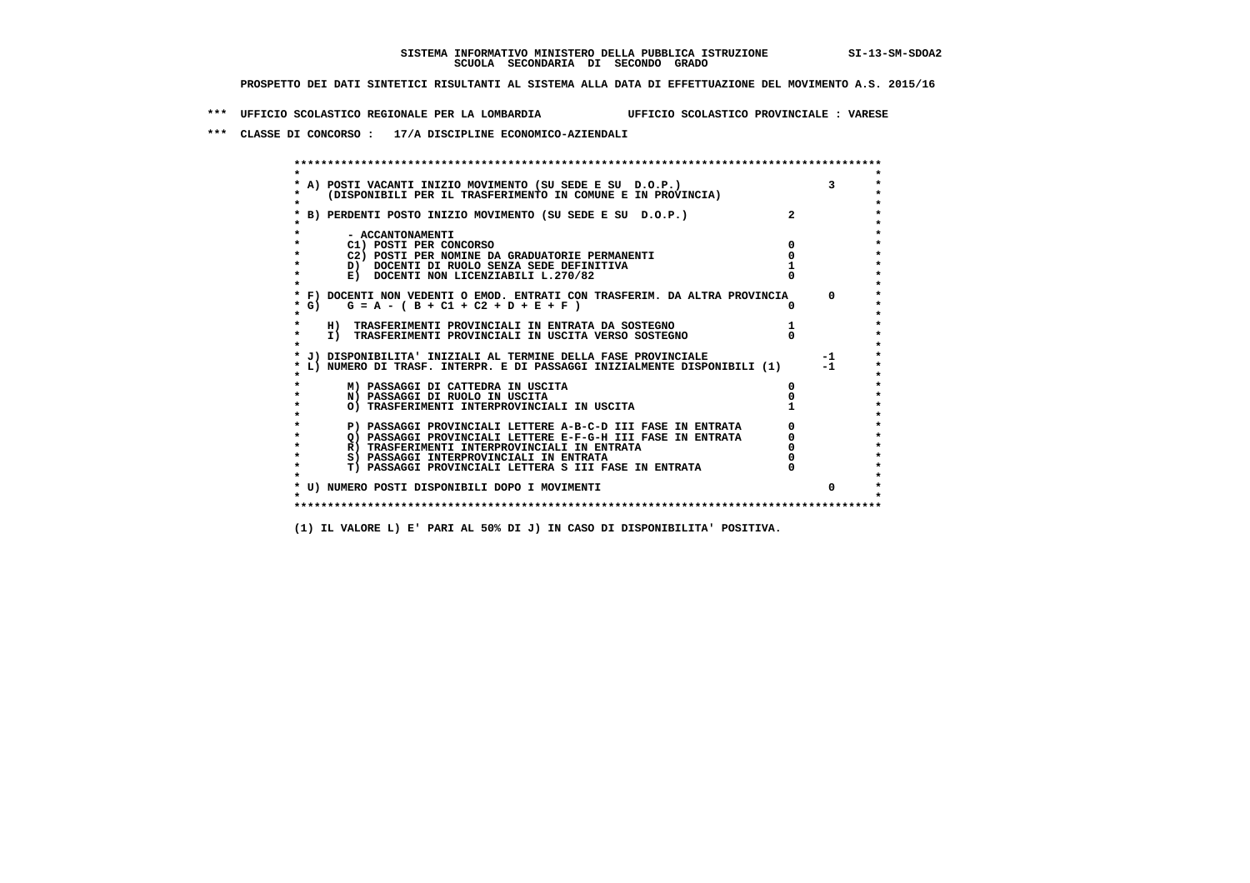**\*\*\* UFFICIO SCOLASTICO REGIONALE PER LA LOMBARDIA UFFICIO SCOLASTICO PROVINCIALE : VARESE**

 **\*\*\* CLASSE DI CONCORSO : 17/A DISCIPLINE ECONOMICO-AZIENDALI**

| A) POSTI VACANTI INIZIO MOVIMENTO (SU SEDE E SU D.O.P.)<br>(DISPONIBILI PER IL TRASFERIMENTO IN COMUNE E IN PROVINCIA) |          |
|------------------------------------------------------------------------------------------------------------------------|----------|
| B) PERDENTI POSTO INIZIO MOVIMENTO (SU SEDE E SU D.O.P.)                                                               |          |
| - ACCANTONAMENTI                                                                                                       |          |
| C1) POSTI PER CONCORSO                                                                                                 |          |
| C2) POSTI PER NOMINE DA GRADUATORIE PERMANENTI                                                                         |          |
| D) DOCENTI DI RUOLO SENZA SEDE DEFINITIVA                                                                              |          |
| E) DOCENTI NON LICENZIABILI L.270/82                                                                                   |          |
| * F) DOCENTI NON VEDENTI O EMOD. ENTRATI CON TRASFERIM. DA ALTRA PROVINCIA                                             | $\Omega$ |
| * G) $G = A - (B + C1 + C2 + D + E + F)$                                                                               |          |
| H) TRASFERIMENTI PROVINCIALI IN ENTRATA DA SOSTEGNO                                                                    |          |
| I) TRASFERIMENTI PROVINCIALI IN USCITA VERSO SOSTEGNO                                                                  |          |
| J) DISPONIBILITA' INIZIALI AL TERMINE DELLA FASE PROVINCIALE                                                           | $-1$     |
| L) NUMERO DI TRASF. INTERPR. E DI PASSAGGI INIZIALMENTE DISPONIBILI (1)                                                | $-1$     |
| M) PASSAGGI DI CATTEDRA IN USCITA                                                                                      |          |
| N) PASSAGGI DI RUOLO IN USCITA                                                                                         |          |
| O) TRASFERIMENTI INTERPROVINCIALI IN USCITA                                                                            |          |
| P) PASSAGGI PROVINCIALI LETTERE A-B-C-D III FASE IN ENTRATA                                                            |          |
| O) PASSAGGI PROVINCIALI LETTERE E-F-G-H III FASE IN ENTRATA                                                            |          |
| R) TRASFERIMENTI INTERPROVINCIALI IN ENTRATA                                                                           |          |
| S) PASSAGGI INTERPROVINCIALI IN ENTRATA                                                                                |          |
| T) PASSAGGI PROVINCIALI LETTERA S III FASE IN ENTRATA                                                                  |          |
| * U) NUMERO POSTI DISPONIBILI DOPO I MOVIMENTI                                                                         | $\Omega$ |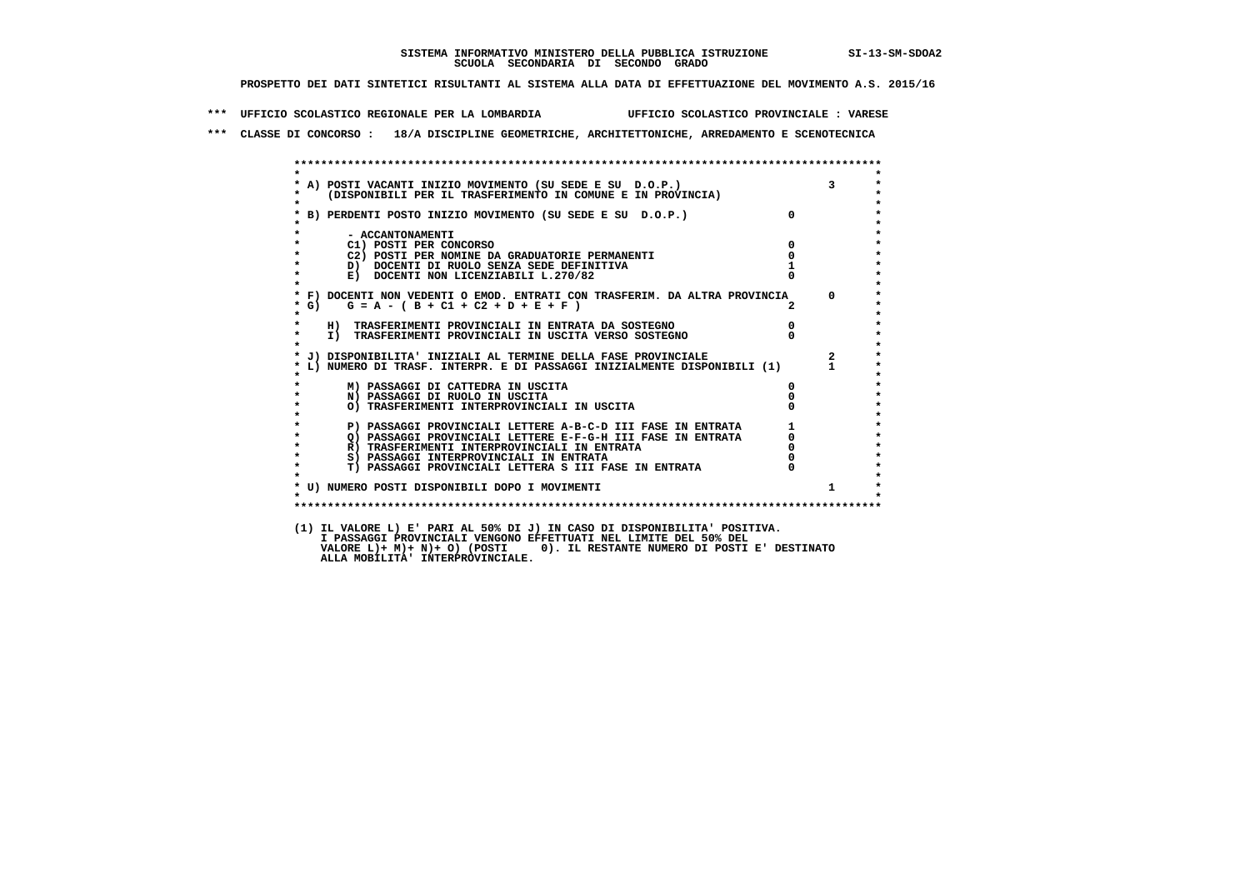**\*\*\* UFFICIO SCOLASTICO REGIONALE PER LA LOMBARDIA UFFICIO SCOLASTICO PROVINCIALE : VARESE**

 **\*\*\* CLASSE DI CONCORSO : 18/A DISCIPLINE GEOMETRICHE, ARCHITETTONICHE, ARREDAMENTO E SCENOTECNICA**

| $\star$            |                                                                                                                            |              |                         |
|--------------------|----------------------------------------------------------------------------------------------------------------------------|--------------|-------------------------|
|                    |                                                                                                                            |              | $\overline{\mathbf{3}}$ |
|                    | * A) POSTI VACANTI INIZIO MOVIMENTO (SU SEDE E SU D.O.P.)<br>* (DISPONIBILI PER IL TRASFERIMENTO IN COMUNE E IN PROVINCIA) |              |                         |
| $\star$            |                                                                                                                            |              |                         |
|                    | * B) PERDENTI POSTO INIZIO MOVIMENTO (SU SEDE E SU D.O.P.)                                                                 | $\mathbf{0}$ |                         |
| $\star$            | - ACCANTONAMENTI                                                                                                           |              |                         |
| $\star$            | C1) POSTI PER CONCORSO                                                                                                     | $^{\circ}$   |                         |
| $\star$            | C2) POSTI PER NOMINE DA GRADUATORIE PERMANENTI                                                                             | $\Omega$     |                         |
| $\star$            | D) DOCENTI DI RUOLO SENZA SEDE DEFINITIVA                                                                                  |              |                         |
| $\star$            | E) DOCENTI NON LICENZIABILI L.270/82                                                                                       |              |                         |
| $\star$            |                                                                                                                            |              |                         |
|                    | * F) DOCENTI NON VEDENTI O EMOD. ENTRATI CON TRASFERIM. DA ALTRA PROVINCIA 0                                               |              |                         |
| $*$ G)             | $G = A - (B + C1 + C2 + D + E + F)$                                                                                        |              |                         |
| $\star$            |                                                                                                                            |              |                         |
| $\star$<br>$\star$ | H) TRASFERIMENTI PROVINCIALI IN ENTRATA DA SOSTEGNO                                                                        | $\mathbf{0}$ |                         |
|                    | I) TRASFERIMENTI PROVINCIALI IN USCITA VERSO SOSTEGNO                                                                      |              |                         |
|                    | * J) DISPONIBILITA' INIZIALI AL TERMINE DELLA FASE PROVINCIALE                                                             |              | $\overline{2}$          |
|                    | * L) NUMERO DI TRASF. INTERPR. E DI PASSAGGI INIZIALMENTE DISPONIBILI (1)                                                  |              |                         |
|                    |                                                                                                                            |              |                         |
|                    | M) PASSAGGI DI CATTEDRA IN USCITA                                                                                          | 0            |                         |
| $\star$            | N) PASSAGGI DI RUOLO IN USCITA                                                                                             |              |                         |
| $\star$            | O) TRASFERIMENTI INTERPROVINCIALI IN USCITA                                                                                |              |                         |
| $\star$            |                                                                                                                            |              |                         |
| $\star$<br>$\star$ | P) PASSAGGI PROVINCIALI LETTERE A-B-C-D III FASE IN ENTRATA                                                                |              |                         |
| $\star$            | O) PASSAGGI PROVINCIALI LETTERE E-F-G-H III FASE IN ENTRATA                                                                |              |                         |
| $\star$            | R) TRASFERIMENTI INTERPROVINCIALI IN ENTRATA<br>S) PASSAGGI INTERPROVINCIALI IN ENTRATA                                    |              |                         |
| $\star$            | T) PASSAGGI PROVINCIALI LETTERA S III FASE IN ENTRATA                                                                      |              |                         |
|                    |                                                                                                                            |              |                         |
|                    | * U) NUMERO POSTI DISPONIBILI DOPO I MOVIMENTI                                                                             |              | $\mathbf{1}$            |
| $\star$            |                                                                                                                            |              |                         |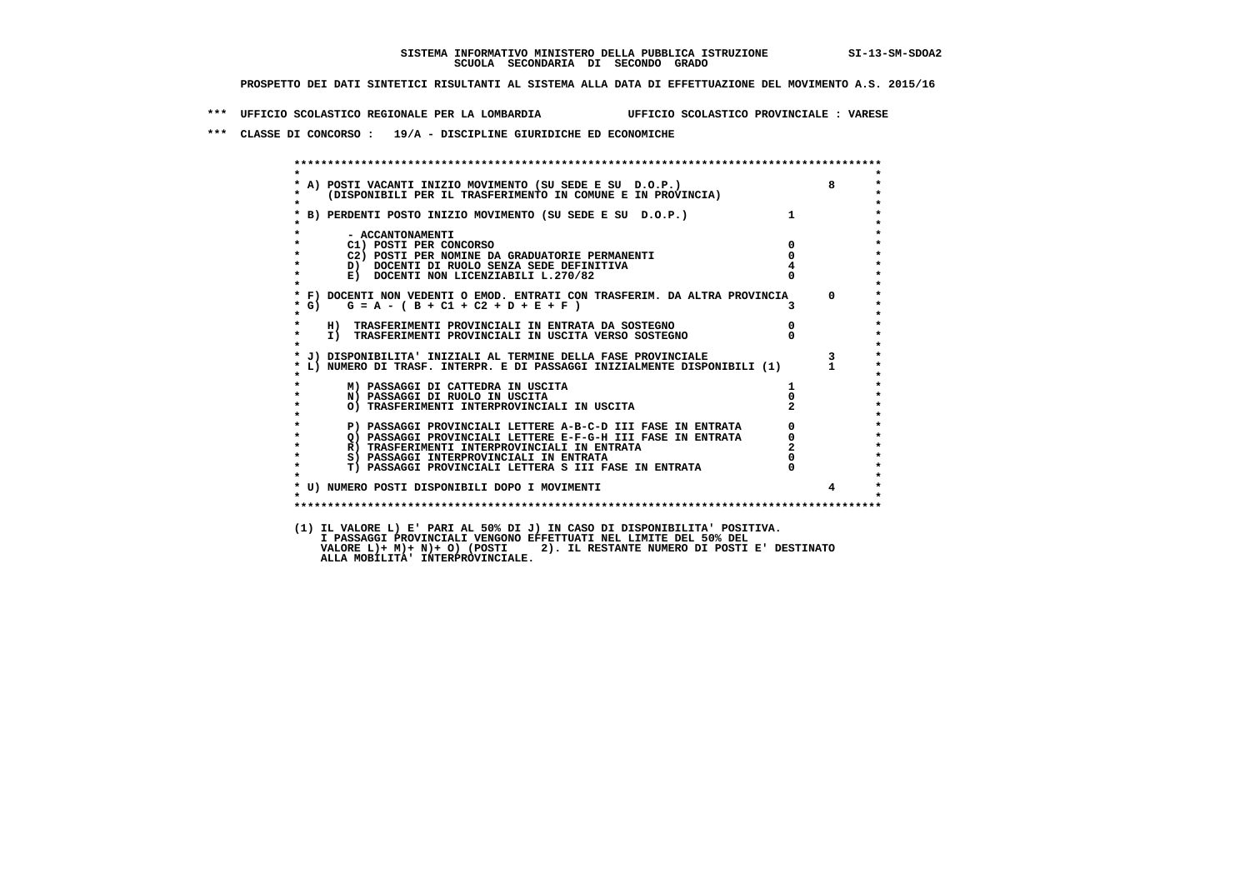**\*\*\* UFFICIO SCOLASTICO REGIONALE PER LA LOMBARDIA UFFICIO SCOLASTICO PROVINCIALE : VARESE**

 **\*\*\* CLASSE DI CONCORSO : 19/A - DISCIPLINE GIURIDICHE ED ECONOMICHE**

| $\star$            |                                                                                                                                                                                                                       |                |                         |
|--------------------|-----------------------------------------------------------------------------------------------------------------------------------------------------------------------------------------------------------------------|----------------|-------------------------|
|                    | * A) POSTI VACANTI INIZIO MOVIMENTO (SU SEDE E SU D.O.P.)                                                                                                                                                             |                | 8                       |
| $\star$<br>$\star$ | (DISPONIBILI PER IL TRASFERIMENTO IN COMUNE E IN PROVINCIA)                                                                                                                                                           |                |                         |
|                    | * B) PERDENTI POSTO INIZIO MOVIMENTO (SU SEDE E SU D.O.P.)                                                                                                                                                            |                |                         |
|                    |                                                                                                                                                                                                                       |                |                         |
| $\star$            | - ACCANTONAMENTI                                                                                                                                                                                                      |                |                         |
| $\star$<br>$\star$ | C1) POSTI PER CONCORSO                                                                                                                                                                                                | $\Omega$       |                         |
|                    | C2) POSTI PER NOMINE DA GRADUATORIE PERMANENTI                                                                                                                                                                        | $^{\circ}$     |                         |
| $\star$            | D) DOCENTI DI RUOLO SENZA SEDE DEFINITIVA<br>E) DOCENTI NON LICENZIABILI L.270/82                                                                                                                                     |                |                         |
| $\star$<br>$\star$ |                                                                                                                                                                                                                       |                |                         |
|                    | * F) DOCENTI NON VEDENTI O EMOD. ENTRATI CON TRASFERIM. DA ALTRA PROVINCIA 0                                                                                                                                          |                |                         |
| * G)               | $G = A - (B + C1 + C2 + D + E + F)$                                                                                                                                                                                   |                |                         |
| $\star$            |                                                                                                                                                                                                                       |                |                         |
| $\star$            | H) TRASFERIMENTI PROVINCIALI IN ENTRATA DA SOSTEGNO                                                                                                                                                                   | $\overline{0}$ |                         |
| $\star$<br>$\star$ | I) TRASFERIMENTI PROVINCIALI IN USCITA VERSO SOSTEGNO                                                                                                                                                                 |                |                         |
|                    | * J) DISPONIBILITA' INIZIALI AL TERMINE DELLA FASE PROVINCIALE                                                                                                                                                        |                | $\overline{\mathbf{3}}$ |
|                    | * L) NUMERO DI TRASF. INTERPR. E DI PASSAGGI INIZIALMENTE DISPONIBILI (1) 1                                                                                                                                           |                |                         |
|                    |                                                                                                                                                                                                                       |                |                         |
|                    | M) PASSAGGI DI CATTEDRA IN USCITA                                                                                                                                                                                     |                |                         |
| $\star$            | N) PASSAGGI DI RUOLO IN USCITA                                                                                                                                                                                        |                |                         |
| $\star$<br>$\star$ | O) TRASFERIMENTI INTERFROVINCIALI<br>P) PASSAGGI PROVINCIALI LETTERE A-B-C-D III FASE IN ENTRATA<br>Q) PASSAGGI PROVINCIALI LETTERE E-F-G-H III FASE IN ENTRATA<br>- TRASPERTMENTI INTERPROVINCIALI IN ENTRATA (2000) |                |                         |
| $\star$            |                                                                                                                                                                                                                       |                |                         |
| $\star$            |                                                                                                                                                                                                                       | $\overline{0}$ |                         |
| $\star$            |                                                                                                                                                                                                                       |                |                         |
| $\star$            |                                                                                                                                                                                                                       |                |                         |
| $\star$            | T) PASSAGGI PROVINCIALI LETTERA S III FASE IN ENTRATA                                                                                                                                                                 |                |                         |
|                    |                                                                                                                                                                                                                       |                |                         |
| $\star$            | * U) NUMERO POSTI DISPONIBILI DOPO I MOVIMENTI                                                                                                                                                                        |                |                         |
|                    |                                                                                                                                                                                                                       |                |                         |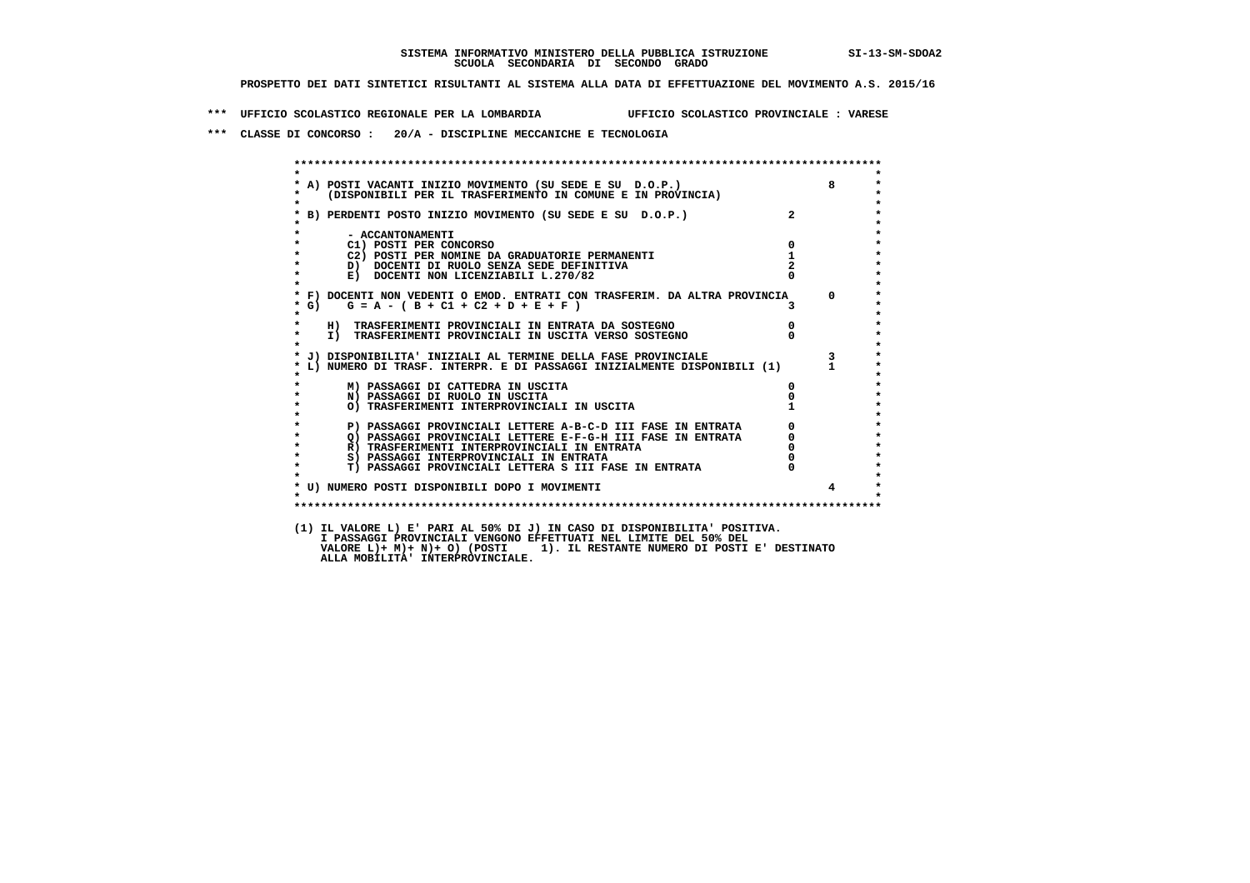**\*\*\* UFFICIO SCOLASTICO REGIONALE PER LA LOMBARDIA UFFICIO SCOLASTICO PROVINCIALE : VARESE**

 **\*\*\* CLASSE DI CONCORSO : 20/A - DISCIPLINE MECCANICHE E TECNOLOGIA**

| $\star$   |                                                                                                                                                                                                  |                                                 |                         |
|-----------|--------------------------------------------------------------------------------------------------------------------------------------------------------------------------------------------------|-------------------------------------------------|-------------------------|
|           | A) POSTI VACANTI INIZIO MOVIMENTO (SU SEDE E SU D.O.P.)<br>(DISPONIBILI PER IL TRASFERIMENTO IN COMUNE E IN PROVINCIA)                                                                           |                                                 | $8^{\circ}$             |
| $\star$   |                                                                                                                                                                                                  |                                                 |                         |
|           |                                                                                                                                                                                                  | $\overline{a}$                                  |                         |
|           |                                                                                                                                                                                                  |                                                 |                         |
|           |                                                                                                                                                                                                  |                                                 |                         |
|           | - ACCANTONAMENTI<br>$\overline{\mathbf{0}}$<br>C1) POSTI PER CONCORSO                                                                                                                            |                                                 |                         |
|           | C2) POSTI PER NOMINE DA GRADUATORIE PERMANENTI                                                                                                                                                   | $\mathbf{1}$                                    |                         |
|           | D) DOCENTI DI RUOLO SENZA SEDE DEFINITIVA                                                                                                                                                        |                                                 |                         |
| $\star$   | E) DOCENTI NON LICENZIABILI L.270/82                                                                                                                                                             |                                                 |                         |
|           |                                                                                                                                                                                                  |                                                 |                         |
|           | * F) DOCENTI NON VEDENTI O EMOD. ENTRATI CON TRASFERIM. DA ALTRA PROVINCIA 0                                                                                                                     |                                                 |                         |
| $*$ G)    | $G = A - (B + C1 + C2 + D + E + F)$                                                                                                                                                              |                                                 |                         |
| $\star$   |                                                                                                                                                                                                  |                                                 |                         |
| $\star$   | H) TRASFERIMENTI PROVINCIALI IN ENTRATA DA SOSTEGNO                                                                                                                                              | $\begin{matrix}0\\0\end{matrix}$                |                         |
|           | I) TRASFERIMENTI PROVINCIALI IN USCITA VERSO SOSTEGNO                                                                                                                                            |                                                 |                         |
|           | J) DISPONIBILITA' INIZIALI AL TERMINE DELLA FASE PROVINCIALE                                                                                                                                     |                                                 | $\overline{\mathbf{3}}$ |
|           | L) NUMERO DI TRASF. INTERPR. E DI PASSAGGI INIZIALMENTE DISPONIBILI (1) 1                                                                                                                        |                                                 |                         |
|           |                                                                                                                                                                                                  |                                                 |                         |
|           | M) PASSAGGI DI CATTEDRA IN USCITA                                                                                                                                                                | $\mathbf{0}$                                    |                         |
| $\star$   | N) PASSAGGI DI RUOLO IN USCITA                                                                                                                                                                   |                                                 |                         |
|           | O) TRASFERIMENTI INTERPROVINCIALI IN USCITA                                                                                                                                                      |                                                 |                         |
|           |                                                                                                                                                                                                  |                                                 |                         |
| $\bullet$ | P) PASSAGGI PROVINCIALI LETTERE A-B-C-D III FASE IN ENTRATA                                                                                                                                      |                                                 |                         |
| $\star$   |                                                                                                                                                                                                  |                                                 |                         |
| $\star$   | F FASSAGGI PROVINCIALI LETTERE E-F-G-H III FASE IN ENIRAIA<br>R) TRASFERIMENTI INTERPROVINCIALI IN ENTRATA<br>S) PASSAGGI INTERPROVINCIALI IN ENTRATA<br>S) PASSAGGI INTERPROVINCIALI IN ENTRATA | $\begin{array}{c} 0 \\ 0 \\ 0 \\ 0 \end{array}$ |                         |
| $\star$   | T) PASSAGGI PROVINCIALI LETTERA S III FASE IN ENTRATA                                                                                                                                            |                                                 |                         |
|           |                                                                                                                                                                                                  |                                                 |                         |
|           | * U) NUMERO POSTI DISPONIBILI DOPO I MOVIMENTI                                                                                                                                                   |                                                 | $\overline{4}$          |
|           |                                                                                                                                                                                                  |                                                 |                         |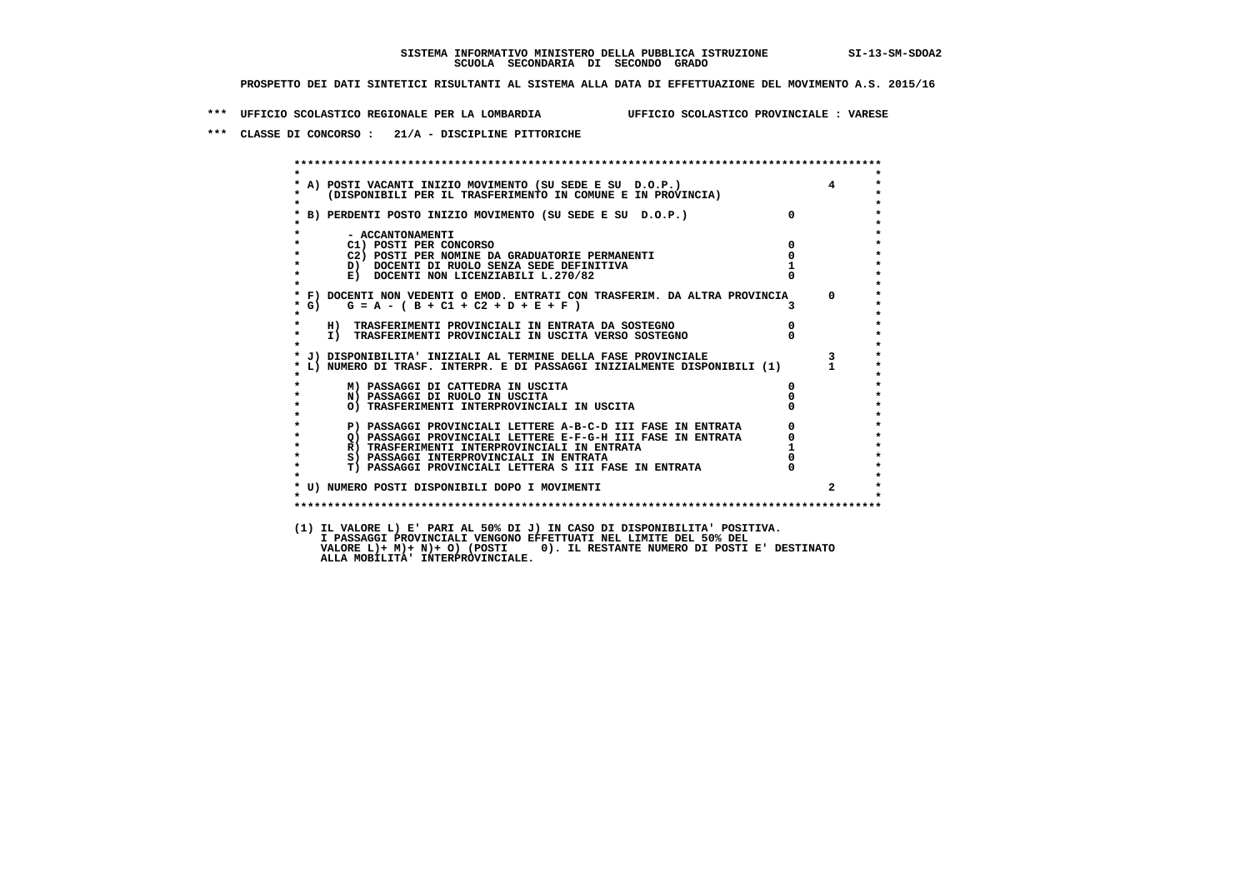**\*\*\* UFFICIO SCOLASTICO REGIONALE PER LA LOMBARDIA UFFICIO SCOLASTICO PROVINCIALE : VARESE**

 **\*\*\* CLASSE DI CONCORSO : 21/A - DISCIPLINE PITTORICHE**

| $\star$                                                                                                                |                |                                                 |
|------------------------------------------------------------------------------------------------------------------------|----------------|-------------------------------------------------|
| A) POSTI VACANTI INIZIO MOVIMENTO (SU SEDE E SU D.O.P.)<br>(DISPONIBILI PER IL TRASFERIMENTO IN COMUNE E IN PROVINCIA) |                | $\overline{4}$                                  |
| * B) PERDENTI POSTO INIZIO MOVIMENTO (SU SEDE E SU D.O.P.)                                                             | $\Omega$       |                                                 |
| - ACCANTONAMENTI                                                                                                       |                |                                                 |
| C1) POSTI PER CONCORSO                                                                                                 | $\overline{0}$ |                                                 |
| C2) POSTI PER NOMINE DA GRADUATORIE PERMANENTI                                                                         | $\overline{0}$ |                                                 |
| D) DOCENTI DI RUOLO SENZA SEDE DEFINITIVA                                                                              |                |                                                 |
| E) DOCENTI NON LICENZIABILI L.270/82                                                                                   |                |                                                 |
| * F) DOCENTI NON VEDENTI O EMOD. ENTRATI CON TRASFERIM. DA ALTRA PROVINCIA                                             |                | $\Omega$                                        |
| $G = A - (B + C1 + C2 + D + E + F)$<br>$*$ G)                                                                          |                |                                                 |
| $\star$<br>H) TRASFERIMENTI PROVINCIALI IN ENTRATA DA SOSTEGNO                                                         | $\overline{0}$ |                                                 |
| I) TRASFERIMENTI PROVINCIALI IN USCITA VERSO SOSTEGNO<br>$\star$                                                       |                |                                                 |
| * J) DISPONIBILITA' INIZIALI AL TERMINE DELLA FASE PROVINCIALE                                                         |                | $3^{\circ}$                                     |
| L) NUMERO DI TRASF. INTERPR. E DI PASSAGGI INIZIALMENTE DISPONIBILI (1)                                                |                |                                                 |
| M) PASSAGGI DI CATTEDRA IN USCITA                                                                                      | $\mathbf{0}$   |                                                 |
| N) PASSAGGI DI RUOLO IN USCITA                                                                                         |                |                                                 |
| O) TRASFERIMENTI INTERPROVINCIALI IN USCITA                                                                            |                |                                                 |
| P) PASSAGGI PROVINCIALI LETTERE A-B-C-D III FASE IN ENTRATA                                                            |                | $\begin{array}{c} 0 \\ 0 \\ 1 \\ 0 \end{array}$ |
| Q) PASSAGGI PROVINCIALI LETTERE E-F-G-H III FASE IN ENTRATA<br>$\star$                                                 |                |                                                 |
| $\star$<br>R) TRASFERIMENTI INTERPROVINCIALI IN ENTRATA                                                                |                |                                                 |
| $\star$<br>S) PASSAGGI INTERPROVINCIALI IN ENTRATA                                                                     |                |                                                 |
| $\star$<br>T) PASSAGGI PROVINCIALI LETTERA S III FASE IN ENTRATA                                                       |                |                                                 |
| * U) NUMERO POSTI DISPONIBILI DOPO I MOVIMENTI                                                                         |                | $\overline{2}$                                  |
| $\star$                                                                                                                |                |                                                 |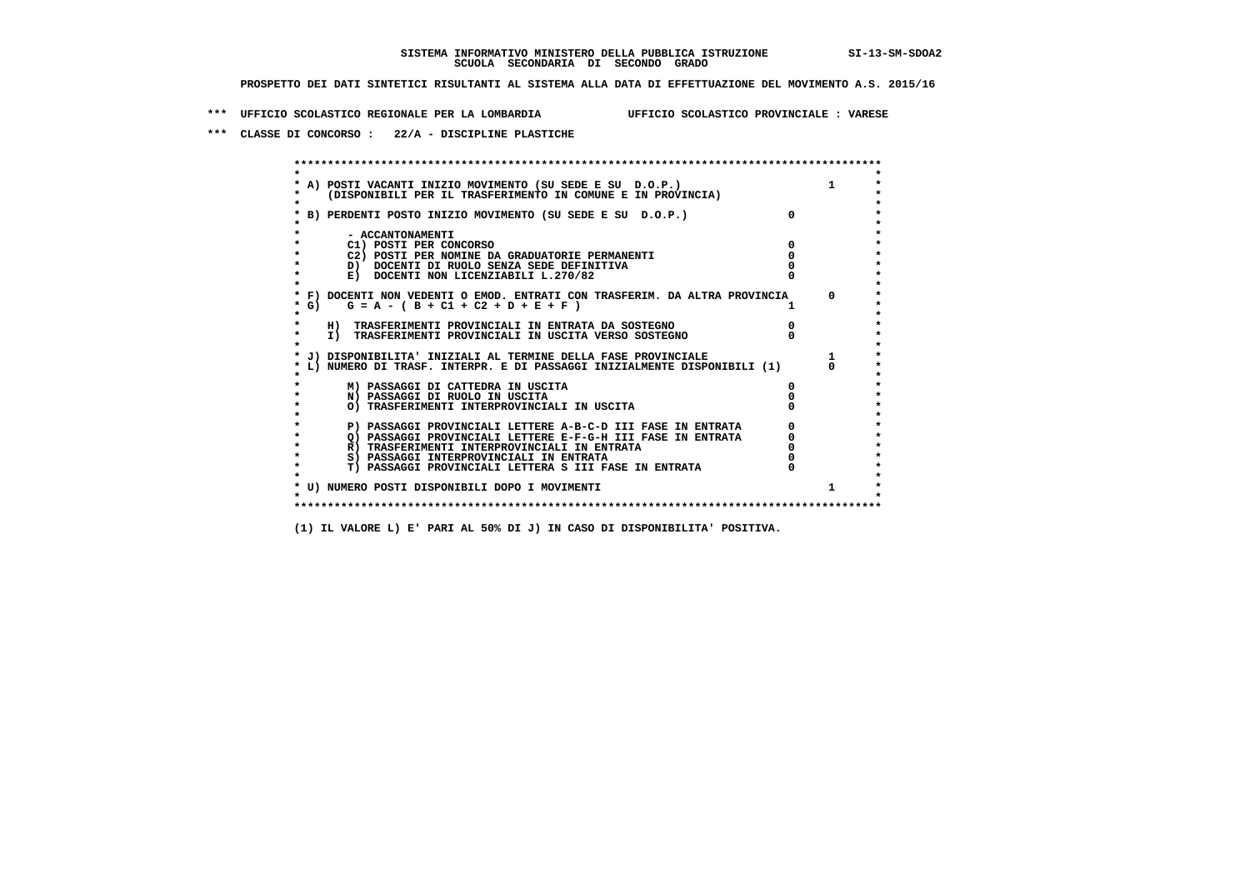**\*\*\* UFFICIO SCOLASTICO REGIONALE PER LA LOMBARDIA UFFICIO SCOLASTICO PROVINCIALE : VARESE**

 **\*\*\* CLASSE DI CONCORSO : 22/A - DISCIPLINE PLASTICHE**

 **\*\*\*\*\*\*\*\*\*\*\*\*\*\*\*\*\*\*\*\*\*\*\*\*\*\*\*\*\*\*\*\*\*\*\*\*\*\*\*\*\*\*\*\*\*\*\*\*\*\*\*\*\*\*\*\*\*\*\*\*\*\*\*\*\*\*\*\*\*\*\*\*\*\*\*\*\*\*\*\*\*\*\*\*\*\*\*\* \* \*** $\bullet$  **\* A) POSTI VACANTI INIZIO MOVIMENTO (SU SEDE E SU D.O.P.) 1 \*** $\star$  **\* (DISPONIBILI PER IL TRASFERIMENTO IN COMUNE E IN PROVINCIA) \*** $\bullet$  **\* \* \* B) PERDENTI POSTO INIZIO MOVIMENTO (SU SEDE E SU D.O.P.) 0 \* \* \* \* - ACCANTONAMENTI \* \* C1) POSTI PER CONCORSO 0 \* \* C2) POSTI PER NOMINE DA GRADUATORIE PERMANENTI 0 \*D)** DOCENTI DI RUOLO SENZA SEDE DEFINITIVA  $\overline{a}$  0  $\overline{b}$  0  $\overline{c}$  0  $\overline{c}$  0  $\overline{c}$  0  $\overline{a}$  0  $\overline{c}$ **E) DOCENTI NON LICENZIABILI L.270/82 \* \* \* F) DOCENTI NON VEDENTI O EMOD. ENTRATI CON TRASFERIM. DA ALTRA PROVINCIA 0 \***  $\star$  **G)** G = A - ( B + C1 + C2 + D + E + F )  **\* \* \* H) TRASFERIMENTI PROVINCIALI IN ENTRATA DA SOSTEGNO 0 \* \* I) TRASFERIMENTI PROVINCIALI IN USCITA VERSO SOSTEGNO 0 \* \* \* \* J) DISPONIBILITA' INIZIALI AL TERMINE DELLA FASE PROVINCIALE 1 \* \* L) NUMERO DI TRASF. INTERPR. E DI PASSAGGI INIZIALMENTE DISPONIBILI (1) 0 \* \* \* \* M) PASSAGGI DI CATTEDRA IN USCITA 0 \* \* N) PASSAGGI DI RUOLO IN USCITA 0 \* \* O) TRASFERIMENTI INTERPROVINCIALI IN USCITA 0 \* \* \* P) PASSAGGI PROVINCIALI LETTERE A-B-C-D III FASE IN ENTRATA** 0 <sup>0</sup> **DASSAGGI PROVINCIALI LETTERE E-F-G-H** III FASE IN ENTRATA 0 <sup>0</sup>  **\* Q) PASSAGGI PROVINCIALI LETTERE E-F-G-H III FASE IN ENTRATA 0 \*R)** TRASFERIMENTI INTERPROVINCIALI IN ENTRATA  $\begin{bmatrix} 0 & 0 \\ 0 & 0 \\ 0 & 0 \end{bmatrix}$  PASSAGGI INTERPROVINCIALI IN ENTRATA  $\begin{bmatrix} 0 & 0 \\ 0 & 0 \\ 0 & 0 \end{bmatrix}$  **\* S) PASSAGGI INTERPROVINCIALI IN ENTRATA 0 \*** $\ddot{\phantom{1}}$  **\* T) PASSAGGI PROVINCIALI LETTERA S III FASE IN ENTRATA 0 \*** $\star$  **\* \* \* U) NUMERO POSTI DISPONIBILI DOPO I MOVIMENTI 1 \* \* \* \*\*\*\*\*\*\*\*\*\*\*\*\*\*\*\*\*\*\*\*\*\*\*\*\*\*\*\*\*\*\*\*\*\*\*\*\*\*\*\*\*\*\*\*\*\*\*\*\*\*\*\*\*\*\*\*\*\*\*\*\*\*\*\*\*\*\*\*\*\*\*\*\*\*\*\*\*\*\*\*\*\*\*\*\*\*\*\***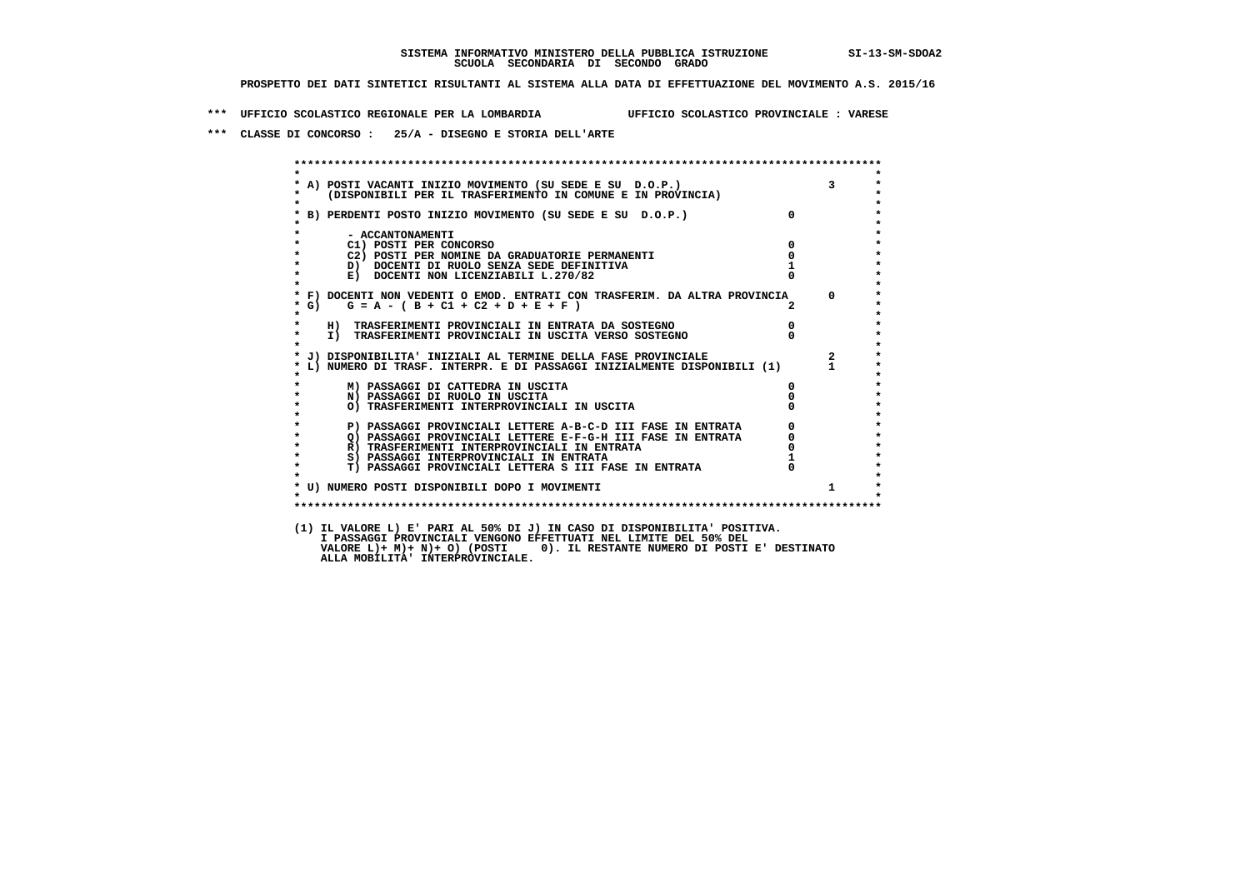**\*\*\* UFFICIO SCOLASTICO REGIONALE PER LA LOMBARDIA UFFICIO SCOLASTICO PROVINCIALE : VARESE**

 **\*\*\* CLASSE DI CONCORSO : 25/A - DISEGNO E STORIA DELL'ARTE**

| $\star$            |                                                                                                                            |                |                         |
|--------------------|----------------------------------------------------------------------------------------------------------------------------|----------------|-------------------------|
|                    | * A) POSTI VACANTI INIZIO MOVIMENTO (SU SEDE E SU D.O.P.)                                                                  |                | $\overline{3}$          |
| $\star$            | (DISPONIBILI PER IL TRASFERIMENTO IN COMUNE E IN PROVINCIA)                                                                |                |                         |
| $\star$            |                                                                                                                            | $\Omega$       |                         |
|                    | * B) PERDENTI POSTO INIZIO MOVIMENTO (SU SEDE E SU D.O.P.)                                                                 |                |                         |
| $\star$            | - ACCANTONAMENTI                                                                                                           |                |                         |
| $\star$            | C1) POSTI PER CONCORSO                                                                                                     | $\Omega$       |                         |
| $\star$            | C2) POSTI PER NOMINE DA GRADUATORIE PERMANENTI                                                                             | $\mathbf{o}$   |                         |
| $\star$            | D) DOCENTI DI RUOLO SENZA SEDE DEFINITIVA                                                                                  |                |                         |
| $\star$            | E) DOCENTI NON LICENZIABILI L.270/82                                                                                       |                |                         |
| $\star$            |                                                                                                                            |                |                         |
|                    | * F) DOCENTI NON VEDENTI O EMOD. ENTRATI CON TRASFERIM. DA ALTRA PROVINCIA 0                                               |                |                         |
| * G)               | $G = A - (B + C1 + C2 + D + E + F)$                                                                                        |                |                         |
| $\star$<br>$\star$ |                                                                                                                            | $\overline{0}$ |                         |
| $\star$            | H) TRASFERIMENTI PROVINCIALI IN ENTRATA DA SOSTEGNO<br>I) TRASFERIMENTI PROVINCIALI IN USCITA VERSO SOSTEGNO               |                |                         |
| $\star$            |                                                                                                                            |                |                         |
|                    | * J) DISPONIBILITA' INIZIALI AL TERMINE DELLA FASE PROVINCIALE                                                             |                | $\overline{\mathbf{2}}$ |
|                    | * L) NUMERO DI TRASF. INTERPR. E DI PASSAGGI INIZIALMENTE DISPONIBILI (1) 1                                                |                |                         |
|                    |                                                                                                                            |                |                         |
|                    | M) PASSAGGI DI CATTEDRA IN USCITA                                                                                          | 0              |                         |
| $\star$            | N) PASSAGGI DI RUOLO IN USCITA                                                                                             |                |                         |
| $\star$<br>$\star$ | O) TRASFERIMENTI INTERPROVINCIALI IN USCITA                                                                                |                |                         |
| $\star$            |                                                                                                                            |                |                         |
| $\star$            | P) PASSAGGI PROVINCIALI LETTERE A-B-C-D III FASE IN ENTRATA<br>Q) PASSAGGI PROVINCIALI LETTERE E-F-G-H III FASE IN ENTRATA |                |                         |
| $\star$            | R) TRASFERIMENTI INTERPROVINCIALI IN ENTRATA                                                                               |                |                         |
| $\star$            | S) PASSAGGI INTERPROVINCIALI IN ENTRATA                                                                                    |                |                         |
| $\star$            | T) PASSAGGI PROVINCIALI LETTERA S III FASE IN ENTRATA                                                                      |                |                         |
|                    |                                                                                                                            |                |                         |
|                    | * U) NUMERO POSTI DISPONIBILI DOPO I MOVIMENTI                                                                             |                | $\mathbf{1}$            |
| $\star$            |                                                                                                                            |                |                         |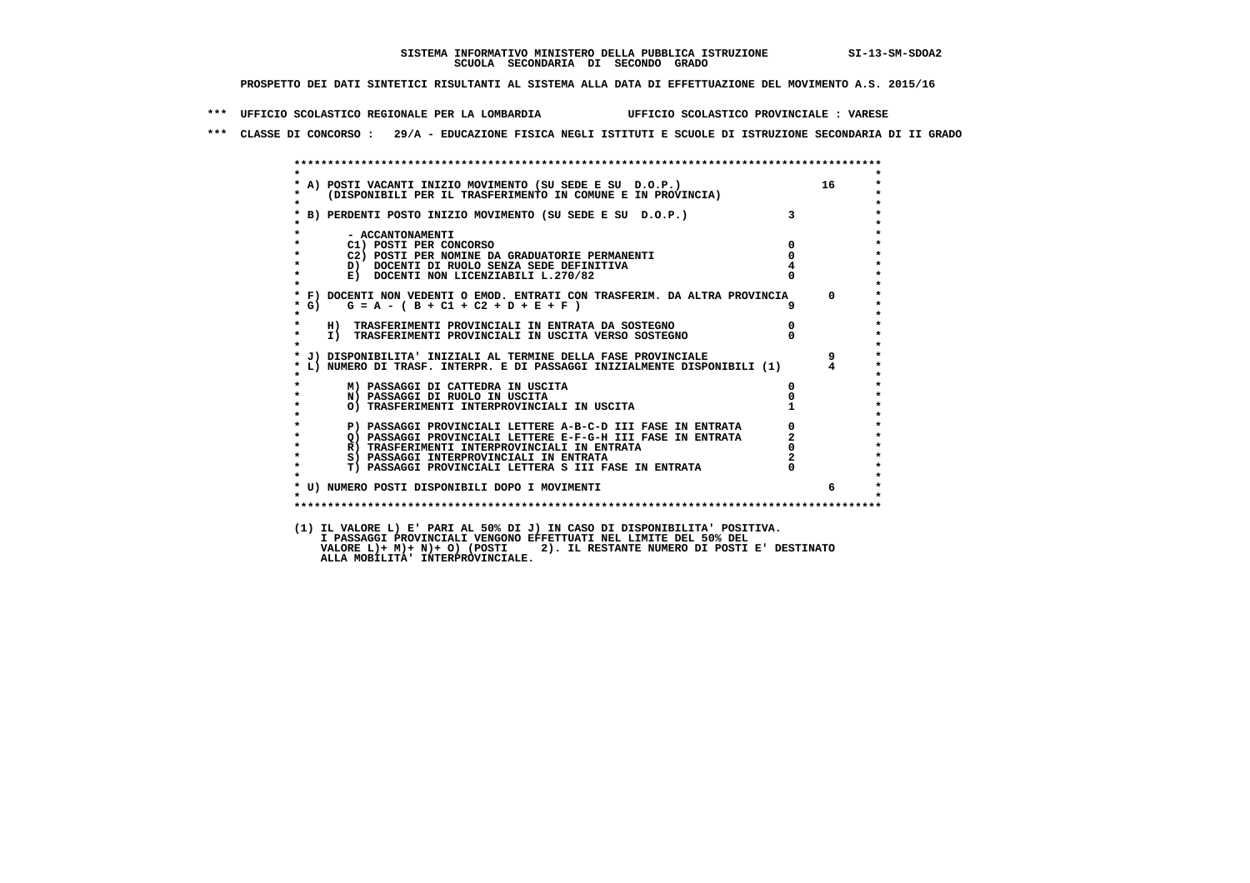**\*\*\* UFFICIO SCOLASTICO REGIONALE PER LA LOMBARDIA UFFICIO SCOLASTICO PROVINCIALE : VARESE**

 **\*\*\* CLASSE DI CONCORSO : 29/A - EDUCAZIONE FISICA NEGLI ISTITUTI E SCUOLE DI ISTRUZIONE SECONDARIA DI II GRADO**

| $\bullet$          | * A) POSTI VACANTI INIZIO MOVIMENTO (SU SEDE E SU D.O.P.)<br>* (DISPONIBILI PER IL TRASFERIMENTO IN COMUNE E IN PROVINCIA) |                | 16             |
|--------------------|----------------------------------------------------------------------------------------------------------------------------|----------------|----------------|
|                    | * B) PERDENTI POSTO INIZIO MOVIMENTO (SU SEDE E SU D.O.P.)                                                                 | 3 <sup>1</sup> |                |
|                    | - ACCANTONAMENTI                                                                                                           |                |                |
| $\star$            | C1) POSTI PER CONCORSO                                                                                                     | $\mathbf{0}$   |                |
|                    | C2) POSTI PER NOMINE DA GRADUATORIE PERMANENTI                                                                             | $^{\circ}$     |                |
| $\star$            | D) DOCENTI DI RUOLO SENZA SEDE DEFINITIVA                                                                                  |                |                |
| $\star$            | E) DOCENTI NON LICENZIABILI L.270/82                                                                                       |                |                |
|                    | * F) DOCENTI NON VEDENTI O EMOD. ENTRATI CON TRASFERIM. DA ALTRA PROVINCIA                                                 |                | $\Omega$       |
| $*$ G)             | $G = A - (B + C1 + C2 + D + E + F)$                                                                                        |                |                |
| $\star$            | H) TRASFERIMENTI PROVINCIALI IN ENTRATA DA SOSTEGNO                                                                        | $\overline{0}$ |                |
| $\star$<br>$\star$ | I) TRASFERIMENTI PROVINCIALI IN USCITA VERSO SOSTEGNO                                                                      |                |                |
|                    | * J) DISPONIBILITA' INIZIALI AL TERMINE DELLA FASE PROVINCIALE                                                             |                | 9              |
|                    | * L) NUMERO DI TRASF. INTERPR. E DI PASSAGGI INIZIALMENTE DISPONIBILI (1)                                                  |                | $\overline{4}$ |
|                    | M) PASSAGGI DI CATTEDRA IN USCITA                                                                                          | 0              |                |
| $\star$            | N) PASSAGGI DI RUOLO IN USCITA                                                                                             |                |                |
| $\star$            | O) TRASFERIMENTI INTERPROVINCIALI IN USCITA                                                                                |                |                |
| $\star$            | P) PASSAGGI PROVINCIALI LETTERE A-B-C-D III FASE IN ENTRATA                                                                |                |                |
| $\star$            | Q) PASSAGGI PROVINCIALI LETTERE E-F-G-H III FASE IN ENTRATA                                                                | $\overline{a}$ |                |
| $\star$            | R) TRASFERIMENTI INTERPROVINCIALI IN ENTRATA                                                                               |                |                |
| $\star$            | S) PASSAGGI INTERPROVINCIALI IN ENTRATA                                                                                    |                |                |
| $\star$            | T) PASSAGGI PROVINCIALI LETTERA S III FASE IN ENTRATA                                                                      |                |                |
|                    | * U) NUMERO POSTI DISPONIBILI DOPO I MOVIMENTI                                                                             |                | б.             |
| $\star$            |                                                                                                                            |                |                |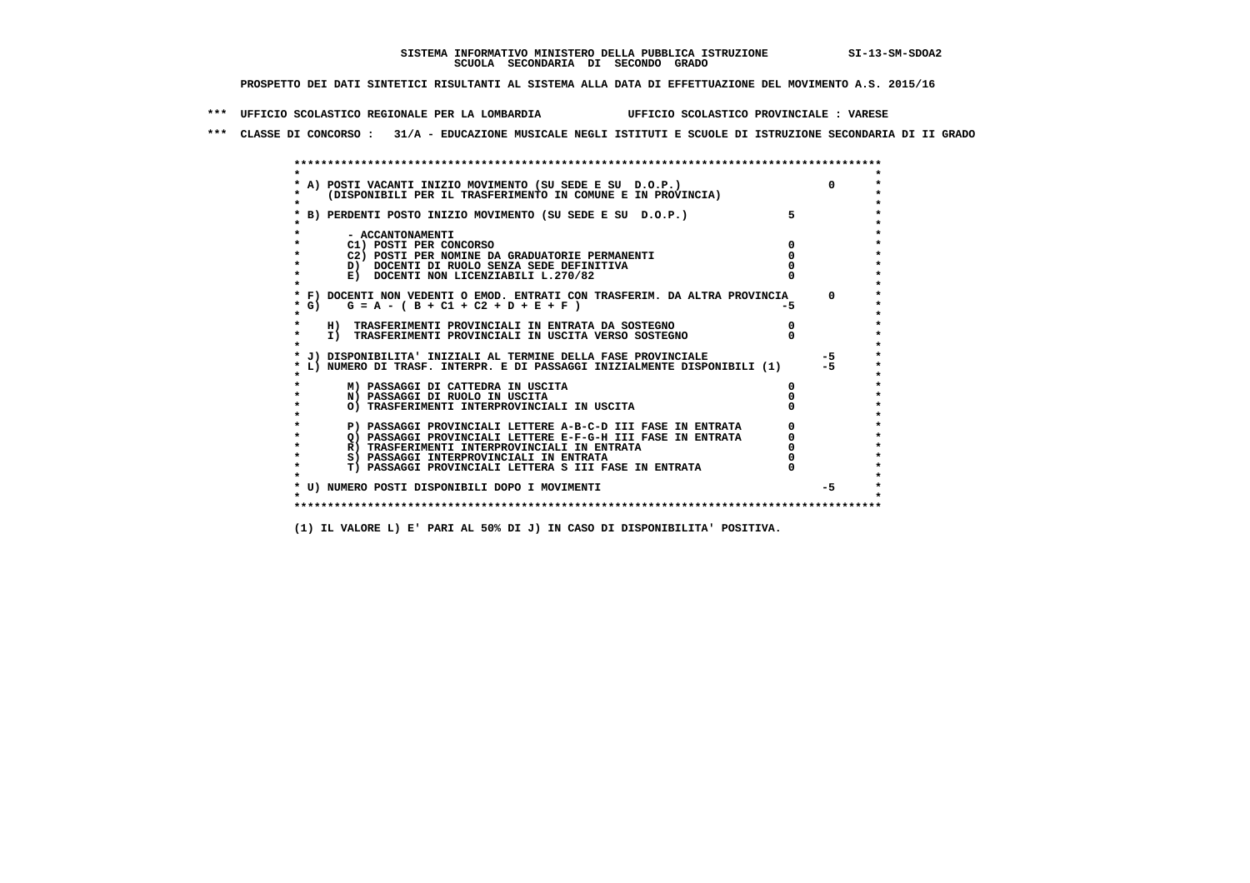**\*\*\* UFFICIO SCOLASTICO REGIONALE PER LA LOMBARDIA UFFICIO SCOLASTICO PROVINCIALE : VARESE**

 **\*\*\* CLASSE DI CONCORSO : 31/A - EDUCAZIONE MUSICALE NEGLI ISTITUTI E SCUOLE DI ISTRUZIONE SECONDARIA DI II GRADO**

|        | A) POSTI VACANTI INIZIO MOVIMENTO (SU SEDE E SU D.O.P.)                                                                                 |     | $\Omega$     |
|--------|-----------------------------------------------------------------------------------------------------------------------------------------|-----|--------------|
|        | (DISPONIBILI PER IL TRASFERIMENTO IN COMUNE E IN PROVINCIA)                                                                             |     |              |
|        |                                                                                                                                         |     |              |
|        | B) PERDENTI POSTO INIZIO MOVIMENTO (SU SEDE E SU D.O.P.)                                                                                |     |              |
|        |                                                                                                                                         |     |              |
|        | - ACCANTONAMENTI                                                                                                                        |     |              |
|        | C1) POSTI PER CONCORSO                                                                                                                  |     |              |
|        | C2) POSTI PER NOMINE DA GRADUATORIE PERMANENTI                                                                                          |     |              |
|        | D) DOCENTI DI RUOLO SENZA SEDE DEFINITIVA<br>E) DOCENTI NON LICENZIABILI L.270/82                                                       |     |              |
|        |                                                                                                                                         |     |              |
|        | * F) DOCENTI NON VEDENTI O EMOD. ENTRATI CON TRASFERIM. DA ALTRA PROVINCIA                                                              |     | $\Omega$     |
| $*$ G) | $G = A - (B + C1 + C2 + D + E + F)$                                                                                                     | -5. |              |
|        |                                                                                                                                         |     |              |
|        | H) TRASFERIMENTI PROVINCIALI IN ENTRATA DA SOSTEGNO                                                                                     |     |              |
|        | I) TRASFERIMENTI PROVINCIALI IN USCITA VERSO SOSTEGNO                                                                                   |     |              |
|        |                                                                                                                                         |     |              |
|        | J) DISPONIBILITA' INIZIALI AL TERMINE DELLA FASE PROVINCIALE<br>L) NUMERO DI TRASF. INTERPR. E DI PASSAGGI INIZIALMENTE DISPONIBILI (1) |     | $-5$<br>$-5$ |
|        |                                                                                                                                         |     |              |
|        | M) PASSAGGI DI CATTEDRA IN USCITA                                                                                                       |     |              |
|        | N) PASSAGGI DI RUOLO IN USCITA                                                                                                          |     |              |
|        | O) TRASFERIMENTI INTERPROVINCIALI IN USCITA                                                                                             |     |              |
|        |                                                                                                                                         |     |              |
|        | P) PASSAGGI PROVINCIALI LETTERE A-B-C-D III FASE IN ENTRATA                                                                             |     |              |
|        | O) PASSAGGI PROVINCIALI LETTERE E-F-G-H III FASE IN ENTRATA                                                                             |     |              |
|        | R) TRASFERIMENTI INTERPROVINCIALI IN ENTRATA                                                                                            |     |              |
|        | S) PASSAGGI INTERPROVINCIALI IN ENTRATA                                                                                                 |     |              |
|        | T) PASSAGGI PROVINCIALI LETTERA S III FASE IN ENTRATA                                                                                   |     |              |
|        | * U) NUMERO POSTI DISPONIBILI DOPO I MOVIMENTI                                                                                          |     | $-5$         |
|        |                                                                                                                                         |     |              |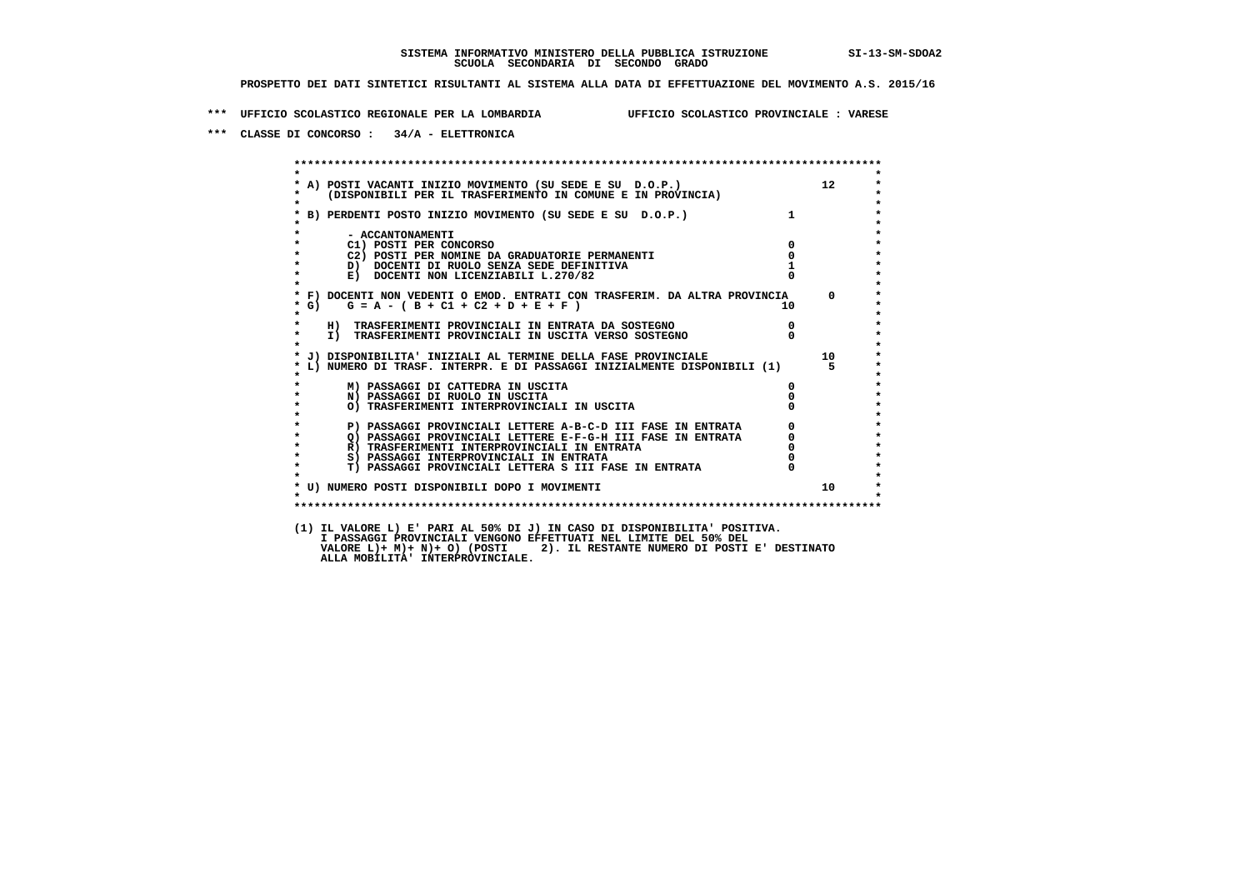**\*\*\* UFFICIO SCOLASTICO REGIONALE PER LA LOMBARDIA UFFICIO SCOLASTICO PROVINCIALE : VARESE**

 **\*\*\* CLASSE DI CONCORSO : 34/A - ELETTRONICA**

 **\*\*\*\*\*\*\*\*\*\*\*\*\*\*\*\*\*\*\*\*\*\*\*\*\*\*\*\*\*\*\*\*\*\*\*\*\*\*\*\*\*\*\*\*\*\*\*\*\*\*\*\*\*\*\*\*\*\*\*\*\*\*\*\*\*\*\*\*\*\*\*\*\*\*\*\*\*\*\*\*\*\*\*\*\*\*\*\* \* \*** $\bullet$  **\* A) POSTI VACANTI INIZIO MOVIMENTO (SU SEDE E SU D.O.P.) 12 \*** $\star$  **\* (DISPONIBILI PER IL TRASFERIMENTO IN COMUNE E IN PROVINCIA) \* \* \* \* B) PERDENTI POSTO INIZIO MOVIMENTO (SU SEDE E SU D.O.P.) 1 \* \* \* \* - ACCANTONAMENTI \* \* C1) POSTI PER CONCORSO 0 \* \* C2) POSTI PER NOMINE DA GRADUATORIE PERMANENTI 0 \*D)** DOCENTI DI RUOLO SENZA SEDE DEFINITIVA 1<br> **E)** DOCENTI NON LICENZIABILI L. 270/82 0 **E) DOCENTI NON LICENZIABILI L.270/82 \* \* \* F) DOCENTI NON VEDENTI O EMOD. ENTRATI CON TRASFERIM. DA ALTRA PROVINCIA 0 \***  $\star$  **G)** G = A - ( B + C1 + C2 + D + E + F )  **\* \* \* H) TRASFERIMENTI PROVINCIALI IN ENTRATA DA SOSTEGNO 0 \* \* I) TRASFERIMENTI PROVINCIALI IN USCITA VERSO SOSTEGNO 0 \* \* \* \* J) DISPONIBILITA' INIZIALI AL TERMINE DELLA FASE PROVINCIALE 10 \* \* L) NUMERO DI TRASF. INTERPR. E DI PASSAGGI INIZIALMENTE DISPONIBILI (1) 5 \* \* \* \* M) PASSAGGI DI CATTEDRA IN USCITA 0 \* \* N) PASSAGGI DI RUOLO IN USCITA 0 \* \* O) TRASFERIMENTI INTERPROVINCIALI IN USCITA 0 \* \* \* P) PASSAGGI PROVINCIALI LETTERE A-B-C-D III FASE IN ENTRATA** 0 <sup>0</sup> **DASSAGGI PROVINCIALI LETTERE E-F-G-H** III FASE IN ENTRATA 0 <sup>0</sup> **2) PASSAGGI PROVINCIALI LETTERE E-F-G-H III FASE IN ENTRATA 6 0 R**) TRASFERIMENTI INTERPROVINCIALI IN ENTRATA 6 **0 R)** TRASFERIMENTI INTERPROVINCIALI IN ENTRATA  $\begin{bmatrix} 0 & 0 \\ 0 & 0 \\ 0 & 0 \end{bmatrix}$  PASSAGGI INTERPROVINCIALI IN ENTRATA  $\begin{bmatrix} 0 & 0 \\ 0 & 0 \\ 0 & 0 \end{bmatrix}$ **8) PASSAGGI INTERPROVINCIALI IN ENTRATA 6 \*\*\*** 0 \*\*\*<br> **T) PASSAGGI PROVINCIALI LETTERA S III FASE IN ENTRATA** 0 \*\*\*  $\ddot{\phantom{1}}$  **\* T) PASSAGGI PROVINCIALI LETTERA S III FASE IN ENTRATA 0 \*** $\star$  **\* \*** $\star$  **\* U) NUMERO POSTI DISPONIBILI DOPO I MOVIMENTI 10 \* \* \* \*\*\*\*\*\*\*\*\*\*\*\*\*\*\*\*\*\*\*\*\*\*\*\*\*\*\*\*\*\*\*\*\*\*\*\*\*\*\*\*\*\*\*\*\*\*\*\*\*\*\*\*\*\*\*\*\*\*\*\*\*\*\*\*\*\*\*\*\*\*\*\*\*\*\*\*\*\*\*\*\*\*\*\*\*\*\*\* (1) IL VALORE L) E' PARI AL 50% DI J) IN CASO DI DISPONIBILITA' POSITIVA. VALORE L)+ M)+ N)+ O) (POSTI 2). IL RESTANTE NUMERO DI POSTI E' DESTINATO ALLA MOBILITA' INTERPROVINCIALE. I PASSAGGI PROVINCIALI VENGONO EFFETTUATI NEL LIMITE DEL 50% DEL**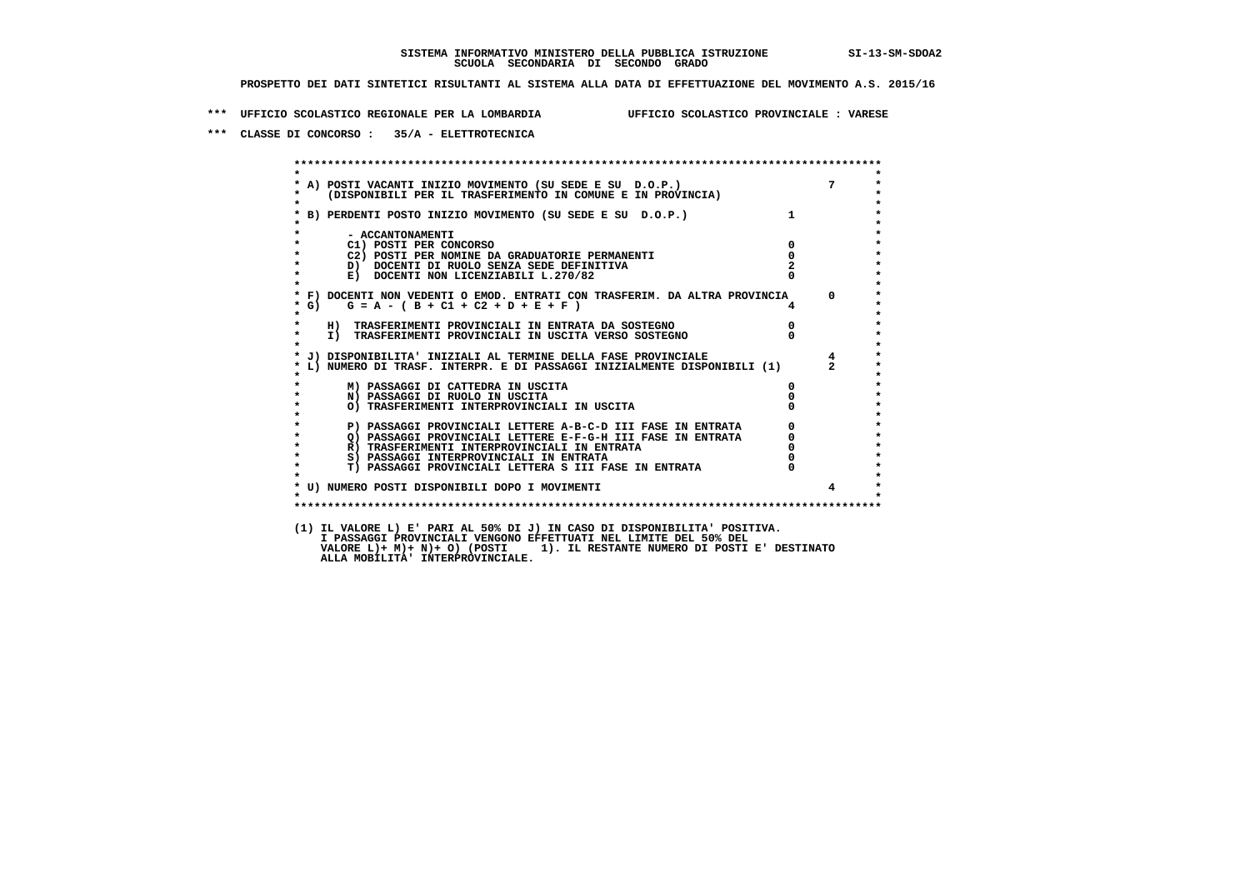**\*\*\* UFFICIO SCOLASTICO REGIONALE PER LA LOMBARDIA UFFICIO SCOLASTICO PROVINCIALE : VARESE**

 **\*\*\* CLASSE DI CONCORSO : 35/A - ELETTROTECNICA**

 **\*\*\*\*\*\*\*\*\*\*\*\*\*\*\*\*\*\*\*\*\*\*\*\*\*\*\*\*\*\*\*\*\*\*\*\*\*\*\*\*\*\*\*\*\*\*\*\*\*\*\*\*\*\*\*\*\*\*\*\*\*\*\*\*\*\*\*\*\*\*\*\*\*\*\*\*\*\*\*\*\*\*\*\*\*\*\*\* \* \* \* A) POSTI VACANTI INIZIO MOVIMENTO (SU SEDE E SU D.O.P.) 7 \* \* (DISPONIBILI PER IL TRASFERIMENTO IN COMUNE E IN PROVINCIA) \* \* \* \* B) PERDENTI POSTO INIZIO MOVIMENTO (SU SEDE E SU D.O.P.) 1 \* \* \* \* - ACCANTONAMENTI \* \* C1) POSTI PER CONCORSO 0 \* \* C2) POSTI PER NOMINE DA GRADUATORIE PERMANENTI 0 \* \* D) DOCENTI DI RUOLO SENZA SEDE DEFINITIVA 2 \*E) DOCENTI NON LICENZIABILI L.270/82 \* \* \* F) DOCENTI NON VEDENTI O EMOD. ENTRATI CON TRASFERIM. DA ALTRA PROVINCIA 0 \* \* G) G = A - ( B + C1 + C2 + D + E + F ) 4 \* \* \* \* H) TRASFERIMENTI PROVINCIALI IN ENTRATA DA SOSTEGNO 0 \* \* I) TRASFERIMENTI PROVINCIALI IN USCITA VERSO SOSTEGNO 0 \* \* \* \* J) DISPONIBILITA' INIZIALI AL TERMINE DELLA FASE PROVINCIALE 4 \* \* L) NUMERO DI TRASF. INTERPR. E DI PASSAGGI INIZIALMENTE DISPONIBILI (1) 2 \* \* \* \* M) PASSAGGI DI CATTEDRA IN USCITA 0 \* \* N) PASSAGGI DI RUOLO IN USCITA 0 \* \* O) TRASFERIMENTI INTERPROVINCIALI IN USCITA 0 \* \* \* P) PASSAGGI PROVINCIALI LETTERE A-B-C-D III FASE IN ENTRATA** 0 <sup>0</sup> **DASSAGGI PROVINCIALI LETTERE E-F-G-H** III FASE IN ENTRATA 0 <sup>0</sup> **2) PASSAGGI PROVINCIALI LETTERE E-F-G-H III FASE IN ENTRATA 6 0 R**) TRASFERIMENTI INTERPROVINCIALI IN ENTRATA 6 **0 R)** TRASFERIMENTI INTERPROVINCIALI IN ENTRATA  $\begin{bmatrix} 0 & 0 \\ 0 & 0 \\ 0 & 0 \end{bmatrix}$  PASSAGGI INTERPROVINCIALI IN ENTRATA  $\begin{bmatrix} 0 & 0 \\ 0 & 0 \\ 0 & 0 \end{bmatrix}$  **\* S) PASSAGGI INTERPROVINCIALI IN ENTRATA 0 \*** $\ddot{\phantom{1}}$  **\* T) PASSAGGI PROVINCIALI LETTERA S III FASE IN ENTRATA 0 \*** $\star$  **\* \* \* U) NUMERO POSTI DISPONIBILI DOPO I MOVIMENTI 4 \* \* \* \*\*\*\*\*\*\*\*\*\*\*\*\*\*\*\*\*\*\*\*\*\*\*\*\*\*\*\*\*\*\*\*\*\*\*\*\*\*\*\*\*\*\*\*\*\*\*\*\*\*\*\*\*\*\*\*\*\*\*\*\*\*\*\*\*\*\*\*\*\*\*\*\*\*\*\*\*\*\*\*\*\*\*\*\*\*\*\* (1) IL VALORE L) E' PARI AL 50% DI J) IN CASO DI DISPONIBILITA' POSITIVA. I PASSAGGI PROVINCIALI VENGONO EFFETTUATI NEL LIMITE DEL 50% DEL VALORE L)+ M)+ N)+ O) (POSTI 1). IL RESTANTE NUMERO DI POSTI E' DESTINATO ALLA MOBILITA' INTERPROVINCIALE.**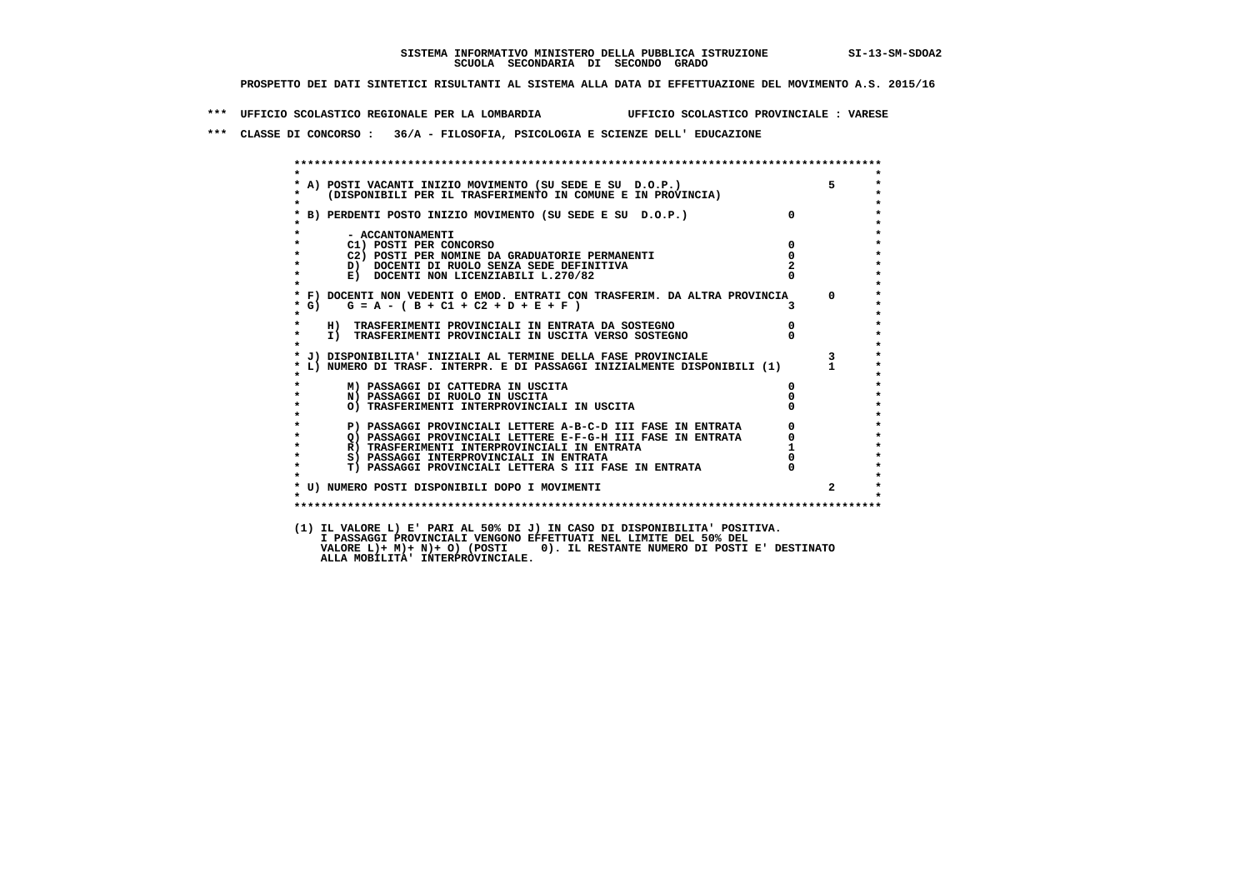**\*\*\* UFFICIO SCOLASTICO REGIONALE PER LA LOMBARDIA UFFICIO SCOLASTICO PROVINCIALE : VARESE**

 **\*\*\* CLASSE DI CONCORSO : 36/A - FILOSOFIA, PSICOLOGIA E SCIENZE DELL' EDUCAZIONE**

 **\*\*\*\*\*\*\*\*\*\*\*\*\*\*\*\*\*\*\*\*\*\*\*\*\*\*\*\*\*\*\*\*\*\*\*\*\*\*\*\*\*\*\*\*\*\*\*\*\*\*\*\*\*\*\*\*\*\*\*\*\*\*\*\*\*\*\*\*\*\*\*\*\*\*\*\*\*\*\*\*\*\*\*\*\*\*\*\* \* \* \* A) POSTI VACANTI INIZIO MOVIMENTO (SU SEDE E SU D.O.P.) 5 \* \* (DISPONIBILI PER IL TRASFERIMENTO IN COMUNE E IN PROVINCIA) \* \* \* \* B) PERDENTI POSTO INIZIO MOVIMENTO (SU SEDE E SU D.O.P.) 0 \* \* \* \* - ACCANTONAMENTI \* \* C1) POSTI PER CONCORSO 0 \* \* C2) POSTI PER NOMINE DA GRADUATORIE PERMANENTI 0 \* \* D) DOCENTI DI RUOLO SENZA SEDE DEFINITIVA 2 \*E) DOCENTI NON LICENZIABILI L.270/82 \* \* \* F) DOCENTI NON VEDENTI O EMOD. ENTRATI CON TRASFERIM. DA ALTRA PROVINCIA 0 \* \* G) G = A - ( B + C1 + C2 + D + E + F ) 3 \* \* \* \* H) TRASFERIMENTI PROVINCIALI IN ENTRATA DA SOSTEGNO 0 \* \* I) TRASFERIMENTI PROVINCIALI IN USCITA VERSO SOSTEGNO 0 \* \* \* \* J) DISPONIBILITA' INIZIALI AL TERMINE DELLA FASE PROVINCIALE 3 \* \* L) NUMERO DI TRASF. INTERPR. E DI PASSAGGI INIZIALMENTE DISPONIBILI (1) 1 \* \* \* \* M) PASSAGGI DI CATTEDRA IN USCITA 0 \* \* N) PASSAGGI DI RUOLO IN USCITA 0 \* \* O) TRASFERIMENTI INTERPROVINCIALI IN USCITA 0 \* \* \* P) PASSAGGI PROVINCIALI LETTERE A-B-C-D III FASE IN ENTRATA** 0 <sup>0</sup> **DASSAGGI PROVINCIALI LETTERE E-F-G-H** III FASE IN ENTRATA 0 <sup>0</sup> **2) PASSAGGI PROVINCIALI LETTERE E-F-G-H III FASE IN ENTRATA 6**  $\overline{Q}$  **PASSAGGI PROVINCIALI LETTERE E-F-G-H III FASE IN ENTRATA** 0 **R) TRASFERIMENTI INTERPROVINCIALI IN ENTRATA 1**<br> **8**) PASSAGGI INTERPROVINCIALI IN ENTRATA **1 8) PASSAGGI INTERPROVINCIALI IN ENTRATA 6 \*\*\*** 0 \*\*\*<br> **T) PASSAGGI PROVINCIALI LETTERA S III FASE IN ENTRATA** 0 \*\*\*  $\ddot{\phantom{1}}$  **\* T) PASSAGGI PROVINCIALI LETTERA S III FASE IN ENTRATA 0 \*** $\star$  **\* \* \* U) NUMERO POSTI DISPONIBILI DOPO I MOVIMENTI 2 \* \* \* \*\*\*\*\*\*\*\*\*\*\*\*\*\*\*\*\*\*\*\*\*\*\*\*\*\*\*\*\*\*\*\*\*\*\*\*\*\*\*\*\*\*\*\*\*\*\*\*\*\*\*\*\*\*\*\*\*\*\*\*\*\*\*\*\*\*\*\*\*\*\*\*\*\*\*\*\*\*\*\*\*\*\*\*\*\*\*\* (1) IL VALORE L) E' PARI AL 50% DI J) IN CASO DI DISPONIBILITA' POSITIVA. I PASSAGGI PROVINCIALI VENGONO EFFETTUATI NEL LIMITE DEL 50% DEL VALORE L)+ M)+ N)+ O) (POSTI 0). IL RESTANTE NUMERO DI POSTI E' DESTINATO ALLA MOBILITA' INTERPROVINCIALE.**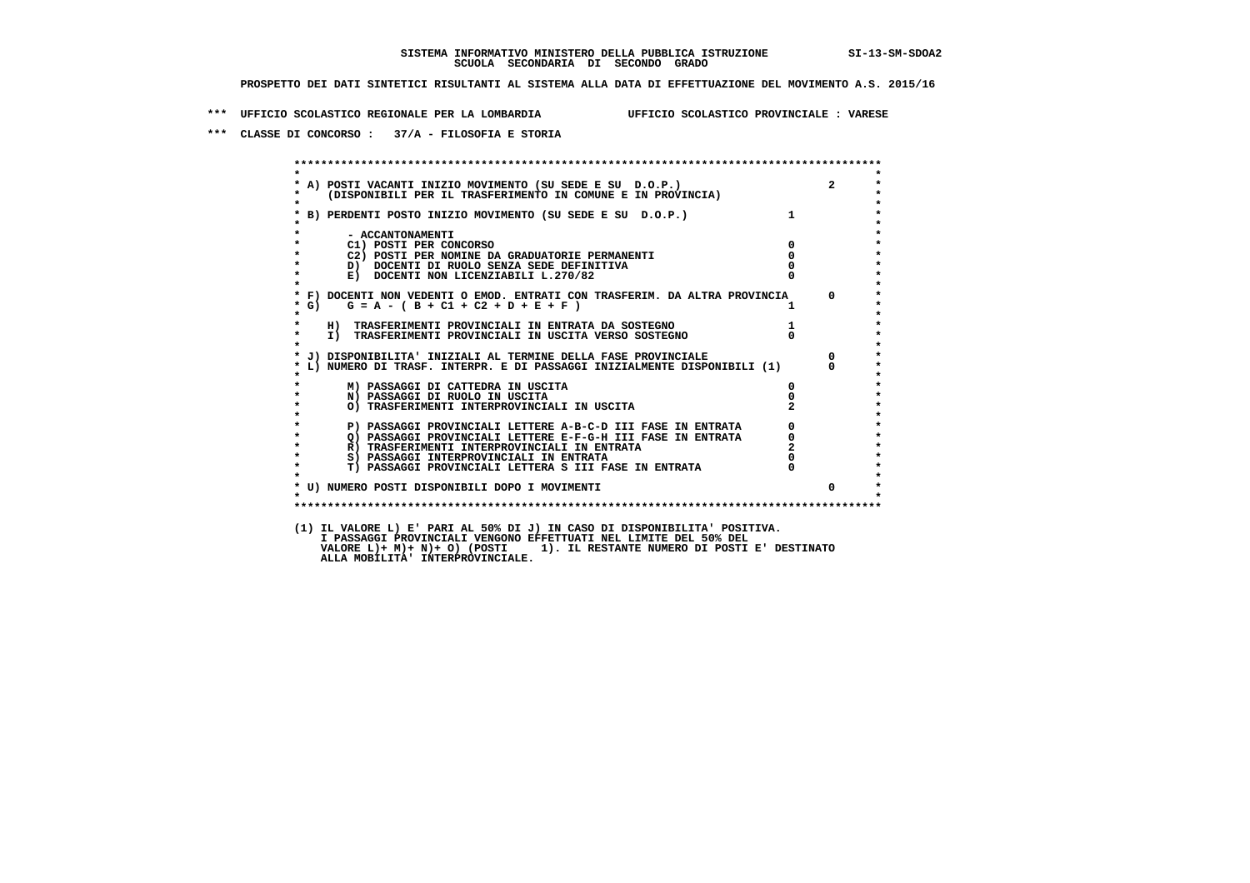**\*\*\* UFFICIO SCOLASTICO REGIONALE PER LA LOMBARDIA UFFICIO SCOLASTICO PROVINCIALE : VARESE**

 **\*\*\* CLASSE DI CONCORSO : 37/A - FILOSOFIA E STORIA**

 **\*\*\*\*\*\*\*\*\*\*\*\*\*\*\*\*\*\*\*\*\*\*\*\*\*\*\*\*\*\*\*\*\*\*\*\*\*\*\*\*\*\*\*\*\*\*\*\*\*\*\*\*\*\*\*\*\*\*\*\*\*\*\*\*\*\*\*\*\*\*\*\*\*\*\*\*\*\*\*\*\*\*\*\*\*\*\*\* \* \*** $\ddot{\phantom{1}}$  **\* A) POSTI VACANTI INIZIO MOVIMENTO (SU SEDE E SU D.O.P.) 2 \*** $\star$  **\* (DISPONIBILI PER IL TRASFERIMENTO IN COMUNE E IN PROVINCIA) \* \* \* \* B) PERDENTI POSTO INIZIO MOVIMENTO (SU SEDE E SU D.O.P.) 1 \* \* \* \* - ACCANTONAMENTI \* \* C1) POSTI PER CONCORSO 0 \* \* C2) POSTI PER NOMINE DA GRADUATORIE PERMANENTI 0 \*D)** DOCENTI DI RUOLO SENZA SEDE DEFINITIVA  $\overline{a}$  0  $\overline{b}$  0  $\overline{c}$  0  $\overline{c}$  0  $\overline{c}$  0  $\overline{a}$  0  $\overline{c}$ **E) DOCENTI NON LICENZIABILI L.270/82 \* \* \* F) DOCENTI NON VEDENTI O EMOD. ENTRATI CON TRASFERIM. DA ALTRA PROVINCIA 0 \***  $\star$  **G)** G = A - ( B + C1 + C2 + D + E + F )  **\* \* \* H) TRASFERIMENTI PROVINCIALI IN ENTRATA DA SOSTEGNO 1 \* \* I) TRASFERIMENTI PROVINCIALI IN USCITA VERSO SOSTEGNO 0 \* \* \* \* J) DISPONIBILITA' INIZIALI AL TERMINE DELLA FASE PROVINCIALE 0 \* \* L) NUMERO DI TRASF. INTERPR. E DI PASSAGGI INIZIALMENTE DISPONIBILI (1) 0 \* \* \* \* M) PASSAGGI DI CATTEDRA IN USCITA 0 \* \* N) PASSAGGI DI RUOLO IN USCITA 0 \* \* O) TRASFERIMENTI INTERPROVINCIALI IN USCITA 2 \* \* \* P) PASSAGGI PROVINCIALI LETTERE A-B-C-D III FASE IN ENTRATA** 0 <sup>0</sup> **DASSAGGI PROVINCIALI LETTERE E-F-G-H** III FASE IN ENTRATA 0 <sup>0</sup> **2) PASSAGGI PROVINCIALI LETTERE E-F-G-H III FASE IN ENTRATA 6**  $\overline{Q}$  **PASSAGGI PROVINCIALI LETTERE E-F-G-H III FASE IN ENTRATA** 6 **R) TRASFERIMENTI INTERPROVINCIALI IN ENTRATA** 2<br> **8**) PASSAGGI INTERPROVINCIALI IN ENTRATA 2<br>
0 **8) PASSAGGI INTERPROVINCIALI IN ENTRATA 6 \*\*\*** 0 \*\*\*<br> **T) PASSAGGI PROVINCIALI LETTERA S III FASE IN ENTRATA** 0 \*\*\*  $\bullet$  **\* T) PASSAGGI PROVINCIALI LETTERA S III FASE IN ENTRATA 0 \*** $\star$  **\* \* \* U) NUMERO POSTI DISPONIBILI DOPO I MOVIMENTI 0 \* \* \* \*\*\*\*\*\*\*\*\*\*\*\*\*\*\*\*\*\*\*\*\*\*\*\*\*\*\*\*\*\*\*\*\*\*\*\*\*\*\*\*\*\*\*\*\*\*\*\*\*\*\*\*\*\*\*\*\*\*\*\*\*\*\*\*\*\*\*\*\*\*\*\*\*\*\*\*\*\*\*\*\*\*\*\*\*\*\*\* (1) IL VALORE L) E' PARI AL 50% DI J) IN CASO DI DISPONIBILITA' POSITIVA. I PASSAGGI PROVINCIALI VENGONO EFFETTUATI NEL LIMITE DEL 50% DEL VALORE L)+ M)+ N)+ O) (POSTI 1). IL RESTANTE NUMERO DI POSTI E' DESTINATO ALLA MOBILITA' INTERPROVINCIALE.**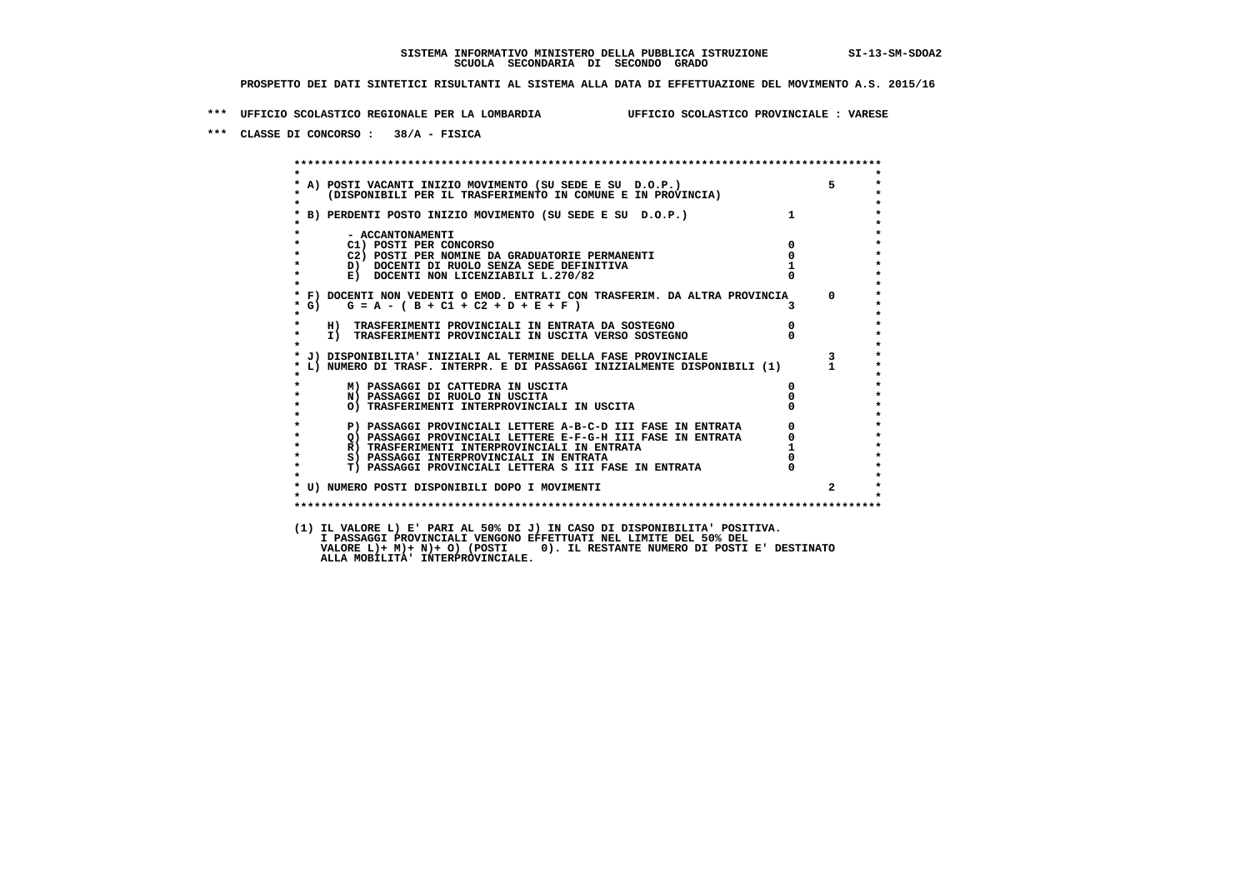**\*\*\* UFFICIO SCOLASTICO REGIONALE PER LA LOMBARDIA UFFICIO SCOLASTICO PROVINCIALE : VARESE**

 **\*\*\* CLASSE DI CONCORSO : 38/A - FISICA**

 **\*\*\*\*\*\*\*\*\*\*\*\*\*\*\*\*\*\*\*\*\*\*\*\*\*\*\*\*\*\*\*\*\*\*\*\*\*\*\*\*\*\*\*\*\*\*\*\*\*\*\*\*\*\*\*\*\*\*\*\*\*\*\*\*\*\*\*\*\*\*\*\*\*\*\*\*\*\*\*\*\*\*\*\*\*\*\*\* \* \*** $\bullet$  **\* A) POSTI VACANTI INIZIO MOVIMENTO (SU SEDE E SU D.O.P.) 5 \* \* (DISPONIBILI PER IL TRASFERIMENTO IN COMUNE E IN PROVINCIA) \* \* \* \* B) PERDENTI POSTO INIZIO MOVIMENTO (SU SEDE E SU D.O.P.) 1 \* \* \* \* - ACCANTONAMENTI \* \* C1) POSTI PER CONCORSO 0 \* \* C2) POSTI PER NOMINE DA GRADUATORIE PERMANENTI 0 \*b**  $\overline{D}$  **docenti di RUOLO SENZA SEDE DEFINITIVA**  $\overline{D}$  **1**  $\overline{D}$  **1**  $\overline{D}$  **1**  $\overline{D}$  **1**  $\overline{D}$  **1**  $\overline{D}$  **1**  $\overline{D}$  **1**  $\overline{D}$  **1**  $\overline{D}$  **1**  $\overline{D}$  **1**  $\overline{D}$  **1**  $\overline{D}$  **1**  $\overline{D}$  **1 E) DOCENTI NON LICENZIABILI L.270/82 \* \* \* F) DOCENTI NON VEDENTI O EMOD. ENTRATI CON TRASFERIM. DA ALTRA PROVINCIA 0 \* \* G) G = A - ( B + C1 + C2 + D + E + F ) 3 \* \* \* \* H) TRASFERIMENTI PROVINCIALI IN ENTRATA DA SOSTEGNO 0 \* \* I) TRASFERIMENTI PROVINCIALI IN USCITA VERSO SOSTEGNO 0 \* \* \* \* J) DISPONIBILITA' INIZIALI AL TERMINE DELLA FASE PROVINCIALE 3 \* \* L) NUMERO DI TRASF. INTERPR. E DI PASSAGGI INIZIALMENTE DISPONIBILI (1) 1 \* \* \* \* M) PASSAGGI DI CATTEDRA IN USCITA 0 \* \* N) PASSAGGI DI RUOLO IN USCITA 0 \* \* O) TRASFERIMENTI INTERPROVINCIALI IN USCITA 0 \* \* \* P) PASSAGGI PROVINCIALI LETTERE A-B-C-D III FASE IN ENTRATA** 0 <sup>0</sup> **DASSAGGI PROVINCIALI LETTERE E-F-G-H** III FASE IN ENTRATA 0 <sup>0</sup> **2) PASSAGGI PROVINCIALI LETTERE E-F-G-H III FASE IN ENTRATA 6**  $\overline{Q}$  **PASSAGGI PROVINCIALI LETTERE E-F-G-H III FASE IN ENTRATA** 0  **\* R) TRASFERIMENTI INTERPROVINCIALI IN ENTRATA 1 \*8) PASSAGGI INTERPROVINCIALI IN ENTRATA 6 \*\*\*** 0 \*\*\*<br> **T) PASSAGGI PROVINCIALI LETTERA S III FASE IN ENTRATA** 0 \*\*\*  $\ddot{\phantom{1}}$  **\* T) PASSAGGI PROVINCIALI LETTERA S III FASE IN ENTRATA 0 \*** $\star$  **\* \* \* U) NUMERO POSTI DISPONIBILI DOPO I MOVIMENTI 2 \* \* \* \*\*\*\*\*\*\*\*\*\*\*\*\*\*\*\*\*\*\*\*\*\*\*\*\*\*\*\*\*\*\*\*\*\*\*\*\*\*\*\*\*\*\*\*\*\*\*\*\*\*\*\*\*\*\*\*\*\*\*\*\*\*\*\*\*\*\*\*\*\*\*\*\*\*\*\*\*\*\*\*\*\*\*\*\*\*\*\* (1) IL VALORE L) E' PARI AL 50% DI J) IN CASO DI DISPONIBILITA' POSITIVA. I PASSAGGI PROVINCIALI VENGONO EFFETTUATI NEL LIMITE DEL 50% DEL VALORE L)+ M)+ N)+ O) (POSTI 0). IL RESTANTE NUMERO DI POSTI E' DESTINATO ALLA MOBILITA' INTERPROVINCIALE.**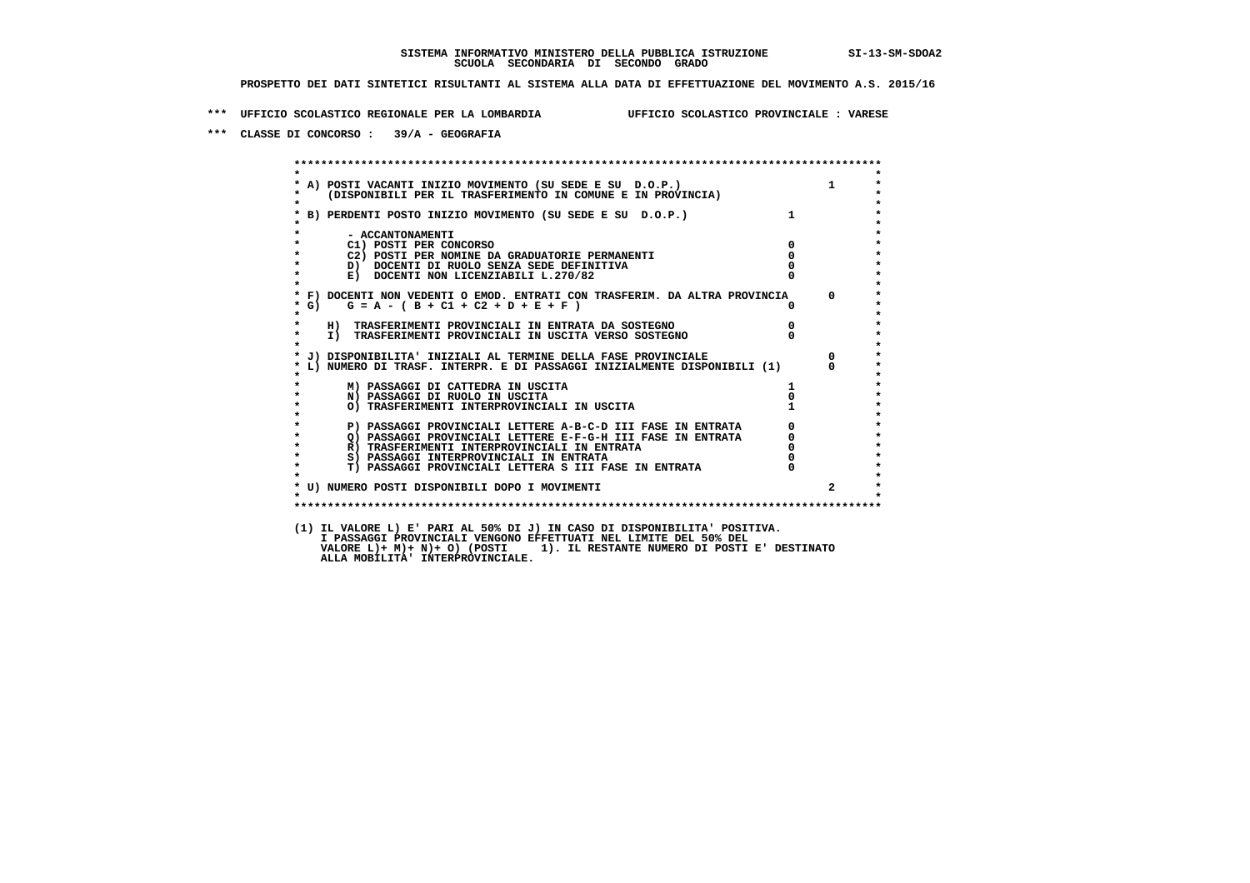**\*\*\* UFFICIO SCOLASTICO REGIONALE PER LA LOMBARDIA UFFICIO SCOLASTICO PROVINCIALE : VARESE**

 **\*\*\* CLASSE DI CONCORSO : 39/A - GEOGRAFIA**

 **\*\*\*\*\*\*\*\*\*\*\*\*\*\*\*\*\*\*\*\*\*\*\*\*\*\*\*\*\*\*\*\*\*\*\*\*\*\*\*\*\*\*\*\*\*\*\*\*\*\*\*\*\*\*\*\*\*\*\*\*\*\*\*\*\*\*\*\*\*\*\*\*\*\*\*\*\*\*\*\*\*\*\*\*\*\*\*\* \* \*** $\bullet$  **\* A) POSTI VACANTI INIZIO MOVIMENTO (SU SEDE E SU D.O.P.) 1 \* \* (DISPONIBILI PER IL TRASFERIMENTO IN COMUNE E IN PROVINCIA) \* \* \* \* B) PERDENTI POSTO INIZIO MOVIMENTO (SU SEDE E SU D.O.P.) 1 \* \* \* \* - ACCANTONAMENTI \* \* C1) POSTI PER CONCORSO 0 \* \* C2) POSTI PER NOMINE DA GRADUATORIE PERMANENTI 0 \*b b** docenti di RUOLO SENZA SEDE DEFINITIVA  $\overline{D}$  **b**  $\overline{D}$  0  $\overline{D}$  0  $\overline{D}$  0  $\overline{D}$  0  $\overline{D}$  0  $\overline{D}$  0  $\overline{D}$  0  $\overline{D}$  0  $\overline{D}$  0  $\overline{D}$  0  $\overline{D}$  0  $\overline{D}$  0  $\overline{D}$  0  $\overline{D}$  0  $\overline{D}$ **E) DOCENTI NON LICENZIABILI L.270/82 \* \* \* F) DOCENTI NON VEDENTI O EMOD. ENTRATI CON TRASFERIM. DA ALTRA PROVINCIA 0 \***  $\star$  **G)** G = A - ( B + C1 + C2 + D + E + F )  **\* \* \* H) TRASFERIMENTI PROVINCIALI IN ENTRATA DA SOSTEGNO 0 \* \* I) TRASFERIMENTI PROVINCIALI IN USCITA VERSO SOSTEGNO 0 \* \* \* \* J) DISPONIBILITA' INIZIALI AL TERMINE DELLA FASE PROVINCIALE 0 \* \* L) NUMERO DI TRASF. INTERPR. E DI PASSAGGI INIZIALMENTE DISPONIBILI (1) 0 \* \* \* \* M) PASSAGGI DI CATTEDRA IN USCITA 1 \* \* N) PASSAGGI DI RUOLO IN USCITA 0 \*O) TRASFERIMENTI INTERPROVINCIALI IN USCITA \* \* P) PASSAGGI PROVINCIALI LETTERE A-B-C-D III FASE IN ENTRATA** 0 <sup>0</sup> **DASSAGGI PROVINCIALI LETTERE E-F-G-H** III FASE IN ENTRATA 0 <sup>0</sup> **2) PASSAGGI PROVINCIALI LETTERE E-F-G-H III FASE IN ENTRATA 6 0 R**) TRASFERIMENTI INTERPROVINCIALI IN ENTRATA 6 **0 R)** TRASFERIMENTI INTERPROVINCIALI IN ENTRATA  $\begin{bmatrix} 0 & 0 \\ 0 & 0 \\ 0 & 0 \end{bmatrix}$  passaggi interprovinciali in entrata  $\begin{bmatrix} 0 & 0 \\ 0 & 0 \\ 0 & 0 \end{bmatrix}$  **\* S) PASSAGGI INTERPROVINCIALI IN ENTRATA 0 \*** $\ddot{\phantom{1}}$  **\* T) PASSAGGI PROVINCIALI LETTERA S III FASE IN ENTRATA 0 \*** $\star$  **\* \* \* U) NUMERO POSTI DISPONIBILI DOPO I MOVIMENTI 2 \* \* \* \*\*\*\*\*\*\*\*\*\*\*\*\*\*\*\*\*\*\*\*\*\*\*\*\*\*\*\*\*\*\*\*\*\*\*\*\*\*\*\*\*\*\*\*\*\*\*\*\*\*\*\*\*\*\*\*\*\*\*\*\*\*\*\*\*\*\*\*\*\*\*\*\*\*\*\*\*\*\*\*\*\*\*\*\*\*\*\* (1) IL VALORE L) E' PARI AL 50% DI J) IN CASO DI DISPONIBILITA' POSITIVA. I PASSAGGI PROVINCIALI VENGONO EFFETTUATI NEL LIMITE DEL 50% DEL VALORE L)+ M)+ N)+ O) (POSTI 1). IL RESTANTE NUMERO DI POSTI E' DESTINATO ALLA MOBILITA' INTERPROVINCIALE.**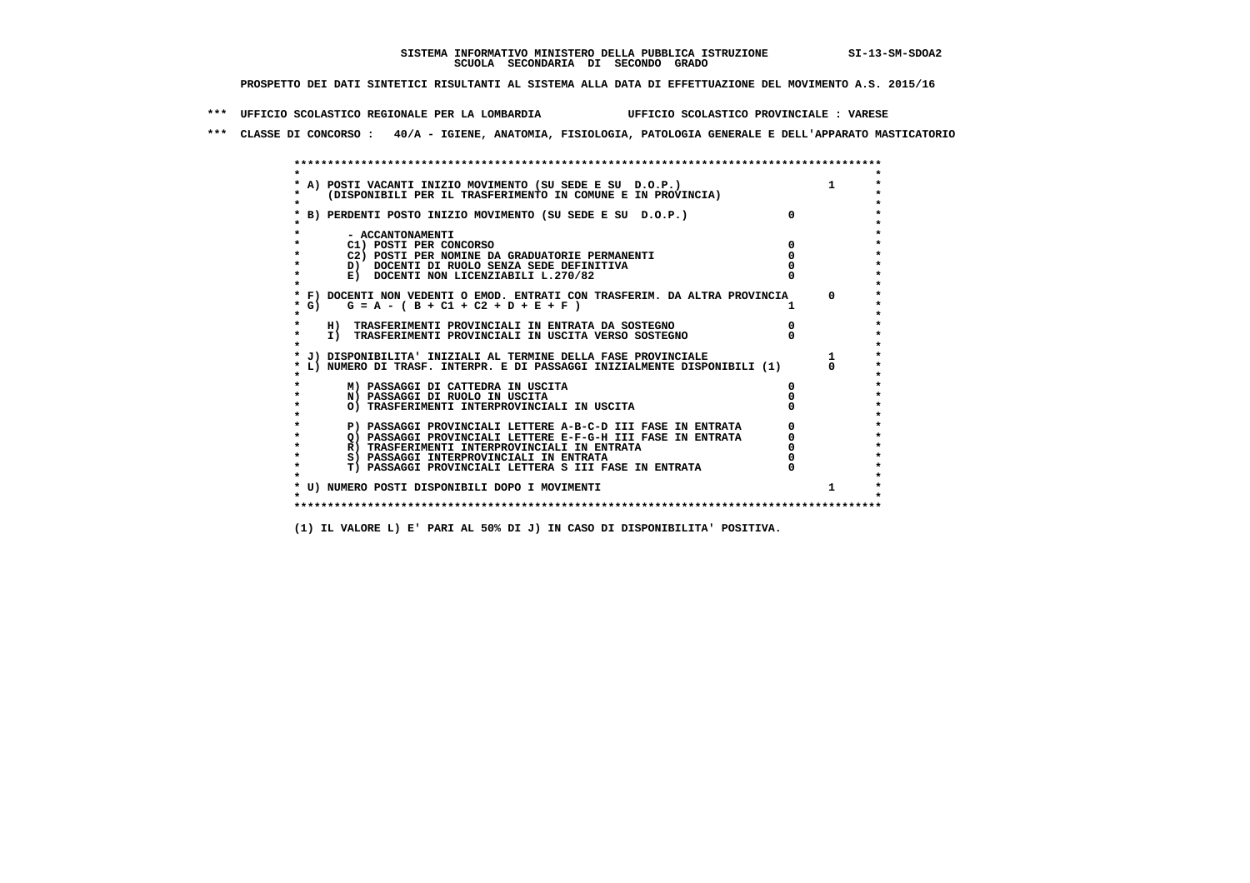**\*\*\* UFFICIO SCOLASTICO REGIONALE PER LA LOMBARDIA UFFICIO SCOLASTICO PROVINCIALE : VARESE**

 **\*\*\* CLASSE DI CONCORSO : 40/A - IGIENE, ANATOMIA, FISIOLOGIA, PATOLOGIA GENERALE E DELL'APPARATO MASTICATORIO**

|         | A) POSTI VACANTI INIZIO MOVIMENTO (SU SEDE E SU D.O.P.)                    |  |
|---------|----------------------------------------------------------------------------|--|
|         | (DISPONIBILI PER IL TRASFERIMENTO IN COMUNE E IN PROVINCIA)                |  |
|         |                                                                            |  |
|         | B) PERDENTI POSTO INIZIO MOVIMENTO (SU SEDE E SU D.O.P.)                   |  |
|         |                                                                            |  |
|         | - ACCANTONAMENTI                                                           |  |
|         | C1) POSTI PER CONCORSO                                                     |  |
|         | C2) POSTI PER NOMINE DA GRADUATORIE PERMANENTI                             |  |
|         | D) DOCENTI DI RUOLO SENZA SEDE DEFINITIVA                                  |  |
|         | E) DOCENTI NON LICENZIABILI L.270/82                                       |  |
|         | * F) DOCENTI NON VEDENTI O EMOD. ENTRATI CON TRASFERIM. DA ALTRA PROVINCIA |  |
| * G) +  | $G = A - (B + C1 + C2 + D + E + F)$                                        |  |
| $\star$ |                                                                            |  |
|         | H) TRASFERIMENTI PROVINCIALI IN ENTRATA DA SOSTEGNO                        |  |
| $\star$ | I) TRASFERIMENTI PROVINCIALI IN USCITA VERSO SOSTEGNO                      |  |
|         |                                                                            |  |
|         | J) DISPONIBILITA' INIZIALI AL TERMINE DELLA FASE PROVINCIALE               |  |
|         | L) NUMERO DI TRASF. INTERPR. E DI PASSAGGI INIZIALMENTE DISPONIBILI (1)    |  |
|         | M) PASSAGGI DI CATTEDRA IN USCITA                                          |  |
|         | N) PASSAGGI DI RUOLO IN USCITA                                             |  |
|         | O) TRASFERIMENTI INTERPROVINCIALI IN USCITA                                |  |
|         |                                                                            |  |
|         | P) PASSAGGI PROVINCIALI LETTERE A-B-C-D III FASE IN ENTRATA                |  |
|         | O) PASSAGGI PROVINCIALI LETTERE E-F-G-H III FASE IN ENTRATA                |  |
|         | R) TRASFERIMENTI INTERPROVINCIALI IN ENTRATA                               |  |
|         | S) PASSAGGI INTERPROVINCIALI IN ENTRATA                                    |  |
|         | T) PASSAGGI PROVINCIALI LETTERA S III FASE IN ENTRATA                      |  |
|         |                                                                            |  |
|         | * U) NUMERO POSTI DISPONIBILI DOPO I MOVIMENTI                             |  |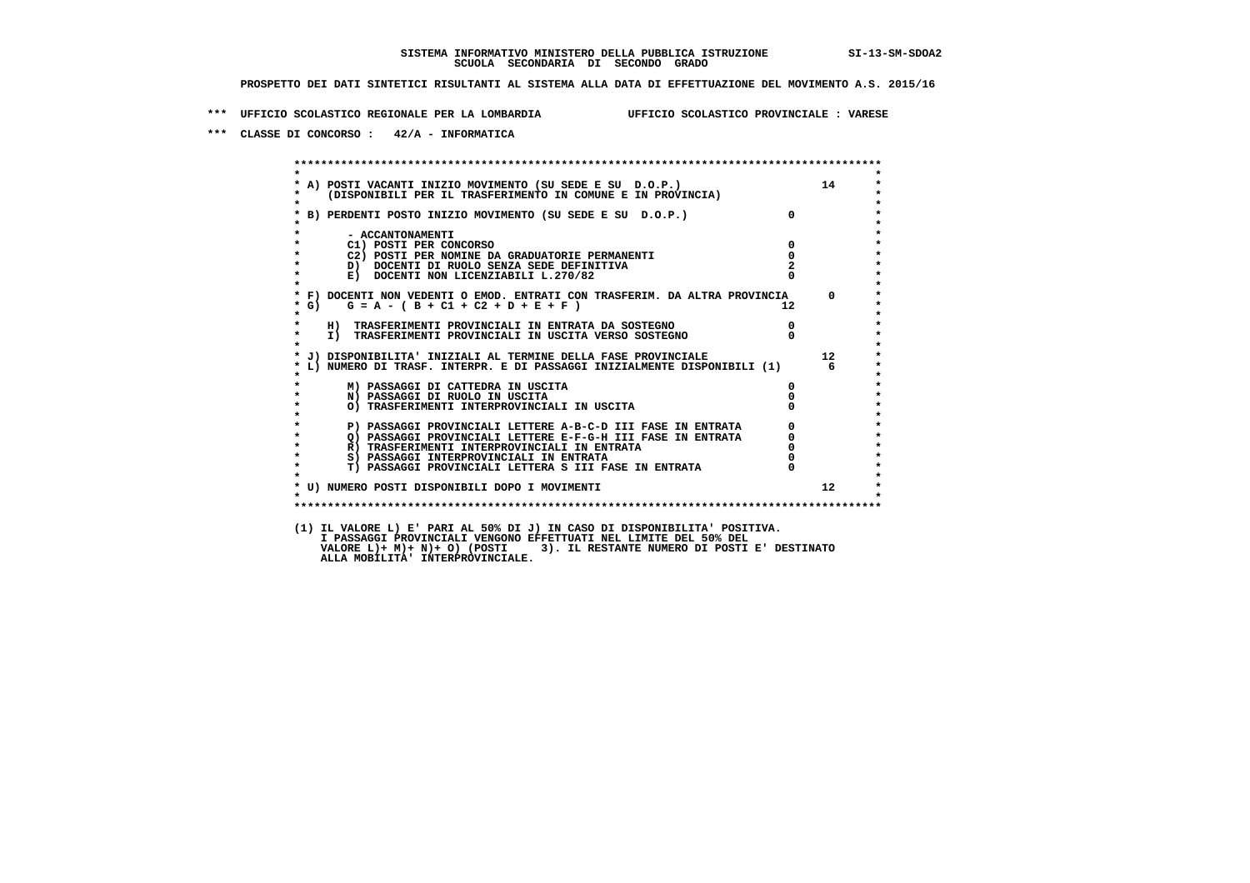**\*\*\* UFFICIO SCOLASTICO REGIONALE PER LA LOMBARDIA UFFICIO SCOLASTICO PROVINCIALE : VARESE**

 **\*\*\* CLASSE DI CONCORSO : 42/A - INFORMATICA**

 **\*\*\*\*\*\*\*\*\*\*\*\*\*\*\*\*\*\*\*\*\*\*\*\*\*\*\*\*\*\*\*\*\*\*\*\*\*\*\*\*\*\*\*\*\*\*\*\*\*\*\*\*\*\*\*\*\*\*\*\*\*\*\*\*\*\*\*\*\*\*\*\*\*\*\*\*\*\*\*\*\*\*\*\*\*\*\*\* \* \*** $\bullet$  **\* A) POSTI VACANTI INIZIO MOVIMENTO (SU SEDE E SU D.O.P.) 14 \*** $\star$  **\* (DISPONIBILI PER IL TRASFERIMENTO IN COMUNE E IN PROVINCIA) \*** $\bullet$  **\* \* \* B) PERDENTI POSTO INIZIO MOVIMENTO (SU SEDE E SU D.O.P.) 0 \* \* \* \* - ACCANTONAMENTI \* \* C1) POSTI PER CONCORSO 0 \* \* C2) POSTI PER NOMINE DA GRADUATORIE PERMANENTI 0 \*D)** DOCENTI DI RUOLO SENZA SEDE DEFINITIVA  $\overline{z}$  **2**  $\overline{z}$  **b** DOCENTI NON LICENZIABILI L. 270/82 0 **E) DOCENTI NON LICENZIABILI L.270/82 \* \* \* F) DOCENTI NON VEDENTI O EMOD. ENTRATI CON TRASFERIM. DA ALTRA PROVINCIA 0 \***  $\star$  **G)** G = A - ( B + C1 + C2 + D + E + F )  **\* \* \* H) TRASFERIMENTI PROVINCIALI IN ENTRATA DA SOSTEGNO 0 \* \* I) TRASFERIMENTI PROVINCIALI IN USCITA VERSO SOSTEGNO 0 \* \* \* \* J) DISPONIBILITA' INIZIALI AL TERMINE DELLA FASE PROVINCIALE 12 \* \* L) NUMERO DI TRASF. INTERPR. E DI PASSAGGI INIZIALMENTE DISPONIBILI (1) 6 \* \* \* \* M) PASSAGGI DI CATTEDRA IN USCITA 0 \* \* N) PASSAGGI DI RUOLO IN USCITA 0 \* \* O) TRASFERIMENTI INTERPROVINCIALI IN USCITA 0 \* \* \* P) PASSAGGI PROVINCIALI LETTERE A-B-C-D III FASE IN ENTRATA** 0 <sup>0</sup> **DASSAGGI PROVINCIALI LETTERE E-F-G-H** III FASE IN ENTRATA 0 <sup>0</sup> **2) PASSAGGI PROVINCIALI LETTERE E-F-G-H III FASE IN ENTRATA 6 0 R**) TRASFERIMENTI INTERPROVINCIALI IN ENTRATA 6 **0 \* R) TRASFERIMENTI INTERPROVINCIALI IN ENTRATA 0 \*8) PASSAGGI INTERPROVINCIALI IN ENTRATA 6 \*\*\*** 0 \*\*\*<br> **T) PASSAGGI PROVINCIALI LETTERA S III FASE IN ENTRATA** 0 \*\*\*  $\ddot{\phantom{1}}$  **\* T) PASSAGGI PROVINCIALI LETTERA S III FASE IN ENTRATA 0 \*** $\star$  **\* \*** $\star$  **\* U) NUMERO POSTI DISPONIBILI DOPO I MOVIMENTI 12 \* \* \* \*\*\*\*\*\*\*\*\*\*\*\*\*\*\*\*\*\*\*\*\*\*\*\*\*\*\*\*\*\*\*\*\*\*\*\*\*\*\*\*\*\*\*\*\*\*\*\*\*\*\*\*\*\*\*\*\*\*\*\*\*\*\*\*\*\*\*\*\*\*\*\*\*\*\*\*\*\*\*\*\*\*\*\*\*\*\*\* (1) IL VALORE L) E' PARI AL 50% DI J) IN CASO DI DISPONIBILITA' POSITIVA.**I PASSAGGI PROVINCIALI VENGONO EFFEIIOAII NEL LIMIIE DEL 30% DEL<br>VALORE L)+ M)+ N)+ O) (POSTI 3). IL RESTANTE NUMERO DI POSTI E' DESTINATO<br>ALLA MOBILITA' INTERPROVINCIALE.  **I PASSAGGI PROVINCIALI VENGONO EFFETTUATI NEL LIMITE DEL 50% DEL**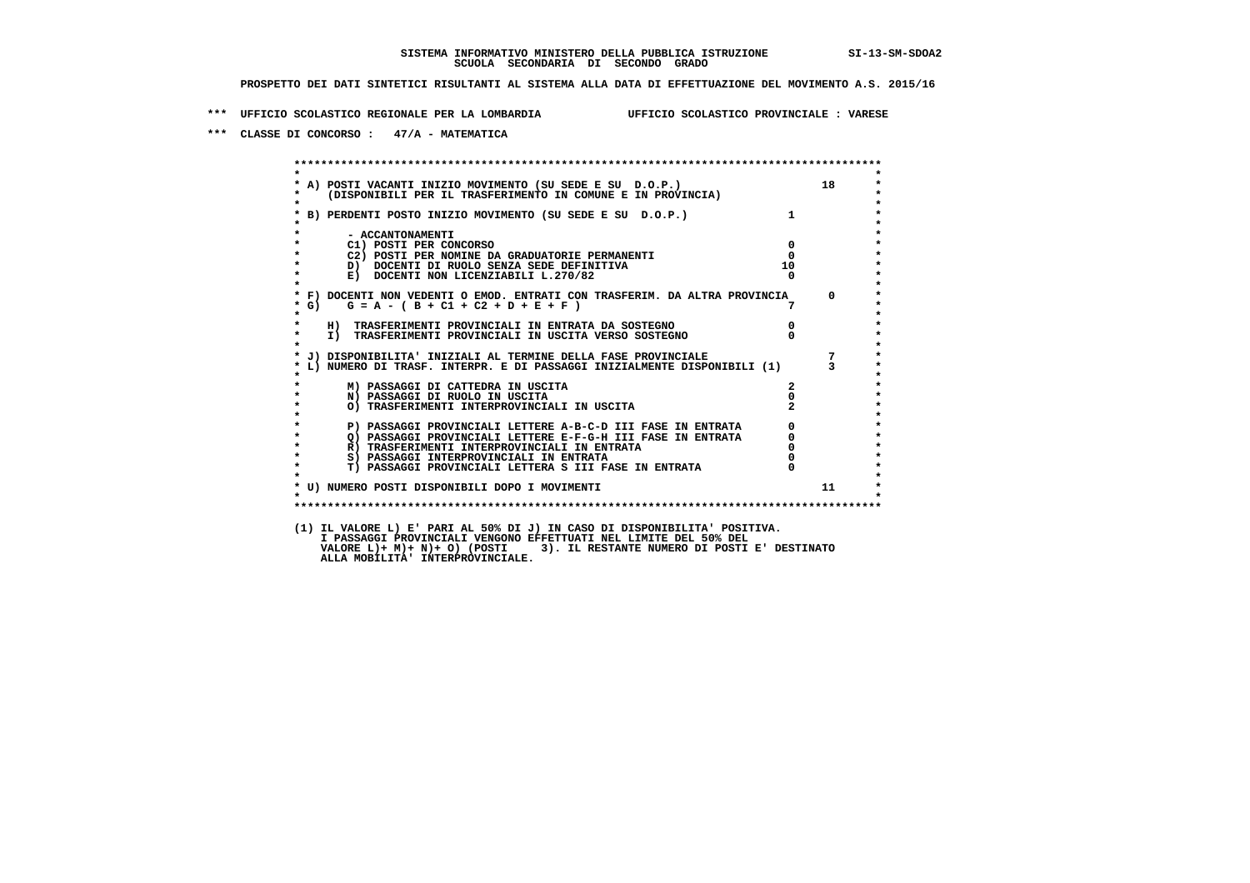**\*\*\* UFFICIO SCOLASTICO REGIONALE PER LA LOMBARDIA UFFICIO SCOLASTICO PROVINCIALE : VARESE**

 **\*\*\* CLASSE DI CONCORSO : 47/A - MATEMATICA**

|                        | * A) POSTI VACANTI INIZIO MOVIMENTO (SU SEDE E SU D.O.P.) 18<br>* (DISPONIBILI PER IL TRASFERIMENTO IN COMUNE E IN PROVINCIA) |                                      |                                             |
|------------------------|-------------------------------------------------------------------------------------------------------------------------------|--------------------------------------|---------------------------------------------|
|                        | * B) PERDENTI POSTO INIZIO MOVIMENTO (SU SEDE E SU D.O.P.)                                                                    | $1 \quad \blacksquare$               |                                             |
| - ACCANTONAMENTI       |                                                                                                                               |                                      |                                             |
| C1) POSTI PER CONCORSO |                                                                                                                               |                                      | $\overline{0}$                              |
|                        | C2) POSTI PER NOMINE DA GRADUATORIE PERMANENTI                                                                                | $^{\circ}$                           |                                             |
|                        | D) DOCENTI DI RUOLO SENZA SEDE DEFINITIVA                                                                                     | 10                                   |                                             |
|                        | E) DOCENTI NON LICENZIABILI L.270/82                                                                                          |                                      |                                             |
|                        | * F) DOCENTI NON VEDENTI O EMOD. ENTRATI CON TRASFERIM. DA ALTRA PROVINCIA<br>* G) $G = A - (B + C1 + C2 + D + E + F)$        |                                      | $\overline{0}$                              |
|                        |                                                                                                                               |                                      |                                             |
|                        | H) TRASFERIMENTI PROVINCIALI IN ENTRATA DA SOSTEGNO                                                                           | $\begin{matrix} 0 \\ 0 \end{matrix}$ |                                             |
|                        | I) TRASFERIMENTI PROVINCIALI IN USCITA VERSO SOSTEGNO                                                                         |                                      |                                             |
|                        | * J) DISPONIBILITA' INIZIALI AL TERMINE DELLA FASE PROVINCIALE                                                                |                                      |                                             |
|                        |                                                                                                                               |                                      |                                             |
|                        | M) PASSAGGI DI CATTEDRA IN USCITA                                                                                             | $\mathbf{2}$                         |                                             |
|                        | N) PASSAGGI DI RUOLO IN USCITA                                                                                                | $\mathbf{0}$                         |                                             |
|                        | O) TRASFERIMENTI INTERPROVINCIALI IN USCITA                                                                                   |                                      |                                             |
|                        | P) PASSAGGI PROVINCIALI LETTERE A-B-C-D III FASE IN ENTRATA                                                                   |                                      |                                             |
|                        | Q) PASSAGGI PROVINCIALI LETTERE E-F-G-H III FASE IN ENTRATA<br>P) TPASEEPIMENTI INTEPPROVINCIALI IN ENTRATA                   |                                      | $\begin{bmatrix} 0 \\ 0 \\ 0 \end{bmatrix}$ |
|                        | R) TRASFERIMENTI INTERPROVINCIALI IN ENTRATA                                                                                  |                                      |                                             |
|                        | S) PASSAGGI INTERPROVINCIALI IN ENTRATA                                                                                       |                                      |                                             |
|                        | T) PASSAGGI PROVINCIALI LETTERA S III FASE IN ENTRATA                                                                         | $\mathbf{0}$                         |                                             |
|                        | * U) NUMERO POSTI DISPONIBILI DOPO I MOVIMENTI                                                                                |                                      | 11                                          |
|                        |                                                                                                                               |                                      |                                             |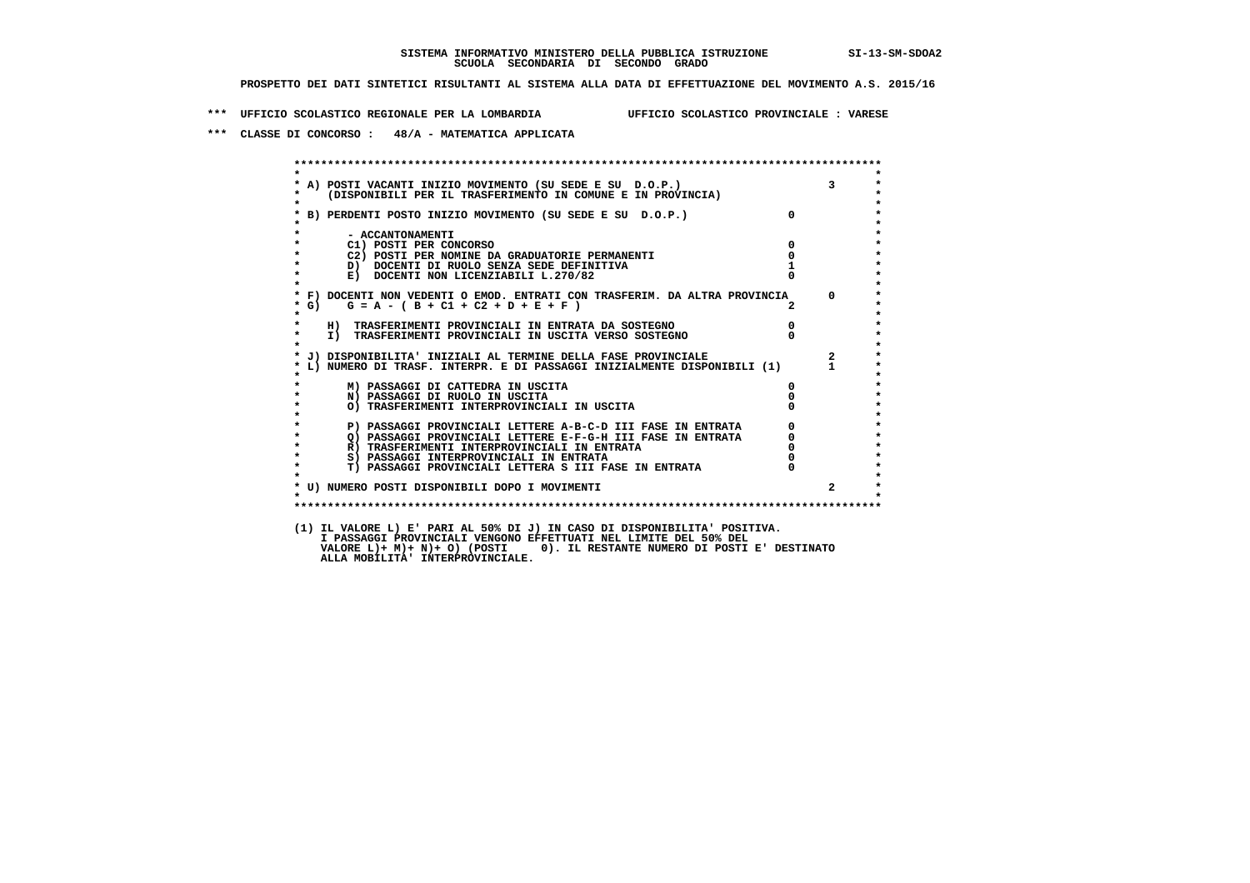**\*\*\* UFFICIO SCOLASTICO REGIONALE PER LA LOMBARDIA UFFICIO SCOLASTICO PROVINCIALE : VARESE**

 **\*\*\* CLASSE DI CONCORSO : 48/A - MATEMATICA APPLICATA**

 **\*\*\*\*\*\*\*\*\*\*\*\*\*\*\*\*\*\*\*\*\*\*\*\*\*\*\*\*\*\*\*\*\*\*\*\*\*\*\*\*\*\*\*\*\*\*\*\*\*\*\*\*\*\*\*\*\*\*\*\*\*\*\*\*\*\*\*\*\*\*\*\*\*\*\*\*\*\*\*\*\*\*\*\*\*\*\*\* \* \* \* A) POSTI VACANTI INIZIO MOVIMENTO (SU SEDE E SU D.O.P.) 3 \* \* (DISPONIBILI PER IL TRASFERIMENTO IN COMUNE E IN PROVINCIA) \* \* \* \* B) PERDENTI POSTO INIZIO MOVIMENTO (SU SEDE E SU D.O.P.) 0 \* \* \* \* - ACCANTONAMENTI \* \* C1) POSTI PER CONCORSO 0 \* \* C2) POSTI PER NOMINE DA GRADUATORIE PERMANENTI 0 \*D)** DOCENTI DI RUOLO SENZA SEDE DEFINITIVA 1<br> **E)** DOCENTI NON LICENZIABILI L. 270/82 0 **E) DOCENTI NON LICENZIABILI L.270/82 \* \* \* F) DOCENTI NON VEDENTI O EMOD. ENTRATI CON TRASFERIM. DA ALTRA PROVINCIA 0 \* \* G) G = A - ( B + C1 + C2 + D + E + F ) 2 \* \* \* \* H) TRASFERIMENTI PROVINCIALI IN ENTRATA DA SOSTEGNO 0 \* \* I) TRASFERIMENTI PROVINCIALI IN USCITA VERSO SOSTEGNO 0 \* \* \* \* J) DISPONIBILITA' INIZIALI AL TERMINE DELLA FASE PROVINCIALE 2 \* \* L) NUMERO DI TRASF. INTERPR. E DI PASSAGGI INIZIALMENTE DISPONIBILI (1) 1 \* \* \* \* M) PASSAGGI DI CATTEDRA IN USCITA 0 \* \* N) PASSAGGI DI RUOLO IN USCITA 0 \* \* O) TRASFERIMENTI INTERPROVINCIALI IN USCITA 0 \* \* \* P) PASSAGGI PROVINCIALI LETTERE A-B-C-D III FASE IN ENTRATA** 0 <sup>0</sup> **DASSAGGI PROVINCIALI LETTERE E-F-G-H** III FASE IN ENTRATA 0 <sup>0</sup> **2) PASSAGGI PROVINCIALI LETTERE E-F-G-H III FASE IN ENTRATA 6 0 R**) TRASFERIMENTI INTERPROVINCIALI IN ENTRATA 6 **0 R)** TRASFERIMENTI INTERPROVINCIALI IN ENTRATA  $\begin{bmatrix} 0 & 0 \\ 0 & 0 \\ 0 & 0 \end{bmatrix}$  passaggi interprovinciali in entrata  $\begin{bmatrix} 0 & 0 \\ 0 & 0 \\ 0 & 0 \end{bmatrix}$  **\* S) PASSAGGI INTERPROVINCIALI IN ENTRATA 0 \*** $\ddot{\phantom{1}}$  **\* T) PASSAGGI PROVINCIALI LETTERA S III FASE IN ENTRATA 0 \*** $\star$  **\* \* \* U) NUMERO POSTI DISPONIBILI DOPO I MOVIMENTI 2 \* \* \* \*\*\*\*\*\*\*\*\*\*\*\*\*\*\*\*\*\*\*\*\*\*\*\*\*\*\*\*\*\*\*\*\*\*\*\*\*\*\*\*\*\*\*\*\*\*\*\*\*\*\*\*\*\*\*\*\*\*\*\*\*\*\*\*\*\*\*\*\*\*\*\*\*\*\*\*\*\*\*\*\*\*\*\*\*\*\*\* (1) IL VALORE L) E' PARI AL 50% DI J) IN CASO DI DISPONIBILITA' POSITIVA. I PASSAGGI PROVINCIALI VENGONO EFFETTUATI NEL LIMITE DEL 50% DEL VALORE L)+ M)+ N)+ O) (POSTI 0). IL RESTANTE NUMERO DI POSTI E' DESTINATO ALLA MOBILITA' INTERPROVINCIALE.**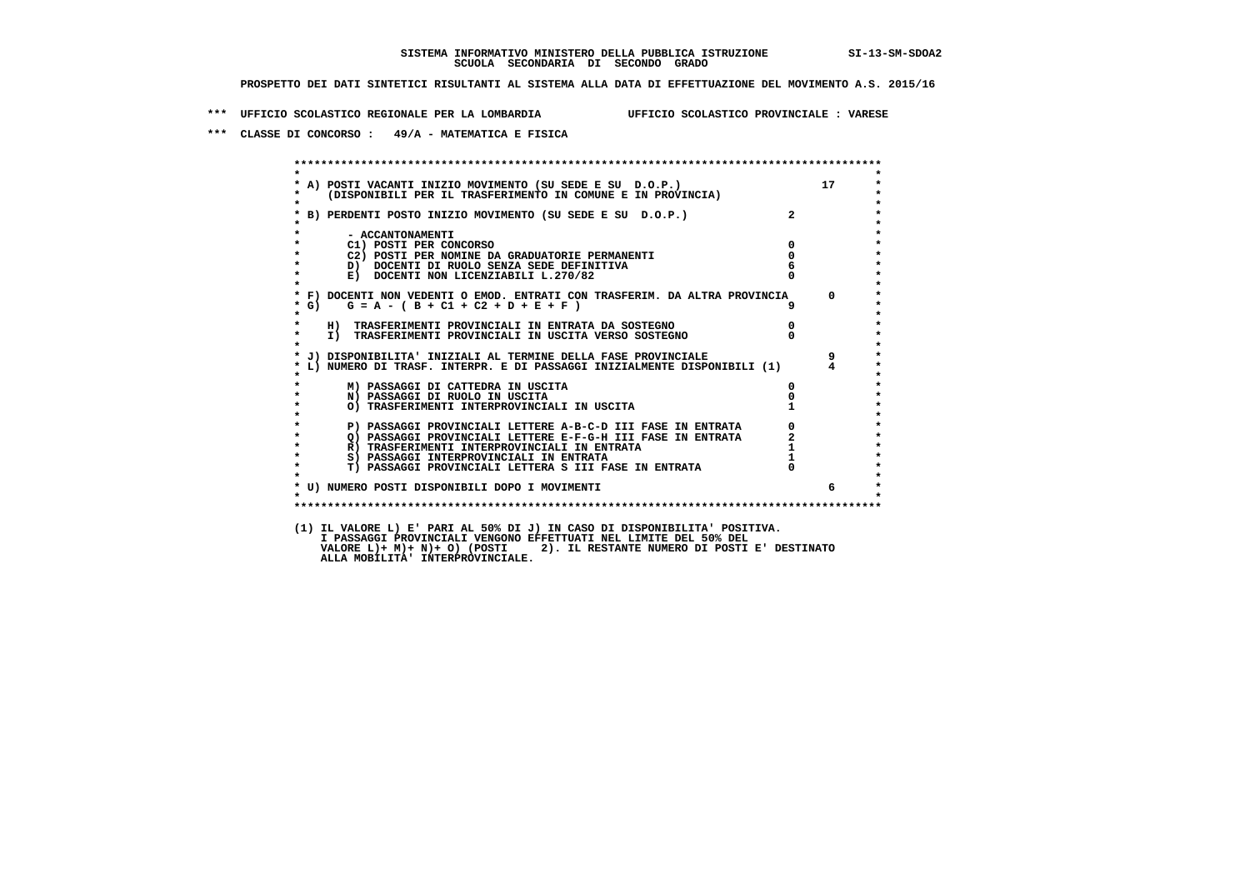**\*\*\* UFFICIO SCOLASTICO REGIONALE PER LA LOMBARDIA UFFICIO SCOLASTICO PROVINCIALE : VARESE**

 **\*\*\* CLASSE DI CONCORSO : 49/A - MATEMATICA E FISICA**

 **\*\*\*\*\*\*\*\*\*\*\*\*\*\*\*\*\*\*\*\*\*\*\*\*\*\*\*\*\*\*\*\*\*\*\*\*\*\*\*\*\*\*\*\*\*\*\*\*\*\*\*\*\*\*\*\*\*\*\*\*\*\*\*\*\*\*\*\*\*\*\*\*\*\*\*\*\*\*\*\*\*\*\*\*\*\*\*\* \* \*** $\bullet$  **\* A) POSTI VACANTI INIZIO MOVIMENTO (SU SEDE E SU D.O.P.) 17 \* \* (DISPONIBILI PER IL TRASFERIMENTO IN COMUNE E IN PROVINCIA) \* \* \* \* B) PERDENTI POSTO INIZIO MOVIMENTO (SU SEDE E SU D.O.P.) 2 \* \* \* \* - ACCANTONAMENTI \* \* C1) POSTI PER CONCORSO 0 \* \* C2) POSTI PER NOMINE DA GRADUATORIE PERMANENTI 0 \*D)** DOCENTI DI RUOLO SENZA SEDE DEFINITIVA  $\overline{6}$ <br> **E)** DOCENTI NON LICENZIABILI I. 270/82 0 **E) DOCENTI NON LICENZIABILI L.270/82 \* \* \* F) DOCENTI NON VEDENTI O EMOD. ENTRATI CON TRASFERIM. DA ALTRA PROVINCIA 0 \* \* G) G = A - ( B + C1 + C2 + D + E + F ) 9 \* \* \* \* H) TRASFERIMENTI PROVINCIALI IN ENTRATA DA SOSTEGNO 0 \* \* I) TRASFERIMENTI PROVINCIALI IN USCITA VERSO SOSTEGNO 0 \* \* \* \* J) DISPONIBILITA' INIZIALI AL TERMINE DELLA FASE PROVINCIALE 9 \* \* L) NUMERO DI TRASF. INTERPR. E DI PASSAGGI INIZIALMENTE DISPONIBILI (1) 4 \* \* \* \* M) PASSAGGI DI CATTEDRA IN USCITA 0 \* \* N) PASSAGGI DI RUOLO IN USCITA 0 \*O) TRASFERIMENTI INTERPROVINCIALI IN USCITA \* \* P) PASSAGGI PROVINCIALI LETTERE A-B-C-D III FASE IN ENTRATA** 0 <sup>0</sup> **DASSAGGI PROVINCIALI LETTERE E-F-G-H** III FASE IN ENTRATA 2 **2** *C)* **PASSAGGI PROVINCIALI LETTERE E-F-G-H III FASE IN ENTRATA 2<br>
<b>R)** TRASFERIMENTI INTERPROVINCIALI IN ENTRATA 2  **\* R) TRASFERIMENTI INTERPROVINCIALI IN ENTRATA 1 \* \* S) PASSAGGI INTERPROVINCIALI IN ENTRATA 1 \*** $\ddot{\phantom{1}}$  **\* T) PASSAGGI PROVINCIALI LETTERA S III FASE IN ENTRATA 0 \*** $\star$  **\* \* \* U) NUMERO POSTI DISPONIBILI DOPO I MOVIMENTI 6 \* \* \* \*\*\*\*\*\*\*\*\*\*\*\*\*\*\*\*\*\*\*\*\*\*\*\*\*\*\*\*\*\*\*\*\*\*\*\*\*\*\*\*\*\*\*\*\*\*\*\*\*\*\*\*\*\*\*\*\*\*\*\*\*\*\*\*\*\*\*\*\*\*\*\*\*\*\*\*\*\*\*\*\*\*\*\*\*\*\*\* (1) IL VALORE L) E' PARI AL 50% DI J) IN CASO DI DISPONIBILITA' POSITIVA. VALORE L)+ M)+ N)+ O) (POSTI 2). IL RESTANTE NUMERO DI POSTI E' DESTINATO ALLA MOBILITA' INTERPROVINCIALE. I PASSAGGI PROVINCIALI VENGONO EFFETTUATI NEL LIMITE DEL 50% DEL**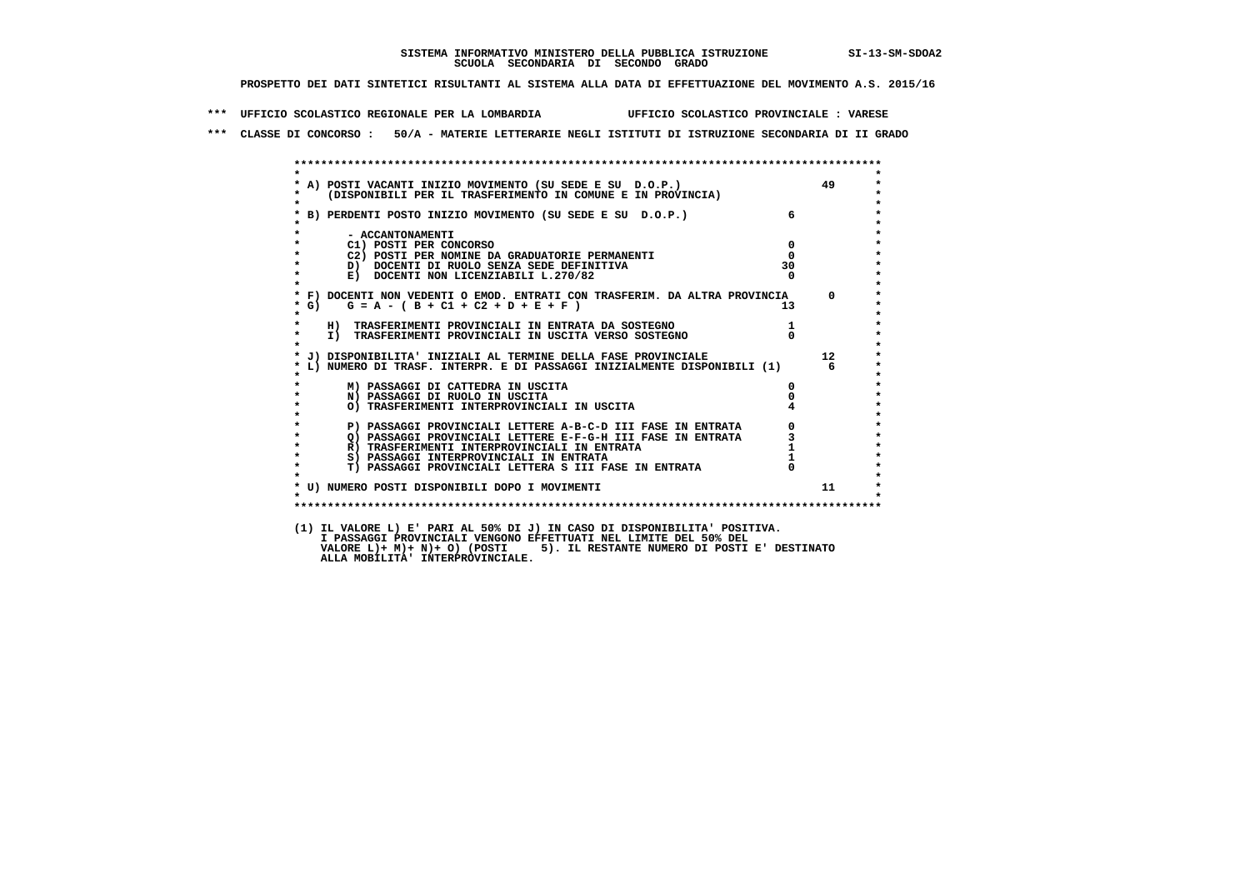**\*\*\* UFFICIO SCOLASTICO REGIONALE PER LA LOMBARDIA UFFICIO SCOLASTICO PROVINCIALE : VARESE**

 **\*\*\* CLASSE DI CONCORSO : 50/A - MATERIE LETTERARIE NEGLI ISTITUTI DI ISTRUZIONE SECONDARIA DI II GRADO**

| $\mathbf{r}$       | * A) POSTI VACANTI INIZIO MOVIMENTO (SU SEDE E SU D.O.P.)<br>* (DISPONIBILI PER IL TRASFERIMENTO IN COMUNE E IN PROVINCIA) |                        | 49       |
|--------------------|----------------------------------------------------------------------------------------------------------------------------|------------------------|----------|
|                    | * B) PERDENTI POSTO INIZIO MOVIMENTO (SU SEDE E SU D.O.P.)                                                                 | $6 \quad \blacksquare$ |          |
|                    | - ACCANTONAMENTI                                                                                                           |                        |          |
| $\star$            | C1) POSTI PER CONCORSO                                                                                                     | $^{\circ}$             |          |
| $\star$            | C2) POSTI PER NOMINE DA GRADUATORIE PERMANENTI                                                                             | $\Omega$               |          |
| $\star$            | D) DOCENTI DI RUOLO SENZA SEDE DEFINITIVA                                                                                  | 30 <sup>2</sup>        |          |
| $\star$<br>$\star$ | E) DOCENTI NON LICENZIABILI L.270/82                                                                                       | $\Omega$               |          |
|                    | * F) DOCENTI NON VEDENTI O EMOD. ENTRATI CON TRASFERIM. DA ALTRA PROVINCIA                                                 |                        | $\Omega$ |
| $*$ G)             | $G = A - (B + C1 + C2 + D + E + F)$                                                                                        |                        |          |
| $\star$            | H) TRASFERIMENTI PROVINCIALI IN ENTRATA DA SOSTEGNO                                                                        |                        |          |
| $\star$            | I) TRASFERIMENTI PROVINCIALI IN USCITA VERSO SOSTEGNO                                                                      | $\Omega$               |          |
|                    | * J) DISPONIBILITA' INIZIALI AL TERMINE DELLA FASE PROVINCIALE                                                             |                        | 12       |
|                    | * L) NUMERO DI TRASF. INTERPR. E DI PASSAGGI INIZIALMENTE DISPONIBILI (1)                                                  |                        | რ —      |
|                    | M) PASSAGGI DI CATTEDRA IN USCITA                                                                                          | 0                      |          |
| $\star$            | N) PASSAGGI DI RUOLO IN USCITA                                                                                             |                        |          |
| $\star$<br>$\star$ | O) TRASFERIMENTI INTERPROVINCIALI IN USCITA                                                                                |                        |          |
| $\star$            | P) PASSAGGI PROVINCIALI LETTERE A-B-C-D III FASE IN ENTRATA                                                                |                        |          |
| $\star$            | Q) PASSAGGI PROVINCIALI LETTERE E-F-G-H III FASE IN ENTRATA                                                                |                        |          |
| $\star$            | R) TRASFERIMENTI INTERPROVINCIALI IN ENTRATA                                                                               |                        |          |
| $\star$            | S) PASSAGGI INTERPROVINCIALI IN ENTRATA                                                                                    |                        |          |
| $\star$            | T) PASSAGGI PROVINCIALI LETTERA S III FASE IN ENTRATA                                                                      |                        |          |
|                    | * U) NUMERO POSTI DISPONIBILI DOPO I MOVIMENTI                                                                             |                        | 11       |
| $\star$            |                                                                                                                            |                        |          |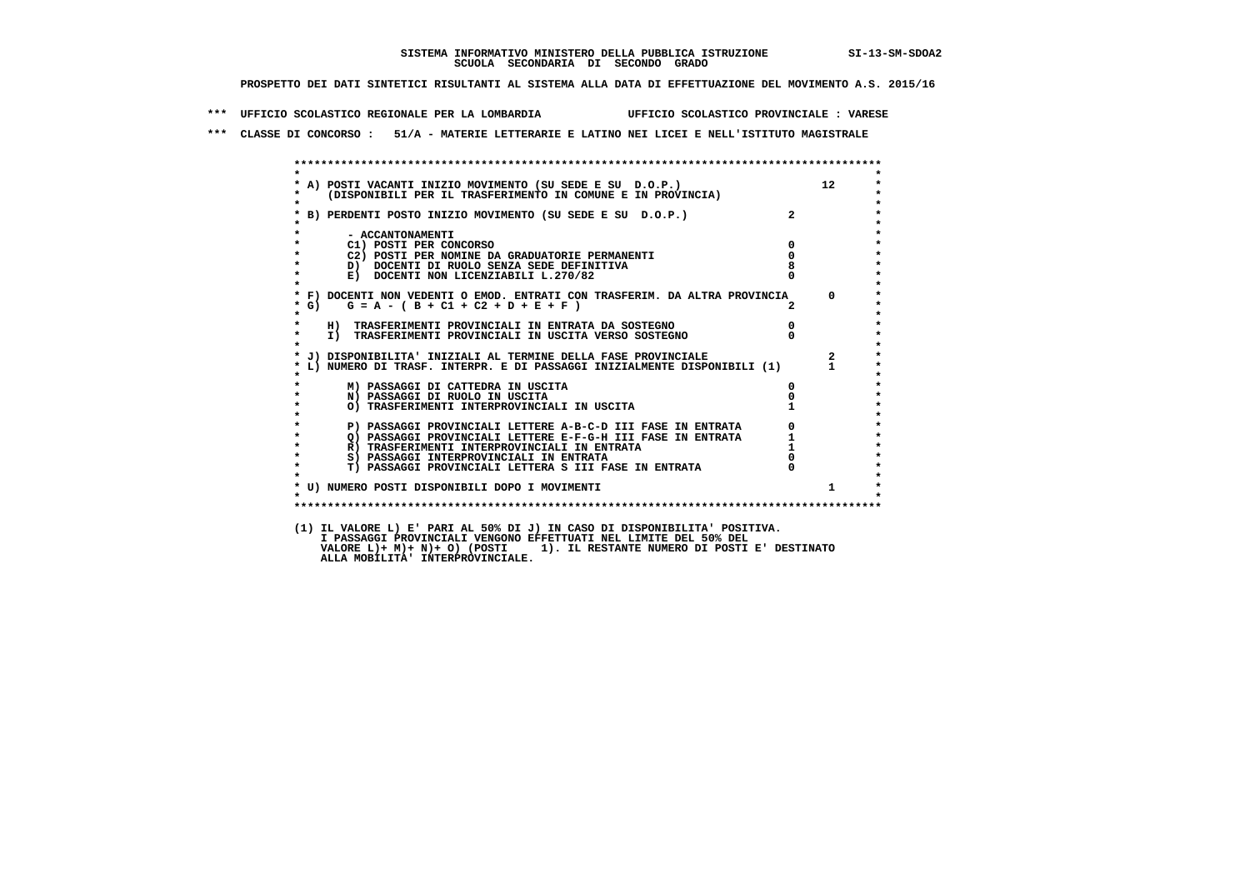**\*\*\* UFFICIO SCOLASTICO REGIONALE PER LA LOMBARDIA UFFICIO SCOLASTICO PROVINCIALE : VARESE**

 **\*\*\* CLASSE DI CONCORSO : 51/A - MATERIE LETTERARIE E LATINO NEI LICEI E NELL'ISTITUTO MAGISTRALE**

| $\star$      |                                                                                                                            |                            |                |
|--------------|----------------------------------------------------------------------------------------------------------------------------|----------------------------|----------------|
|              | * A) POSTI VACANTI INIZIO MOVIMENTO (SU SEDE E SU D.O.P.)<br>* (DISPONIBILI PER IL TRASFERIMENTO IN COMUNE E IN PROVINCIA) |                            | 12             |
|              |                                                                                                                            |                            |                |
| $\star$      |                                                                                                                            |                            |                |
|              | * B) PERDENTI POSTO INIZIO MOVIMENTO (SU SEDE E SU D.O.P.)                                                                 | $2^{\circ}$                |                |
|              |                                                                                                                            |                            |                |
| $\star$      | - ACCANTONAMENTI                                                                                                           |                            |                |
| $\star$      | C1) POSTI PER CONCORSO<br>C2) POSTI PER NOMINE DA GRADUATORIE PERMANENTI                                                   | $\mathbf 0$<br>$\mathbf 0$ |                |
|              | D) DOCENTI DI RUOLO SENZA SEDE DEFINITIVA                                                                                  |                            |                |
| $\star$      | E) DOCENTI NON LICENZIABILI L.270/82                                                                                       |                            |                |
|              |                                                                                                                            |                            |                |
|              | * F) DOCENTI NON VEDENTI O EMOD. ENTRATI CON TRASFERIM. DA ALTRA PROVINCIA 0                                               |                            |                |
| $*$ G)       | $G = A - (B + C1 + C2 + D + E + F)$                                                                                        |                            |                |
| $\star$      |                                                                                                                            |                            |                |
| $\star$      | H) TRASFERIMENTI PROVINCIALI IN ENTRATA DA SOSTEGNO                                                                        | $\overline{0}$             |                |
| $\star$      | I) TRASFERIMENTI PROVINCIALI IN USCITA VERSO SOSTEGNO                                                                      | $\Omega$                   |                |
| $\mathbf{r}$ |                                                                                                                            |                            |                |
|              | * J) DISPONIBILITA' INIZIALI AL TERMINE DELLA FASE PROVINCIALE                                                             |                            | $\overline{2}$ |
|              | * L) NUMERO DI TRASF. INTERPR. E DI PASSAGGI INIZIALMENTE DISPONIBILI (1) 1                                                |                            |                |
|              | M) PASSAGGI DI CATTEDRA IN USCITA                                                                                          | $^{\circ}$                 |                |
| $\star$      | N) PASSAGGI DI RUOLO IN USCITA                                                                                             |                            |                |
|              | O) TRASFERIMENTI INTERPROVINCIALI IN USCITA                                                                                |                            |                |
|              |                                                                                                                            |                            |                |
|              | P) PASSAGGI PROVINCIALI LETTERE A-B-C-D III FASE IN ENTRATA                                                                |                            |                |
| $\star$      | Q) PASSAGGI PROVINCIALI LETTERE E-F-G-H III FASE IN ENTRATA                                                                |                            |                |
| $\star$      | R) TRASFERIMENTI INTERPROVINCIALI IN ENTRATA                                                                               |                            |                |
| $\star$      | S) PASSAGGI INTERPROVINCIALI IN ENTRATA                                                                                    |                            |                |
| $\star$      | T) PASSAGGI PROVINCIALI LETTERA S III FASE IN ENTRATA                                                                      |                            |                |
|              |                                                                                                                            |                            | $\mathbf{1}$   |
| $\cdot$      | * U) NUMERO POSTI DISPONIBILI DOPO I MOVIMENTI                                                                             |                            |                |
|              |                                                                                                                            |                            |                |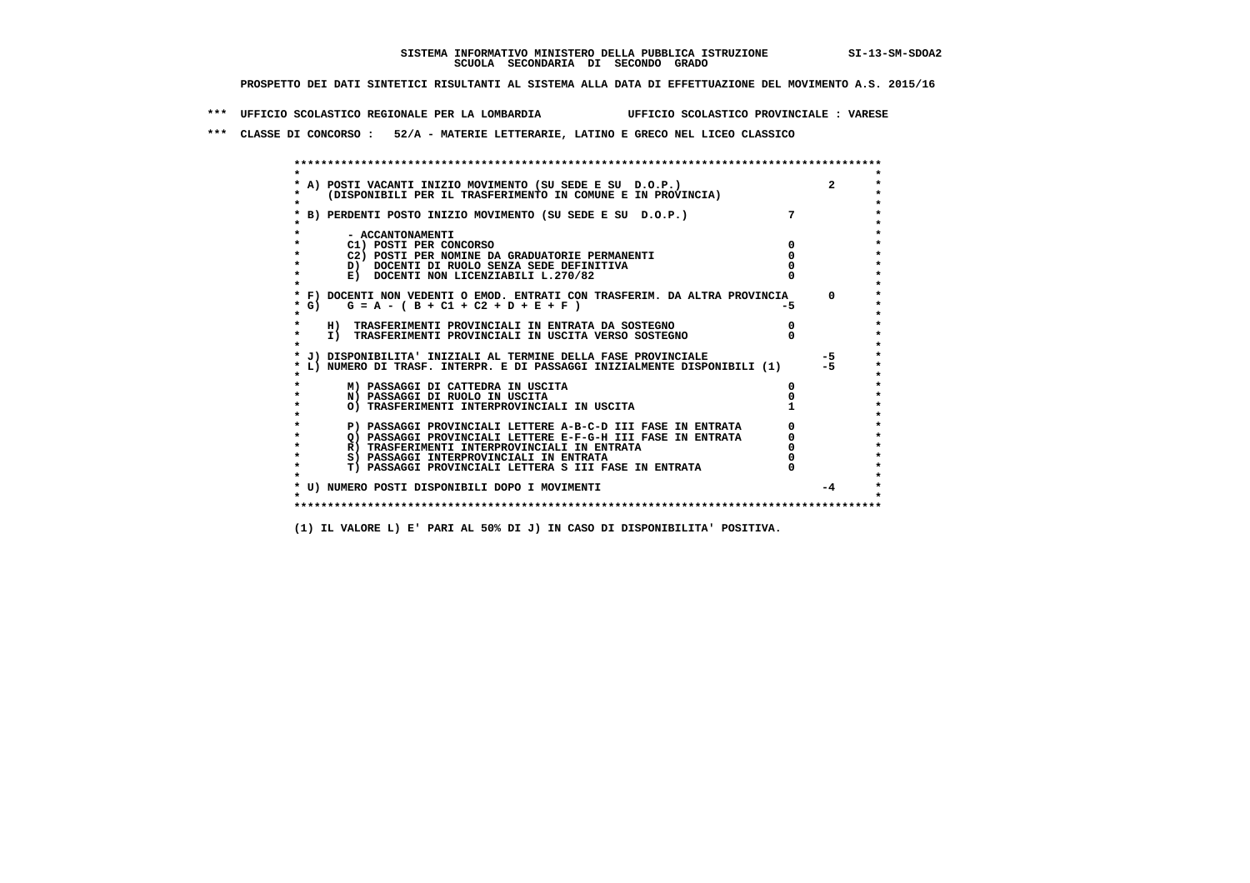**\*\*\* UFFICIO SCOLASTICO REGIONALE PER LA LOMBARDIA UFFICIO SCOLASTICO PROVINCIALE : VARESE**

 **\*\*\* CLASSE DI CONCORSO : 52/A - MATERIE LETTERARIE, LATINO E GRECO NEL LICEO CLASSICO**

 **\*\*\*\*\*\*\*\*\*\*\*\*\*\*\*\*\*\*\*\*\*\*\*\*\*\*\*\*\*\*\*\*\*\*\*\*\*\*\*\*\*\*\*\*\*\*\*\*\*\*\*\*\*\*\*\*\*\*\*\*\*\*\*\*\*\*\*\*\*\*\*\*\*\*\*\*\*\*\*\*\*\*\*\*\*\*\*\* \* \*** $\bullet$  **\* A) POSTI VACANTI INIZIO MOVIMENTO (SU SEDE E SU D.O.P.) 2 \*** $\star$  **\* (DISPONIBILI PER IL TRASFERIMENTO IN COMUNE E IN PROVINCIA) \*** $\bullet$  **\* \* \* B) PERDENTI POSTO INIZIO MOVIMENTO (SU SEDE E SU D.O.P.) 7 \* \* \* \* - ACCANTONAMENTI \* \* C1) POSTI PER CONCORSO 0 \* \* C2) POSTI PER NOMINE DA GRADUATORIE PERMANENTI 0 \*D)** DOCENTI DI RUOLO SENZA SEDE DEFINITIVA  $\overline{a}$  0  $\overline{b}$  0  $\overline{c}$  0  $\overline{c}$  0  $\overline{c}$  0  $\overline{a}$  0  $\overline{c}$ **E) DOCENTI NON LICENZIABILI L.270/82 \* \* \* F) DOCENTI NON VEDENTI O EMOD. ENTRATI CON TRASFERIM. DA ALTRA PROVINCIA 0 \*** $\star$  G) G = A - ( B + C1 + C2 + D + E + F )  **\* \* \* H) TRASFERIMENTI PROVINCIALI IN ENTRATA DA SOSTEGNO 0 \* \* I) TRASFERIMENTI PROVINCIALI IN USCITA VERSO SOSTEGNO 0 \* \* \* \* J) DISPONIBILITA' INIZIALI AL TERMINE DELLA FASE PROVINCIALE -5 \* \* L) NUMERO DI TRASF. INTERPR. E DI PASSAGGI INIZIALMENTE DISPONIBILI (1) -5 \* \* \* \* M) PASSAGGI DI CATTEDRA IN USCITA 0 \* \* N) PASSAGGI DI RUOLO IN USCITA 0 \*O) TRASFERIMENTI INTERPROVINCIALI IN USCITA \* \* P) PASSAGGI PROVINCIALI LETTERE A-B-C-D III FASE IN ENTRATA** 0 <sup>0</sup> **DASSAGGI PROVINCIALI LETTERE E-F-G-H** III FASE IN ENTRATA 0 <sup>0</sup> **2) PASSAGGI PROVINCIALI LETTERE E-F-G-H III FASE IN ENTRATA 6 0 R**) TRASFERIMENTI INTERPROVINCIALI IN ENTRATA 6 **0 R)** TRASFERIMENTI INTERPROVINCIALI IN ENTRATA  $\begin{bmatrix} 0 & 0 \\ 0 & 0 \\ 0 & 0 \end{bmatrix}$  PASSAGGI INTERPROVINCIALI IN ENTRATA  $\begin{bmatrix} 0 & 0 \\ 0 & 0 \\ 0 & 0 \end{bmatrix}$  **\* S) PASSAGGI INTERPROVINCIALI IN ENTRATA 0 \*** $\ddot{\phantom{1}}$  **\* T) PASSAGGI PROVINCIALI LETTERA S III FASE IN ENTRATA 0 \* \* \* \* U) NUMERO POSTI DISPONIBILI DOPO I MOVIMENTI -4 \* \* \* \*\*\*\*\*\*\*\*\*\*\*\*\*\*\*\*\*\*\*\*\*\*\*\*\*\*\*\*\*\*\*\*\*\*\*\*\*\*\*\*\*\*\*\*\*\*\*\*\*\*\*\*\*\*\*\*\*\*\*\*\*\*\*\*\*\*\*\*\*\*\*\*\*\*\*\*\*\*\*\*\*\*\*\*\*\*\*\***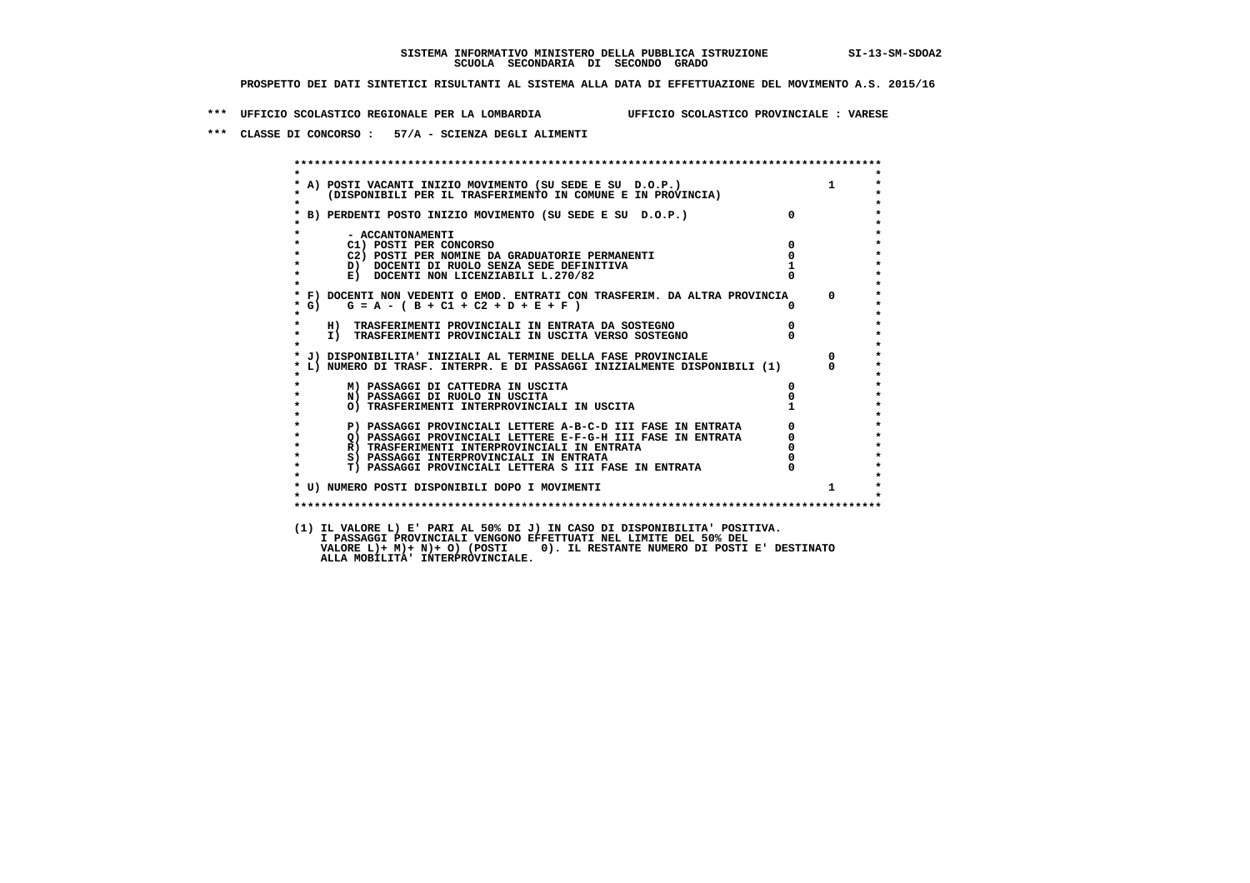**\*\*\* UFFICIO SCOLASTICO REGIONALE PER LA LOMBARDIA UFFICIO SCOLASTICO PROVINCIALE : VARESE**

 **\*\*\* CLASSE DI CONCORSO : 57/A - SCIENZA DEGLI ALIMENTI**

| $\star$           | (DISPONIBILI PER IL TRASFERIMENTO IN COMUNE E IN PROVINCIA)<br>--------<br>A) POSTI VACANTI INIZIO MOVIMENTO (SU SEDE E SU D.O.P.) |          |                                             |
|-------------------|------------------------------------------------------------------------------------------------------------------------------------|----------|---------------------------------------------|
|                   | B) PERDENTI POSTO INIZIO MOVIMENTO (SU SEDE E SU D.O.P.)                                                                           |          |                                             |
|                   |                                                                                                                                    |          |                                             |
|                   | - ACCANTONAMENTI<br>C1) POSTI PER CONCORSO                                                                                         | $\Omega$ |                                             |
|                   | C2) POSTI PER NOMINE DA GRADUATORIE PERMANENTI                                                                                     |          |                                             |
|                   | D) DOCENTI DI RUOLO SENZA SEDE DEFINITIVA                                                                                          |          |                                             |
|                   | E) DOCENTI NON LICENZIABILI L.270/82                                                                                               |          |                                             |
|                   | * F) DOCENTI NON VEDENTI O EMOD. ENTRATI CON TRASFERIM. DA ALTRA PROVINCIA                                                         |          | $\Omega$                                    |
| $*$ G)<br>$\star$ | $G = A - (B + C1 + C2 + D + E + F)$                                                                                                |          |                                             |
| $\star$           | H) TRASFERIMENTI PROVINCIALI IN ENTRATA DA SOSTEGNO                                                                                |          |                                             |
| $\star$           | I) TRASFERIMENTI PROVINCIALI IN USCITA VERSO SOSTEGNO                                                                              |          |                                             |
|                   | * J) DISPONIBILITA' INIZIALI AL TERMINE DELLA FASE PROVINCIALE                                                                     |          | $\Omega$                                    |
|                   | * L) NUMERO DI TRASF. INTERPR. E DI PASSAGGI INIZIALMENTE DISPONIBILI (1)                                                          |          | $\Omega$                                    |
|                   | M) PASSAGGI DI CATTEDRA IN USCITA                                                                                                  | 0        |                                             |
|                   | N) PASSAGGI DI RUOLO IN USCITA                                                                                                     |          |                                             |
|                   | O) TRASFERIMENTI INTERPROVINCIALI IN USCITA                                                                                        |          |                                             |
|                   | P) PASSAGGI PROVINCIALI LETTERE A-B-C-D III FASE IN ENTRATA                                                                        |          | $\begin{bmatrix} 0 \\ 0 \\ 0 \end{bmatrix}$ |
|                   | O) PASSAGGI PROVINCIALI LETTERE E-F-G-H III FASE IN ENTRATA                                                                        |          |                                             |
| $\star$           | R) TRASFERIMENTI INTERPROVINCIALI IN ENTRATA                                                                                       |          |                                             |
| $\star$           | S) PASSAGGI INTERPROVINCIALI IN ENTRATA                                                                                            |          |                                             |
| $\star$           | T) PASSAGGI PROVINCIALI LETTERA S III FASE IN ENTRATA                                                                              |          |                                             |
|                   |                                                                                                                                    |          | $\mathbf{1}$                                |
|                   | * U) NUMERO POSTI DISPONIBILI DOPO I MOVIMENTI                                                                                     |          |                                             |

 **VALORE L)+ M)+ N)+ O) (POSTI 0). IL RESTANTE NUMERO DI POSTI E' DESTINATO ALLA MOBILITA' INTERPROVINCIALE.**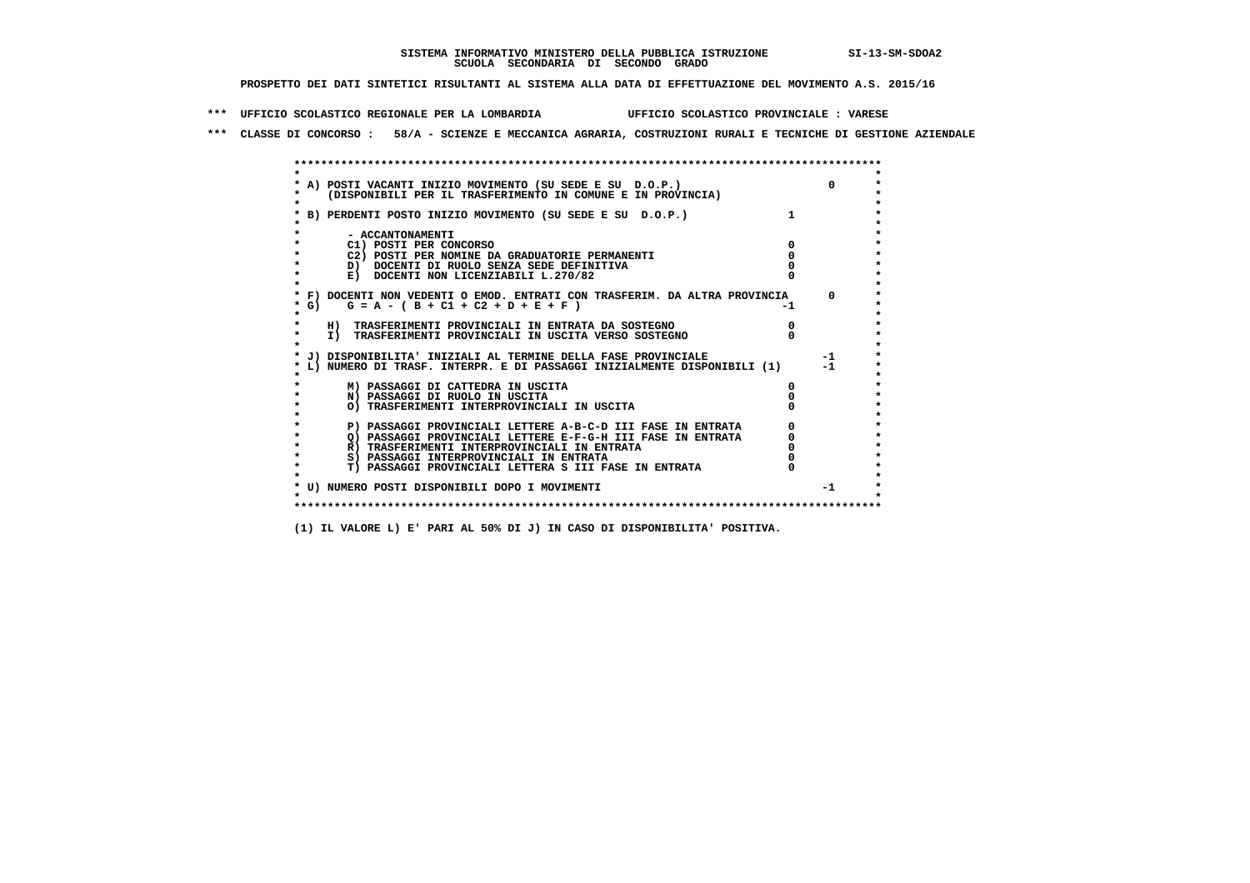**\*\*\* UFFICIO SCOLASTICO REGIONALE PER LA LOMBARDIA UFFICIO SCOLASTICO PROVINCIALE : VARESE**

 **\*\*\* CLASSE DI CONCORSO : 58/A - SCIENZE E MECCANICA AGRARIA, COSTRUZIONI RURALI E TECNICHE DI GESTIONE AZIENDALE**

|            | A) POSTI VACANTI INIZIO MOVIMENTO (SU SEDE E SU D.O.P.)                    |    | $\Omega$ |
|------------|----------------------------------------------------------------------------|----|----------|
|            | (DISPONIBILI PER IL TRASFERIMENTO IN COMUNE E IN PROVINCIA)                |    |          |
|            |                                                                            |    |          |
|            | B) PERDENTI POSTO INIZIO MOVIMENTO (SU SEDE E SU D.O.P.)                   |    |          |
|            |                                                                            |    |          |
|            | - ACCANTONAMENTI                                                           |    |          |
|            | C1) POSTI PER CONCORSO                                                     |    |          |
|            | C2) POSTI PER NOMINE DA GRADUATORIE PERMANENTI                             |    |          |
|            | D) DOCENTI DI RUOLO SENZA SEDE DEFINITIVA                                  |    |          |
|            | E) DOCENTI NON LICENZIABILI L.270/82                                       |    |          |
|            | * F) DOCENTI NON VEDENTI O EMOD. ENTRATI CON TRASFERIM. DA ALTRA PROVINCIA |    | $\Omega$ |
| $\star$ G) | $G = A - (B + C1 + C2 + D + E + F)$                                        | -1 |          |
|            |                                                                            |    |          |
|            | H) TRASFERIMENTI PROVINCIALI IN ENTRATA DA SOSTEGNO                        |    |          |
| $\star$    | I) TRASFERIMENTI PROVINCIALI IN USCITA VERSO SOSTEGNO                      |    |          |
|            |                                                                            |    |          |
|            | J) DISPONIBILITA' INIZIALI AL TERMINE DELLA FASE PROVINCIALE               |    | $-1$     |
|            | L) NUMERO DI TRASF. INTERPR. E DI PASSAGGI INIZIALMENTE DISPONIBILI (1)    |    | $-1$     |
|            |                                                                            |    |          |
|            | M) PASSAGGI DI CATTEDRA IN USCITA                                          |    |          |
|            | N) PASSAGGI DI RUOLO IN USCITA                                             |    |          |
|            | O) TRASFERIMENTI INTERPROVINCIALI IN USCITA                                |    |          |
|            | P) PASSAGGI PROVINCIALI LETTERE A-B-C-D III FASE IN ENTRATA                |    |          |
|            | O) PASSAGGI PROVINCIALI LETTERE E-F-G-H III FASE IN ENTRATA                |    |          |
|            | R) TRASFERIMENTI INTERPROVINCIALI IN ENTRATA                               |    |          |
|            | S) PASSAGGI INTERPROVINCIALI IN ENTRATA                                    |    |          |
|            | T) PASSAGGI PROVINCIALI LETTERA S III FASE IN ENTRATA                      |    |          |
|            |                                                                            |    |          |
|            | * U) NUMERO POSTI DISPONIBILI DOPO I MOVIMENTI                             |    | $-1$     |
|            |                                                                            |    |          |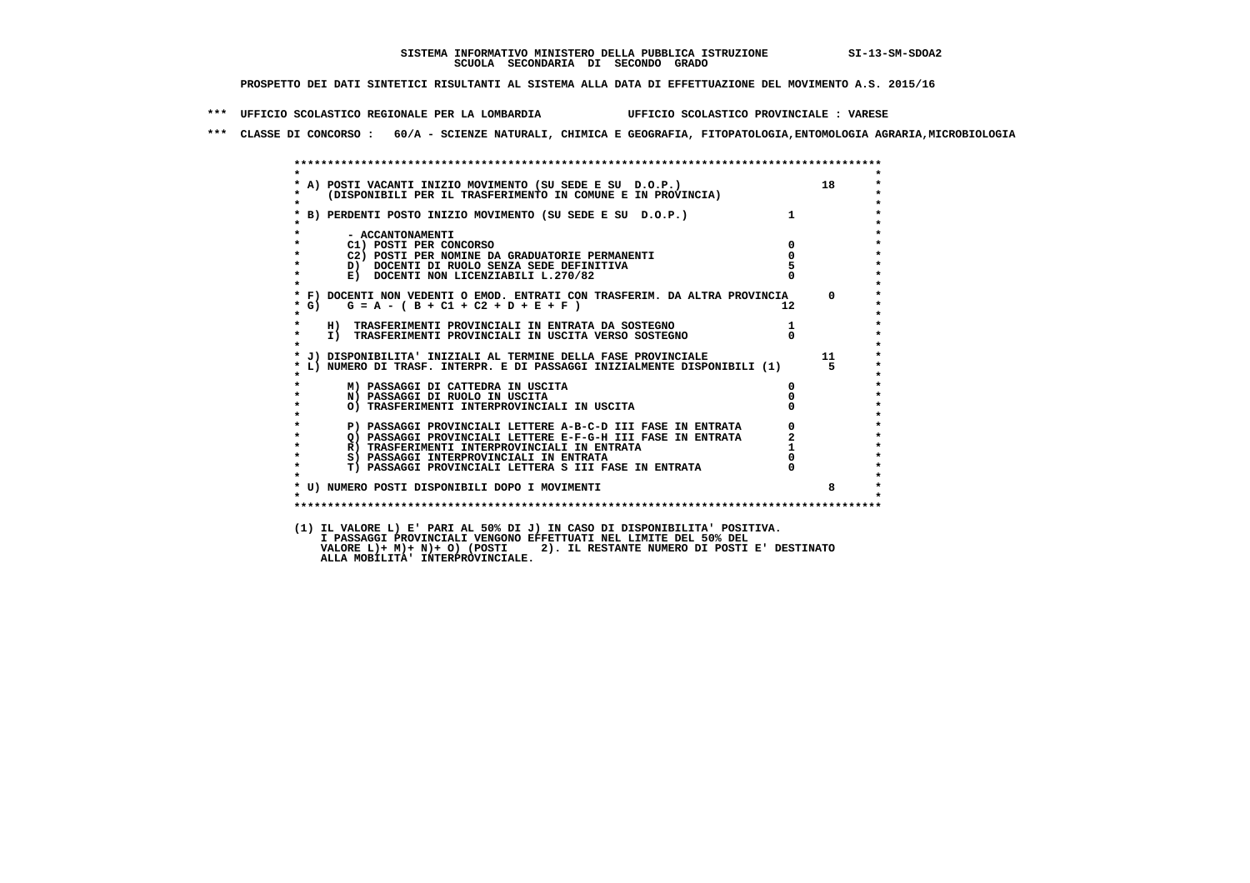**\*\*\* UFFICIO SCOLASTICO REGIONALE PER LA LOMBARDIA UFFICIO SCOLASTICO PROVINCIALE : VARESE**

 **\*\*\* CLASSE DI CONCORSO : 60/A - SCIENZE NATURALI, CHIMICA E GEOGRAFIA, FITOPATOLOGIA,ENTOMOLOGIA AGRARIA,MICROBIOLOGIA**

|                                                                                                                                       |              | 18       |
|---------------------------------------------------------------------------------------------------------------------------------------|--------------|----------|
| * A) POSTI VACANTI INIZIO MOVIMENTO (SU SEDE E SU D.O.P.)<br>* (DISPONIBILI PER IL TRASFERIMENTO IN COMUNE E IN PROVINCIA)            |              |          |
| $\bullet$                                                                                                                             |              |          |
| * B) PERDENTI POSTO INIZIO MOVIMENTO (SU SEDE E SU D.O.P.) 1                                                                          |              |          |
|                                                                                                                                       |              |          |
| - ACCANTONAMENTI                                                                                                                      | $\Omega$     |          |
| C1) POSTI PER CONCORSO<br>C2) POSTI PER NOMINE DA GRADUATORIE PERMANENTI<br>$\star$                                                   |              |          |
| $\star$<br>D) DOCENTI DI RUOLO SENZA SEDE DEFINITIVA                                                                                  |              |          |
| $\bullet$<br>E) DOCENTI NON LICENZIABILI L.270/82                                                                                     |              |          |
| $\mathbf{r}$                                                                                                                          |              |          |
| * F) DOCENTI NON VEDENTI O EMOD. ENTRATI CON TRASFERIM. DA ALTRA PROVINCIA                                                            |              | $\Omega$ |
| $G = A - (B + C1 + C2 + D + E + F)$<br>$*$ G)                                                                                         | $12^{\circ}$ |          |
| $\star$<br>H) TRASFERIMENTI PROVINCIALI IN ENTRATA DA SOSTEGNO                                                                        |              |          |
| $\star$<br>I) TRASFERIMENTI PROVINCIALI IN USCITA VERSO SOSTEGNO                                                                      |              |          |
|                                                                                                                                       |              |          |
| * J) DISPONIBILITA' INIZIALI AL TERMINE DELLA FASE PROVINCIALE                                                                        |              | 11       |
| * L) NUMERO DI TRASF. INTERPR. E DI PASSAGGI INIZIALMENTE DISPONIBILI (1)                                                             |              | 5.       |
| $\star$<br>M) PASSAGGI DI CATTEDRA IN USCITA                                                                                          |              |          |
| $\star$<br>N) PASSAGGI DI RUOLO IN USCITA                                                                                             |              |          |
| O) TRASFERIMENTI INTERPROVINCIALI IN USCITA                                                                                           |              |          |
|                                                                                                                                       |              |          |
| P) PASSAGGI PROVINCIALI LETTERE A-B-C-D III FASE IN ENTRATA<br>$\star$<br>O) PASSAGGI PROVINCIALI LETTERE E-F-G-H III FASE IN ENTRATA |              |          |
| $\star$<br>R) TRASFERIMENTI INTERPROVINCIALI IN ENTRATA                                                                               |              |          |
| S) PASSAGGI INTERPROVINCIALI IN ENTRATA                                                                                               |              |          |
| T) PASSAGGI PROVINCIALI LETTERA S III FASE IN ENTRATA<br>$\star$                                                                      |              |          |
|                                                                                                                                       |              |          |
| * U) NUMERO POSTI DISPONIBILI DOPO I MOVIMENTI                                                                                        |              | 8        |
|                                                                                                                                       |              |          |

 **I PASSAGGI PROVINCIALI VENGONO EFFETTUATI NEL LIMITE DEL 50% DEL VALORE L)+ M)+ N)+ O) (POSTI 2). IL RESTANTE NUMERO DI POSTI E' DESTINATO ALLA MOBILITA' INTERPROVINCIALE.**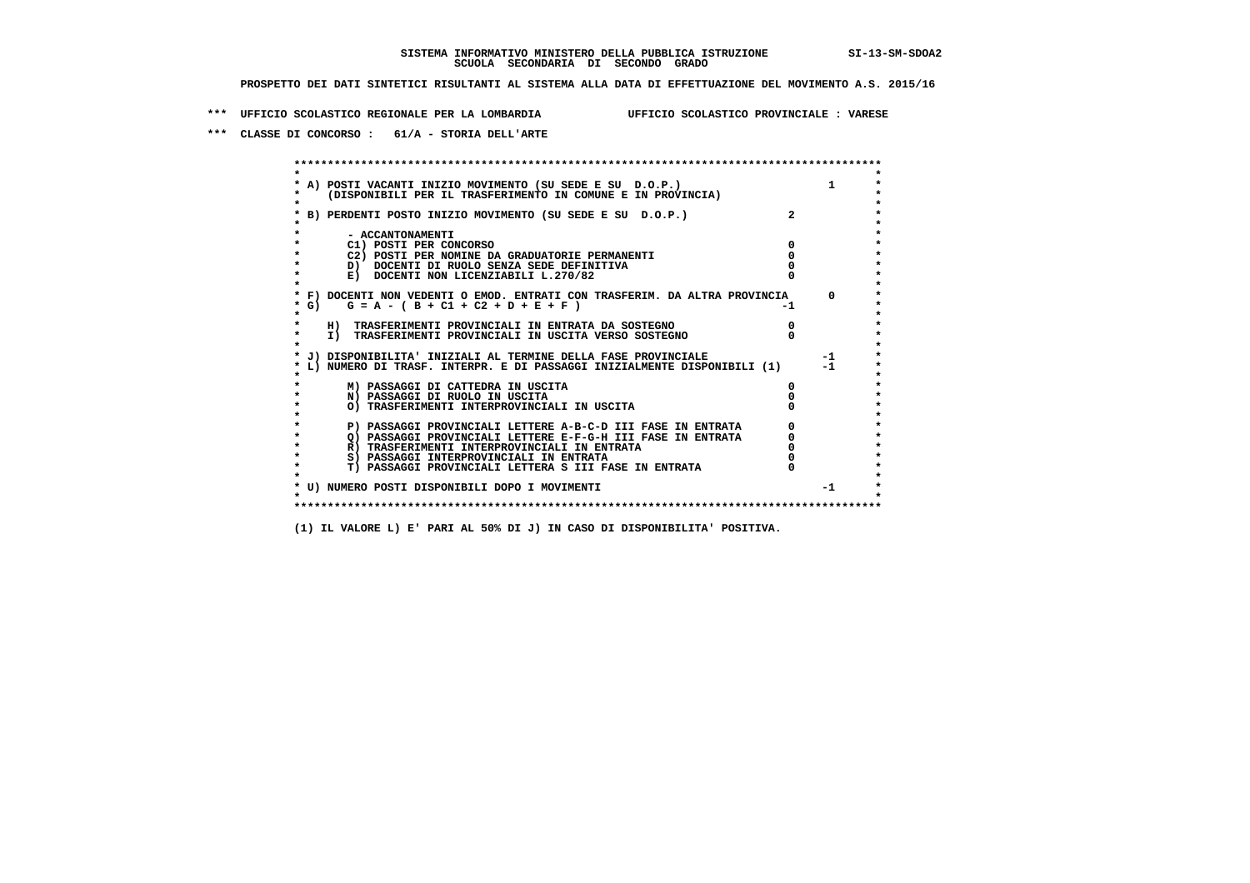**\*\*\* UFFICIO SCOLASTICO REGIONALE PER LA LOMBARDIA UFFICIO SCOLASTICO PROVINCIALE : VARESE**

 **\*\*\* CLASSE DI CONCORSO : 61/A - STORIA DELL'ARTE**

 **\*\*\*\*\*\*\*\*\*\*\*\*\*\*\*\*\*\*\*\*\*\*\*\*\*\*\*\*\*\*\*\*\*\*\*\*\*\*\*\*\*\*\*\*\*\*\*\*\*\*\*\*\*\*\*\*\*\*\*\*\*\*\*\*\*\*\*\*\*\*\*\*\*\*\*\*\*\*\*\*\*\*\*\*\*\*\*\* \* \*** $\bullet$  **\* A) POSTI VACANTI INIZIO MOVIMENTO (SU SEDE E SU D.O.P.) 1 \*** $\star$  **\* (DISPONIBILI PER IL TRASFERIMENTO IN COMUNE E IN PROVINCIA) \* \* \* \* B) PERDENTI POSTO INIZIO MOVIMENTO (SU SEDE E SU D.O.P.) 2 \* \* \* \* - ACCANTONAMENTI \* \* C1) POSTI PER CONCORSO 0 \* \* C2) POSTI PER NOMINE DA GRADUATORIE PERMANENTI 0 \*D)** DOCENTI DI RUOLO SENZA SEDE DEFINITIVA  $\overline{a}$  0  $\overline{b}$  0  $\overline{c}$  0  $\overline{c}$  0  $\overline{c}$  0  $\overline{a}$  0  $\overline{c}$ **E) DOCENTI NON LICENZIABILI L.270/82 \* \* \* F) DOCENTI NON VEDENTI O EMOD. ENTRATI CON TRASFERIM. DA ALTRA PROVINCIA 0 \***  $\star$  **G)** G = A - ( B + C1 + C2 + D + E + F)  **\* \* \* H) TRASFERIMENTI PROVINCIALI IN ENTRATA DA SOSTEGNO 0 \* \* I) TRASFERIMENTI PROVINCIALI IN USCITA VERSO SOSTEGNO 0 \* \* \* \* J) DISPONIBILITA' INIZIALI AL TERMINE DELLA FASE PROVINCIALE -1 \* \* L) NUMERO DI TRASF. INTERPR. E DI PASSAGGI INIZIALMENTE DISPONIBILI (1) -1 \* \* \* \* M) PASSAGGI DI CATTEDRA IN USCITA 0 \* \* N) PASSAGGI DI RUOLO IN USCITA 0 \* \* O) TRASFERIMENTI INTERPROVINCIALI IN USCITA 0 \* \* \* P) PASSAGGI PROVINCIALI LETTERE A-B-C-D III FASE IN ENTRATA** 0 <sup>0</sup> **DASSAGGI PROVINCIALI LETTERE E-F-G-H** III FASE IN ENTRATA 0 <sup>0</sup>  **\* Q) PASSAGGI PROVINCIALI LETTERE E-F-G-H III FASE IN ENTRATA 0 \*R)** TRASFERIMENTI INTERPROVINCIALI IN ENTRATA  $\begin{bmatrix} 0 & 0 \\ 0 & 0 \\ 0 & 0 \end{bmatrix}$  PASSAGGI INTERPROVINCIALI IN ENTRATA  $\begin{bmatrix} 0 & 0 \\ 0 & 0 \\ 0 & 0 \end{bmatrix}$  **\* S) PASSAGGI INTERPROVINCIALI IN ENTRATA 0 \*** $\ddot{\phantom{1}}$  **\* T) PASSAGGI PROVINCIALI LETTERA S III FASE IN ENTRATA 0 \*** $\star$  **\* \* \* U) NUMERO POSTI DISPONIBILI DOPO I MOVIMENTI -1 \* \* \* \*\*\*\*\*\*\*\*\*\*\*\*\*\*\*\*\*\*\*\*\*\*\*\*\*\*\*\*\*\*\*\*\*\*\*\*\*\*\*\*\*\*\*\*\*\*\*\*\*\*\*\*\*\*\*\*\*\*\*\*\*\*\*\*\*\*\*\*\*\*\*\*\*\*\*\*\*\*\*\*\*\*\*\*\*\*\*\***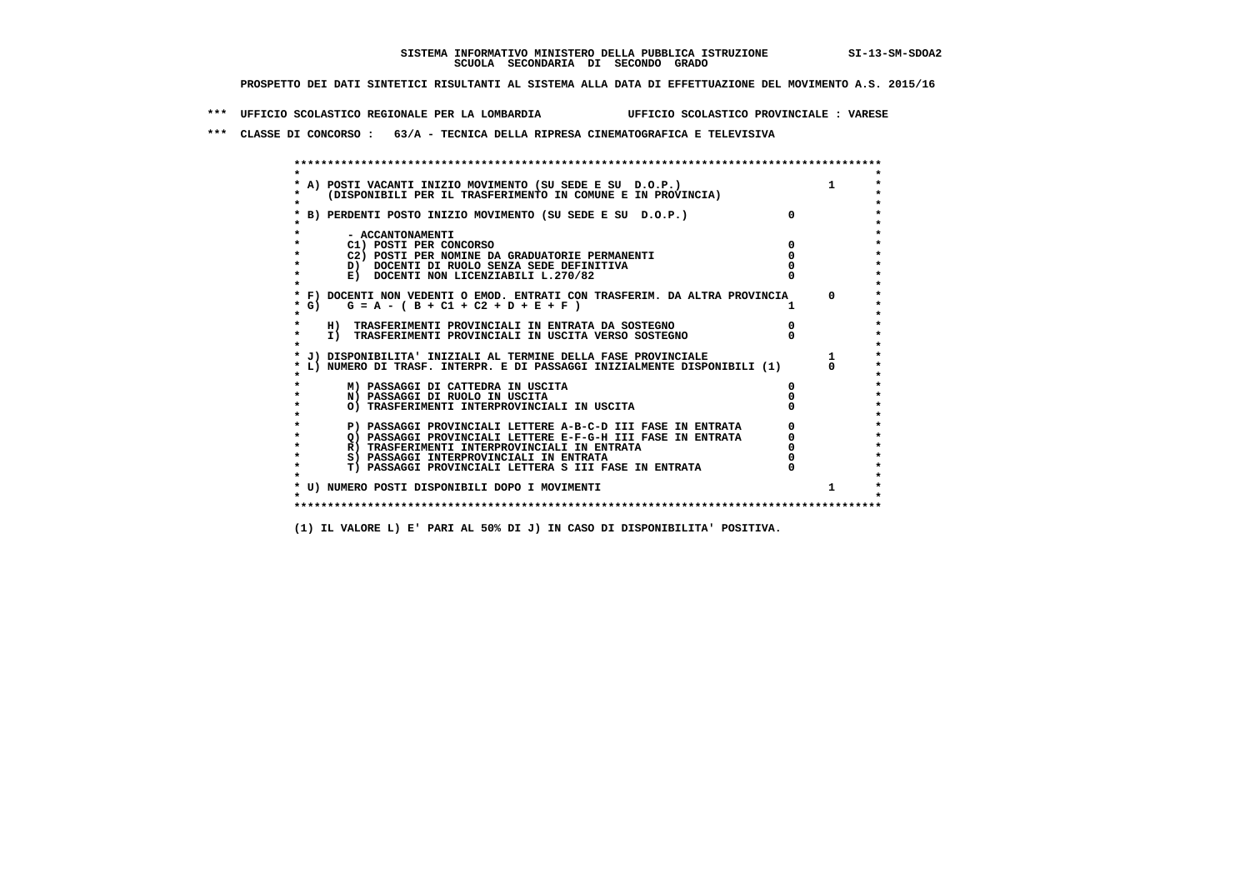**\*\*\* UFFICIO SCOLASTICO REGIONALE PER LA LOMBARDIA UFFICIO SCOLASTICO PROVINCIALE : VARESE**

 **\*\*\* CLASSE DI CONCORSO : 63/A - TECNICA DELLA RIPRESA CINEMATOGRAFICA E TELEVISIVA**

 **\*\*\*\*\*\*\*\*\*\*\*\*\*\*\*\*\*\*\*\*\*\*\*\*\*\*\*\*\*\*\*\*\*\*\*\*\*\*\*\*\*\*\*\*\*\*\*\*\*\*\*\*\*\*\*\*\*\*\*\*\*\*\*\*\*\*\*\*\*\*\*\*\*\*\*\*\*\*\*\*\*\*\*\*\*\*\*\* \* \*** $\bullet$  **\* A) POSTI VACANTI INIZIO MOVIMENTO (SU SEDE E SU D.O.P.) 1 \*** $\star$  **\* (DISPONIBILI PER IL TRASFERIMENTO IN COMUNE E IN PROVINCIA) \*** $\bullet$  **\* \* \* B) PERDENTI POSTO INIZIO MOVIMENTO (SU SEDE E SU D.O.P.) 0 \* \* \* \* - ACCANTONAMENTI \* \* C1) POSTI PER CONCORSO 0 \* \* C2) POSTI PER NOMINE DA GRADUATORIE PERMANENTI 0 \*b**  $\overline{D}$  **docenti di RUOLO SENZA SEDE DEFINITIVA**  $\overline{D}$  **0**  $\overline{D}$  **0**  $\overline{D}$  **0**  $\overline{D}$  **0**  $\overline{D}$  **0**  $\overline{D}$  **0**  $\overline{D}$  **0**  $\overline{D}$  **0**  $\overline{D}$  **0**  $\overline{D}$  **0**  $\overline{D}$  **0**  $\overline{D}$  **0**  $\overline{D}$  **0 E) DOCENTI NON LICENZIABILI L.270/82 \* \* \* F) DOCENTI NON VEDENTI O EMOD. ENTRATI CON TRASFERIM. DA ALTRA PROVINCIA 0 \***  $\star$  **G)** G = A - ( B + C1 + C2 + D + E + F )  **\* \* \* H) TRASFERIMENTI PROVINCIALI IN ENTRATA DA SOSTEGNO 0 \* \* I) TRASFERIMENTI PROVINCIALI IN USCITA VERSO SOSTEGNO 0 \* \* \* \* J) DISPONIBILITA' INIZIALI AL TERMINE DELLA FASE PROVINCIALE 1 \* \* L) NUMERO DI TRASF. INTERPR. E DI PASSAGGI INIZIALMENTE DISPONIBILI (1) 0 \* \* \* \* M) PASSAGGI DI CATTEDRA IN USCITA 0 \* \* N) PASSAGGI DI RUOLO IN USCITA 0 \* \* O) TRASFERIMENTI INTERPROVINCIALI IN USCITA 0 \* \* \* P) PASSAGGI PROVINCIALI LETTERE A-B-C-D III FASE IN ENTRATA** 0 <sup>0</sup> **DASSAGGI PROVINCIALI LETTERE E-F-G-H** III FASE IN ENTRATA 0 <sup>0</sup>  $\star$  **\* Q) PASSAGGI PROVINCIALI LETTERE E-F-G-H III FASE IN ENTRATA 0 \*R)** TRASFERIMENTI INTERPROVINCIALI IN ENTRATA  $\begin{bmatrix} 0 & 0 \\ 0 & 0 \\ 0 & 0 \end{bmatrix}$  PASSAGGI INTERPROVINCIALI IN ENTRATA  $\begin{bmatrix} 0 & 0 \\ 0 & 0 \\ 0 & 0 \end{bmatrix}$ **8) PASSAGGI INTERPROVINCIALI IN ENTRATA 6 \*\*\*** 0 \*\*\*<br> **T) PASSAGGI PROVINCIALI LETTERA S III FASE IN ENTRATA** 0 \*\*\*  $\ddot{\phantom{1}}$  **\* T) PASSAGGI PROVINCIALI LETTERA S III FASE IN ENTRATA 0 \*** $\star$  **\* \* \* U) NUMERO POSTI DISPONIBILI DOPO I MOVIMENTI 1 \* \* \* \*\*\*\*\*\*\*\*\*\*\*\*\*\*\*\*\*\*\*\*\*\*\*\*\*\*\*\*\*\*\*\*\*\*\*\*\*\*\*\*\*\*\*\*\*\*\*\*\*\*\*\*\*\*\*\*\*\*\*\*\*\*\*\*\*\*\*\*\*\*\*\*\*\*\*\*\*\*\*\*\*\*\*\*\*\*\*\***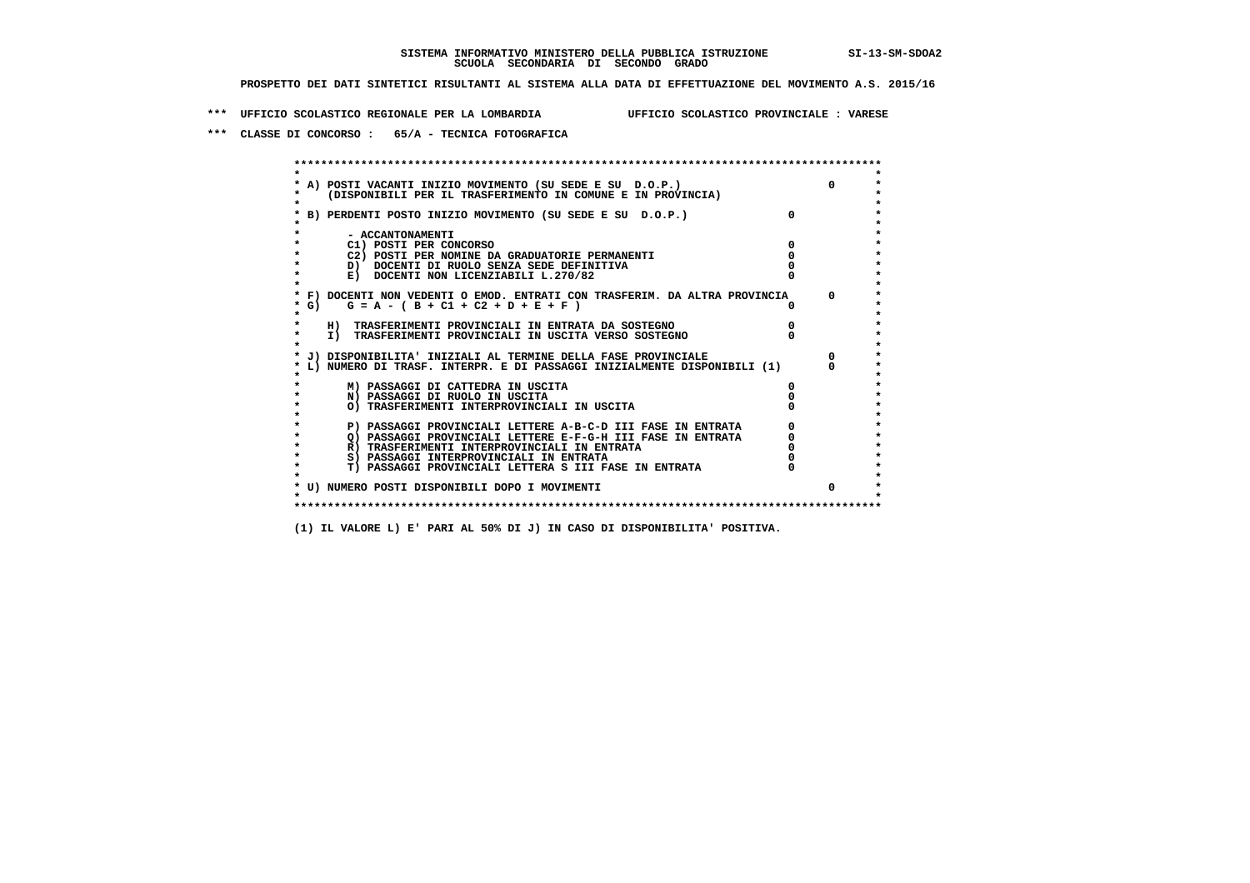**\*\*\* UFFICIO SCOLASTICO REGIONALE PER LA LOMBARDIA UFFICIO SCOLASTICO PROVINCIALE : VARESE**

 **\*\*\* CLASSE DI CONCORSO : 65/A - TECNICA FOTOGRAFICA**

 **\*\*\*\*\*\*\*\*\*\*\*\*\*\*\*\*\*\*\*\*\*\*\*\*\*\*\*\*\*\*\*\*\*\*\*\*\*\*\*\*\*\*\*\*\*\*\*\*\*\*\*\*\*\*\*\*\*\*\*\*\*\*\*\*\*\*\*\*\*\*\*\*\*\*\*\*\*\*\*\*\*\*\*\*\*\*\*\* \* \*** $\bullet$  **\* A) POSTI VACANTI INIZIO MOVIMENTO (SU SEDE E SU D.O.P.) 0 \*** $\star$  **\* (DISPONIBILI PER IL TRASFERIMENTO IN COMUNE E IN PROVINCIA) \*** $\bullet$  **\* \* \* B) PERDENTI POSTO INIZIO MOVIMENTO (SU SEDE E SU D.O.P.) 0 \* \* \* \* - ACCANTONAMENTI \* \* C1) POSTI PER CONCORSO 0 \* \* C2) POSTI PER NOMINE DA GRADUATORIE PERMANENTI 0 \*D)** DOCENTI DI RUOLO SENZA SEDE DEFINITIVA  $\overline{a}$  0  $\overline{b}$  0  $\overline{c}$  0  $\overline{c}$  0  $\overline{c}$  0  $\overline{a}$  0  $\overline{b}$ **E) DOCENTI NON LICENZIABILI L.270/82 \* \* \* F) DOCENTI NON VEDENTI O EMOD. ENTRATI CON TRASFERIM. DA ALTRA PROVINCIA 0 \* \* G) G = A - ( B + C1 + C2 + D + E + F ) 0 \* \* \* \* H) TRASFERIMENTI PROVINCIALI IN ENTRATA DA SOSTEGNO 0 \* \* I) TRASFERIMENTI PROVINCIALI IN USCITA VERSO SOSTEGNO 0 \* \* \* \* J) DISPONIBILITA' INIZIALI AL TERMINE DELLA FASE PROVINCIALE 0 \* \* L) NUMERO DI TRASF. INTERPR. E DI PASSAGGI INIZIALMENTE DISPONIBILI (1) 0 \* \* \* \* M) PASSAGGI DI CATTEDRA IN USCITA 0 \* \* N) PASSAGGI DI RUOLO IN USCITA 0 \* \* O) TRASFERIMENTI INTERPROVINCIALI IN USCITA 0 \* \* \* P) PASSAGGI PROVINCIALI LETTERE A-B-C-D III FASE IN ENTRATA** 0 <sup>0</sup> **DASSAGGI PROVINCIALI LETTERE E-F-G-H** III FASE IN ENTRATA 0 <sup>0</sup>  $\star$  **\* Q) PASSAGGI PROVINCIALI LETTERE E-F-G-H III FASE IN ENTRATA 0 \*R)** TRASFERIMENTI INTERPROVINCIALI IN ENTRATA  $\begin{bmatrix} 0 & 0 \\ 0 & 0 \\ 0 & 0 \end{bmatrix}$  PASSAGGI INTERPROVINCIALI IN ENTRATA  $\begin{bmatrix} 0 & 0 \\ 0 & 0 \\ 0 & 0 \end{bmatrix}$  **\* S) PASSAGGI INTERPROVINCIALI IN ENTRATA 0 \*** $\ddot{\phantom{1}}$  **\* T) PASSAGGI PROVINCIALI LETTERA S III FASE IN ENTRATA 0 \*** $\star$  **\* \* \* U) NUMERO POSTI DISPONIBILI DOPO I MOVIMENTI 0 \* \* \* \*\*\*\*\*\*\*\*\*\*\*\*\*\*\*\*\*\*\*\*\*\*\*\*\*\*\*\*\*\*\*\*\*\*\*\*\*\*\*\*\*\*\*\*\*\*\*\*\*\*\*\*\*\*\*\*\*\*\*\*\*\*\*\*\*\*\*\*\*\*\*\*\*\*\*\*\*\*\*\*\*\*\*\*\*\*\*\***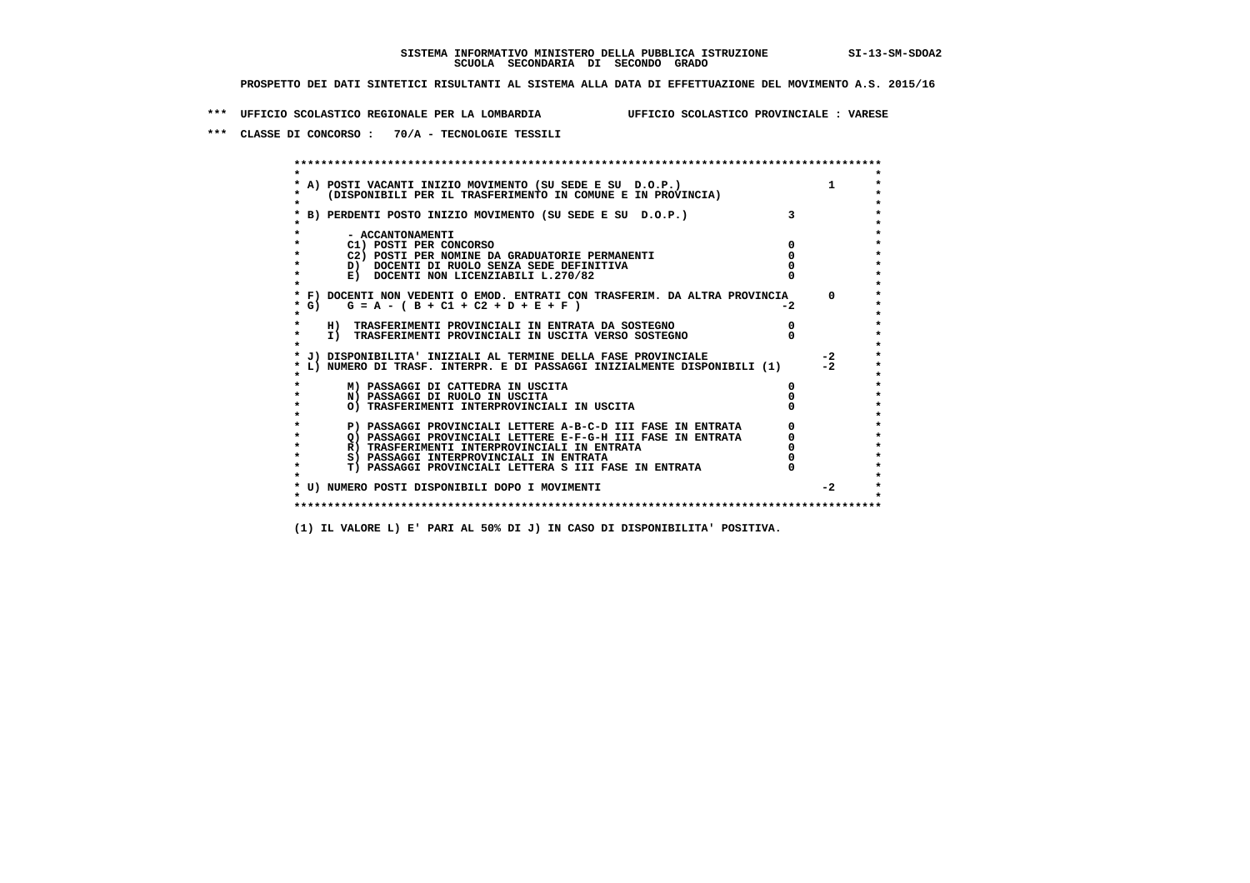**\*\*\* UFFICIO SCOLASTICO REGIONALE PER LA LOMBARDIA UFFICIO SCOLASTICO PROVINCIALE : VARESE**

 **\*\*\* CLASSE DI CONCORSO : 70/A - TECNOLOGIE TESSILI**

 **\*\*\*\*\*\*\*\*\*\*\*\*\*\*\*\*\*\*\*\*\*\*\*\*\*\*\*\*\*\*\*\*\*\*\*\*\*\*\*\*\*\*\*\*\*\*\*\*\*\*\*\*\*\*\*\*\*\*\*\*\*\*\*\*\*\*\*\*\*\*\*\*\*\*\*\*\*\*\*\*\*\*\*\*\*\*\*\* \* \*** $\bullet$  **\* A) POSTI VACANTI INIZIO MOVIMENTO (SU SEDE E SU D.O.P.) 1 \*** $\star$  **\* (DISPONIBILI PER IL TRASFERIMENTO IN COMUNE E IN PROVINCIA) \* \* \* \* B) PERDENTI POSTO INIZIO MOVIMENTO (SU SEDE E SU D.O.P.) 3 \* \* \* \* - ACCANTONAMENTI \* \* C1) POSTI PER CONCORSO 0 \* \* C2) POSTI PER NOMINE DA GRADUATORIE PERMANENTI 0 \*D)** DOCENTI DI RUOLO SENZA SEDE DEFINITIVA  $\overline{a}$  0  $\overline{b}$  0  $\overline{c}$  0  $\overline{c}$  0  $\overline{c}$  0  $\overline{a}$  0  $\overline{c}$ **E) DOCENTI NON LICENZIABILI L.270/82 \* \* \* F) DOCENTI NON VEDENTI O EMOD. ENTRATI CON TRASFERIM. DA ALTRA PROVINCIA 0 \*** $\star$  G) G = A - ( B + C1 + C2 + D + E + F )  **\* \* \* H) TRASFERIMENTI PROVINCIALI IN ENTRATA DA SOSTEGNO 0 \*The CONSTRUCTION CONSTRUCTED IN CONTRACT CONSTRUES I TRASFERIMENTI PROVINCIALI IN USCITA VERSO SOSTEGNO \* \* \* J) DISPONIBILITA' INIZIALI AL TERMINE DELLA FASE PROVINCIALE -2 \* \* L) NUMERO DI TRASF. INTERPR. E DI PASSAGGI INIZIALMENTE DISPONIBILI (1) -2 \* \* \* \* M) PASSAGGI DI CATTEDRA IN USCITA 0 \* \* N) PASSAGGI DI RUOLO IN USCITA 0 \* \* O) TRASFERIMENTI INTERPROVINCIALI IN USCITA 0 \* \* \* P) PASSAGGI PROVINCIALI LETTERE A-B-C-D III FASE IN ENTRATA** 0 <sup>0</sup> **DASSAGGI PROVINCIALI LETTERE E-F-G-H** III FASE IN ENTRATA 0 <sup>0</sup> **2) PASSAGGI PROVINCIALI LETTERE E-F-G-H III FASE IN ENTRATA 6 0 R**) TRASFERIMENTI INTERPROVINCIALI IN ENTRATA 6 **0 R)** TRASFERIMENTI INTERPROVINCIALI IN ENTRATA  $\begin{bmatrix} 0 & 0 \\ 0 & 0 \\ 0 & 0 \end{bmatrix}$  PASSAGGI INTERPROVINCIALI IN ENTRATA  $\begin{bmatrix} 0 & 0 \\ 0 & 0 \\ 0 & 0 \end{bmatrix}$  **\* S) PASSAGGI INTERPROVINCIALI IN ENTRATA 0 \*** $\ddot{\phantom{1}}$  **\* T) PASSAGGI PROVINCIALI LETTERA S III FASE IN ENTRATA 0 \* \* \* \* U) NUMERO POSTI DISPONIBILI DOPO I MOVIMENTI -2 \* \* \* \*\*\*\*\*\*\*\*\*\*\*\*\*\*\*\*\*\*\*\*\*\*\*\*\*\*\*\*\*\*\*\*\*\*\*\*\*\*\*\*\*\*\*\*\*\*\*\*\*\*\*\*\*\*\*\*\*\*\*\*\*\*\*\*\*\*\*\*\*\*\*\*\*\*\*\*\*\*\*\*\*\*\*\*\*\*\*\***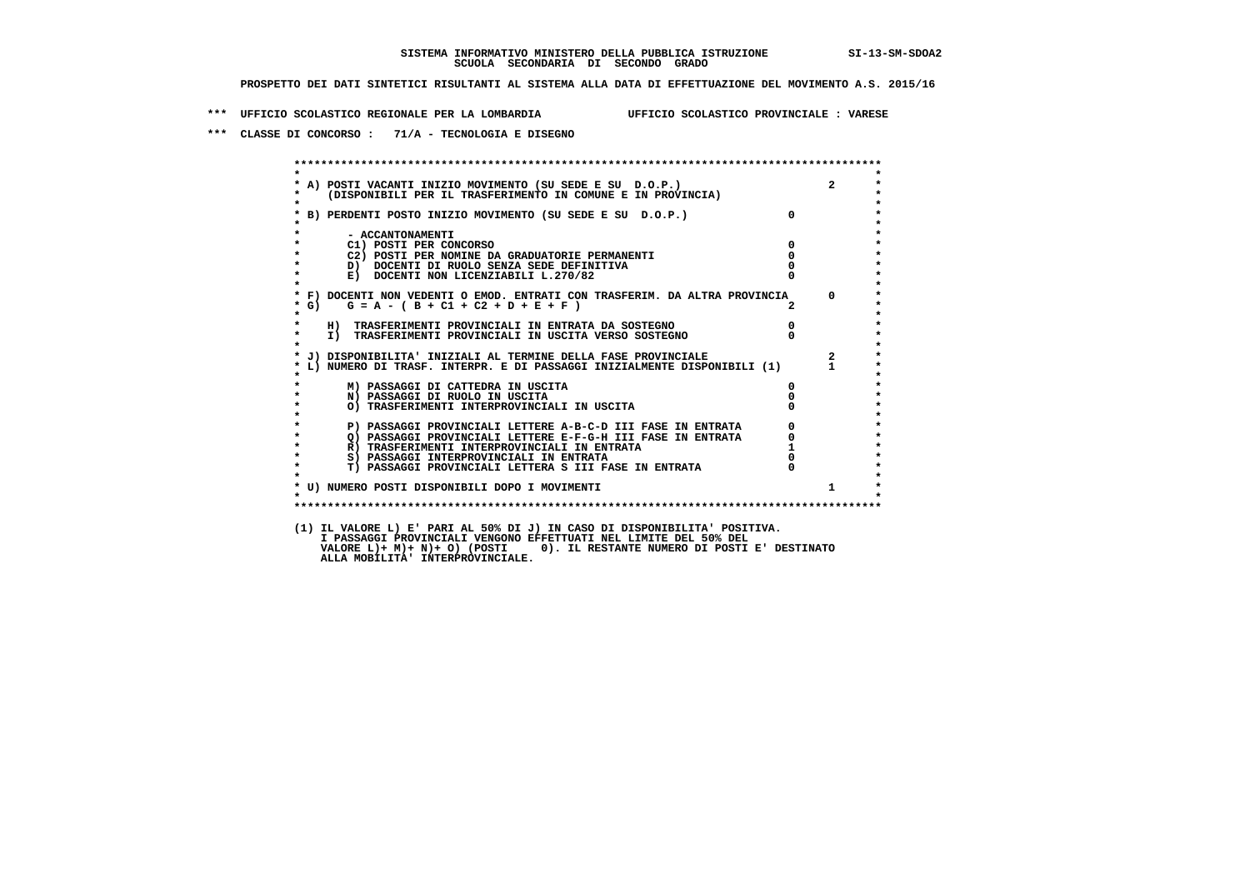**\*\*\* UFFICIO SCOLASTICO REGIONALE PER LA LOMBARDIA UFFICIO SCOLASTICO PROVINCIALE : VARESE**

 **\*\*\* CLASSE DI CONCORSO : 71/A - TECNOLOGIA E DISEGNO**

 **\*\*\*\*\*\*\*\*\*\*\*\*\*\*\*\*\*\*\*\*\*\*\*\*\*\*\*\*\*\*\*\*\*\*\*\*\*\*\*\*\*\*\*\*\*\*\*\*\*\*\*\*\*\*\*\*\*\*\*\*\*\*\*\*\*\*\*\*\*\*\*\*\*\*\*\*\*\*\*\*\*\*\*\*\*\*\*\* \* \*** $\ddot{\phantom{1}}$  **\* A) POSTI VACANTI INIZIO MOVIMENTO (SU SEDE E SU D.O.P.) 2 \*** $\star$  **\* (DISPONIBILI PER IL TRASFERIMENTO IN COMUNE E IN PROVINCIA) \*** $\bullet$  **\* \* \* B) PERDENTI POSTO INIZIO MOVIMENTO (SU SEDE E SU D.O.P.) 0 \* \* \* \* - ACCANTONAMENTI \* \* C1) POSTI PER CONCORSO 0 \* \* C2) POSTI PER NOMINE DA GRADUATORIE PERMANENTI 0 \*D)** DOCENTI DI RUOLO SENZA SEDE DEFINITIVA  $\overline{a}$  0  $\overline{b}$  0  $\overline{c}$  0  $\overline{c}$  0  $\overline{c}$  0  $\overline{a}$  0  $\overline{c}$ **E) DOCENTI NON LICENZIABILI L.270/82 \* \* \* F) DOCENTI NON VEDENTI O EMOD. ENTRATI CON TRASFERIM. DA ALTRA PROVINCIA 0 \* \* G) G = A - ( B + C1 + C2 + D + E + F ) 2 \* \* \* \* H) TRASFERIMENTI PROVINCIALI IN ENTRATA DA SOSTEGNO 0 \* \* I) TRASFERIMENTI PROVINCIALI IN USCITA VERSO SOSTEGNO 0 \* \* \* \* J) DISPONIBILITA' INIZIALI AL TERMINE DELLA FASE PROVINCIALE 2 \* \* L) NUMERO DI TRASF. INTERPR. E DI PASSAGGI INIZIALMENTE DISPONIBILI (1) 1 \* \* \* \* M) PASSAGGI DI CATTEDRA IN USCITA 0 \* \* N) PASSAGGI DI RUOLO IN USCITA 0 \* \* O) TRASFERIMENTI INTERPROVINCIALI IN USCITA 0 \* \* \* P) PASSAGGI PROVINCIALI LETTERE A-B-C-D III FASE IN ENTRATA** 0 <sup>0</sup> **DASSAGGI PROVINCIALI LETTERE E-F-G-H** III FASE IN ENTRATA 0 <sup>0</sup> **2) PASSAGGI PROVINCIALI LETTERE E-F-G-H III FASE IN ENTRATA 6**  $\overline{Q}$  **PASSAGGI PROVINCIALI LETTERE E-F-G-H III FASE IN ENTRATA** 0  **\* R) TRASFERIMENTI INTERPROVINCIALI IN ENTRATA 1 \*8) PASSAGGI INTERPROVINCIALI IN ENTRATA 6 \*\*\*** 0 \*\*\*<br> **T) PASSAGGI PROVINCIALI LETTERA S III FASE IN ENTRATA** 0 \*\*\*  $\ddot{\phantom{1}}$  **\* T) PASSAGGI PROVINCIALI LETTERA S III FASE IN ENTRATA 0 \*** $\star$  **\* \* \* U) NUMERO POSTI DISPONIBILI DOPO I MOVIMENTI 1 \* \* \* \*\*\*\*\*\*\*\*\*\*\*\*\*\*\*\*\*\*\*\*\*\*\*\*\*\*\*\*\*\*\*\*\*\*\*\*\*\*\*\*\*\*\*\*\*\*\*\*\*\*\*\*\*\*\*\*\*\*\*\*\*\*\*\*\*\*\*\*\*\*\*\*\*\*\*\*\*\*\*\*\*\*\*\*\*\*\*\* (1) IL VALORE L) E' PARI AL 50% DI J) IN CASO DI DISPONIBILITA' POSITIVA. I PASSAGGI PROVINCIALI VENGONO EFFETTUATI NEL LIMITE DEL 50% DEL VALORE L)+ M)+ N)+ O) (POSTI 0). IL RESTANTE NUMERO DI POSTI E' DESTINATO ALLA MOBILITA' INTERPROVINCIALE.**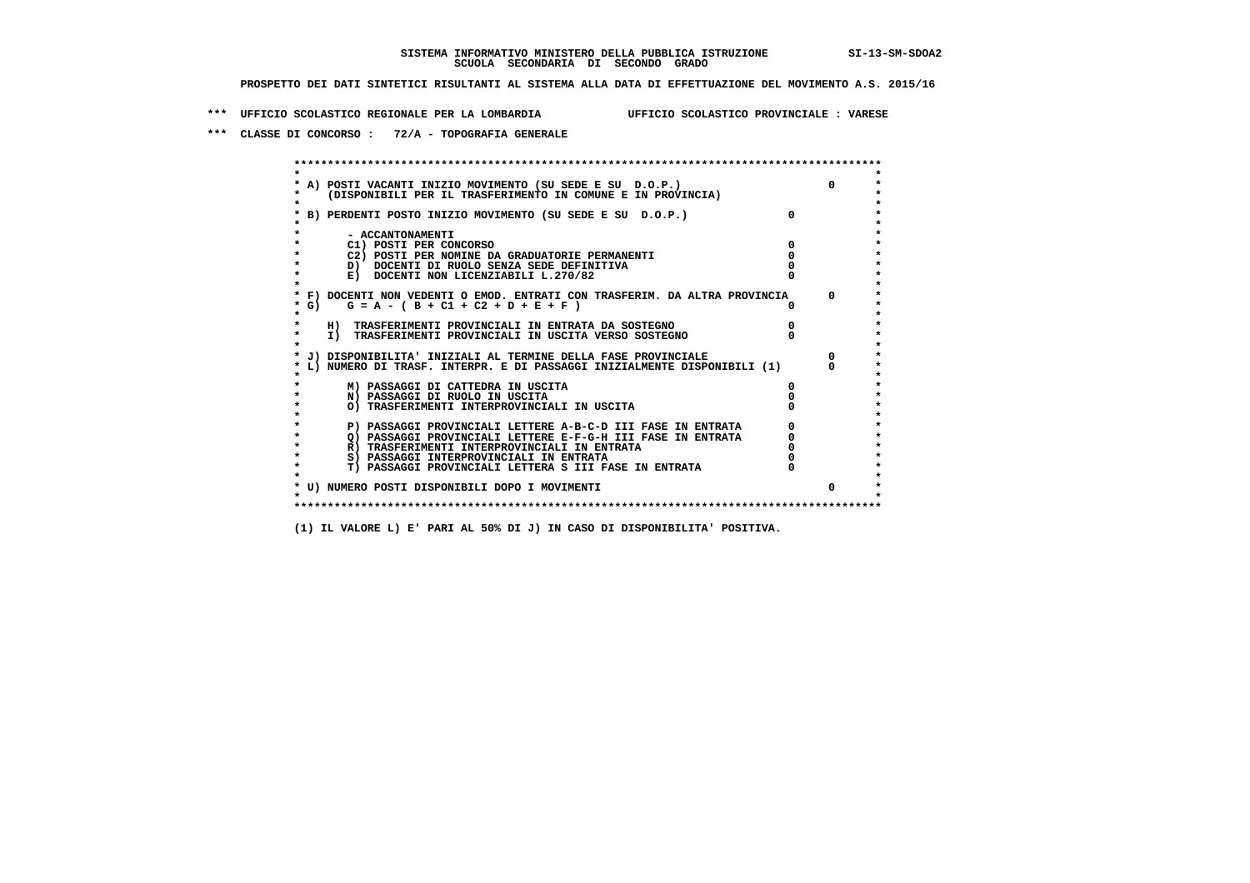**\*\*\* UFFICIO SCOLASTICO REGIONALE PER LA LOMBARDIA UFFICIO SCOLASTICO PROVINCIALE : VARESE**

 **\*\*\* CLASSE DI CONCORSO : 72/A - TOPOGRAFIA GENERALE**

 **\*\*\*\*\*\*\*\*\*\*\*\*\*\*\*\*\*\*\*\*\*\*\*\*\*\*\*\*\*\*\*\*\*\*\*\*\*\*\*\*\*\*\*\*\*\*\*\*\*\*\*\*\*\*\*\*\*\*\*\*\*\*\*\*\*\*\*\*\*\*\*\*\*\*\*\*\*\*\*\*\*\*\*\*\*\*\*\* \* \*** $\bullet$  **\* A) POSTI VACANTI INIZIO MOVIMENTO (SU SEDE E SU D.O.P.) 0 \*** $\star$  **\* (DISPONIBILI PER IL TRASFERIMENTO IN COMUNE E IN PROVINCIA) \*** $\bullet$  **\* \* \* B) PERDENTI POSTO INIZIO MOVIMENTO (SU SEDE E SU D.O.P.) 0 \* \* \* \* - ACCANTONAMENTI \* \* C1) POSTI PER CONCORSO 0 \* \* C2) POSTI PER NOMINE DA GRADUATORIE PERMANENTI 0 \*D)** DOCENTI DI RUOLO SENZA SEDE DEFINITIVA  $\overline{a}$  0  $\overline{b}$  0  $\overline{c}$  0  $\overline{c}$  0  $\overline{c}$  0  $\overline{a}$  0  $\overline{c}$ **E) DOCENTI NON LICENZIABILI L.270/82 \* \* \* F) DOCENTI NON VEDENTI O EMOD. ENTRATI CON TRASFERIM. DA ALTRA PROVINCIA 0 \* \* G) G = A - ( B + C1 + C2 + D + E + F ) 0 \* \* \* \* H) TRASFERIMENTI PROVINCIALI IN ENTRATA DA SOSTEGNO 0 \* \* I) TRASFERIMENTI PROVINCIALI IN USCITA VERSO SOSTEGNO 0 \* \* \* \* J) DISPONIBILITA' INIZIALI AL TERMINE DELLA FASE PROVINCIALE 0 \* \* L) NUMERO DI TRASF. INTERPR. E DI PASSAGGI INIZIALMENTE DISPONIBILI (1) 0 \* \* \* \* M) PASSAGGI DI CATTEDRA IN USCITA 0 \* \* N) PASSAGGI DI RUOLO IN USCITA 0 \* \* O) TRASFERIMENTI INTERPROVINCIALI IN USCITA 0 \* \* \* P) PASSAGGI PROVINCIALI LETTERE A-B-C-D III FASE IN ENTRATA** 0 <sup>0</sup> **DASSAGGI PROVINCIALI LETTERE E-F-G-H** III FASE IN ENTRATA 0 <sup>0</sup>  $\star$ **2) PASSAGGI PROVINCIALI LETTERE E-F-G-H III FASE IN ENTRATA 6 0 R**) TRASFERIMENTI INTERPROVINCIALI IN ENTRATA 6 **0 R)** TRASFERIMENTI INTERPROVINCIALI IN ENTRATA  $\begin{bmatrix} 0 & 0 \\ 0 & 0 \\ 0 & 0 \end{bmatrix}$  PASSAGGI INTERPROVINCIALI IN ENTRATA  $\begin{bmatrix} 0 & 0 \\ 0 & 0 \\ 0 & 0 \end{bmatrix}$  **\* S) PASSAGGI INTERPROVINCIALI IN ENTRATA 0 \*** $\ddot{\phantom{1}}$  **\* T) PASSAGGI PROVINCIALI LETTERA S III FASE IN ENTRATA 0 \*** $\star$  **\* \* \* U) NUMERO POSTI DISPONIBILI DOPO I MOVIMENTI 0 \* \* \* \*\*\*\*\*\*\*\*\*\*\*\*\*\*\*\*\*\*\*\*\*\*\*\*\*\*\*\*\*\*\*\*\*\*\*\*\*\*\*\*\*\*\*\*\*\*\*\*\*\*\*\*\*\*\*\*\*\*\*\*\*\*\*\*\*\*\*\*\*\*\*\*\*\*\*\*\*\*\*\*\*\*\*\*\*\*\*\***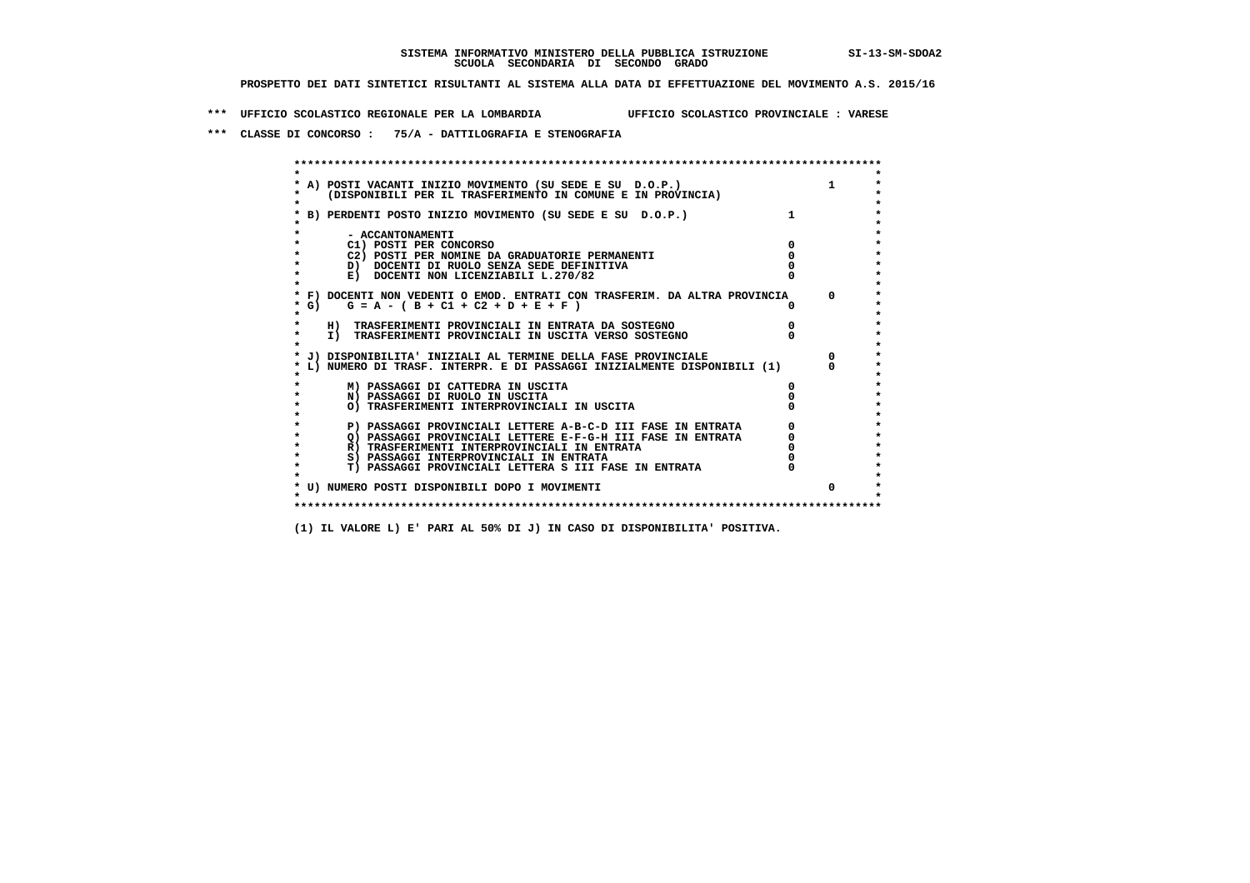**\*\*\* UFFICIO SCOLASTICO REGIONALE PER LA LOMBARDIA UFFICIO SCOLASTICO PROVINCIALE : VARESE**

 **\*\*\* CLASSE DI CONCORSO : 75/A - DATTILOGRAFIA E STENOGRAFIA**

| A) POSTI VACANTI INIZIO MOVIMENTO (SU SEDE E SU D.O.P.)                    |              |
|----------------------------------------------------------------------------|--------------|
| (DISPONIBILI PER IL TRASFERIMENTO IN COMUNE E IN PROVINCIA)                |              |
| B) PERDENTI POSTO INIZIO MOVIMENTO (SU SEDE E SU D.O.P.)                   |              |
| - ACCANTONAMENTI                                                           |              |
| C1) POSTI PER CONCORSO                                                     |              |
| C2) POSTI PER NOMINE DA GRADUATORIE PERMANENTI                             |              |
| D) DOCENTI DI RUOLO SENZA SEDE DEFINITIVA                                  |              |
| E) DOCENTI NON LICENZIABILI L.270/82                                       |              |
| * F) DOCENTI NON VEDENTI O EMOD. ENTRATI CON TRASFERIM. DA ALTRA PROVINCIA | <sup>n</sup> |
| * G) $G = A - (B + C1 + C2 + D + E + F)$                                   |              |
| H) TRASFERIMENTI PROVINCIALI IN ENTRATA DA SOSTEGNO                        |              |
| I) TRASFERIMENTI PROVINCIALI IN USCITA VERSO SOSTEGNO                      |              |
| J) DISPONIBILITA' INIZIALI AL TERMINE DELLA FASE PROVINCIALE               |              |
| L) NUMERO DI TRASF. INTERPR. E DI PASSAGGI INIZIALMENTE DISPONIBILI (1)    |              |
| M) PASSAGGI DI CATTEDRA IN USCITA                                          |              |
| N) PASSAGGI DI RUOLO IN USCITA                                             |              |
| O) TRASFERIMENTI INTERPROVINCIALI IN USCITA                                |              |
| P) PASSAGGI PROVINCIALI LETTERE A-B-C-D III FASE IN ENTRATA                |              |
| O) PASSAGGI PROVINCIALI LETTERE E-F-G-H III FASE IN ENTRATA                |              |
| R) TRASFERIMENTI INTERPROVINCIALI IN ENTRATA                               |              |
| S) PASSAGGI INTERPROVINCIALI IN ENTRATA                                    |              |
| T) PASSAGGI PROVINCIALI LETTERA S III FASE IN ENTRATA                      |              |
| * U) NUMERO POSTI DISPONIBILI DOPO I MOVIMENTI                             | $\Omega$     |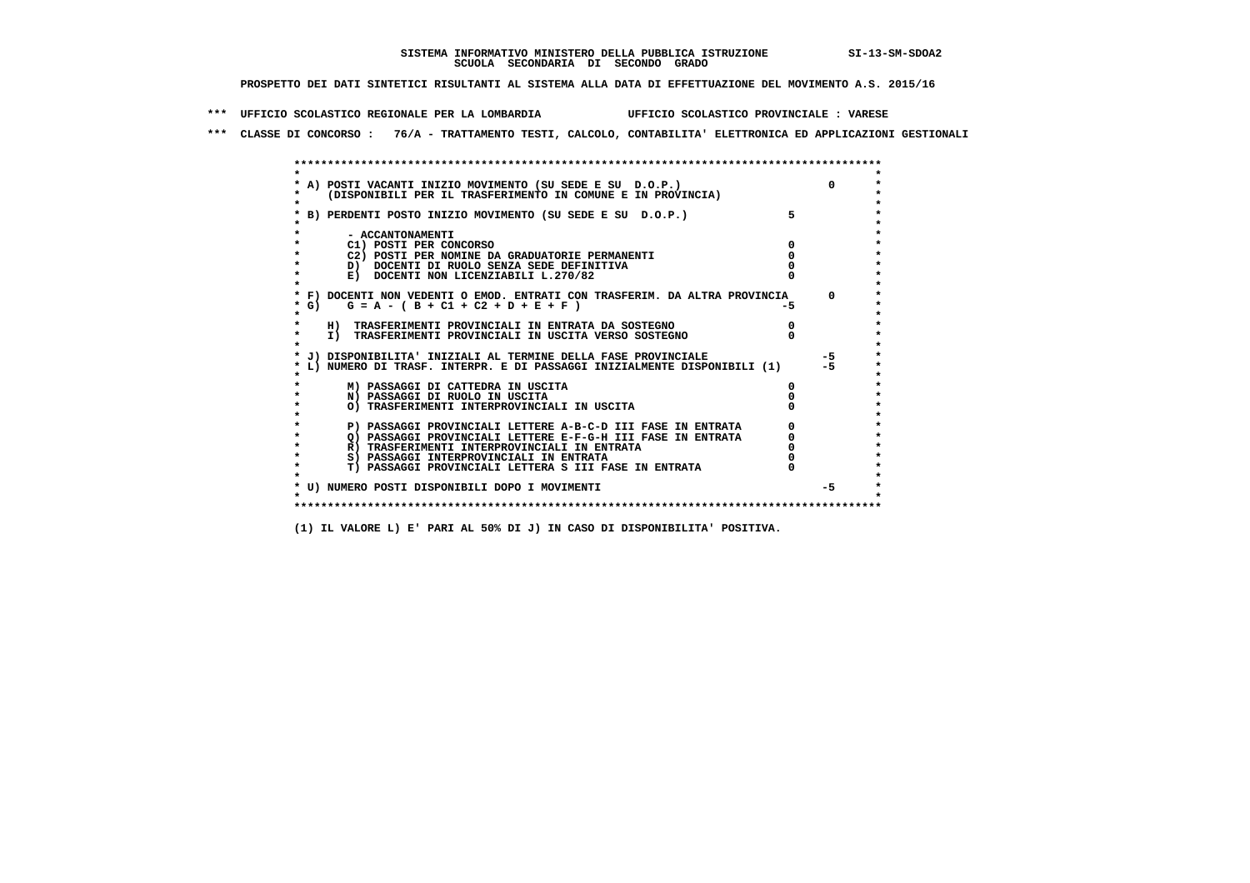**\*\*\* UFFICIO SCOLASTICO REGIONALE PER LA LOMBARDIA UFFICIO SCOLASTICO PROVINCIALE : VARESE**

 **\*\*\* CLASSE DI CONCORSO : 76/A - TRATTAMENTO TESTI, CALCOLO, CONTABILITA' ELETTRONICA ED APPLICAZIONI GESTIONALI**

|         | * A) POSTI VACANTI INIZIO MOVIMENTO (SU SEDE E SU D.O.P.)                                                                               |     |          |
|---------|-----------------------------------------------------------------------------------------------------------------------------------------|-----|----------|
|         | (DISPONIBILI PER IL TRASFERIMENTO IN COMUNE E IN PROVINCIA)                                                                             |     |          |
|         |                                                                                                                                         |     |          |
|         | B) PERDENTI POSTO INIZIO MOVIMENTO (SU SEDE E SU D.O.P.)                                                                                |     |          |
|         |                                                                                                                                         |     |          |
|         | - ACCANTONAMENTI                                                                                                                        |     |          |
|         | C1) POSTI PER CONCORSO                                                                                                                  |     |          |
|         | C2) POSTI PER NOMINE DA GRADUATORIE PERMANENTI                                                                                          |     |          |
|         | D) DOCENTI DI RUOLO SENZA SEDE DEFINITIVA                                                                                               |     |          |
|         | E) DOCENTI NON LICENZIABILI L.270/82                                                                                                    |     |          |
|         |                                                                                                                                         |     |          |
|         | * F) DOCENTI NON VEDENTI O EMOD. ENTRATI CON TRASFERIM. DA ALTRA PROVINCIA                                                              |     | $\Omega$ |
| * G) +  | $G = A - (B + C1 + C2 + D + E + F)$                                                                                                     | -5. |          |
| $\star$ |                                                                                                                                         |     |          |
|         | H) TRASFERIMENTI PROVINCIALI IN ENTRATA DA SOSTEGNO                                                                                     |     |          |
|         | I) TRASFERIMENTI PROVINCIALI IN USCITA VERSO SOSTEGNO                                                                                   |     |          |
|         |                                                                                                                                         |     | $-5$     |
|         | J) DISPONIBILITA' INIZIALI AL TERMINE DELLA FASE PROVINCIALE<br>L) NUMERO DI TRASF. INTERPR. E DI PASSAGGI INIZIALMENTE DISPONIBILI (1) |     | $-5$     |
|         |                                                                                                                                         |     |          |
|         | M) PASSAGGI DI CATTEDRA IN USCITA                                                                                                       |     |          |
|         | N) PASSAGGI DI RUOLO IN USCITA                                                                                                          |     |          |
|         | O) TRASFERIMENTI INTERPROVINCIALI IN USCITA                                                                                             |     |          |
|         |                                                                                                                                         |     |          |
|         | P) PASSAGGI PROVINCIALI LETTERE A-B-C-D III FASE IN ENTRATA                                                                             |     |          |
|         | Q) PASSAGGI PROVINCIALI LETTERE E-F-G-H III FASE IN ENTRATA                                                                             |     |          |
|         | R) TRASFERIMENTI INTERPROVINCIALI IN ENTRATA                                                                                            |     |          |
|         | S) PASSAGGI INTERPROVINCIALI IN ENTRATA                                                                                                 |     |          |
|         | T) PASSAGGI PROVINCIALI LETTERA S III FASE IN ENTRATA                                                                                   |     |          |
|         |                                                                                                                                         |     |          |
|         | * U) NUMERO POSTI DISPONIBILI DOPO I MOVIMENTI                                                                                          |     | $-5$     |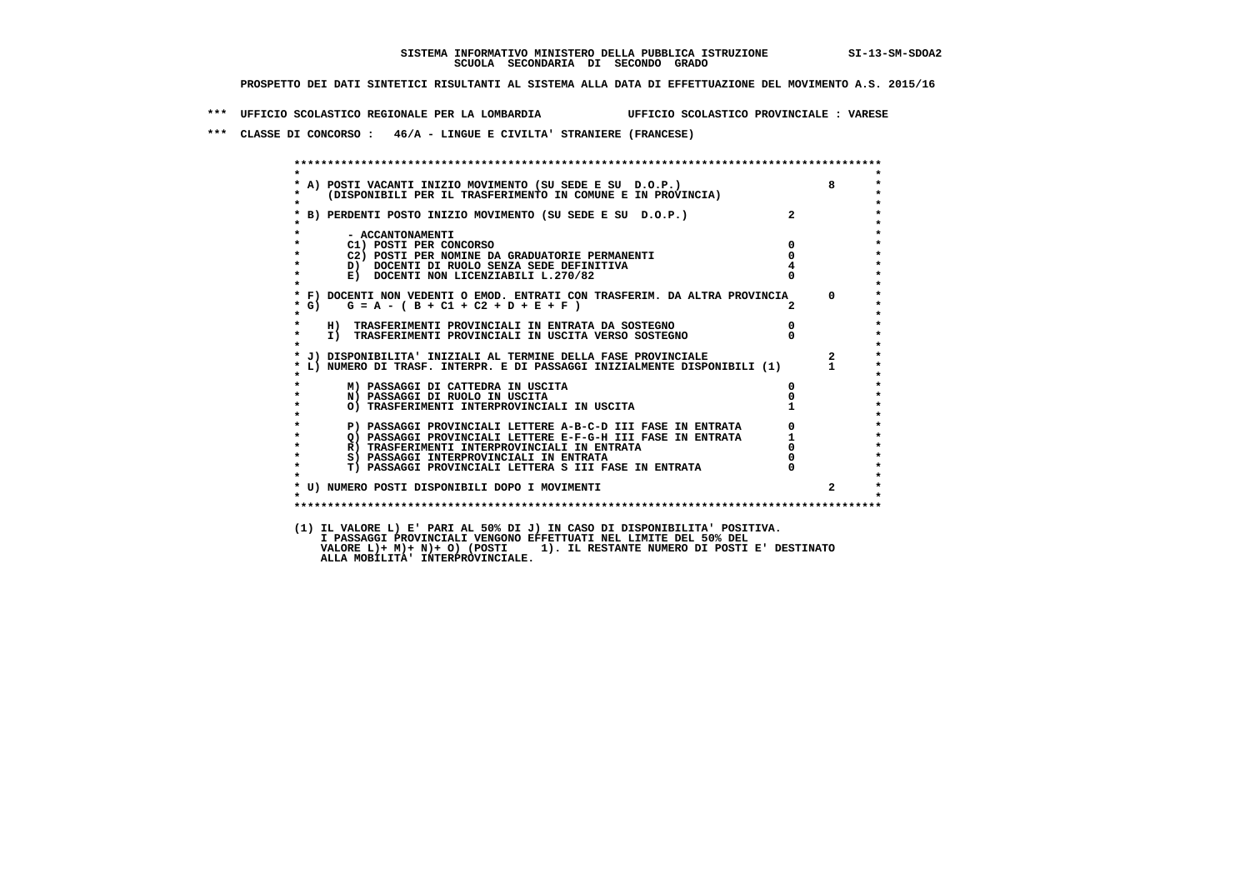**\*\*\* UFFICIO SCOLASTICO REGIONALE PER LA LOMBARDIA UFFICIO SCOLASTICO PROVINCIALE : VARESE**

 **\*\*\* CLASSE DI CONCORSO : 46/A - LINGUE E CIVILTA' STRANIERE (FRANCESE)**

|              | A) POSTI VACANTI INIZIO MOVIMENTO (SU SEDE E SU D.O.P.)<br>(DISPONIBILI PER IL TRASFERIMENTO IN COMUNE E IN PROVINCIA) |                                                 | 8                       |
|--------------|------------------------------------------------------------------------------------------------------------------------|-------------------------------------------------|-------------------------|
|              | B) PERDENTI POSTO INIZIO MOVIMENTO (SU SEDE E SU D.O.P.)                                                               |                                                 |                         |
|              | - ACCANTONAMENTI                                                                                                       |                                                 |                         |
|              | C1) POSTI PER CONCORSO                                                                                                 | $\mathbf{0}$                                    |                         |
|              | C2) POSTI PER NOMINE DA GRADUATORIE PERMANENTI                                                                         | $\overline{0}$                                  |                         |
|              | D) DOCENTI DI RUOLO SENZA SEDE DEFINITIVA                                                                              |                                                 |                         |
| $\star$      | E) DOCENTI NON LICENZIABILI L.270/82                                                                                   |                                                 |                         |
|              | * F) DOCENTI NON VEDENTI O EMOD. ENTRATI CON TRASFERIM. DA ALTRA PROVINCIA                                             |                                                 | $\Omega$                |
| $*$ G)       | $G = A - (B + C1 + C2 + D + E + F)$                                                                                    |                                                 |                         |
| $\star$      | $\begin{matrix}0\\0\\0\end{matrix}$<br>H) TRASFERIMENTI PROVINCIALI IN ENTRATA DA SOSTEGNO                             |                                                 |                         |
| $\star$      | I) TRASFERIMENTI PROVINCIALI IN USCITA VERSO SOSTEGNO                                                                  |                                                 |                         |
|              | J) DISPONIBILITA' INIZIALI AL TERMINE DELLA FASE PROVINCIALE                                                           |                                                 | $\overline{\mathbf{2}}$ |
|              | L) NUMERO DI TRASF. INTERPR. E DI PASSAGGI INIZIALMENTE DISPONIBILI (1) 1                                              |                                                 |                         |
|              | M) PASSAGGI DI CATTEDRA IN USCITA                                                                                      | $\mathbf{0}$                                    |                         |
|              | N) PASSAGGI DI RUOLO IN USCITA                                                                                         |                                                 |                         |
|              | O) TRASFERIMENTI INTERPROVINCIALI IN USCITA                                                                            |                                                 |                         |
|              | P) PASSAGGI PROVINCIALI LETTERE A-B-C-D III FASE IN ENTRATA                                                            | $\begin{array}{c} 0 \\ 1 \\ 0 \\ 0 \end{array}$ |                         |
| $\bullet$    | Q) PASSAGGI PROVINCIALI LETTERE E-F-G-H III FASE IN ENTRATA                                                            |                                                 |                         |
| $\bullet$    | R) TRASFERIMENTI INTERPROVINCIALI IN ENTRATA                                                                           |                                                 |                         |
| $\star$      | S) PASSAGGI INTERPROVINCIALI IN ENTRATA                                                                                |                                                 |                         |
| $\star$      | T) PASSAGGI PROVINCIALI LETTERA S III FASE IN ENTRATA                                                                  |                                                 |                         |
|              | * U) NUMERO POSTI DISPONIBILI DOPO I MOVIMENTI                                                                         |                                                 | $\mathbf{2}$            |
| $\mathbf{r}$ |                                                                                                                        |                                                 |                         |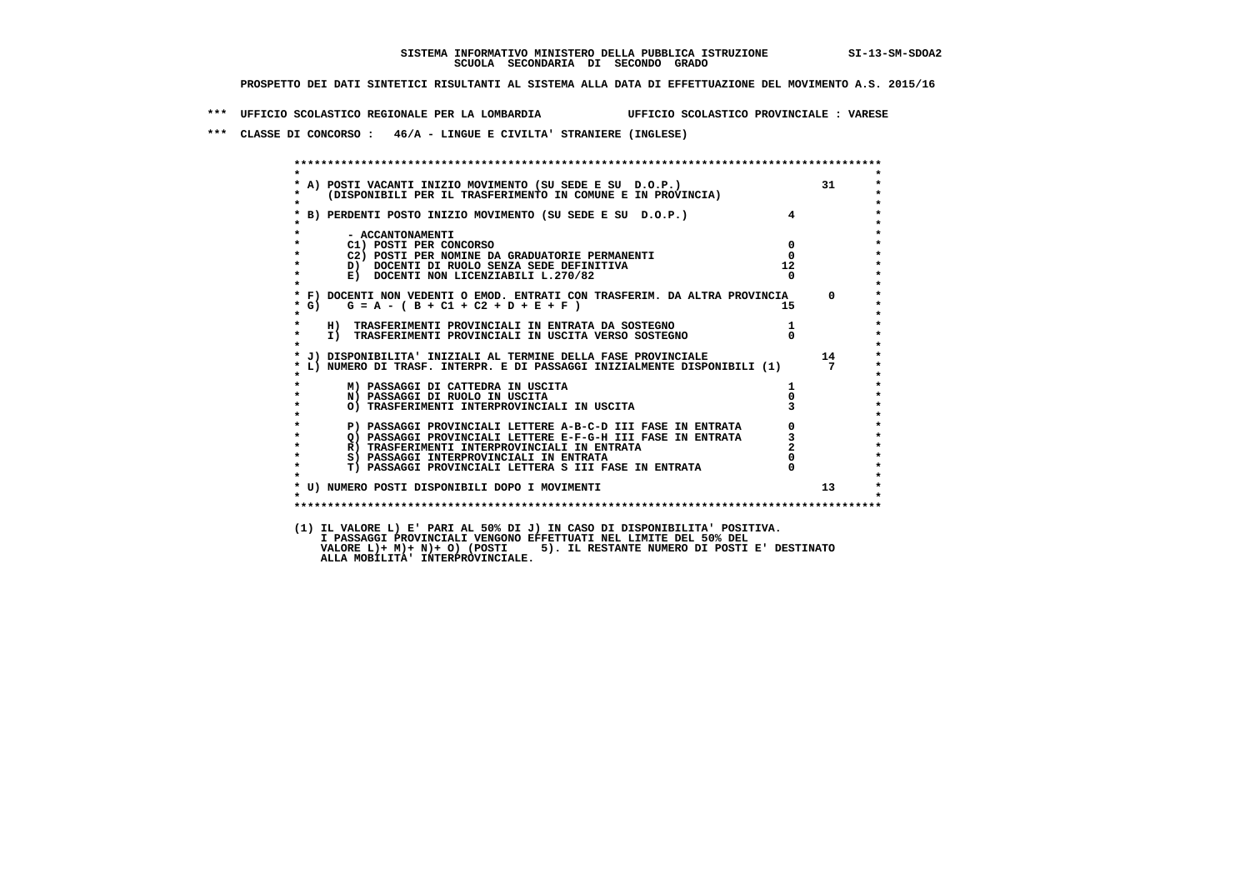**\*\*\* UFFICIO SCOLASTICO REGIONALE PER LA LOMBARDIA UFFICIO SCOLASTICO PROVINCIALE : VARESE**

 **\*\*\* CLASSE DI CONCORSO : 46/A - LINGUE E CIVILTA' STRANIERE (INGLESE)**

|                                                |                                                                                                                                                                                                                                      |                         | 31 |
|------------------------------------------------|--------------------------------------------------------------------------------------------------------------------------------------------------------------------------------------------------------------------------------------|-------------------------|----|
|                                                | A) POSTI VACANTI INIZIO MOVIMENTO (SU SEDE E SU D.O.P.)<br>(DISPONIBILI PER IL TRASFERIMENTO IN COMUNE E IN PROVINCIA)                                                                                                               |                         |    |
|                                                | *<br>* B) PERDENTI POSTO INIZIO MOVIMENTO (SU SEDE E SU D.O.P.)<br>*                                                                                                                                                                 |                         |    |
|                                                |                                                                                                                                                                                                                                      |                         |    |
|                                                |                                                                                                                                                                                                                                      |                         |    |
| - ACCANTONAMENTI                               |                                                                                                                                                                                                                                      |                         |    |
| C1) POSTI PER CONCORSO                         |                                                                                                                                                                                                                                      | $\overline{\mathbf{0}}$ |    |
| C2) POSTI PER NOMINE DA GRADUATORIE PERMANENTI |                                                                                                                                                                                                                                      | $\Omega$                |    |
| D) DOCENTI DI RUOLO SENZA SEDE DEFINITIVA      |                                                                                                                                                                                                                                      | 12                      |    |
| E) DOCENTI NON LICENZIABILI L.270/82           |                                                                                                                                                                                                                                      | $\Omega$                |    |
|                                                | * F) DOCENTI NON VEDENTI O EMOD. ENTRATI CON TRASFERIM. DA ALTRA PROVINCIA 0                                                                                                                                                         |                         |    |
| $G = A - (B + C1 + C2 + D + E + F)$<br>$*$ G)  |                                                                                                                                                                                                                                      | 15                      |    |
|                                                |                                                                                                                                                                                                                                      |                         |    |
|                                                | H) TRASFERIMENTI PROVINCIALI IN ENTRATA DA SOSTEGNO (11) TRASFERIMENTI PROVINCIALI IN USCITA VERSO SOSTEGNO (11) 0                                                                                                                   |                         |    |
|                                                |                                                                                                                                                                                                                                      |                         |    |
|                                                |                                                                                                                                                                                                                                      |                         |    |
|                                                | J) DISPONIBILITA' INIZIALI AL TERMINE DELLA FASE PROVINCIALE                                                                                                                                                                         |                         | 14 |
|                                                | L) NUMERO DI TRASF. INTERPR. E DI PASSAGGI INIZIALMENTE DISPONIBILI (1)                                                                                                                                                              |                         | 7  |
|                                                |                                                                                                                                                                                                                                      |                         |    |
| M) PASSAGGI DI CATTEDRA IN USCITA              |                                                                                                                                                                                                                                      |                         |    |
| N) PASSAGGI DI RUOLO IN USCITA                 |                                                                                                                                                                                                                                      |                         |    |
| O) TRASFERIMENTI INTERPROVINCIALI IN USCITA    |                                                                                                                                                                                                                                      |                         |    |
|                                                |                                                                                                                                                                                                                                      |                         |    |
|                                                | P) PASSAGGI PROVINCIALI LETTERE A-B-C-D III FASE IN ENTRATA (O)<br>() PASSAGGI PROVINCIALI LETTERE E-F-G-H III FASE IN ENTRATA (O)<br>R) TRASFERIMENTI INTERPROVINCIALI IN ENTRATA (2)<br>S) PASSAGGI INTERPROVINCIALI IN ENTRATA (0 |                         |    |
|                                                |                                                                                                                                                                                                                                      |                         |    |
|                                                |                                                                                                                                                                                                                                      |                         |    |
|                                                | T) PASSAGGI PROVINCIALI LETTERA S III FASE IN ENTRATA                                                                                                                                                                                | $\overline{0}$          |    |
|                                                |                                                                                                                                                                                                                                      |                         |    |
|                                                |                                                                                                                                                                                                                                      |                         | 13 |
| * U) NUMERO POSTI DISPONIBILI DOPO I MOVIMENTI |                                                                                                                                                                                                                                      |                         |    |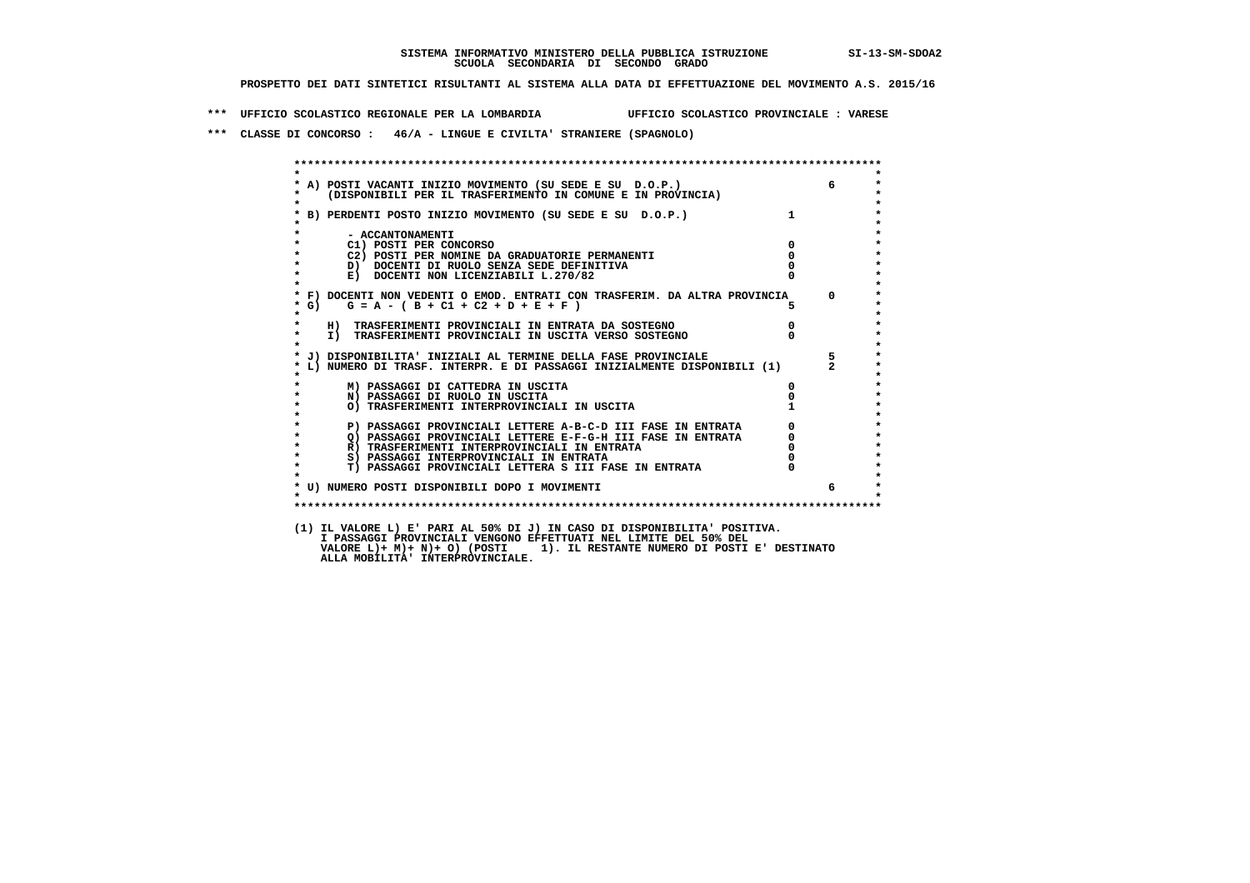**\*\*\* UFFICIO SCOLASTICO REGIONALE PER LA LOMBARDIA UFFICIO SCOLASTICO PROVINCIALE : VARESE**

 **\*\*\* CLASSE DI CONCORSO : 46/A - LINGUE E CIVILTA' STRANIERE (SPAGNOLO)**

| $\star$                                                                                                                                                                                                      |                                             |       |
|--------------------------------------------------------------------------------------------------------------------------------------------------------------------------------------------------------------|---------------------------------------------|-------|
| A) POSTI VACANTI INIZIO MOVIMENTO (SU SEDE E SU D.O.P.)<br>(DISPONIBILI PER IL TRASFERIMENTO IN COMUNE E IN PROVINCIA)                                                                                       |                                             | 6     |
| * B) PERDENTI POSTO INIZIO MOVIMENTO (SU SEDE E SU D.O.P.)                                                                                                                                                   |                                             |       |
|                                                                                                                                                                                                              |                                             |       |
| - ACCANTONAMENTI                                                                                                                                                                                             |                                             |       |
| C1) POSTI PER CONCORSO                                                                                                                                                                                       | $\Omega$                                    |       |
| C2) POSTI PER NOMINE DA GRADUATORIE PERMANENTI                                                                                                                                                               | $\overline{0}$                              |       |
| D) DOCENTI DI RUOLO SENZA SEDE DEFINITIVA                                                                                                                                                                    |                                             |       |
| $\bullet$<br>E) DOCENTI NON LICENZIABILI L.270/82                                                                                                                                                            |                                             |       |
| * F) DOCENTI NON VEDENTI O EMOD. ENTRATI CON TRASFERIM. DA ALTRA PROVINCIA 0                                                                                                                                 |                                             |       |
| $G = A - (B + C1 + C2 + D + E + F)$<br>$*$ G)                                                                                                                                                                |                                             |       |
| *<br>$\star$<br>H) TRASFERIMENTI PROVINCIALI IN ENTRATA DA SOSTEGNO                                                                                                                                          |                                             |       |
| $\star$<br>I) TRASFERIMENTI PROVINCIALI IN USCITA VERSO SOSTEGNO                                                                                                                                             | $\begin{matrix}0\\0\end{matrix}$            |       |
|                                                                                                                                                                                                              |                                             |       |
| J) DISPONIBILITA' INIZIALI AL TERMINE DELLA FASE PROVINCIALE                                                                                                                                                 |                                             | $5 -$ |
| L) NUMERO DI TRASF. INTERPR. E DI PASSAGGI INIZIALMENTE DISPONIBILI (1) 2                                                                                                                                    |                                             |       |
| M) PASSAGGI DI CATTEDRA IN USCITA                                                                                                                                                                            | $\Omega$                                    |       |
| $\star$<br>N) PASSAGGI DI RUOLO IN USCITA                                                                                                                                                                    |                                             |       |
| O) TRASFERIMENTI INTERPROVINCIALI IN USCITA                                                                                                                                                                  |                                             |       |
| P) PASSAGGI PROVINCIALI LETTERE A-B-C-D III FASE IN ENTRATA                                                                                                                                                  |                                             |       |
| $\star$                                                                                                                                                                                                      |                                             |       |
| 2) PASSAGGI PROVINCIALI LETTERE E-F-G-H III FASE IN ENTRATA<br>R) TRASFERIMENTI INTERPROVINCIALI IN ENTRATA<br>S) PASSAGGI INTERPROVINCIALI IN ENTRATA<br>S) PASSAGGI INTERPROVINCIALI IN ENTRATA<br>$\star$ | $\begin{bmatrix} 0 \\ 0 \\ 0 \end{bmatrix}$ |       |
| $\star$<br>S) PASSAGGI INTERPROVINCIALI IN ENTRATA                                                                                                                                                           |                                             |       |
| T) PASSAGGI PROVINCIALI LETTERA S III FASE IN ENTRATA<br>$\star$                                                                                                                                             |                                             |       |
| * U) NUMERO POSTI DISPONIBILI DOPO I MOVIMENTI                                                                                                                                                               |                                             | 6     |
| $\star$                                                                                                                                                                                                      |                                             |       |
|                                                                                                                                                                                                              |                                             |       |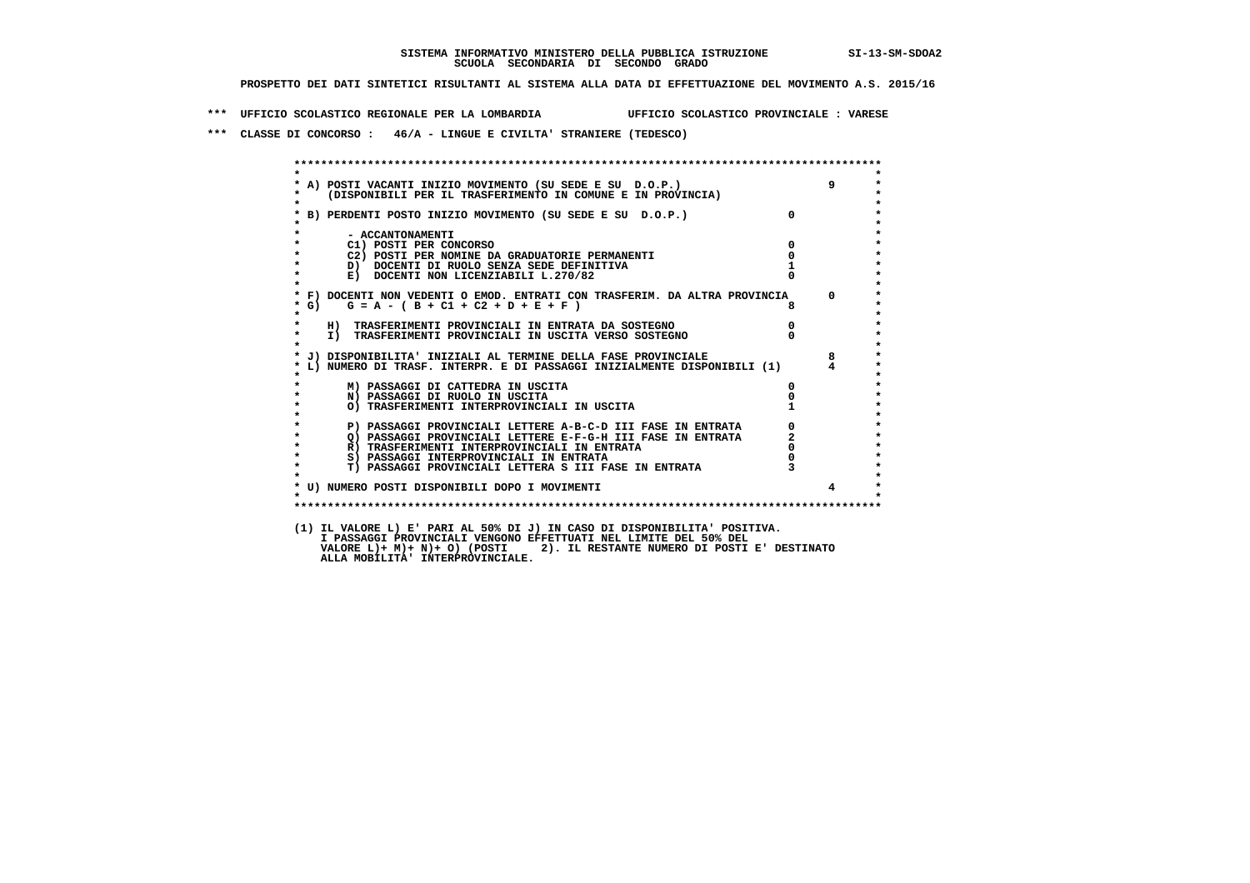**\*\*\* UFFICIO SCOLASTICO REGIONALE PER LA LOMBARDIA UFFICIO SCOLASTICO PROVINCIALE : VARESE**

 **\*\*\* CLASSE DI CONCORSO : 46/A - LINGUE E CIVILTA' STRANIERE (TEDESCO)**

| $\star$            |                                                                                                             |                |             |
|--------------------|-------------------------------------------------------------------------------------------------------------|----------------|-------------|
|                    | * A) POSTI VACANTI INIZIO MOVIMENTO (SU SEDE E SU D.O.P.)                                                   |                | $9^{\circ}$ |
| *<br>$\star$       | (DISPONIBILI PER IL TRASFERIMENTO IN COMUNE E IN PROVINCIA)                                                 |                |             |
|                    | * B) PERDENTI POSTO INIZIO MOVIMENTO (SU SEDE E SU D.O.P.)                                                  | $\Omega$       |             |
|                    |                                                                                                             |                |             |
| $\star$            | - ACCANTONAMENTI                                                                                            |                |             |
| $\star$            | C1) POSTI PER CONCORSO                                                                                      | $\Omega$       |             |
| $\star$            | C2) POSTI PER NOMINE DA GRADUATORIE PERMANENTI                                                              | $\mathbf{o}$   |             |
| $\star$            | D) DOCENTI DI RUOLO SENZA SEDE DEFINITIVA                                                                   |                |             |
| $\star$            | E) DOCENTI NON LICENZIABILI L.270/82                                                                        |                |             |
| $\star$            | * F) DOCENTI NON VEDENTI O EMOD. ENTRATI CON TRASFERIM. DA ALTRA PROVINCIA 0                                |                |             |
| * G)               | $G = A - (B + C1 + C2 + D + E + F)$                                                                         |                |             |
| $\star$            |                                                                                                             |                |             |
| $\star$            | H) TRASFERIMENTI PROVINCIALI IN ENTRATA DA SOSTEGNO                                                         | $\overline{0}$ |             |
| $\star$            | I) TRASFERIMENTI PROVINCIALI IN USCITA VERSO SOSTEGNO                                                       |                |             |
| $\star$            |                                                                                                             |                |             |
|                    | * J) DISPONIBILITA' INIZIALI AL TERMINE DELLA FASE PROVINCIALE                                              |                | 8           |
|                    | * L) NUMERO DI TRASF. INTERPR. E DI PASSAGGI INIZIALMENTE DISPONIBILI (1) 4                                 |                |             |
|                    | M) PASSAGGI DI CATTEDRA IN USCITA                                                                           | 0              |             |
| $\star$            | N) PASSAGGI DI RUOLO IN USCITA                                                                              |                |             |
| $\star$            | O) TRASFERIMENTI INTERPROVINCIALI IN USCITA                                                                 |                |             |
| $\star$            |                                                                                                             |                |             |
| $\star$<br>$\star$ | P) PASSAGGI PROVINCIALI LETTERE A-B-C-D III FASE IN ENTRATA                                                 |                |             |
| $\star$            | Q) PASSAGGI PROVINCIALI LETTERE E-F-G-H III FASE IN ENTRATA<br>R) TRASFERIMENTI INTERPROVINCIALI IN ENTRATA |                |             |
| $\star$            | S) PASSAGGI INTERPROVINCIALI IN ENTRATA                                                                     |                |             |
| $\star$            | T) PASSAGGI PROVINCIALI LETTERA S III FASE IN ENTRATA                                                       |                |             |
|                    |                                                                                                             |                |             |
|                    | * U) NUMERO POSTI DISPONIBILI DOPO I MOVIMENTI                                                              |                |             |
| $\star$            |                                                                                                             |                |             |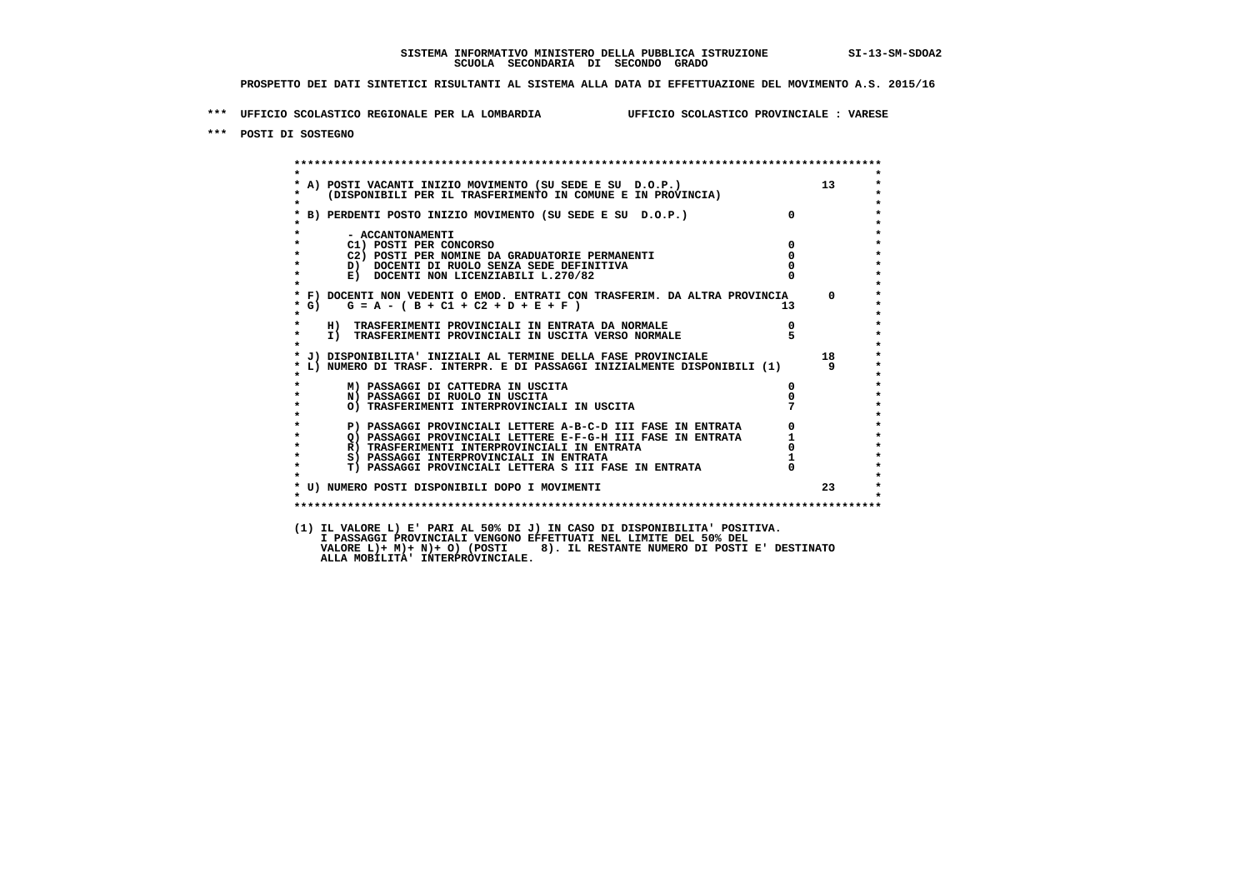**\*\*\* UFFICIO SCOLASTICO REGIONALE PER LA LOMBARDIA UFFICIO SCOLASTICO PROVINCIALE : VARESE**

 **\*\*\* POSTI DI SOSTEGNO**

 **\*\*\*\*\*\*\*\*\*\*\*\*\*\*\*\*\*\*\*\*\*\*\*\*\*\*\*\*\*\*\*\*\*\*\*\*\*\*\*\*\*\*\*\*\*\*\*\*\*\*\*\*\*\*\*\*\*\*\*\*\*\*\*\*\*\*\*\*\*\*\*\*\*\*\*\*\*\*\*\*\*\*\*\*\*\*\*\* \* \*** $\bullet$  **\* A) POSTI VACANTI INIZIO MOVIMENTO (SU SEDE E SU D.O.P.) 13 \*** $\star$  **\* (DISPONIBILI PER IL TRASFERIMENTO IN COMUNE E IN PROVINCIA) \* \* \* \* B) PERDENTI POSTO INIZIO MOVIMENTO (SU SEDE E SU D.O.P.) 0 \* \* \* \* - ACCANTONAMENTI \* \* C1) POSTI PER CONCORSO 0 \* \* C2) POSTI PER NOMINE DA GRADUATORIE PERMANENTI 0 \*D)** DOCENTI DI RUOLO SENZA SEDE DEFINITIVA  $\overline{R}$  0  $\overline{R}$  0  $\overline{R}$  0  $\overline{R}$  0  $\overline{R}$  0  $\overline{R}$  0  $\overline{R}$  0  $\overline{R}$  0  $\overline{R}$  0  $\overline{R}$  0  $\overline{R}$  0  $\overline{R}$  0  $\overline{R}$  0  $\overline{R}$  0  $\overline{R}$  0  $\overline{R}$  0  $\$ **E) DOCENTI NON LICENZIABILI L.270/82 \* \* \* F) DOCENTI NON VEDENTI O EMOD. ENTRATI CON TRASFERIM. DA ALTRA PROVINCIA 0 \***  $\star$  **G)** G = A - ( B + C1 + C2 + D + E + F )  **\* \* \* H) TRASFERIMENTI PROVINCIALI IN ENTRATA DA NORMALE 0 \*THE INTERFERIMENTI PROVINCIALI IN USCITA VERSO NORMALE \* \* \* J) DISPONIBILITA' INIZIALI AL TERMINE DELLA FASE PROVINCIALE 18 \* \* L) NUMERO DI TRASF. INTERPR. E DI PASSAGGI INIZIALMENTE DISPONIBILI (1) 9 \* \* \* \* M) PASSAGGI DI CATTEDRA IN USCITA 0 \* \* N) PASSAGGI DI RUOLO IN USCITA 0 \* \* O) TRASFERIMENTI INTERPROVINCIALI IN USCITA 7 \* \* \* P) PASSAGGI PROVINCIALI LETTERE A-B-C-D III FASE IN ENTRATA** 0 <sup>0</sup> **DASSAGGI PROVINCIALI LETTERE E-F-G-H** III FASE IN ENTRATA 1 **2) PASSAGGI PROVINCIALI LETTERE E-F-G-H III FASE IN ENTRATA 1 1 R**) TRASFERIMENTI INTERPROVINCIALI IN ENTRATA 1 0 **R)** TRASFERIMENTI INTERPROVINCIALI IN ENTRATA 0<br>
8) PASSAGGI INTERPROVINCIALI IN ENTRATA 1  **\* S) PASSAGGI INTERPROVINCIALI IN ENTRATA 1 \*** $\ddot{\phantom{1}}$  **\* T) PASSAGGI PROVINCIALI LETTERA S III FASE IN ENTRATA 0 \*** $\star$  **\* \*** $\star$  **\* U) NUMERO POSTI DISPONIBILI DOPO I MOVIMENTI 23 \* \* \* \*\*\*\*\*\*\*\*\*\*\*\*\*\*\*\*\*\*\*\*\*\*\*\*\*\*\*\*\*\*\*\*\*\*\*\*\*\*\*\*\*\*\*\*\*\*\*\*\*\*\*\*\*\*\*\*\*\*\*\*\*\*\*\*\*\*\*\*\*\*\*\*\*\*\*\*\*\*\*\*\*\*\*\*\*\*\*\* (1) IL VALORE L) E' PARI AL 50% DI J) IN CASO DI DISPONIBILITA' POSITIVA. I PASSAGGI PROVINCIALI VENGONO EFFETTUATI NEL LIMITE DEL 50% DEL**

 **VALORE L)+ M)+ N)+ O) (POSTI 8). IL RESTANTE NUMERO DI POSTI E' DESTINATO ALLA MOBILITA' INTERPROVINCIALE.**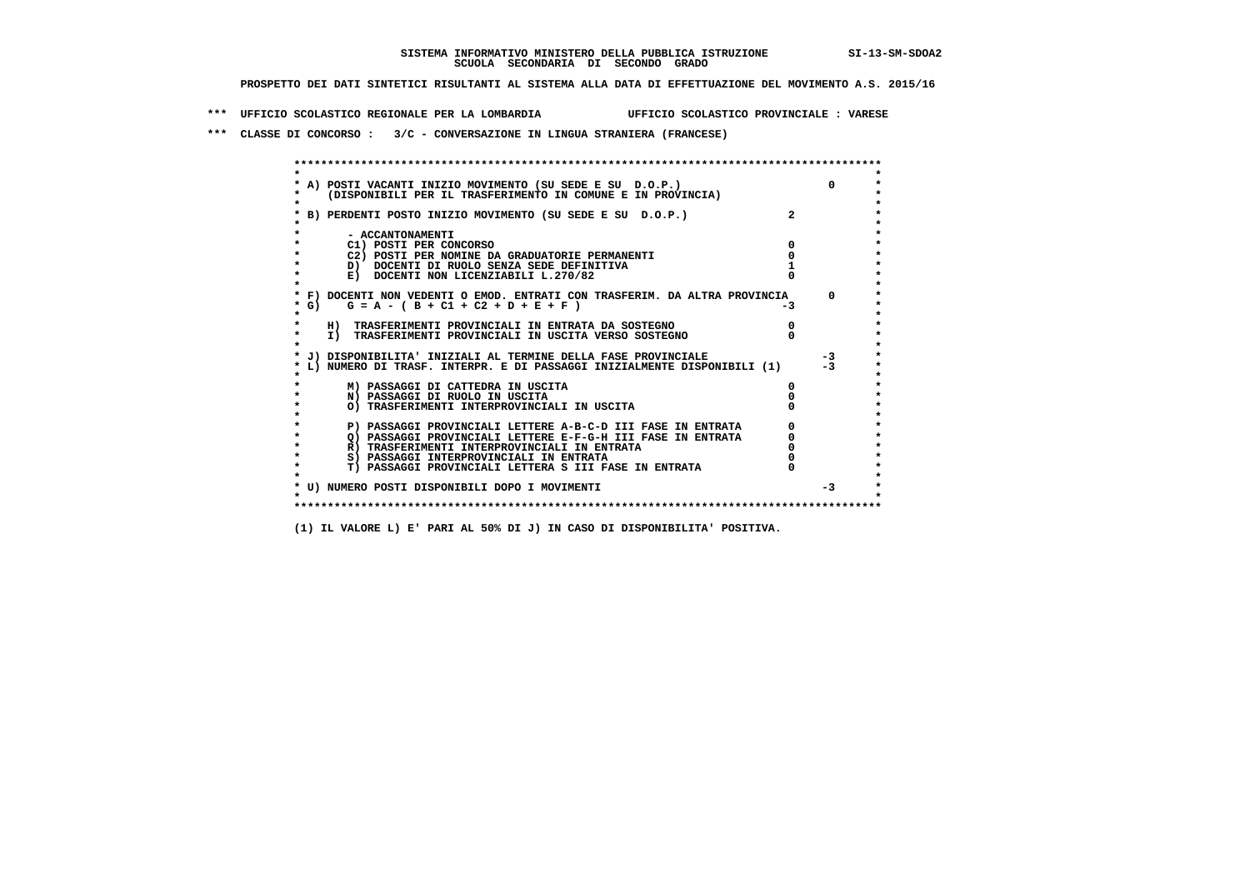**\*\*\* UFFICIO SCOLASTICO REGIONALE PER LA LOMBARDIA UFFICIO SCOLASTICO PROVINCIALE : VARESE**

 **\*\*\* CLASSE DI CONCORSO : 3/C - CONVERSAZIONE IN LINGUA STRANIERA (FRANCESE)**

|         | A) POSTI VACANTI INIZIO MOVIMENTO (SU SEDE E SU D.O.P.)                    |                | $\Omega$ |
|---------|----------------------------------------------------------------------------|----------------|----------|
|         | (DISPONIBILI PER IL TRASFERIMENTO IN COMUNE E IN PROVINCIA)                |                |          |
|         |                                                                            |                |          |
|         | B) PERDENTI POSTO INIZIO MOVIMENTO (SU SEDE E SU D.O.P.)                   | $\overline{2}$ |          |
|         |                                                                            |                |          |
|         | - ACCANTONAMENTI                                                           |                |          |
|         | C1) POSTI PER CONCORSO                                                     |                |          |
|         | C2) POSTI PER NOMINE DA GRADUATORIE PERMANENTI                             |                |          |
|         | D) DOCENTI DI RUOLO SENZA SEDE DEFINITIVA                                  |                |          |
|         | E) DOCENTI NON LICENZIABILI L.270/82                                       |                |          |
|         | * F) DOCENTI NON VEDENTI O EMOD. ENTRATI CON TRASFERIM. DA ALTRA PROVINCIA |                | $\Omega$ |
| * G) =  | $G = A - (B + C1 + C2 + D + E + F)$                                        | -3             |          |
| *       |                                                                            |                |          |
|         | H) TRASFERIMENTI PROVINCIALI IN ENTRATA DA SOSTEGNO                        |                |          |
| $\star$ | I) TRASFERIMENTI PROVINCIALI IN USCITA VERSO SOSTEGNO                      |                |          |
|         |                                                                            |                |          |
|         | J) DISPONIBILITA' INIZIALI AL TERMINE DELLA FASE PROVINCIALE               |                | $-3$     |
|         | L) NUMERO DI TRASF. INTERPR. E DI PASSAGGI INIZIALMENTE DISPONIBILI (1)    |                |          |
|         |                                                                            |                |          |
|         | M) PASSAGGI DI CATTEDRA IN USCITA                                          |                |          |
|         | N) PASSAGGI DI RUOLO IN USCITA                                             |                |          |
|         | O) TRASFERIMENTI INTERPROVINCIALI IN USCITA                                |                |          |
|         | P) PASSAGGI PROVINCIALI LETTERE A-B-C-D III FASE IN ENTRATA                |                |          |
|         | O) PASSAGGI PROVINCIALI LETTERE E-F-G-H III FASE IN ENTRATA                |                |          |
|         | R) TRASFERIMENTI INTERPROVINCIALI IN ENTRATA                               |                |          |
|         | S) PASSAGGI INTERPROVINCIALI IN ENTRATA                                    |                |          |
|         | T) PASSAGGI PROVINCIALI LETTERA S III FASE IN ENTRATA                      |                |          |
|         |                                                                            |                |          |
|         | * U) NUMERO POSTI DISPONIBILI DOPO I MOVIMENTI                             |                | $-3$     |
|         |                                                                            |                |          |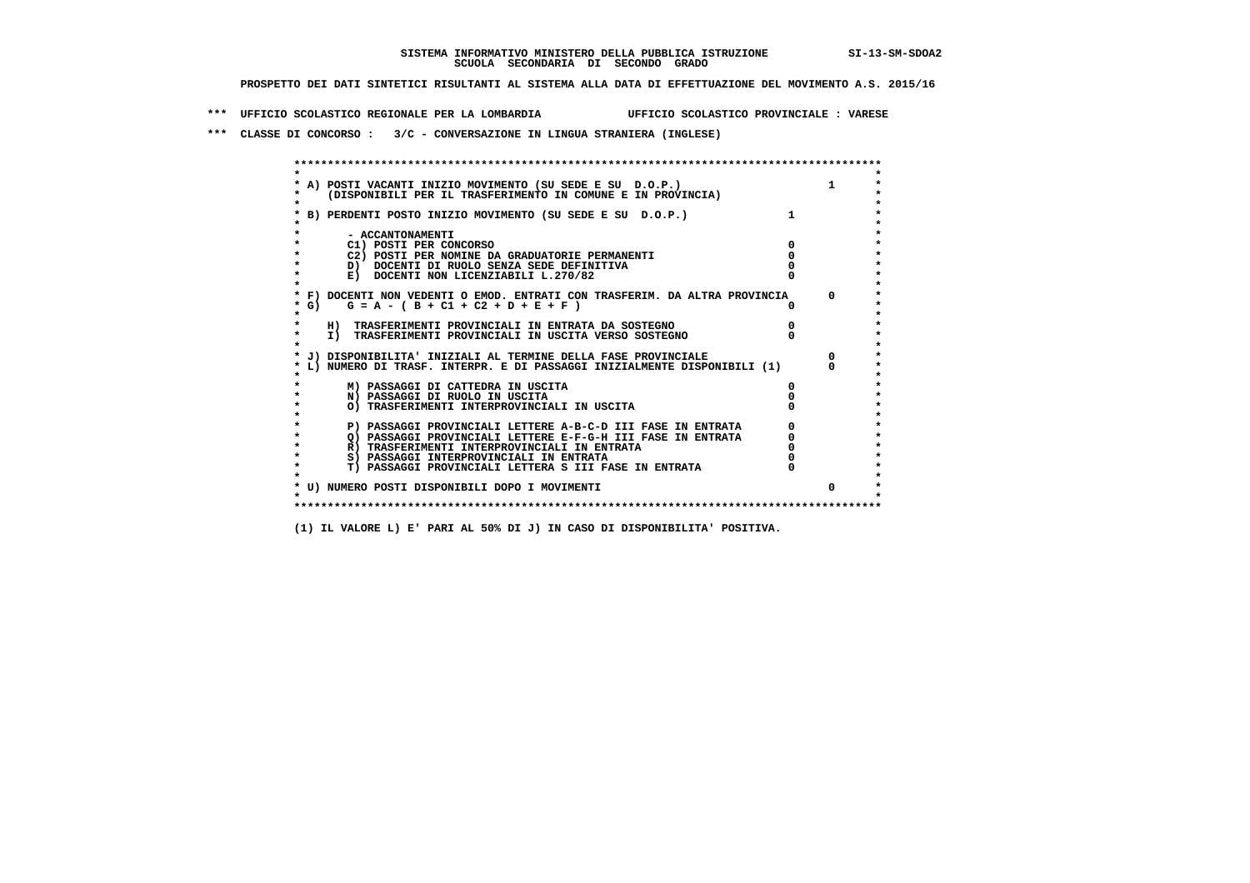**\*\*\* UFFICIO SCOLASTICO REGIONALE PER LA LOMBARDIA UFFICIO SCOLASTICO PROVINCIALE : VARESE**

 **\*\*\* CLASSE DI CONCORSO : 3/C - CONVERSAZIONE IN LINGUA STRANIERA (INGLESE)**

|         | * A) POSTI VACANTI INIZIO MOVIMENTO (SU SEDE E SU D.O.P.)                  |            |
|---------|----------------------------------------------------------------------------|------------|
|         | (DISPONIBILI PER IL TRASFERIMENTO IN COMUNE E IN PROVINCIA)                |            |
|         |                                                                            |            |
|         | B) PERDENTI POSTO INIZIO MOVIMENTO (SU SEDE E SU D.O.P.)                   |            |
|         |                                                                            |            |
|         | - ACCANTONAMENTI                                                           |            |
|         | C1) POSTI PER CONCORSO                                                     |            |
|         | C2) POSTI PER NOMINE DA GRADUATORIE PERMANENTI                             |            |
|         | D) DOCENTI DI RUOLO SENZA SEDE DEFINITIVA                                  |            |
|         | E) DOCENTI NON LICENZIABILI L.270/82                                       |            |
|         |                                                                            |            |
|         | * F) DOCENTI NON VEDENTI O EMOD. ENTRATI CON TRASFERIM. DA ALTRA PROVINCIA | $^{\circ}$ |
| * G) =  | $G = A - (B + C1 + C2 + D + E + F)$                                        |            |
| $\star$ |                                                                            |            |
|         | H) TRASFERIMENTI PROVINCIALI IN ENTRATA DA SOSTEGNO                        |            |
|         | I) TRASFERIMENTI PROVINCIALI IN USCITA VERSO SOSTEGNO                      |            |
|         |                                                                            |            |
|         | * J) DISPONIBILITA' INIZIALI AL TERMINE DELLA FASE PROVINCIALE             |            |
|         | L) NUMERO DI TRASF. INTERPR. E DI PASSAGGI INIZIALMENTE DISPONIBILI (1)    |            |
|         |                                                                            |            |
|         | M) PASSAGGI DI CATTEDRA IN USCITA                                          |            |
|         | N) PASSAGGI DI RUOLO IN USCITA                                             |            |
|         | O) TRASFERIMENTI INTERPROVINCIALI IN USCITA                                |            |
|         |                                                                            |            |
|         | P) PASSAGGI PROVINCIALI LETTERE A-B-C-D III FASE IN ENTRATA                |            |
|         | O) PASSAGGI PROVINCIALI LETTERE E-F-G-H III FASE IN ENTRATA                |            |
|         | R) TRASFERIMENTI INTERPROVINCIALI IN ENTRATA                               |            |
|         | S) PASSAGGI INTERPROVINCIALI IN ENTRATA                                    |            |
|         | T) PASSAGGI PROVINCIALI LETTERA S III FASE IN ENTRATA                      |            |
|         |                                                                            |            |
|         | * U) NUMERO POSTI DISPONIBILI DOPO I MOVIMENTI                             | $\Omega$   |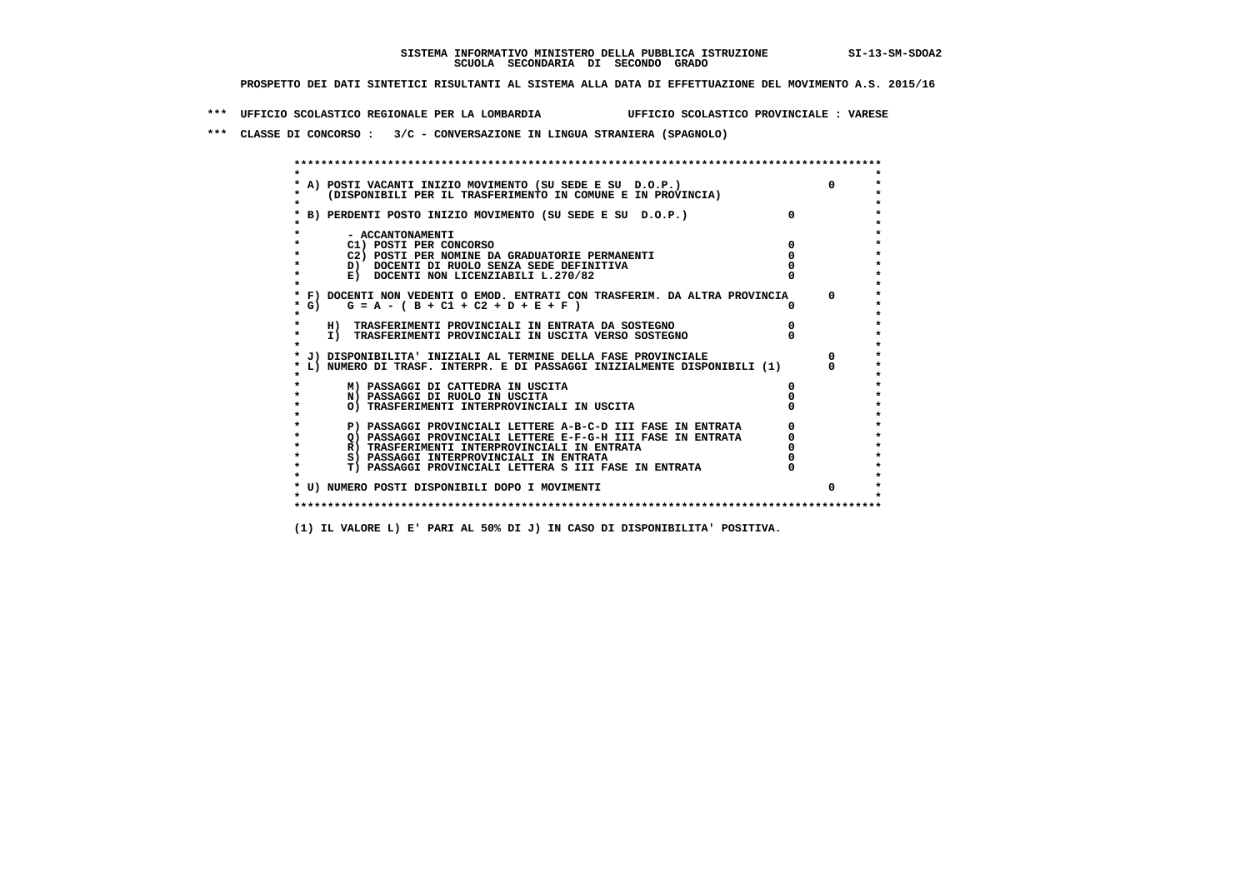**\*\*\* UFFICIO SCOLASTICO REGIONALE PER LA LOMBARDIA UFFICIO SCOLASTICO PROVINCIALE : VARESE**

 **\*\*\* CLASSE DI CONCORSO : 3/C - CONVERSAZIONE IN LINGUA STRANIERA (SPAGNOLO)**

|         | A) POSTI VACANTI INIZIO MOVIMENTO (SU SEDE E SU D.O.P.)                    |              |
|---------|----------------------------------------------------------------------------|--------------|
|         | (DISPONIBILI PER IL TRASFERIMENTO IN COMUNE E IN PROVINCIA)                |              |
|         |                                                                            |              |
|         | B) PERDENTI POSTO INIZIO MOVIMENTO (SU SEDE E SU D.O.P.)                   |              |
|         |                                                                            |              |
|         | - ACCANTONAMENTI                                                           |              |
|         | C1) POSTI PER CONCORSO                                                     |              |
|         | C2) POSTI PER NOMINE DA GRADUATORIE PERMANENTI                             |              |
|         | D) DOCENTI DI RUOLO SENZA SEDE DEFINITIVA                                  |              |
|         | E) DOCENTI NON LICENZIABILI L.270/82                                       |              |
|         | * F) DOCENTI NON VEDENTI O EMOD. ENTRATI CON TRASFERIM. DA ALTRA PROVINCIA | $^{\circ}$   |
| * G)    | $G = A - (B + C1 + C2 + D + E + F)$                                        |              |
|         |                                                                            |              |
|         | H) TRASFERIMENTI PROVINCIALI IN ENTRATA DA SOSTEGNO                        |              |
| $\star$ | I) TRASFERIMENTI PROVINCIALI IN USCITA VERSO SOSTEGNO                      |              |
|         |                                                                            |              |
|         | J) DISPONIBILITA' INIZIALI AL TERMINE DELLA FASE PROVINCIALE               |              |
|         | L) NUMERO DI TRASF. INTERPR. E DI PASSAGGI INIZIALMENTE DISPONIBILI (1)    |              |
|         |                                                                            |              |
|         | M) PASSAGGI DI CATTEDRA IN USCITA                                          |              |
|         | N) PASSAGGI DI RUOLO IN USCITA                                             |              |
|         | O) TRASFERIMENTI INTERPROVINCIALI IN USCITA                                |              |
|         | P) PASSAGGI PROVINCIALI LETTERE A-B-C-D III FASE IN ENTRATA                |              |
|         | O) PASSAGGI PROVINCIALI LETTERE E-F-G-H III FASE IN ENTRATA                |              |
|         | R) TRASFERIMENTI INTERPROVINCIALI IN ENTRATA                               |              |
|         | S) PASSAGGI INTERPROVINCIALI IN ENTRATA                                    |              |
| $\star$ | T) PASSAGGI PROVINCIALI LETTERA S III FASE IN ENTRATA                      |              |
|         |                                                                            |              |
|         | * U) NUMERO POSTI DISPONIBILI DOPO I MOVIMENTI                             | <sup>n</sup> |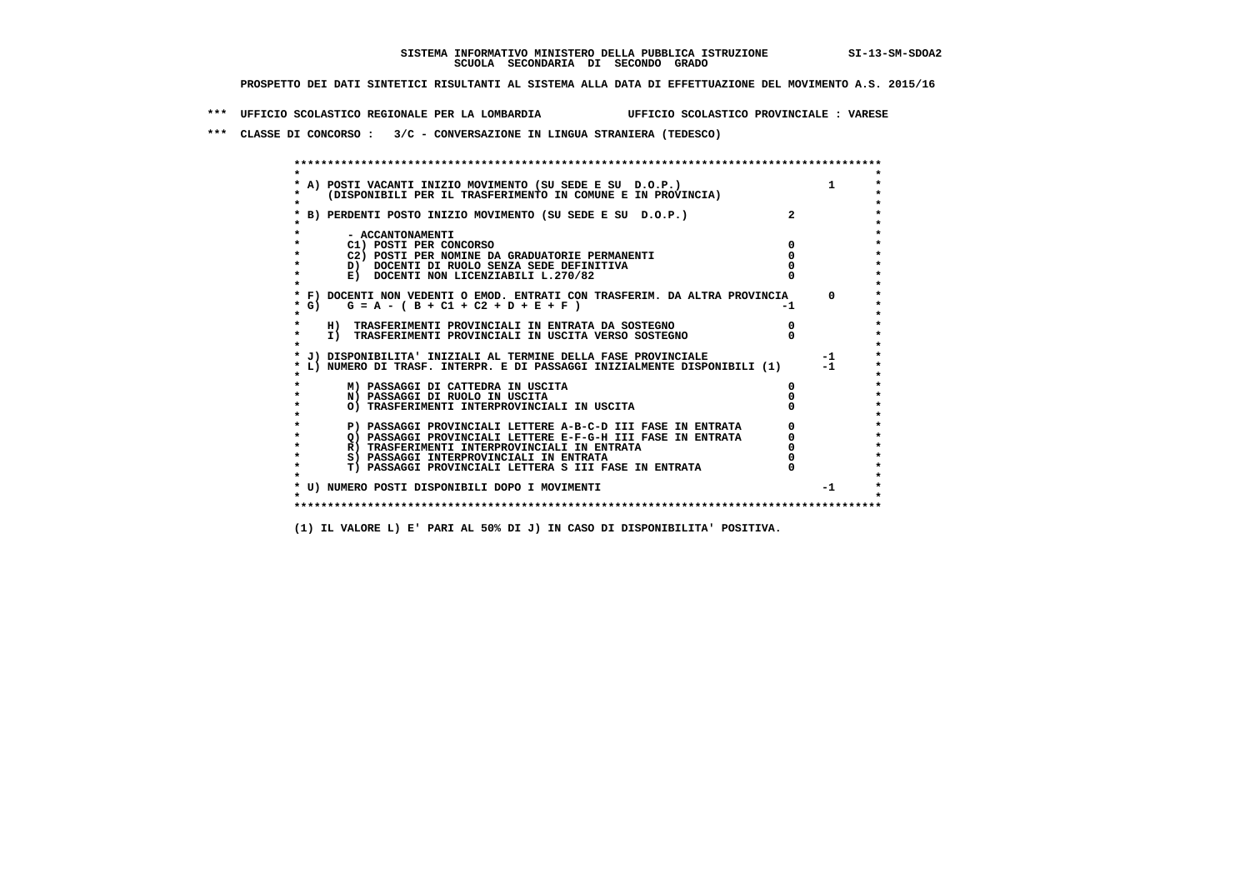**\*\*\* UFFICIO SCOLASTICO REGIONALE PER LA LOMBARDIA UFFICIO SCOLASTICO PROVINCIALE : VARESE**

 **\*\*\* CLASSE DI CONCORSO : 3/C - CONVERSAZIONE IN LINGUA STRANIERA (TEDESCO)**

|         | * A) POSTI VACANTI INIZIO MOVIMENTO (SU SEDE E SU D.O.P.)                         |    |          |
|---------|-----------------------------------------------------------------------------------|----|----------|
|         | (DISPONIBILI PER IL TRASFERIMENTO IN COMUNE E IN PROVINCIA)                       |    |          |
|         |                                                                                   |    |          |
|         | B) PERDENTI POSTO INIZIO MOVIMENTO (SU SEDE E SU D.O.P.)                          |    |          |
|         |                                                                                   |    |          |
|         | - ACCANTONAMENTI                                                                  |    |          |
|         | C1) POSTI PER CONCORSO                                                            |    |          |
|         | C2) POSTI PER NOMINE DA GRADUATORIE PERMANENTI                                    |    |          |
|         | D) DOCENTI DI RUOLO SENZA SEDE DEFINITIVA<br>E) DOCENTI NON LICENZIABILI L.270/82 |    |          |
|         |                                                                                   |    |          |
|         | * F) DOCENTI NON VEDENTI O EMOD. ENTRATI CON TRASFERIM. DA ALTRA PROVINCIA        |    | $\Omega$ |
| * G) +  | $G = A - (B + C1 + C2 + D + E + F)$                                               | -1 |          |
| $\star$ |                                                                                   |    |          |
|         | H) TRASFERIMENTI PROVINCIALI IN ENTRATA DA SOSTEGNO                               |    |          |
| $\star$ | I) TRASFERIMENTI PROVINCIALI IN USCITA VERSO SOSTEGNO                             |    |          |
|         |                                                                                   |    |          |
|         | * J) DISPONIBILITA' INIZIALI AL TERMINE DELLA FASE PROVINCIALE                    |    | $-1$     |
|         | L) NUMERO DI TRASF. INTERPR. E DI PASSAGGI INIZIALMENTE DISPONIBILI (1)           |    | $-1$     |
|         |                                                                                   |    |          |
|         | M) PASSAGGI DI CATTEDRA IN USCITA                                                 |    |          |
|         | N) PASSAGGI DI RUOLO IN USCITA                                                    |    |          |
|         | O) TRASFERIMENTI INTERPROVINCIALI IN USCITA                                       |    |          |
|         |                                                                                   |    |          |
|         | P) PASSAGGI PROVINCIALI LETTERE A-B-C-D III FASE IN ENTRATA                       |    |          |
|         | O) PASSAGGI PROVINCIALI LETTERE E-F-G-H III FASE IN ENTRATA                       |    |          |
|         | R) TRASFERIMENTI INTERPROVINCIALI IN ENTRATA                                      |    |          |
| $\star$ | S) PASSAGGI INTERPROVINCIALI IN ENTRATA                                           |    |          |
| $\star$ | T) PASSAGGI PROVINCIALI LETTERA S III FASE IN ENTRATA                             |    |          |
|         |                                                                                   |    | $-1$     |
|         | * U) NUMERO POSTI DISPONIBILI DOPO I MOVIMENTI                                    |    |          |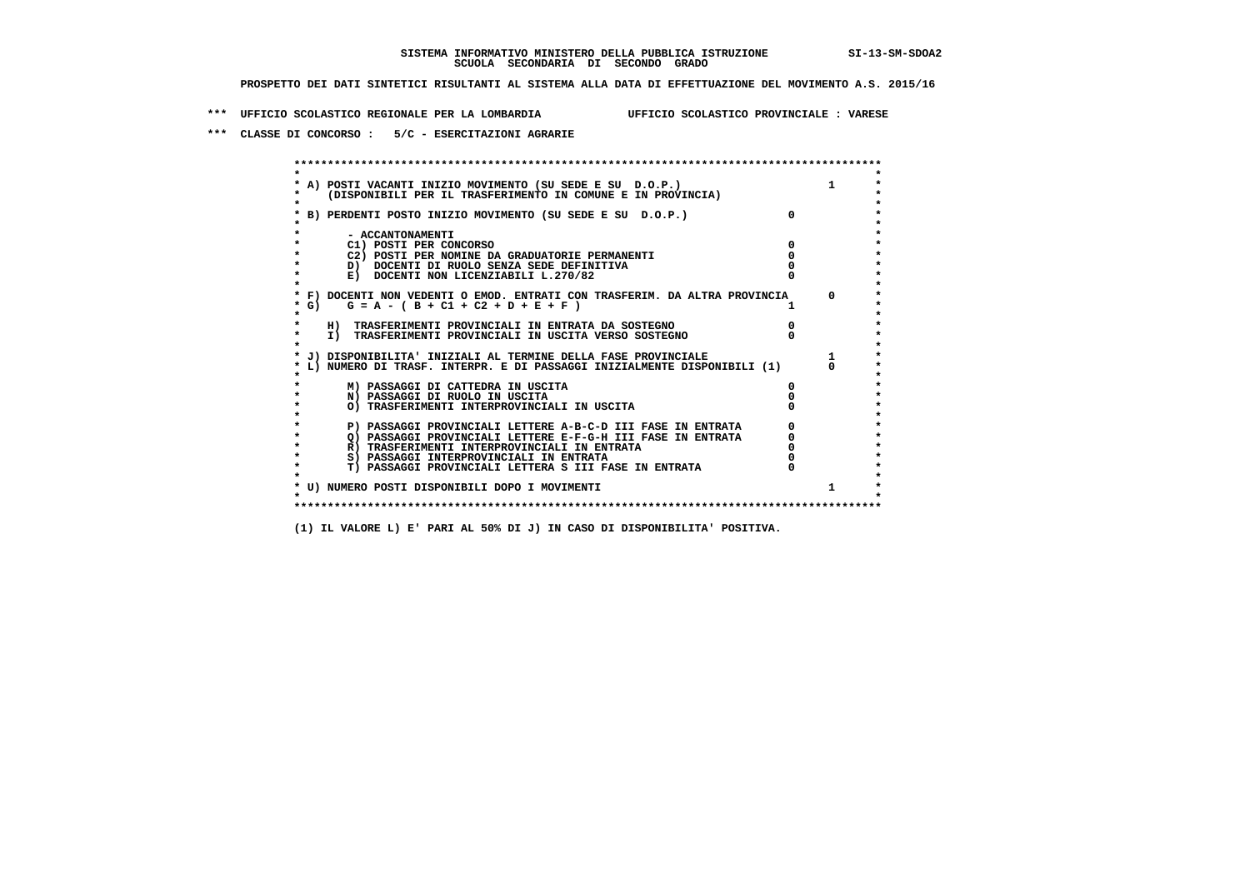**\*\*\* UFFICIO SCOLASTICO REGIONALE PER LA LOMBARDIA UFFICIO SCOLASTICO PROVINCIALE : VARESE**

 **\*\*\* CLASSE DI CONCORSO : 5/C - ESERCITAZIONI AGRARIE**

 **\*\*\*\*\*\*\*\*\*\*\*\*\*\*\*\*\*\*\*\*\*\*\*\*\*\*\*\*\*\*\*\*\*\*\*\*\*\*\*\*\*\*\*\*\*\*\*\*\*\*\*\*\*\*\*\*\*\*\*\*\*\*\*\*\*\*\*\*\*\*\*\*\*\*\*\*\*\*\*\*\*\*\*\*\*\*\*\* \* \*** $\bullet$  **\* A) POSTI VACANTI INIZIO MOVIMENTO (SU SEDE E SU D.O.P.) 1 \*** $\star$  **\* (DISPONIBILI PER IL TRASFERIMENTO IN COMUNE E IN PROVINCIA) \*** $\bullet$  **\* \* \* B) PERDENTI POSTO INIZIO MOVIMENTO (SU SEDE E SU D.O.P.) 0 \* \* \* \* - ACCANTONAMENTI \* \* C1) POSTI PER CONCORSO 0 \* \* C2) POSTI PER NOMINE DA GRADUATORIE PERMANENTI 0 \*D)** DOCENTI DI RUOLO SENZA SEDE DEFINITIVA  $\overline{a}$  0  $\overline{b}$  0  $\overline{c}$  0  $\overline{c}$  0  $\overline{c}$  0  $\overline{a}$  0  $\overline{c}$ **E) DOCENTI NON LICENZIABILI L.270/82 \* \* \* F) DOCENTI NON VEDENTI O EMOD. ENTRATI CON TRASFERIM. DA ALTRA PROVINCIA 0 \***  $\star$  **G)** G = A - ( B + C1 + C2 + D + E + F )  **\* \* \* H) TRASFERIMENTI PROVINCIALI IN ENTRATA DA SOSTEGNO 0 \* \* I) TRASFERIMENTI PROVINCIALI IN USCITA VERSO SOSTEGNO 0 \* \* \* \* J) DISPONIBILITA' INIZIALI AL TERMINE DELLA FASE PROVINCIALE 1 \* \* L) NUMERO DI TRASF. INTERPR. E DI PASSAGGI INIZIALMENTE DISPONIBILI (1) 0 \* \* \* \* M) PASSAGGI DI CATTEDRA IN USCITA 0 \* \* N) PASSAGGI DI RUOLO IN USCITA 0 \* \* O) TRASFERIMENTI INTERPROVINCIALI IN USCITA 0 \* \* \* P) PASSAGGI PROVINCIALI LETTERE A-B-C-D III FASE IN ENTRATA** 0 <sup>0</sup> **DASSAGGI PROVINCIALI LETTERE E-F-G-H** III FASE IN ENTRATA 0 <sup>0</sup>  **\* Q) PASSAGGI PROVINCIALI LETTERE E-F-G-H III FASE IN ENTRATA 0 \*R)** TRASFERIMENTI INTERPROVINCIALI IN ENTRATA  $\begin{bmatrix} 0 & 0 \\ 0 & 0 \\ 0 & 0 \end{bmatrix}$  PASSAGGI INTERPROVINCIALI IN ENTRATA  $\begin{bmatrix} 0 & 0 \\ 0 & 0 \\ 0 & 0 \end{bmatrix}$ **8) PASSAGGI INTERPROVINCIALI IN ENTRATA 6 \*\*\*** 0 \*\*\*<br> **T) PASSAGGI PROVINCIALI LETTERA S III FASE IN ENTRATA** 0 \*\*\*  $\ddot{\phantom{1}}$  **\* T) PASSAGGI PROVINCIALI LETTERA S III FASE IN ENTRATA 0 \*** $\star$  **\* \* \* U) NUMERO POSTI DISPONIBILI DOPO I MOVIMENTI 1 \* \* \* \*\*\*\*\*\*\*\*\*\*\*\*\*\*\*\*\*\*\*\*\*\*\*\*\*\*\*\*\*\*\*\*\*\*\*\*\*\*\*\*\*\*\*\*\*\*\*\*\*\*\*\*\*\*\*\*\*\*\*\*\*\*\*\*\*\*\*\*\*\*\*\*\*\*\*\*\*\*\*\*\*\*\*\*\*\*\*\***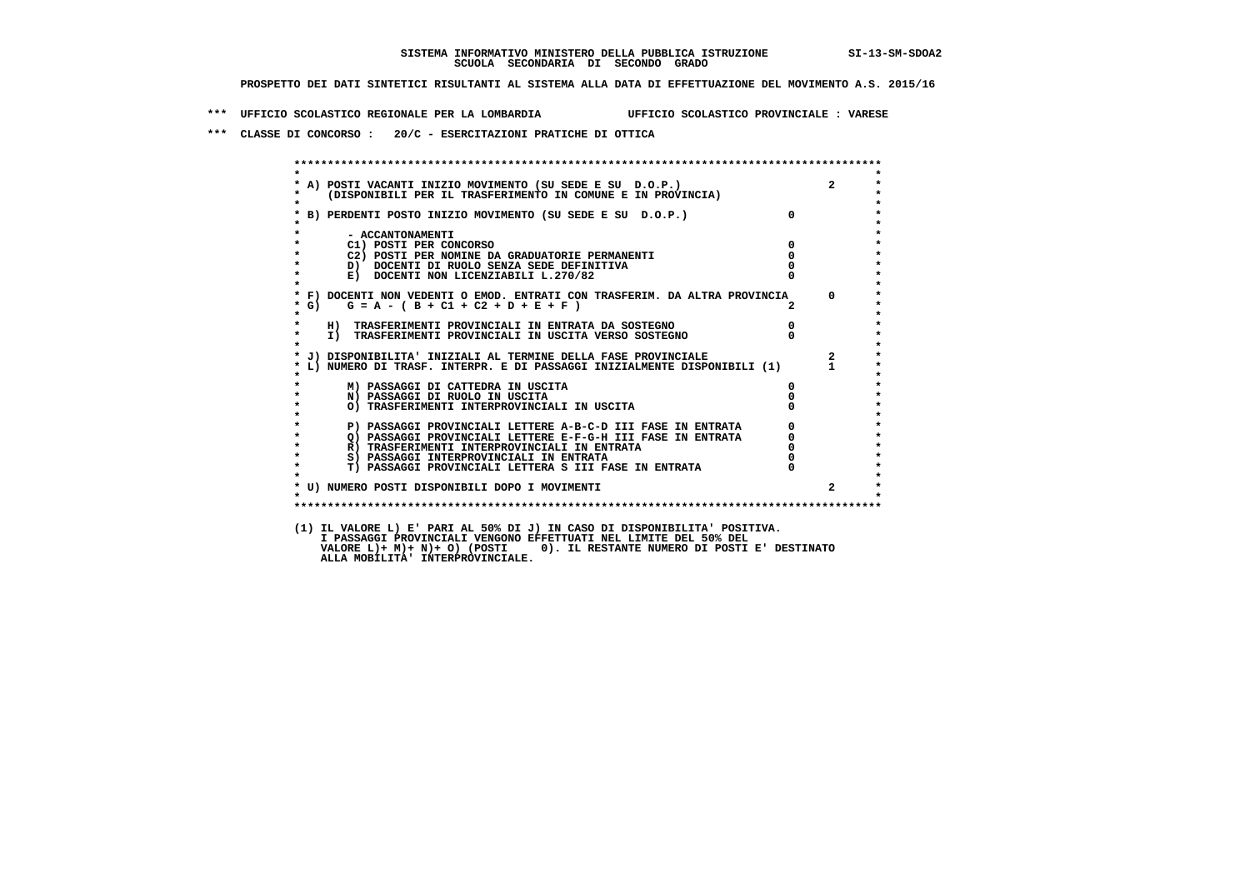**\*\*\* UFFICIO SCOLASTICO REGIONALE PER LA LOMBARDIA UFFICIO SCOLASTICO PROVINCIALE : VARESE**

 **\*\*\* CLASSE DI CONCORSO : 20/C - ESERCITAZIONI PRATICHE DI OTTICA**

| $\star$            |                                                                                                                         |                |                         |
|--------------------|-------------------------------------------------------------------------------------------------------------------------|----------------|-------------------------|
|                    | * A) POSTI VACANTI INIZIO MOVIMENTO (SU SEDE E SU D.O.P.)                                                               |                | $2^{\circ}$             |
| $\star$<br>$\star$ | (DISPONIBILI PER IL TRASFERIMENTO IN COMUNE E IN PROVINCIA)                                                             |                |                         |
|                    | * B) PERDENTI POSTO INIZIO MOVIMENTO (SU SEDE E SU D.O.P.)                                                              | $\Omega$       |                         |
|                    |                                                                                                                         |                |                         |
| $\star$            | - ACCANTONAMENTI                                                                                                        |                |                         |
| $\star$<br>$\star$ | C1) POSTI PER CONCORSO                                                                                                  | $\Omega$       |                         |
|                    | C2) POSTI PER NOMINE DA GRADUATORIE PERMANENTI                                                                          | $\mathbf{o}$   |                         |
|                    | D) DOCENTI DI RUOLO SENZA SEDE DEFINITIVA<br>E) DOCENTI NON LICENZIABILI L.270/82                                       |                |                         |
| $\star$<br>$\star$ |                                                                                                                         |                |                         |
|                    | * F) DOCENTI NON VEDENTI O EMOD. ENTRATI CON TRASFERIM. DA ALTRA PROVINCIA 0                                            |                |                         |
| * G)               | $G = A - (B + C1 + C2 + D + E + F)$                                                                                     |                |                         |
| $\star$            |                                                                                                                         |                |                         |
| $\star$            | H) TRASFERIMENTI PROVINCIALI IN ENTRATA DA SOSTEGNO                                                                     | $\overline{0}$ |                         |
| $\star$<br>$\star$ | I) TRASFERIMENTI PROVINCIALI IN USCITA VERSO SOSTEGNO                                                                   |                |                         |
|                    | * J) DISPONIBILITA' INIZIALI AL TERMINE DELLA FASE PROVINCIALE                                                          |                | $\overline{\mathbf{2}}$ |
|                    | * L) NUMERO DI TRASF. INTERPR. E DI PASSAGGI INIZIALMENTE DISPONIBILI (1) 1                                             |                |                         |
|                    |                                                                                                                         |                |                         |
|                    | M) PASSAGGI DI CATTEDRA IN USCITA                                                                                       | 0              |                         |
| $\star$            | N) PASSAGGI DI RUOLO IN USCITA                                                                                          |                |                         |
| $\star$            | O) TRASFERIMENTI INTERPROVINCIALI IN USCITA                                                                             |                |                         |
| $\star$<br>$\star$ |                                                                                                                         |                |                         |
| $\star$            | P) PASSAGGI PROVINCIALI LETTERE A-B-C-D III FASE IN ENTRATA Q) PASSAGGI PROVINCIALI LETTERE E-F-G-H III FASE IN ENTRATA |                |                         |
| $\star$            | R) TRASFERIMENTI INTERPROVINCIALI IN ENTRATA                                                                            |                |                         |
| $\star$            | S) PASSAGGI INTERPROVINCIALI IN ENTRATA                                                                                 |                |                         |
| $\star$            | T) PASSAGGI PROVINCIALI LETTERA S III FASE IN ENTRATA                                                                   |                |                         |
|                    |                                                                                                                         |                |                         |
| $\star$            | * U) NUMERO POSTI DISPONIBILI DOPO I MOVIMENTI                                                                          |                |                         |
|                    |                                                                                                                         |                |                         |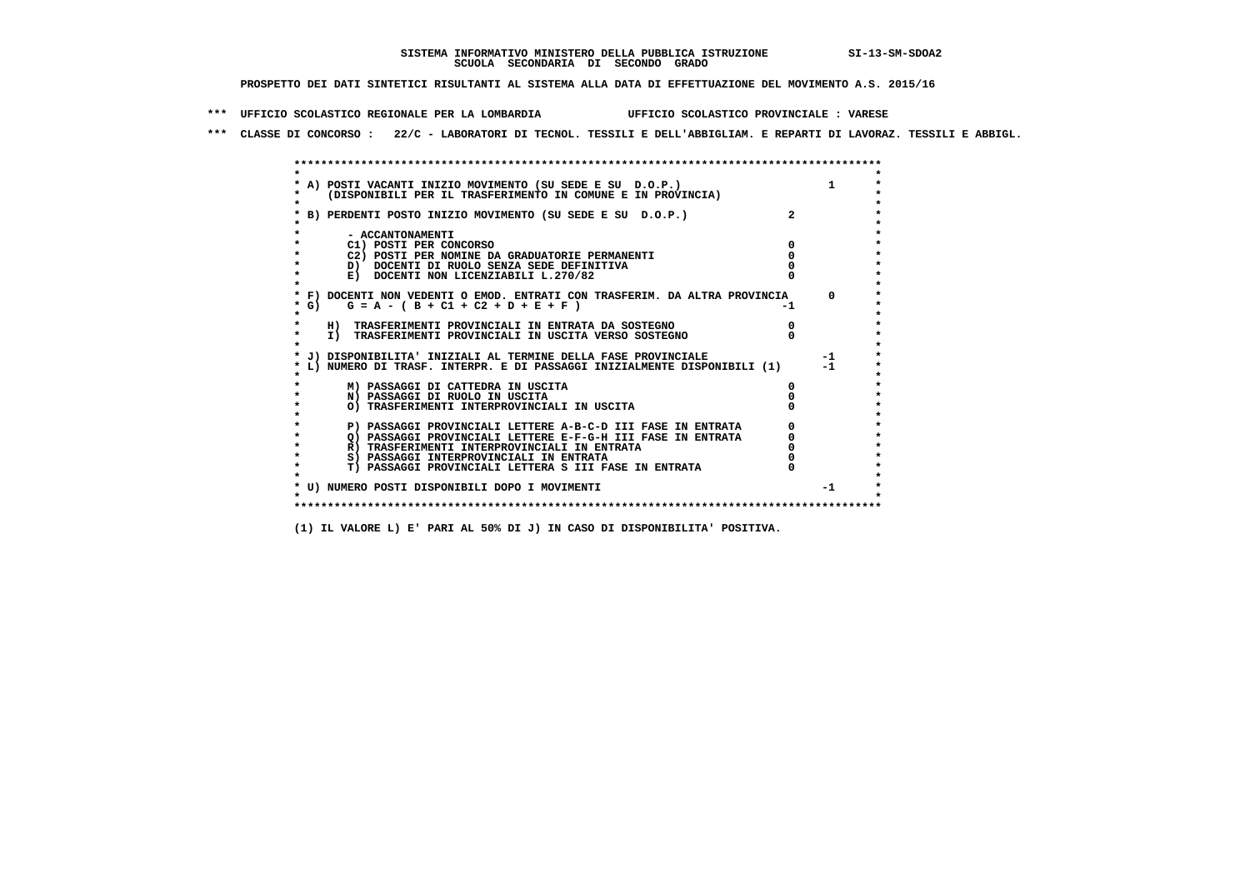**\*\*\* UFFICIO SCOLASTICO REGIONALE PER LA LOMBARDIA UFFICIO SCOLASTICO PROVINCIALE : VARESE**

 **\*\*\* CLASSE DI CONCORSO : 22/C - LABORATORI DI TECNOL. TESSILI E DELL'ABBIGLIAM. E REPARTI DI LAVORAZ. TESSILI E ABBIGL.**

|                    | A) POSTI VACANTI INIZIO MOVIMENTO (SU SEDE E SU D.O.P.)                                     |    |              |
|--------------------|---------------------------------------------------------------------------------------------|----|--------------|
|                    | (DISPONIBILI PER IL TRASFERIMENTO IN COMUNE E IN PROVINCIA)                                 |    |              |
|                    |                                                                                             |    |              |
|                    | B) PERDENTI POSTO INIZIO MOVIMENTO (SU SEDE E SU D.O.P.)                                    |    |              |
|                    |                                                                                             |    |              |
|                    | - ACCANTONAMENTI                                                                            |    |              |
|                    | C1) POSTI PER CONCORSO                                                                      |    |              |
|                    | C2) POSTI PER NOMINE DA GRADUATORIE PERMANENTI<br>D) DOCENTI DI RUOLO SENZA SEDE DEFINITIVA |    |              |
|                    | E) DOCENTI NON LICENZIABILI L.270/82                                                        |    |              |
|                    |                                                                                             |    |              |
|                    | * F) DOCENTI NON VEDENTI O EMOD. ENTRATI CON TRASFERIM. DA ALTRA PROVINCIA                  |    | $\Omega$     |
| * G) +             | $G = A - (B + C1 + C2 + D + E + F)$                                                         | -1 |              |
|                    |                                                                                             |    |              |
|                    | H) TRASFERIMENTI PROVINCIALI IN ENTRATA DA SOSTEGNO                                         |    |              |
| $\star$            | I) TRASFERIMENTI PROVINCIALI IN USCITA VERSO SOSTEGNO                                       |    |              |
|                    |                                                                                             |    |              |
|                    | J) DISPONIBILITA' INIZIALI AL TERMINE DELLA FASE PROVINCIALE                                |    | $-1$<br>$-1$ |
|                    | L) NUMERO DI TRASF. INTERPR. E DI PASSAGGI INIZIALMENTE DISPONIBILI (1)                     |    |              |
|                    | M) PASSAGGI DI CATTEDRA IN USCITA                                                           |    |              |
|                    | N) PASSAGGI DI RUOLO IN USCITA                                                              |    |              |
|                    | O) TRASFERIMENTI INTERPROVINCIALI IN USCITA                                                 |    |              |
|                    |                                                                                             |    |              |
|                    | P) PASSAGGI PROVINCIALI LETTERE A-B-C-D III FASE IN ENTRATA                                 |    |              |
|                    | O) PASSAGGI PROVINCIALI LETTERE E-F-G-H III FASE IN ENTRATA                                 |    |              |
|                    | R) TRASFERIMENTI INTERPROVINCIALI IN ENTRATA                                                |    |              |
| $\star$<br>$\star$ | S) PASSAGGI INTERPROVINCIALI IN ENTRATA                                                     |    |              |
|                    | T) PASSAGGI PROVINCIALI LETTERA S III FASE IN ENTRATA                                       |    |              |
|                    | * U) NUMERO POSTI DISPONIBILI DOPO I MOVIMENTI                                              |    | $-1$         |
|                    |                                                                                             |    |              |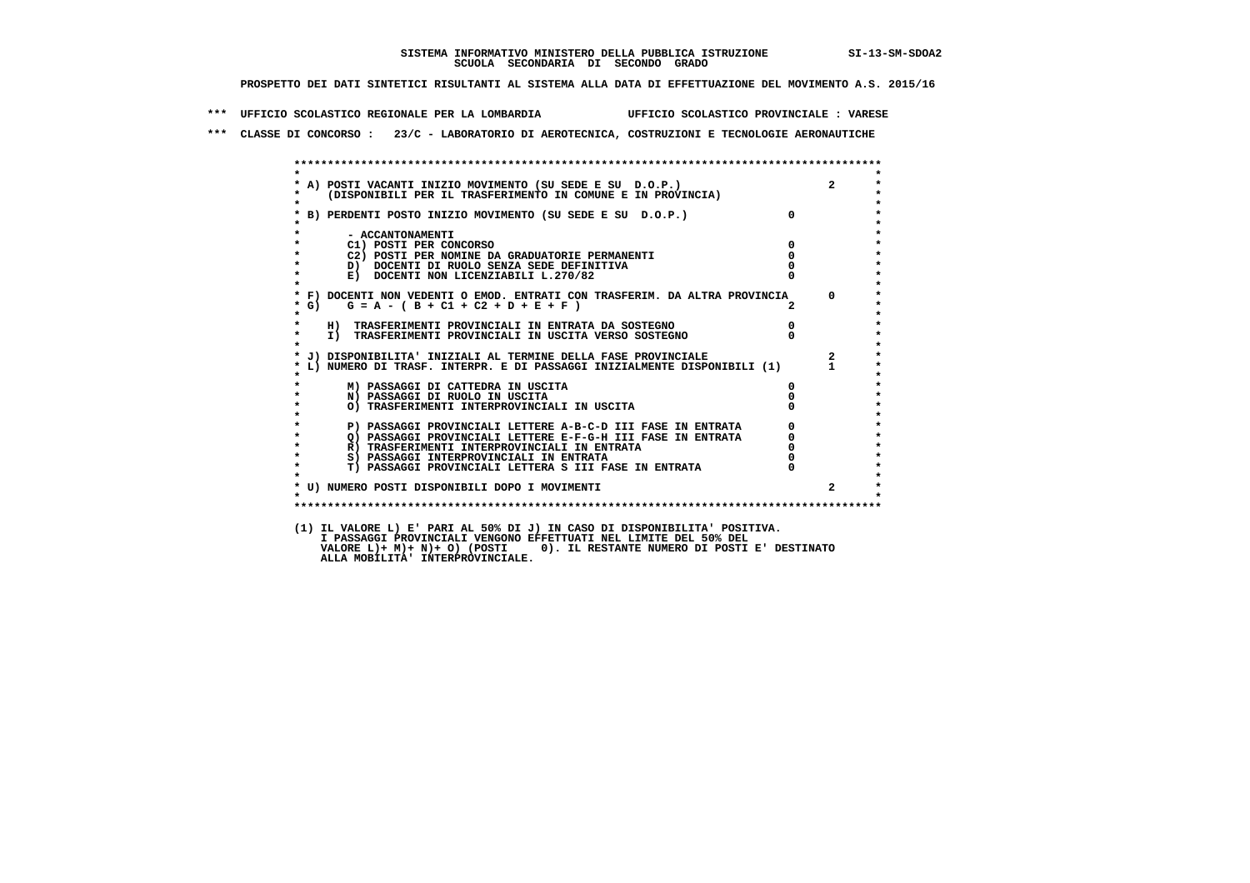**\*\*\* UFFICIO SCOLASTICO REGIONALE PER LA LOMBARDIA UFFICIO SCOLASTICO PROVINCIALE : VARESE**

 **\*\*\* CLASSE DI CONCORSO : 23/C - LABORATORIO DI AEROTECNICA, COSTRUZIONI E TECNOLOGIE AERONAUTICHE**

|                    |                                                                                                                                           |              | $\overline{2}$ |
|--------------------|-------------------------------------------------------------------------------------------------------------------------------------------|--------------|----------------|
|                    | * A) POSTI VACANTI INIZIO MOVIMENTO (SU SEDE E SU D.O.P.)<br>*   (DISPONIBILI PER IL TRASFERIMENTO IN COMUNE E IN PROVINCIA)              |              |                |
|                    |                                                                                                                                           |              |                |
|                    | * B) PERDENTI POSTO INIZIO MOVIMENTO (SU SEDE E SU D.O.P.)                                                                                | $\mathsf{n}$ |                |
|                    |                                                                                                                                           |              |                |
|                    | - ACCANTONAMENTI                                                                                                                          |              |                |
|                    | C1) POSTI PER CONCORSO                                                                                                                    | 0            |                |
|                    | C2) POSTI PER NOMINE DA GRADUATORIE PERMANENTI                                                                                            |              |                |
| $\star$<br>$\star$ | D) DOCENTI DI RUOLO SENZA SEDE DEFINITIVA                                                                                                 |              |                |
|                    | E) DOCENTI NON LICENZIABILI L.270/82                                                                                                      |              |                |
|                    | * F) DOCENTI NON VEDENTI O EMOD. ENTRATI CON TRASFERIM. DA ALTRA PROVINCIA                                                                |              | $\Omega$       |
| $*$ G)             | $G = A - (B + C1 + C2 + D + E + F)$                                                                                                       |              |                |
| $\star$            |                                                                                                                                           |              |                |
|                    | H) TRASFERIMENTI PROVINCIALI IN ENTRATA DA SOSTEGNO                                                                                       | $^{\circ}$   |                |
| $\star$            | I) TRASFERIMENTI PROVINCIALI IN USCITA VERSO SOSTEGNO                                                                                     |              |                |
|                    |                                                                                                                                           |              |                |
|                    | * J) DISPONIBILITA' INIZIALI AL TERMINE DELLA FASE PROVINCIALE<br>L) NUMERO DI TRASF. INTERPR. E DI PASSAGGI INIZIALMENTE DISPONIBILI (1) |              | $\overline{a}$ |
|                    |                                                                                                                                           |              |                |
|                    | M) PASSAGGI DI CATTEDRA IN USCITA                                                                                                         | 0            |                |
| $\star$            | N) PASSAGGI DI RUOLO IN USCITA                                                                                                            |              |                |
|                    | O) TRASFERIMENTI INTERPROVINCIALI IN USCITA                                                                                               |              |                |
|                    |                                                                                                                                           |              |                |
|                    | P) PASSAGGI PROVINCIALI LETTERE A-B-C-D III FASE IN ENTRATA                                                                               |              |                |
| $\star$<br>$\star$ | O) PASSAGGI PROVINCIALI LETTERE E-F-G-H III FASE IN ENTRATA                                                                               |              |                |
| $\star$            | R) TRASFERIMENTI INTERPROVINCIALI IN ENTRATA                                                                                              |              |                |
| $\star$            | S) PASSAGGI INTERPROVINCIALI IN ENTRATA<br><b>T) PASSAGGI PROVINCIALI LETTERA S III FASE IN ENTRATA</b>                                   |              |                |
|                    |                                                                                                                                           |              |                |
|                    | * U) NUMERO POSTI DISPONIBILI DOPO I MOVIMENTI                                                                                            |              | $\overline{a}$ |
| $\star$            |                                                                                                                                           |              |                |
|                    |                                                                                                                                           |              |                |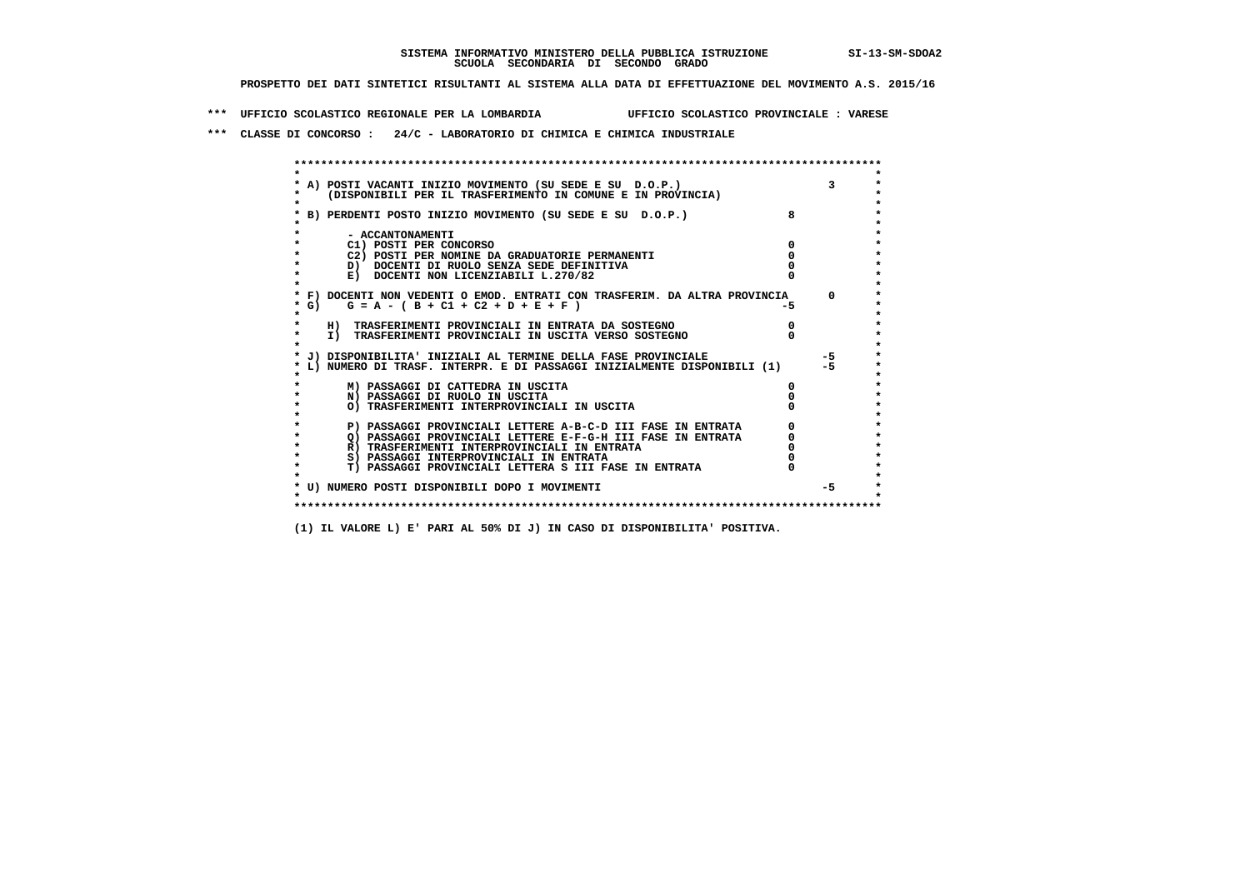**\*\*\* UFFICIO SCOLASTICO REGIONALE PER LA LOMBARDIA UFFICIO SCOLASTICO PROVINCIALE : VARESE**

 **\*\*\* CLASSE DI CONCORSO : 24/C - LABORATORIO DI CHIMICA E CHIMICA INDUSTRIALE**

 **\*\*\*\*\*\*\*\*\*\*\*\*\*\*\*\*\*\*\*\*\*\*\*\*\*\*\*\*\*\*\*\*\*\*\*\*\*\*\*\*\*\*\*\*\*\*\*\*\*\*\*\*\*\*\*\*\*\*\*\*\*\*\*\*\*\*\*\*\*\*\*\*\*\*\*\*\*\*\*\*\*\*\*\*\*\*\*\* \* \*** $\bullet$  **\* A) POSTI VACANTI INIZIO MOVIMENTO (SU SEDE E SU D.O.P.) 3 \*** $\star$  **\* (DISPONIBILI PER IL TRASFERIMENTO IN COMUNE E IN PROVINCIA) \* \* \* \* B) PERDENTI POSTO INIZIO MOVIMENTO (SU SEDE E SU D.O.P.) 8 \* \* \* \* - ACCANTONAMENTI \* \* C1) POSTI PER CONCORSO 0 \* \* C2) POSTI PER NOMINE DA GRADUATORIE PERMANENTI 0 \*D)** DOCENTI DI RUOLO SENZA SEDE DEFINITIVA  $\overline{a}$  0  $\overline{b}$  0  $\overline{c}$  0  $\overline{c}$  0  $\overline{c}$  0  $\overline{a}$  0  $\overline{c}$ **E) DOCENTI NON LICENZIABILI L.270/82 \* \* \* F) DOCENTI NON VEDENTI O EMOD. ENTRATI CON TRASFERIM. DA ALTRA PROVINCIA 0 \*** $*$  G) G = A - ( B + C1 + C2 + D + E + F )  **\* \* \* H) TRASFERIMENTI PROVINCIALI IN ENTRATA DA SOSTEGNO 0 \*The CONSTRUCTION CONSTRUCTED IN CONSTRUCTION CONSTRUES IN TRASFERIMENTI PROVINCIALI IN USCITA VERSO SOSTEGNO \* \* \* J) DISPONIBILITA' INIZIALI AL TERMINE DELLA FASE PROVINCIALE -5 \* \* L) NUMERO DI TRASF. INTERPR. E DI PASSAGGI INIZIALMENTE DISPONIBILI (1) -5 \* \* \* \* M) PASSAGGI DI CATTEDRA IN USCITA 0 \* \* N) PASSAGGI DI RUOLO IN USCITA 0 \* \* O) TRASFERIMENTI INTERPROVINCIALI IN USCITA 0 \* \* \* P) PASSAGGI PROVINCIALI LETTERE A-B-C-D III FASE IN ENTRATA** 0 <sup>0</sup> **DASSAGGI PROVINCIALI LETTERE E-F-G-H** III FASE IN ENTRATA 0 <sup>0</sup> **2) PASSAGGI PROVINCIALI LETTERE E-F-G-H III FASE IN ENTRATA 6**<br> **R**) TRASFERIMENTI INTERPROVINCIALI IN ENTRATA 6 **R)** TRASFERIMENTI INTERPROVINCIALI IN ENTRATA  $\begin{bmatrix} 0 & 0 \\ 0 & 0 \\ 0 & 0 \end{bmatrix}$  PASSAGGI INTERPROVINCIALI IN ENTRATA  $\begin{bmatrix} 0 & 0 \\ 0 & 0 \\ 0 & 0 \end{bmatrix}$  **\* S) PASSAGGI INTERPROVINCIALI IN ENTRATA 0 \*** $\ddot{\phantom{1}}$  **\* T) PASSAGGI PROVINCIALI LETTERA S III FASE IN ENTRATA 0 \* \* \* \* U) NUMERO POSTI DISPONIBILI DOPO I MOVIMENTI -5 \* \* \* \*\*\*\*\*\*\*\*\*\*\*\*\*\*\*\*\*\*\*\*\*\*\*\*\*\*\*\*\*\*\*\*\*\*\*\*\*\*\*\*\*\*\*\*\*\*\*\*\*\*\*\*\*\*\*\*\*\*\*\*\*\*\*\*\*\*\*\*\*\*\*\*\*\*\*\*\*\*\*\*\*\*\*\*\*\*\*\***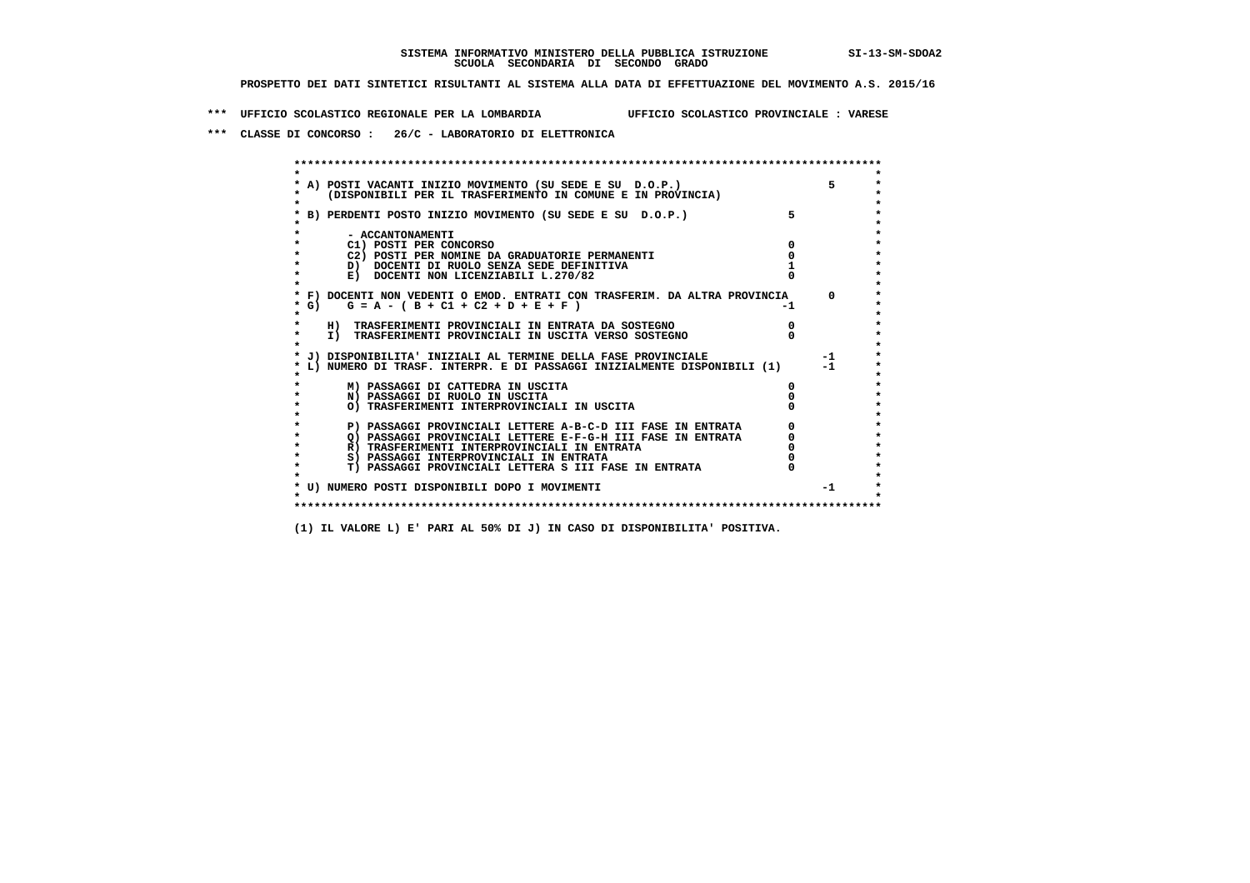**\*\*\* UFFICIO SCOLASTICO REGIONALE PER LA LOMBARDIA UFFICIO SCOLASTICO PROVINCIALE : VARESE**

 **\*\*\* CLASSE DI CONCORSO : 26/C - LABORATORIO DI ELETTRONICA**

 **\*\*\*\*\*\*\*\*\*\*\*\*\*\*\*\*\*\*\*\*\*\*\*\*\*\*\*\*\*\*\*\*\*\*\*\*\*\*\*\*\*\*\*\*\*\*\*\*\*\*\*\*\*\*\*\*\*\*\*\*\*\*\*\*\*\*\*\*\*\*\*\*\*\*\*\*\*\*\*\*\*\*\*\*\*\*\*\* \* \*** $\bullet$  **\* A) POSTI VACANTI INIZIO MOVIMENTO (SU SEDE E SU D.O.P.) 5 \*** $\star$  **\* (DISPONIBILI PER IL TRASFERIMENTO IN COMUNE E IN PROVINCIA) \* \* \* \* B) PERDENTI POSTO INIZIO MOVIMENTO (SU SEDE E SU D.O.P.) 5 \* \* \* \* - ACCANTONAMENTI \* \* C1) POSTI PER CONCORSO 0 \* \* C2) POSTI PER NOMINE DA GRADUATORIE PERMANENTI 0 \*D)** DOCENTI DI RUOLO SENZA SEDE DEFINITIVA 1<br> **E)** DOCENTI NON LICENZIABILI L. 270/82 0 **E) DOCENTI NON LICENZIABILI L.270/82 \* \* \* F) DOCENTI NON VEDENTI O EMOD. ENTRATI CON TRASFERIM. DA ALTRA PROVINCIA 0 \***  $\star$  **G)** G = A - ( B + C1 + C2 + D + E + F)  **\* \* \* H) TRASFERIMENTI PROVINCIALI IN ENTRATA DA SOSTEGNO 0 \* \* I) TRASFERIMENTI PROVINCIALI IN USCITA VERSO SOSTEGNO 0 \* \* \* \* J) DISPONIBILITA' INIZIALI AL TERMINE DELLA FASE PROVINCIALE -1 \* \* L) NUMERO DI TRASF. INTERPR. E DI PASSAGGI INIZIALMENTE DISPONIBILI (1) -1 \* \* \* \* M) PASSAGGI DI CATTEDRA IN USCITA 0 \* \* N) PASSAGGI DI RUOLO IN USCITA 0 \* \* O) TRASFERIMENTI INTERPROVINCIALI IN USCITA 0 \* \* \* P) PASSAGGI PROVINCIALI LETTERE A-B-C-D III FASE IN ENTRATA** 0 <sup>0</sup> **DASSAGGI PROVINCIALI LETTERE E-F-G-H** III FASE IN ENTRATA 0 <sup>0</sup> **2) PASSAGGI PROVINCIALI LETTERE E-F-G-H III FASE IN ENTRATA 6 0 R**) TRASFERIMENTI INTERPROVINCIALI IN ENTRATA 6 **0 R)** TRASFERIMENTI INTERPROVINCIALI IN ENTRATA  $\begin{bmatrix} 0 & 0 \\ 0 & 0 \\ 0 & 0 \end{bmatrix}$  PASSAGGI INTERPROVINCIALI IN ENTRATA  $\begin{bmatrix} 0 & 0 \\ 0 & 0 \\ 0 & 0 \end{bmatrix}$  **\* S) PASSAGGI INTERPROVINCIALI IN ENTRATA 0 \*** $\ddot{\phantom{1}}$  **\* T) PASSAGGI PROVINCIALI LETTERA S III FASE IN ENTRATA 0 \*** $\star$  **\* \* \* U) NUMERO POSTI DISPONIBILI DOPO I MOVIMENTI -1 \* \* \* \*\*\*\*\*\*\*\*\*\*\*\*\*\*\*\*\*\*\*\*\*\*\*\*\*\*\*\*\*\*\*\*\*\*\*\*\*\*\*\*\*\*\*\*\*\*\*\*\*\*\*\*\*\*\*\*\*\*\*\*\*\*\*\*\*\*\*\*\*\*\*\*\*\*\*\*\*\*\*\*\*\*\*\*\*\*\*\***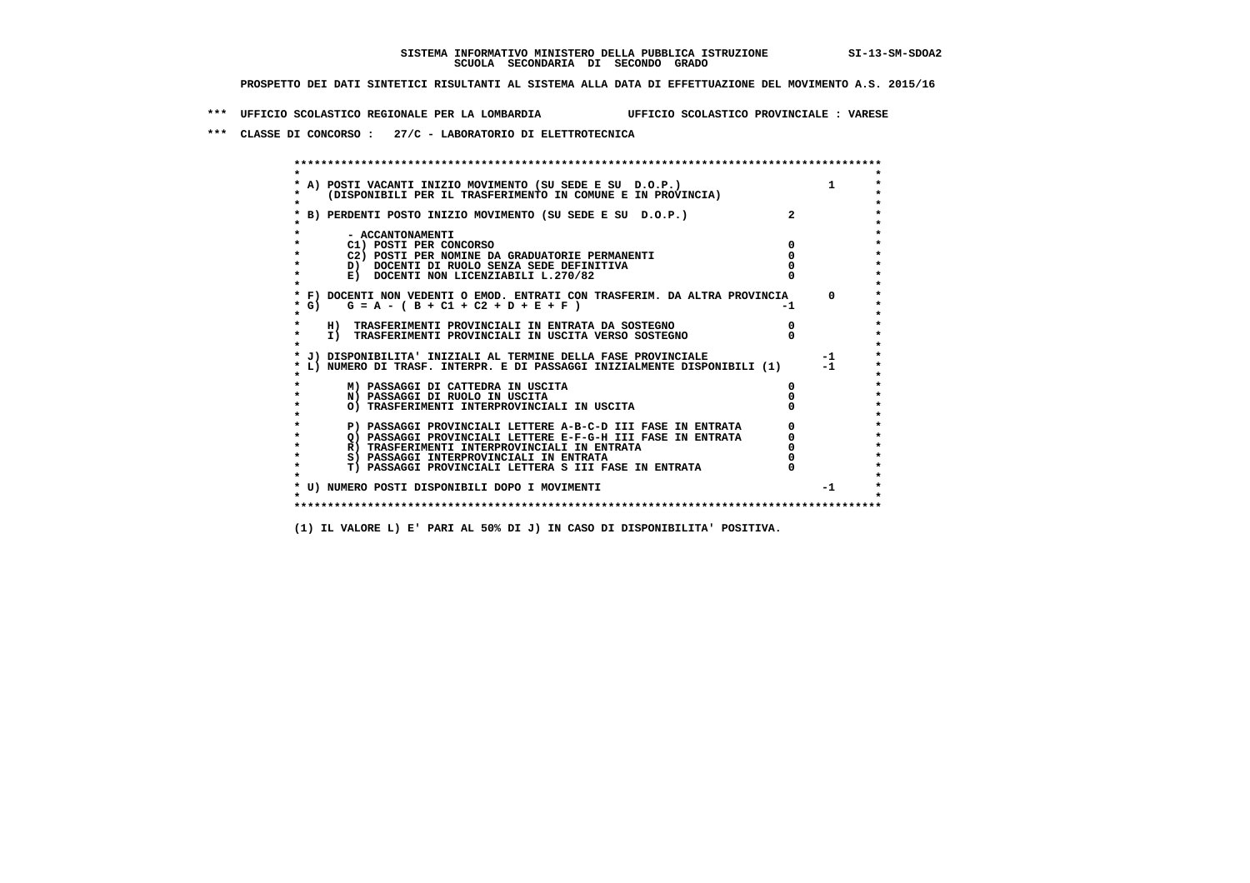**\*\*\* UFFICIO SCOLASTICO REGIONALE PER LA LOMBARDIA UFFICIO SCOLASTICO PROVINCIALE : VARESE**

 **\*\*\* CLASSE DI CONCORSO : 27/C - LABORATORIO DI ELETTROTECNICA**

| A) POSTI VACANTI INIZIO MOVIMENTO (SU SEDE E SU D.O.P.)                                                                    |    |          |
|----------------------------------------------------------------------------------------------------------------------------|----|----------|
| (DISPONIBILI PER IL TRASFERIMENTO IN COMUNE E IN PROVINCIA)                                                                |    |          |
|                                                                                                                            |    |          |
| B) PERDENTI POSTO INIZIO MOVIMENTO (SU SEDE E SU D.O.P.)                                                                   |    |          |
|                                                                                                                            |    |          |
| - ACCANTONAMENTI                                                                                                           |    |          |
| C1) POSTI PER CONCORSO<br>C2) POSTI PER NOMINE DA GRADUATORIE PERMANENTI                                                   |    |          |
| D) DOCENTI DI RUOLO SENZA SEDE DEFINITIVA                                                                                  |    |          |
| E) DOCENTI NON LICENZIABILI L.270/82                                                                                       |    |          |
|                                                                                                                            |    |          |
| * F) DOCENTI NON VEDENTI O EMOD. ENTRATI CON TRASFERIM. DA ALTRA PROVINCIA                                                 |    | $\Omega$ |
| G) $G = A - (B + C1 + C2 + D + E + F)$                                                                                     | -1 |          |
|                                                                                                                            |    |          |
| H) TRASFERIMENTI PROVINCIALI IN ENTRATA DA SOSTEGNO                                                                        |    |          |
| I) TRASFERIMENTI PROVINCIALI IN USCITA VERSO SOSTEGNO                                                                      |    |          |
| J) DISPONIBILITA' INIZIALI AL TERMINE DELLA FASE PROVINCIALE                                                               |    | $-1$     |
| L) NUMERO DI TRASF. INTERPR. E DI PASSAGGI INIZIALMENTE DISPONIBILI (1)                                                    |    | $-1$     |
|                                                                                                                            |    |          |
| M) PASSAGGI DI CATTEDRA IN USCITA                                                                                          |    |          |
| N) PASSAGGI DI RUOLO IN USCITA                                                                                             |    |          |
| O) TRASFERIMENTI INTERPROVINCIALI IN USCITA                                                                                |    |          |
|                                                                                                                            |    |          |
| P) PASSAGGI PROVINCIALI LETTERE A-B-C-D III FASE IN ENTRATA<br>O) PASSAGGI PROVINCIALI LETTERE E-F-G-H III FASE IN ENTRATA |    |          |
| R) TRASFERIMENTI INTERPROVINCIALI IN ENTRATA                                                                               |    |          |
| S) PASSAGGI INTERPROVINCIALI IN ENTRATA                                                                                    |    |          |
| T) PASSAGGI PROVINCIALI LETTERA S III FASE IN ENTRATA                                                                      |    |          |
|                                                                                                                            |    |          |
| * U) NUMERO POSTI DISPONIBILI DOPO I MOVIMENTI                                                                             |    | $-1$     |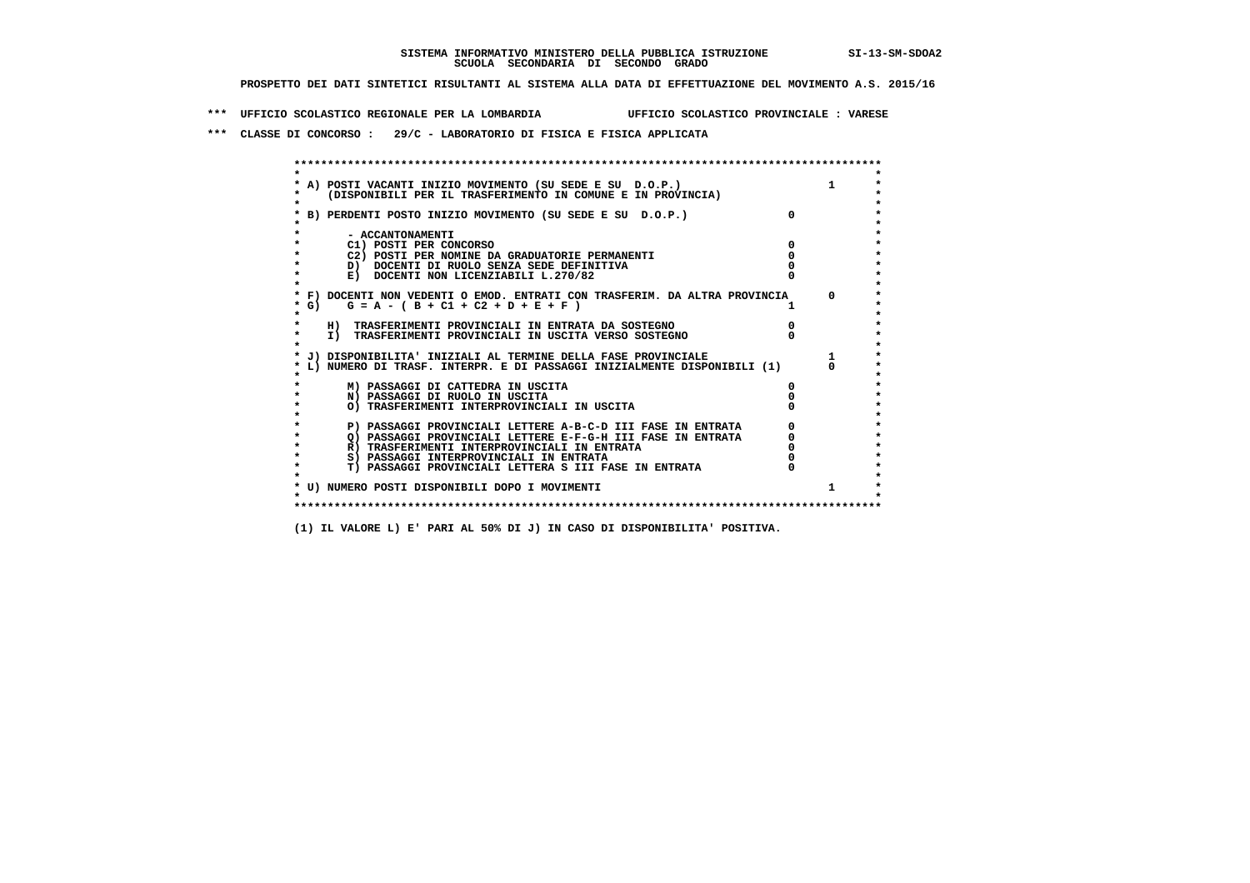**\*\*\* UFFICIO SCOLASTICO REGIONALE PER LA LOMBARDIA UFFICIO SCOLASTICO PROVINCIALE : VARESE**

 **\*\*\* CLASSE DI CONCORSO : 29/C - LABORATORIO DI FISICA E FISICA APPLICATA**

|         | * A) POSTI VACANTI INIZIO MOVIMENTO (SU SEDE E SU D.O.P.)                  |          |
|---------|----------------------------------------------------------------------------|----------|
|         | (DISPONIBILI PER IL TRASFERIMENTO IN COMUNE E IN PROVINCIA)                |          |
|         |                                                                            |          |
|         | B) PERDENTI POSTO INIZIO MOVIMENTO (SU SEDE E SU D.O.P.)                   |          |
|         |                                                                            |          |
|         | - ACCANTONAMENTI                                                           |          |
|         | C1) POSTI PER CONCORSO                                                     |          |
|         | C2) POSTI PER NOMINE DA GRADUATORIE PERMANENTI                             |          |
|         | D) DOCENTI DI RUOLO SENZA SEDE DEFINITIVA                                  |          |
|         | E) DOCENTI NON LICENZIABILI L.270/82                                       |          |
|         |                                                                            |          |
|         | * F) DOCENTI NON VEDENTI O EMOD. ENTRATI CON TRASFERIM. DA ALTRA PROVINCIA | $\Omega$ |
| $*$ G)  | $G = A - (B + C1 + C2 + D + E + F)$                                        |          |
| $\star$ |                                                                            |          |
|         | H) TRASFERIMENTI PROVINCIALI IN ENTRATA DA SOSTEGNO                        |          |
| $\star$ | I) TRASFERIMENTI PROVINCIALI IN USCITA VERSO SOSTEGNO                      |          |
|         |                                                                            |          |
|         | * J) DISPONIBILITA' INIZIALI AL TERMINE DELLA FASE PROVINCIALE             |          |
|         | L) NUMERO DI TRASF. INTERPR. E DI PASSAGGI INIZIALMENTE DISPONIBILI (1)    |          |
|         |                                                                            |          |
|         | M) PASSAGGI DI CATTEDRA IN USCITA                                          |          |
|         | N) PASSAGGI DI RUOLO IN USCITA                                             |          |
|         | O) TRASFERIMENTI INTERPROVINCIALI IN USCITA                                |          |
|         |                                                                            |          |
| $\star$ | P) PASSAGGI PROVINCIALI LETTERE A-B-C-D III FASE IN ENTRATA                |          |
|         | O) PASSAGGI PROVINCIALI LETTERE E-F-G-H III FASE IN ENTRATA                |          |
| $\star$ | R) TRASFERIMENTI INTERPROVINCIALI IN ENTRATA                               |          |
| $\star$ | S) PASSAGGI INTERPROVINCIALI IN ENTRATA                                    |          |
|         | T) PASSAGGI PROVINCIALI LETTERA S III FASE IN ENTRATA                      |          |
|         |                                                                            |          |
|         | * U) NUMERO POSTI DISPONIBILI DOPO I MOVIMENTI                             |          |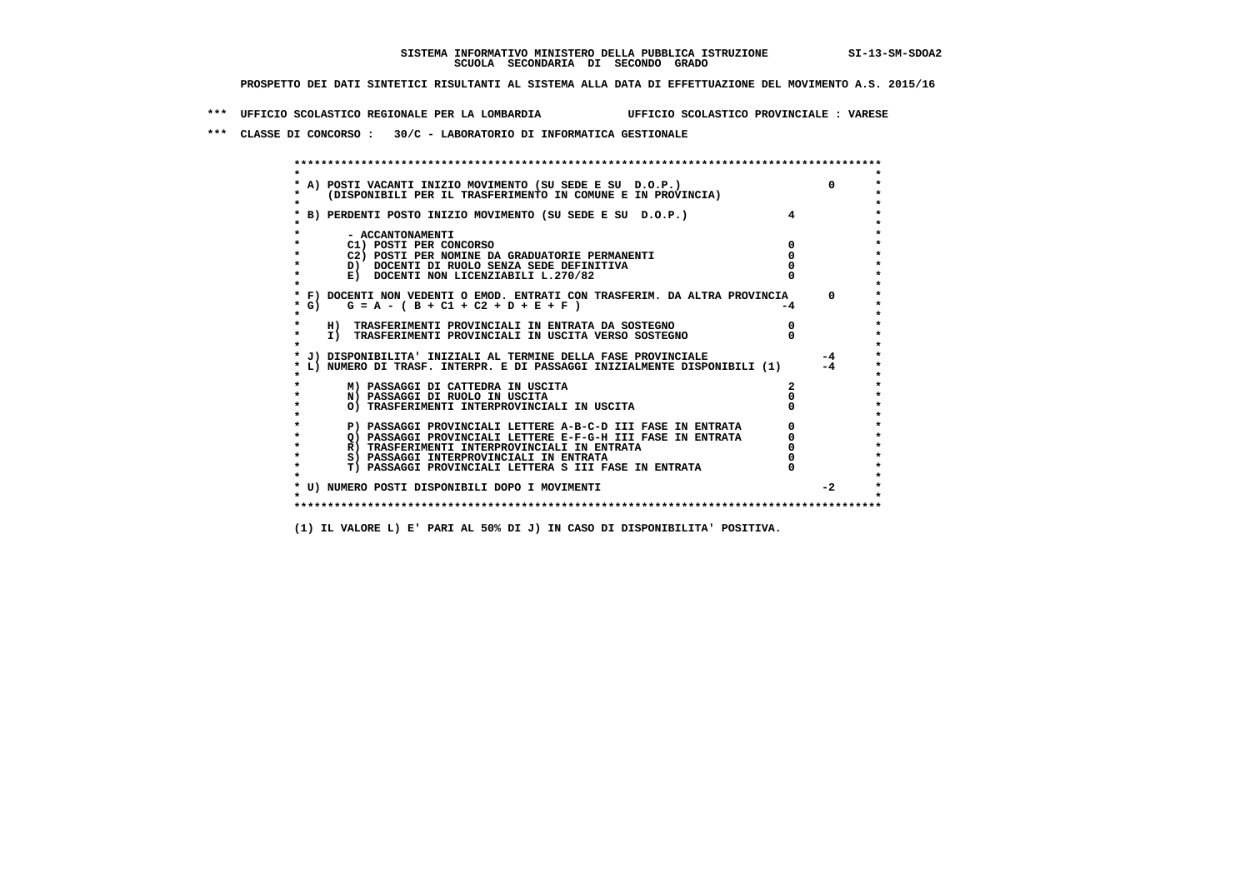**\*\*\* UFFICIO SCOLASTICO REGIONALE PER LA LOMBARDIA UFFICIO SCOLASTICO PROVINCIALE : VARESE**

 **\*\*\* CLASSE DI CONCORSO : 30/C - LABORATORIO DI INFORMATICA GESTIONALE**

|         | A) POSTI VACANTI INIZIO MOVIMENTO (SU SEDE E SU D.O.P.)                    | $\Omega$   |
|---------|----------------------------------------------------------------------------|------------|
|         | (DISPONIBILI PER IL TRASFERIMENTO IN COMUNE E IN PROVINCIA)                |            |
|         |                                                                            |            |
|         | B) PERDENTI POSTO INIZIO MOVIMENTO (SU SEDE E SU D.O.P.)                   |            |
|         |                                                                            |            |
|         | - ACCANTONAMENTI                                                           |            |
|         | C1) POSTI PER CONCORSO                                                     |            |
|         | C2) POSTI PER NOMINE DA GRADUATORIE PERMANENTI                             |            |
|         | D) DOCENTI DI RUOLO SENZA SEDE DEFINITIVA                                  |            |
|         | E) DOCENTI NON LICENZIABILI L.270/82                                       |            |
|         |                                                                            |            |
|         | * F) DOCENTI NON VEDENTI O EMOD. ENTRATI CON TRASFERIM. DA ALTRA PROVINCIA | $^{\circ}$ |
|         | * G) $G = A - (B + C1 + C2 + D + E + F)$                                   |            |
| $\star$ |                                                                            |            |
|         | H) TRASFERIMENTI PROVINCIALI IN ENTRATA DA SOSTEGNO                        |            |
|         | I) TRASFERIMENTI PROVINCIALI IN USCITA VERSO SOSTEGNO                      |            |
|         | * J) DISPONIBILITA' INIZIALI AL TERMINE DELLA FASE PROVINCIALE             | $-4$       |
|         | L) NUMERO DI TRASF. INTERPR. E DI PASSAGGI INIZIALMENTE DISPONIBILI (1)    | $-4$       |
|         |                                                                            |            |
|         | M) PASSAGGI DI CATTEDRA IN USCITA                                          |            |
|         | N) PASSAGGI DI RUOLO IN USCITA                                             |            |
|         | O) TRASFERIMENTI INTERPROVINCIALI IN USCITA                                |            |
|         |                                                                            |            |
|         | P) PASSAGGI PROVINCIALI LETTERE A-B-C-D III FASE IN ENTRATA                |            |
|         | O) PASSAGGI PROVINCIALI LETTERE E-F-G-H III FASE IN ENTRATA                |            |
|         | R) TRASFERIMENTI INTERPROVINCIALI IN ENTRATA                               |            |
|         | S) PASSAGGI INTERPROVINCIALI IN ENTRATA                                    |            |
|         | T) PASSAGGI PROVINCIALI LETTERA S III FASE IN ENTRATA                      |            |
|         |                                                                            | $-2$       |
|         | * U) NUMERO POSTI DISPONIBILI DOPO I MOVIMENTI                             |            |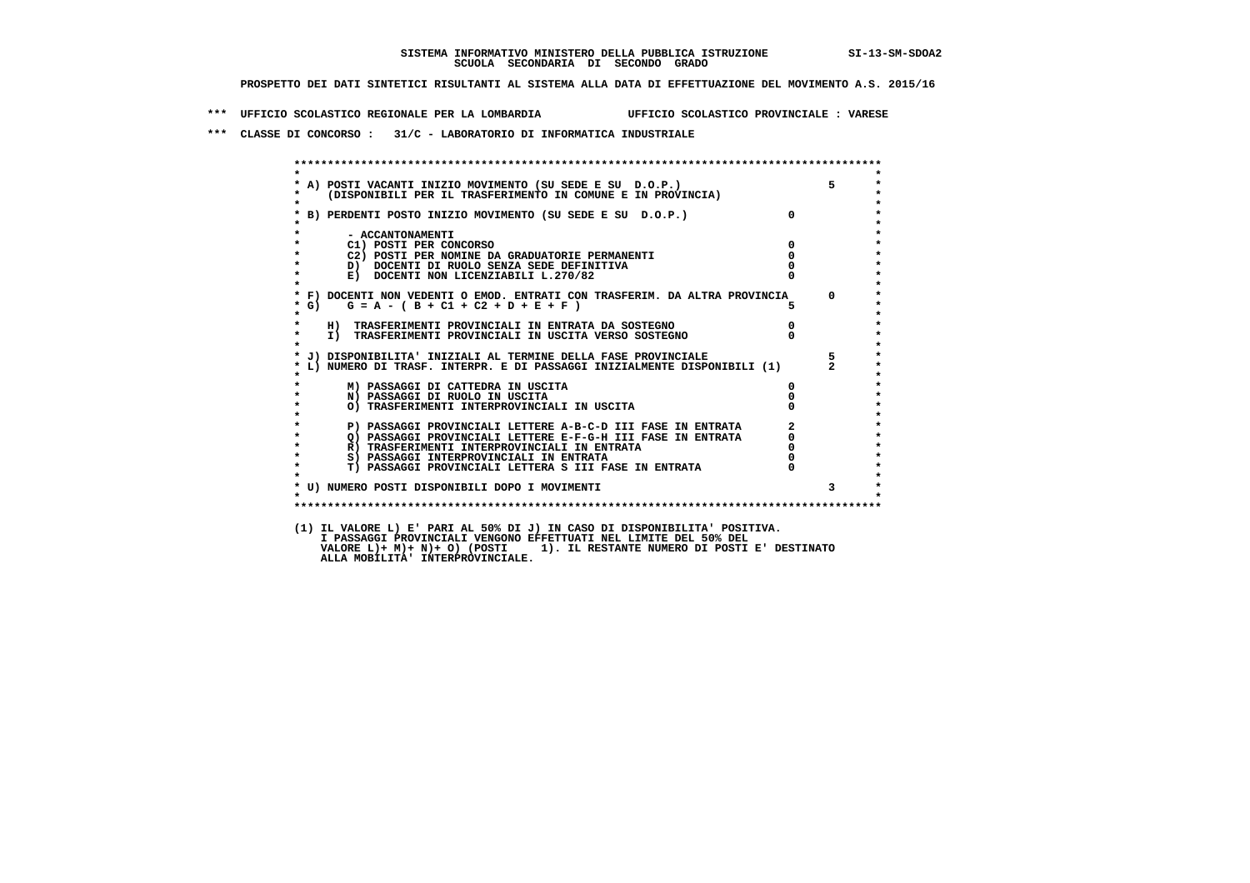**\*\*\* UFFICIO SCOLASTICO REGIONALE PER LA LOMBARDIA UFFICIO SCOLASTICO PROVINCIALE : VARESE**

 **\*\*\* CLASSE DI CONCORSO : 31/C - LABORATORIO DI INFORMATICA INDUSTRIALE**

| $\star$ |                                                                                                                                                                                           |                                  |             |
|---------|-------------------------------------------------------------------------------------------------------------------------------------------------------------------------------------------|----------------------------------|-------------|
|         |                                                                                                                                                                                           |                                  | $5^{\circ}$ |
|         | * A) POSTI VACANTI INIZIO MOVIMENTO (SU SEDE E SU D.O.P.)<br>* (DISPONIBILI PER IL TRASFERIMENTO IN COMUNE E IN PROVINCIA)                                                                |                                  |             |
| $\star$ | * B) PERDENTI POSTO INIZIO MOVIMENTO (SU SEDE E SU D.O.P.)                                                                                                                                | $\mathbf{0}$                     |             |
|         |                                                                                                                                                                                           |                                  |             |
| $\star$ | - ACCANTONAMENTI                                                                                                                                                                          |                                  |             |
| $\star$ | C1) POSTI PER CONCORSO                                                                                                                                                                    | $\mathbf 0$                      |             |
| $\star$ | C2) POSTI PER NOMINE DA GRADUATORIE PERMANENTI                                                                                                                                            | $\mathbf 0$                      |             |
| $\star$ | D) DOCENTI DI RUOLO SENZA SEDE DEFINITIVA                                                                                                                                                 |                                  |             |
| $\star$ | E) DOCENTI NON LICENZIABILI L.270/82                                                                                                                                                      |                                  |             |
| $\star$ |                                                                                                                                                                                           |                                  |             |
| * G)    | * F) DOCENTI NON VEDENTI O EMOD. ENTRATI CON TRASFERIM. DA ALTRA PROVINCIA 0<br>$G = A - (B + C1 + C2 + D + E + F)$                                                                       |                                  |             |
| $\star$ |                                                                                                                                                                                           |                                  |             |
| $\star$ | H) TRASFERIMENTI PROVINCIALI IN ENTRATA DA SOSTEGNO                                                                                                                                       |                                  |             |
| $\star$ | I) TRASFERIMENTI PROVINCIALI IN USCITA VERSO SOSTEGNO                                                                                                                                     | $\begin{matrix}0\\0\end{matrix}$ |             |
| $\star$ |                                                                                                                                                                                           |                                  |             |
|         | * J) DISPONIBILITA' INIZIALI AL TERMINE DELLA FASE PROVINCIALE                                                                                                                            |                                  | $5^{\circ}$ |
|         | L) NUMERO DI TRASF. INTERPR. E DI PASSAGGI INIZIALMENTE DISPONIBILI (1) 2                                                                                                                 |                                  |             |
|         | M) PASSAGGI DI CATTEDRA IN USCITA                                                                                                                                                         | 0                                |             |
| $\star$ | N) PASSAGGI DI RUOLO IN USCITA                                                                                                                                                            |                                  |             |
| $\star$ | O) TRASFERIMENTI INTERPROVINCIALI IN USCITA                                                                                                                                               |                                  |             |
| $\star$ |                                                                                                                                                                                           |                                  |             |
| $\star$ | P) PASSAGGI PROVINCIALI LETTERE A-B-C-D III FASE IN ENTRATA<br>Q) PASSAGGI PROVINCIALI LETTERE E-F-G-H III FASE IN ENTRATA<br>Q) PASSAGGI PROVINCIALI LETTERE E-F-G-H III FASE IN ENTRATA |                                  |             |
| $\star$ |                                                                                                                                                                                           |                                  |             |
| $\star$ | R) TRASFERIMENTI INTERPROVINCIALI IN ENTRATA                                                                                                                                              |                                  |             |
| $\star$ | S) PASSAGGI INTERPROVINCIALI IN ENTRATA                                                                                                                                                   |                                  |             |
| $\star$ | T) PASSAGGI PROVINCIALI LETTERA S III FASE IN ENTRATA                                                                                                                                     |                                  |             |
|         | * U) NUMERO POSTI DISPONIBILI DOPO I MOVIMENTI                                                                                                                                            |                                  |             |
| $\cdot$ |                                                                                                                                                                                           |                                  |             |
|         |                                                                                                                                                                                           |                                  |             |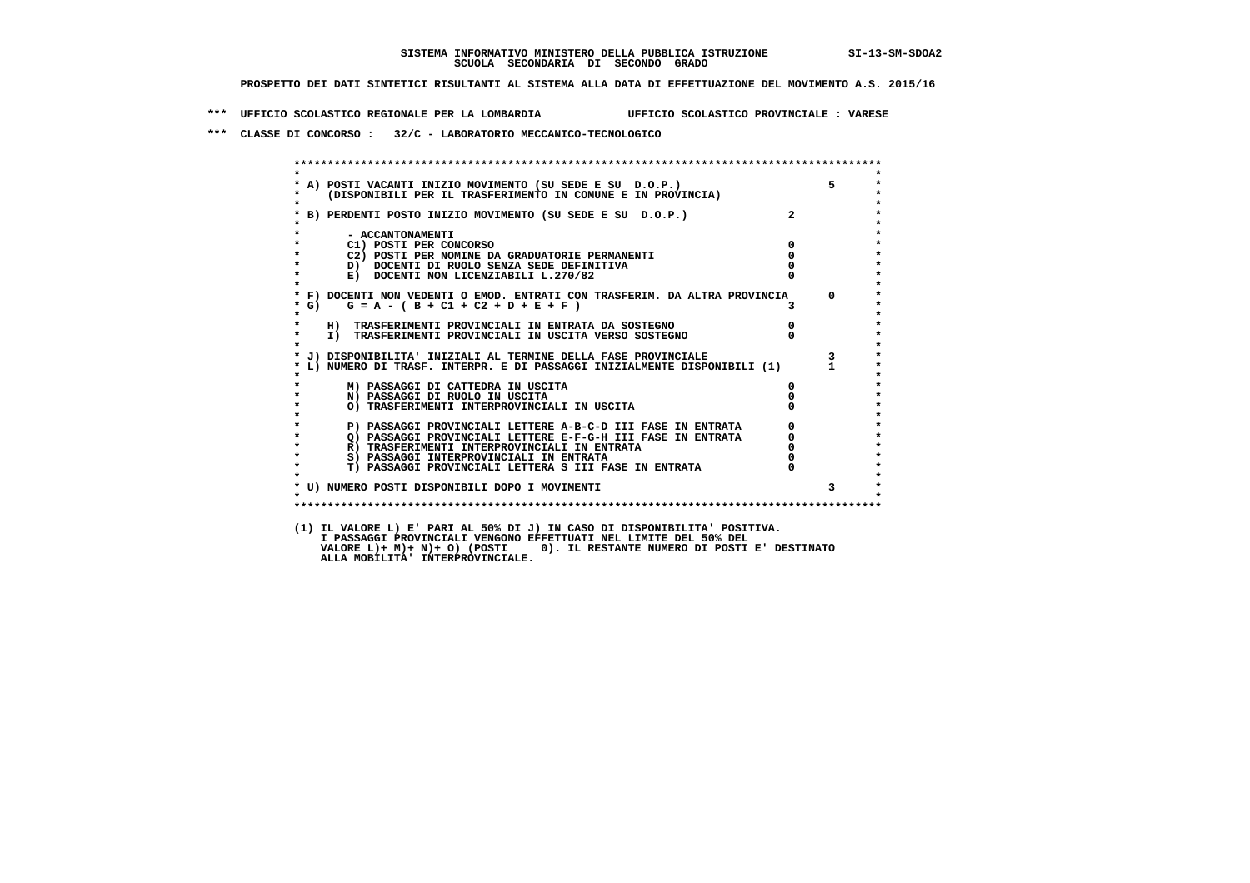**\*\*\* UFFICIO SCOLASTICO REGIONALE PER LA LOMBARDIA UFFICIO SCOLASTICO PROVINCIALE : VARESE**

 **\*\*\* CLASSE DI CONCORSO : 32/C - LABORATORIO MECCANICO-TECNOLOGICO**

|                   | * A) POSTI VACANTI INIZIO MOVIMENTO (SU SEDE E SU D.O.P.)<br>* (DISPONIBILI PER IL TRASFERIMENTO IN COMUNE E IN PROVINCIA)<br>* B) PERDENTI POSTO INIZIO MOVIMENTO (SU SEDE E SU D.O.P.) 2                                      |                                                 | $5^{\circ}$             |
|-------------------|---------------------------------------------------------------------------------------------------------------------------------------------------------------------------------------------------------------------------------|-------------------------------------------------|-------------------------|
|                   |                                                                                                                                                                                                                                 |                                                 |                         |
|                   |                                                                                                                                                                                                                                 |                                                 |                         |
|                   | - ACCANTONAMENTI                                                                                                                                                                                                                |                                                 |                         |
|                   | $\overline{\mathbf{0}}$<br>C1) POSTI PER CONCORSO                                                                                                                                                                               |                                                 |                         |
|                   | C2) POSTI PER NOMINE DA GRADUATORIE PERMANENTI                                                                                                                                                                                  | $\overline{0}$                                  |                         |
|                   | D) DOCENTI DI RUOLO SENZA SEDE DEFINITIVA                                                                                                                                                                                       |                                                 |                         |
| $\star$           | E) DOCENTI NON LICENZIABILI L.270/82                                                                                                                                                                                            |                                                 |                         |
|                   | * F) DOCENTI NON VEDENTI O EMOD. ENTRATI CON TRASFERIM. DA ALTRA PROVINCIA 0                                                                                                                                                    |                                                 |                         |
| $*$ G)<br>$\star$ | $G = A - (B + C1 + C2 + D + E + F)$                                                                                                                                                                                             |                                                 |                         |
|                   | H) TRASFERIMENTI PROVINCIALI IN ENTRATA DA SOSTEGNO                                                                                                                                                                             | $\begin{matrix}0\\0\end{matrix}$                |                         |
| $\star$           | I) TRASFERIMENTI PROVINCIALI IN USCITA VERSO SOSTEGNO                                                                                                                                                                           |                                                 |                         |
|                   | * J) DISPONIBILITA' INIZIALI AL TERMINE DELLA FASE PROVINCIALE                                                                                                                                                                  |                                                 | $\overline{\mathbf{3}}$ |
|                   | L) NUMERO DI TRASF. INTERPR. E DI PASSAGGI INIZIALMENTE DISPONIBILI (1) 1                                                                                                                                                       |                                                 |                         |
|                   | M) PASSAGGI DI CATTEDRA IN USCITA                                                                                                                                                                                               |                                                 |                         |
| $\star$           | N) PASSAGGI DI RUOLO IN USCITA                                                                                                                                                                                                  |                                                 |                         |
|                   | O) TRASFERIMENTI INTERPROVINCIALI IN USCITA                                                                                                                                                                                     |                                                 |                         |
|                   | <b>P) PASSAGGI PROVINCIALI LETTERE A-B-C-D III FASE IN ENTRATA<br/>Q) PASSAGGI PROVINCIALI LETTERE E-F-G-H III FASE IN ENTRATA<br/>R) TRASFERIMENTI INTERPROVINCIALI IN ENTRATA<br/>S) PASSAGGI INTERPROVINCIALI IN ENTRATA</b> | $\begin{array}{c} 0 \\ 0 \\ 0 \\ 0 \end{array}$ |                         |
| $\bullet$         |                                                                                                                                                                                                                                 |                                                 |                         |
| $\star$           |                                                                                                                                                                                                                                 |                                                 |                         |
| $\mathbf{r}$      | S) PASSAGGI INTERPROVINCIALI IN ENTRATA                                                                                                                                                                                         |                                                 |                         |
| $\star$           | T) PASSAGGI PROVINCIALI LETTERA S III FASE IN ENTRATA                                                                                                                                                                           |                                                 |                         |
|                   | * U) NUMERO POSTI DISPONIBILI DOPO I MOVIMENTI                                                                                                                                                                                  |                                                 |                         |
| $\bullet$         |                                                                                                                                                                                                                                 |                                                 |                         |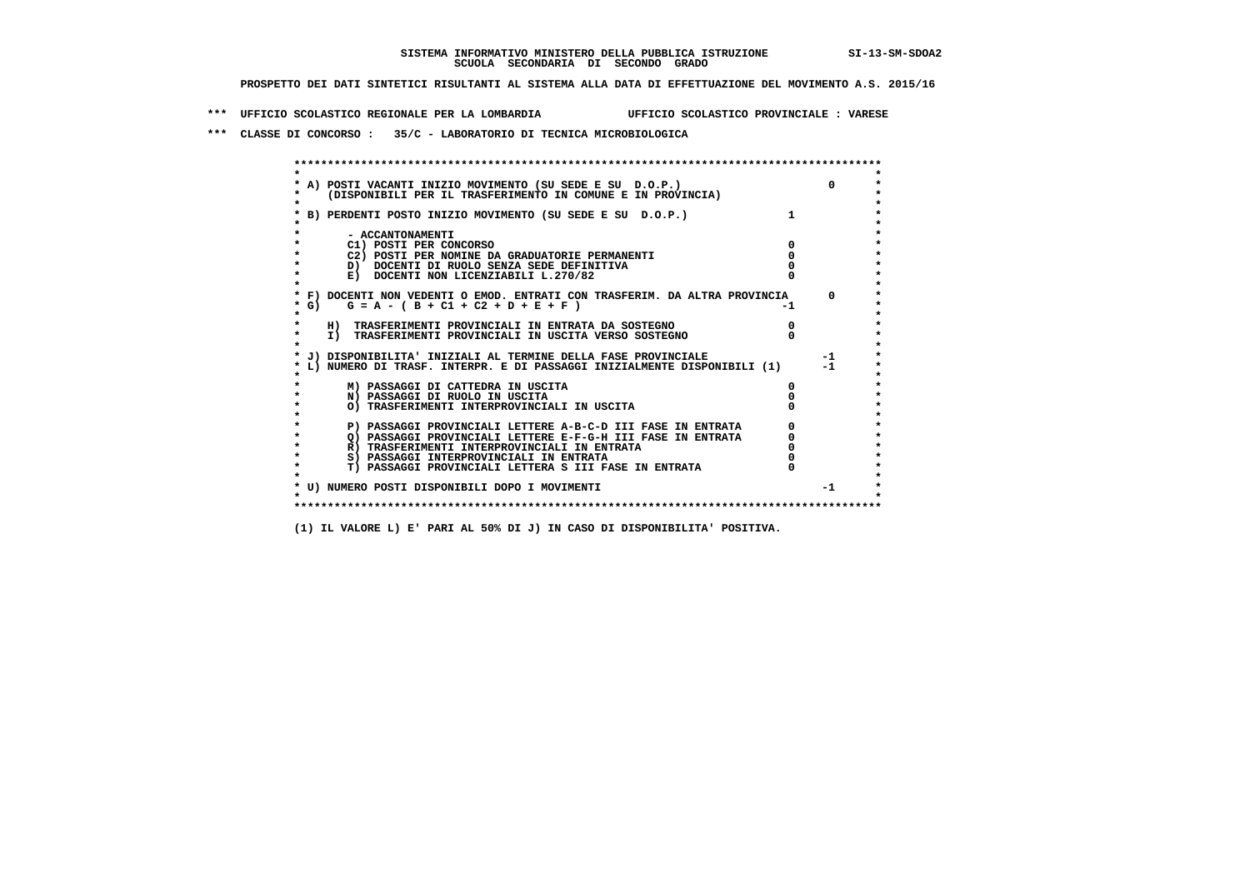**\*\*\* UFFICIO SCOLASTICO REGIONALE PER LA LOMBARDIA UFFICIO SCOLASTICO PROVINCIALE : VARESE**

 **\*\*\* CLASSE DI CONCORSO : 35/C - LABORATORIO DI TECNICA MICROBIOLOGICA**

| A) POSTI VACANTI INIZIO MOVIMENTO (SU SEDE E SU D.O.P.)                    |    | $\Omega$ |
|----------------------------------------------------------------------------|----|----------|
| (DISPONIBILI PER IL TRASFERIMENTO IN COMUNE E IN PROVINCIA)                |    |          |
| B) PERDENTI POSTO INIZIO MOVIMENTO (SU SEDE E SU D.O.P.)                   |    |          |
|                                                                            |    |          |
| - ACCANTONAMENTI                                                           |    |          |
| C1) POSTI PER CONCORSO                                                     |    |          |
| C2) POSTI PER NOMINE DA GRADUATORIE PERMANENTI                             |    |          |
| D) DOCENTI DI RUOLO SENZA SEDE DEFINITIVA                                  |    |          |
| E) DOCENTI NON LICENZIABILI L.270/82                                       |    |          |
|                                                                            |    |          |
| * F) DOCENTI NON VEDENTI O EMOD. ENTRATI CON TRASFERIM. DA ALTRA PROVINCIA |    | $\Omega$ |
| G) $G = A - (B + C1 + C2 + D + E + F)$                                     | -1 |          |
|                                                                            |    |          |
| H) TRASFERIMENTI PROVINCIALI IN ENTRATA DA SOSTEGNO                        |    |          |
| I) TRASFERIMENTI PROVINCIALI IN USCITA VERSO SOSTEGNO                      |    |          |
|                                                                            |    |          |
| J) DISPONIBILITA' INIZIALI AL TERMINE DELLA FASE PROVINCIALE               |    | $-1$     |
| L) NUMERO DI TRASF. INTERPR. E DI PASSAGGI INIZIALMENTE DISPONIBILI (1)    |    | $-1$     |
|                                                                            |    |          |
| M) PASSAGGI DI CATTEDRA IN USCITA                                          |    |          |
| N) PASSAGGI DI RUOLO IN USCITA                                             |    |          |
| O) TRASFERIMENTI INTERPROVINCIALI IN USCITA                                |    |          |
|                                                                            |    |          |
| P) PASSAGGI PROVINCIALI LETTERE A-B-C-D III FASE IN ENTRATA                |    |          |
| O) PASSAGGI PROVINCIALI LETTERE E-F-G-H III FASE IN ENTRATA                |    |          |
| R) TRASFERIMENTI INTERPROVINCIALI IN ENTRATA                               |    |          |
| S) PASSAGGI INTERPROVINCIALI IN ENTRATA                                    |    |          |
| T) PASSAGGI PROVINCIALI LETTERA S III FASE IN ENTRATA                      |    |          |
|                                                                            |    |          |
| * U) NUMERO POSTI DISPONIBILI DOPO I MOVIMENTI                             |    | $-1$     |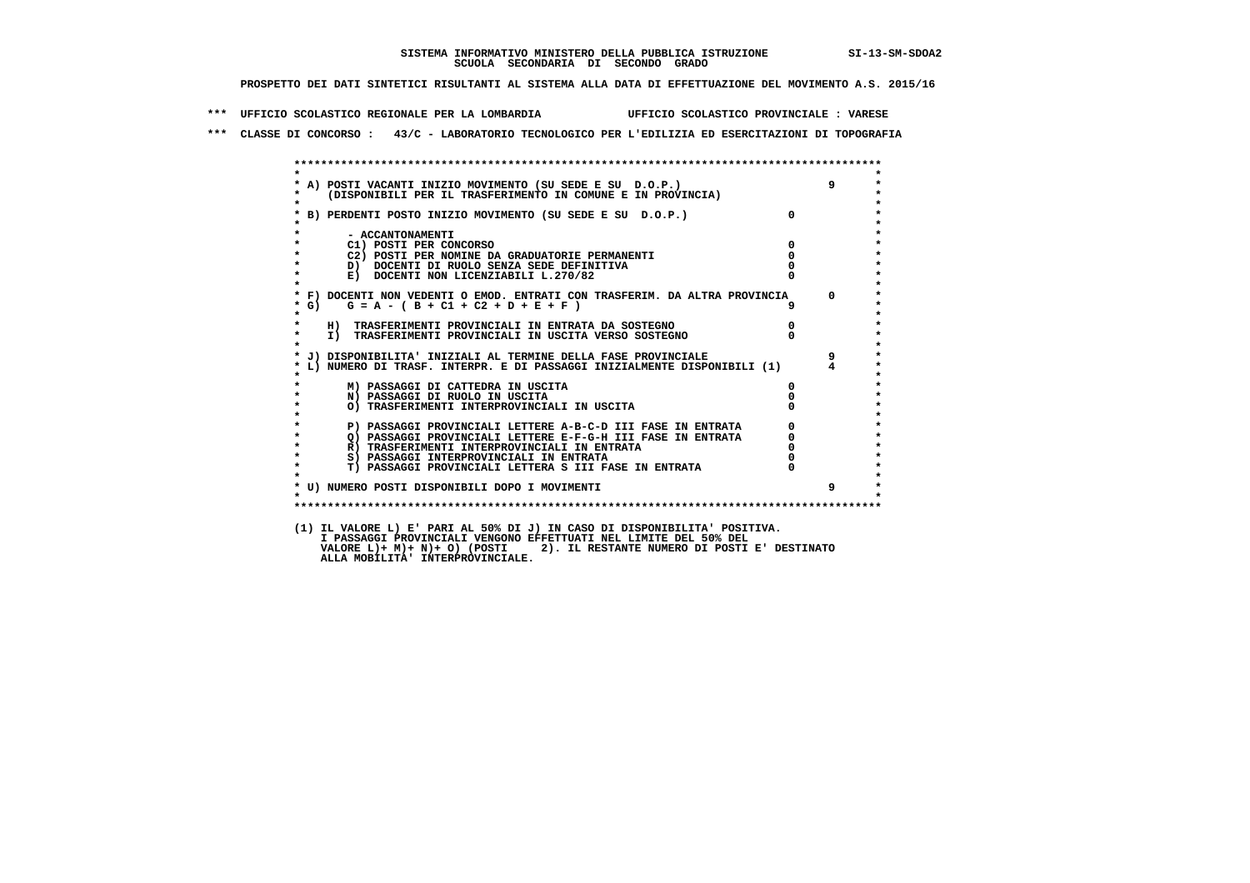**\*\*\* UFFICIO SCOLASTICO REGIONALE PER LA LOMBARDIA UFFICIO SCOLASTICO PROVINCIALE : VARESE**

 **\*\*\* CLASSE DI CONCORSO : 43/C - LABORATORIO TECNOLOGICO PER L'EDILIZIA ED ESERCITAZIONI DI TOPOGRAFIA**

| $\star$            |                                                                                                                            |                                  |                |
|--------------------|----------------------------------------------------------------------------------------------------------------------------|----------------------------------|----------------|
|                    |                                                                                                                            |                                  |                |
| $\star$            | * A) POSTI VACANTI INIZIO MOVIMENTO (SU SEDE E SU D.O.P.)<br>* (DISPONIBILI PER IL TRASFERIMENTO IN COMUNE E IN PROVINCIA) |                                  |                |
|                    | * B) PERDENTI POSTO INIZIO MOVIMENTO (SU SEDE E SU D.O.P.)                                                                 | $\Omega$                         |                |
|                    |                                                                                                                            |                                  |                |
|                    | - ACCANTONAMENTI                                                                                                           |                                  |                |
| $\star$            | $\overline{\mathbf{0}}$<br>C1) POSTI PER CONCORSO                                                                          |                                  |                |
| $\star$            | C2) POSTI PER NOMINE DA GRADUATORIE PERMANENTI                                                                             | $\Omega$                         |                |
| $\star$            | D) DOCENTI DI RUOLO SENZA SEDE DEFINITIVA                                                                                  |                                  |                |
| $\star$<br>$\star$ | E) DOCENTI NON LICENZIABILI L.270/82                                                                                       |                                  |                |
|                    | * F) DOCENTI NON VEDENTI O EMOD. ENTRATI CON TRASFERIM. DA ALTRA PROVINCIA 0                                               |                                  |                |
| $*$ G)             | $G = A - (B + C1 + C2 + D + E + F)$                                                                                        | 9                                |                |
| $\star$            |                                                                                                                            |                                  |                |
| $\star$            | H) TRASFERIMENTI PROVINCIALI IN ENTRATA DA SOSTEGNO                                                                        | $\begin{matrix}0\\0\end{matrix}$ |                |
| $\star$            | I) TRASFERIMENTI PROVINCIALI IN USCITA VERSO SOSTEGNO                                                                      |                                  |                |
|                    |                                                                                                                            |                                  |                |
|                    | * J) DISPONIBILITA' INIZIALI AL TERMINE DELLA FASE PROVINCIALE                                                             |                                  | $\overline{9}$ |
|                    | * L) NUMERO DI TRASF. INTERPR. E DI PASSAGGI INIZIALMENTE DISPONIBILI (1) 4                                                |                                  |                |
|                    | M) PASSAGGI DI CATTEDRA IN USCITA                                                                                          | 0                                |                |
| $\star$            | N) PASSAGGI DI RUOLO IN USCITA                                                                                             |                                  |                |
| $\star$            | O) TRASFERIMENTI INTERPROVINCIALI IN USCITA                                                                                |                                  |                |
| $\star$            |                                                                                                                            |                                  |                |
| $\star$            | P) PASSAGGI PROVINCIALI LETTERE A-B-C-D III FASE IN ENTRATA                                                                | $\overline{0}$                   |                |
| $\star$<br>$\star$ | Q) PASSAGGI PROVINCIALI LETTERE E-F-G-H III FASE IN ENTRATA                                                                |                                  |                |
| $\star$            | R) TRASFERIMENTI INTERPROVINCIALI IN ENTRATA<br>S) PASSAGGI INTERPROVINCIALI IN ENTRATA                                    |                                  |                |
| $\star$            | <b>T) PASSAGGI PROVINCIALI LETTERA S III FASE IN ENTRATA</b>                                                               |                                  |                |
|                    |                                                                                                                            |                                  |                |
|                    | * U) NUMERO POSTI DISPONIBILI DOPO I MOVIMENTI                                                                             |                                  | 9              |
|                    |                                                                                                                            |                                  |                |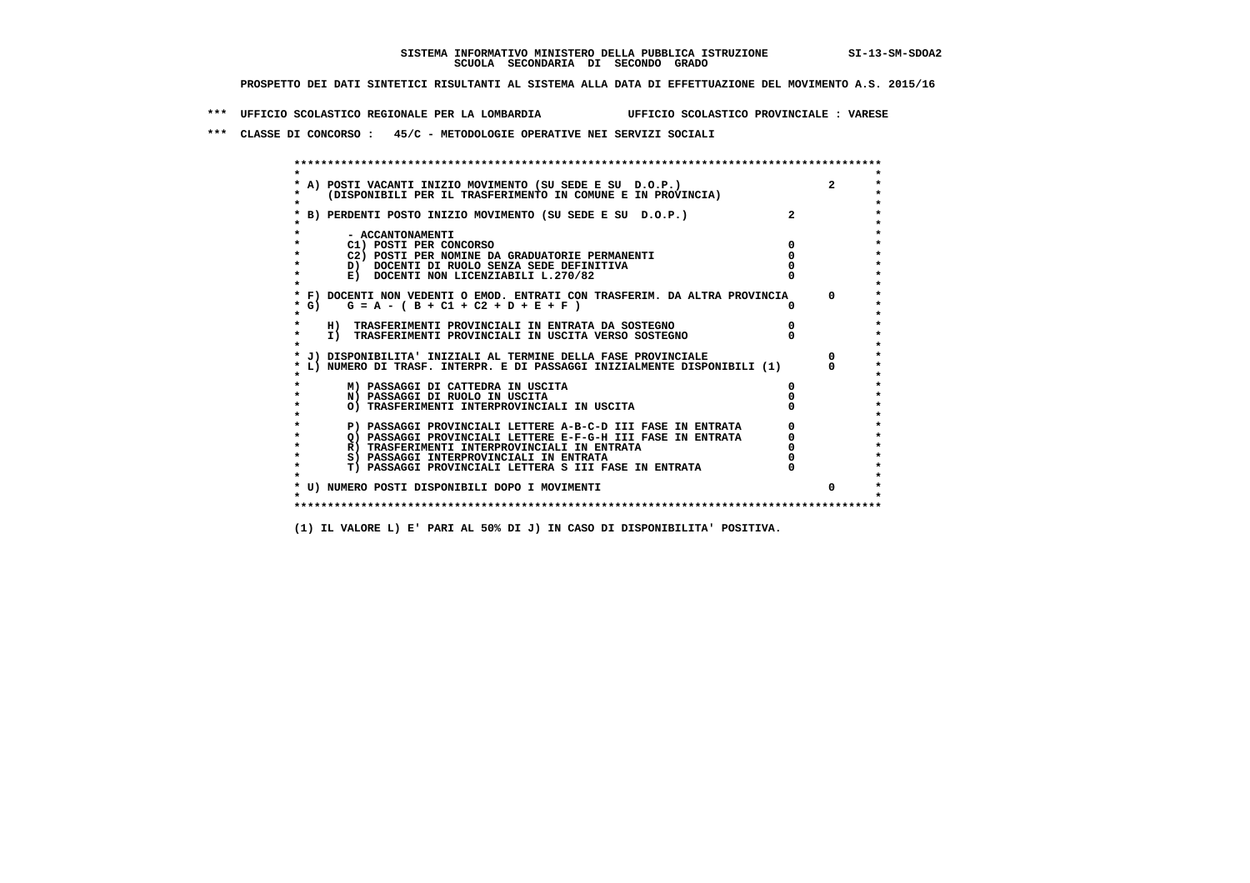**\*\*\* UFFICIO SCOLASTICO REGIONALE PER LA LOMBARDIA UFFICIO SCOLASTICO PROVINCIALE : VARESE**

 **\*\*\* CLASSE DI CONCORSO : 45/C - METODOLOGIE OPERATIVE NEI SERVIZI SOCIALI**

|         | * A) POSTI VACANTI INIZIO MOVIMENTO (SU SEDE E SU D.O.P.)                  |          |
|---------|----------------------------------------------------------------------------|----------|
|         | (DISPONIBILI PER IL TRASFERIMENTO IN COMUNE E IN PROVINCIA)                |          |
|         |                                                                            |          |
|         | B) PERDENTI POSTO INIZIO MOVIMENTO (SU SEDE E SU D.O.P.)                   |          |
|         |                                                                            |          |
|         | - ACCANTONAMENTI                                                           |          |
|         | C1) POSTI PER CONCORSO                                                     |          |
|         | C2) POSTI PER NOMINE DA GRADUATORIE PERMANENTI                             |          |
|         | D) DOCENTI DI RUOLO SENZA SEDE DEFINITIVA                                  |          |
|         | E) DOCENTI NON LICENZIABILI L.270/82                                       |          |
|         |                                                                            |          |
|         | * F) DOCENTI NON VEDENTI O EMOD. ENTRATI CON TRASFERIM. DA ALTRA PROVINCIA | $\Omega$ |
| $*$ G)  | $G = A - (B + C1 + C2 + D + E + F)$                                        |          |
| $\star$ |                                                                            |          |
|         | H) TRASFERIMENTI PROVINCIALI IN ENTRATA DA SOSTEGNO                        |          |
| $\star$ | I) TRASFERIMENTI PROVINCIALI IN USCITA VERSO SOSTEGNO                      |          |
|         |                                                                            |          |
|         | * J) DISPONIBILITA' INIZIALI AL TERMINE DELLA FASE PROVINCIALE             |          |
|         | L) NUMERO DI TRASF. INTERPR. E DI PASSAGGI INIZIALMENTE DISPONIBILI (1)    |          |
|         | M) PASSAGGI DI CATTEDRA IN USCITA                                          |          |
|         | N) PASSAGGI DI RUOLO IN USCITA                                             |          |
|         | O) TRASFERIMENTI INTERPROVINCIALI IN USCITA                                |          |
|         |                                                                            |          |
|         | P) PASSAGGI PROVINCIALI LETTERE A-B-C-D III FASE IN ENTRATA                |          |
| $\star$ | O) PASSAGGI PROVINCIALI LETTERE E-F-G-H III FASE IN ENTRATA                |          |
|         | R) TRASFERIMENTI INTERPROVINCIALI IN ENTRATA                               |          |
| $\star$ | S) PASSAGGI INTERPROVINCIALI IN ENTRATA                                    |          |
| $\star$ | T) PASSAGGI PROVINCIALI LETTERA S III FASE IN ENTRATA                      |          |
|         |                                                                            |          |
|         | * U) NUMERO POSTI DISPONIBILI DOPO I MOVIMENTI                             | 0        |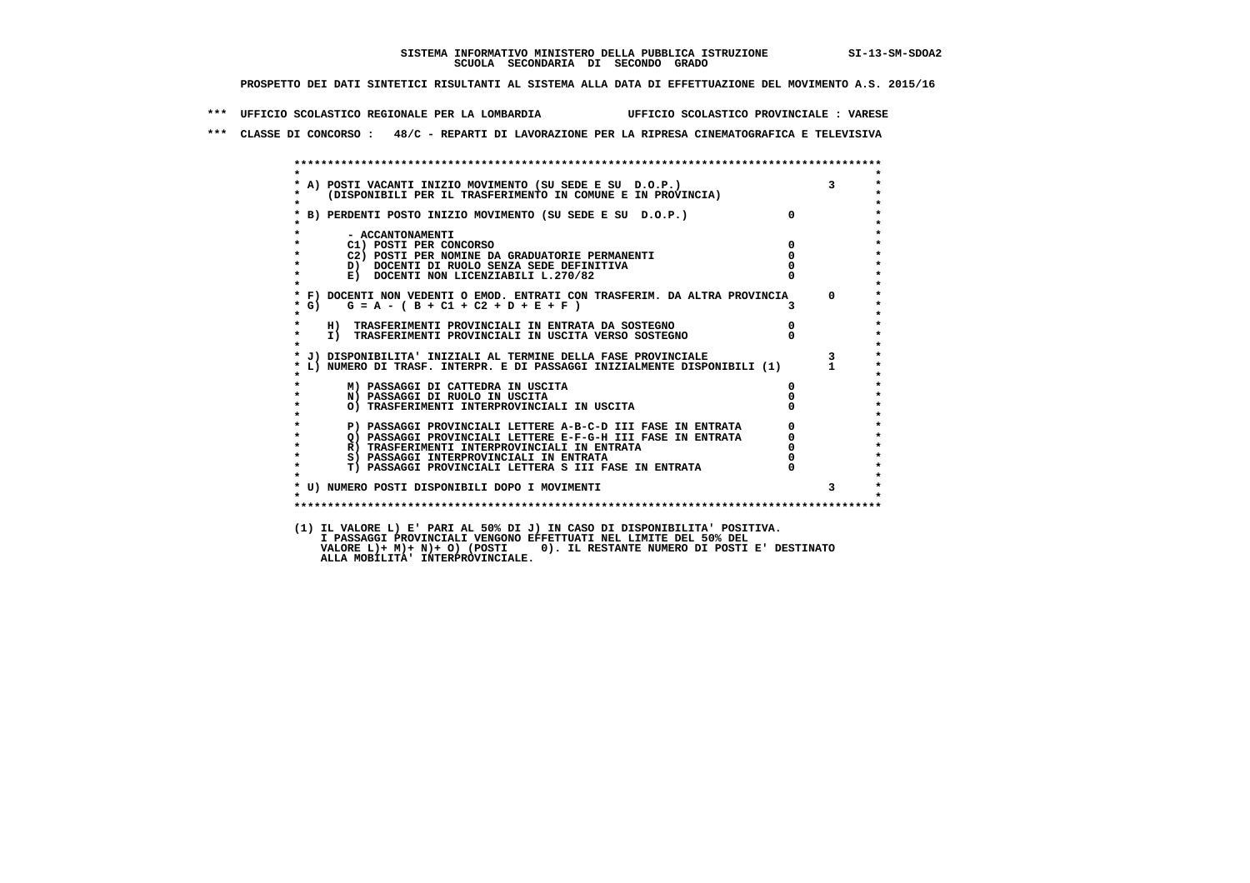**\*\*\* UFFICIO SCOLASTICO REGIONALE PER LA LOMBARDIA UFFICIO SCOLASTICO PROVINCIALE : VARESE**

 **\*\*\* CLASSE DI CONCORSO : 48/C - REPARTI DI LAVORAZIONE PER LA RIPRESA CINEMATOGRAFICA E TELEVISIVA**

|                    |                                                                                                                                                         |                                             | $\overline{\mathbf{3}}$ |
|--------------------|---------------------------------------------------------------------------------------------------------------------------------------------------------|---------------------------------------------|-------------------------|
|                    | * A) POSTI VACANTI INIZIO MOVIMENTO (SU SEDE E SU D.O.P.)<br>* (DISPONIBILI PER IL TRASFERIMENTO IN COMUNE E IN PROVINCIA)                              |                                             |                         |
| $\star$            |                                                                                                                                                         |                                             |                         |
|                    | * B) PERDENTI POSTO INIZIO MOVIMENTO (SU SEDE E SU D.O.P.)                                                                                              | $\overline{0}$                              |                         |
|                    |                                                                                                                                                         |                                             |                         |
|                    | - ACCANTONAMENTI                                                                                                                                        |                                             |                         |
| $\star$            | C1) POSTI PER CONCORSO                                                                                                                                  | $\Omega$                                    |                         |
|                    | C2) POSTI PER NOMINE DA GRADUATORIE PERMANENTI                                                                                                          | $\mathbf{0}$                                |                         |
| $\star$<br>$\star$ | D) DOCENTI DI RUOLO SENZA SEDE DEFINITIVA                                                                                                               |                                             |                         |
|                    | E) DOCENTI NON LICENZIABILI L.270/82                                                                                                                    |                                             |                         |
|                    | * F) DOCENTI NON VEDENTI O EMOD. ENTRATI CON TRASFERIM. DA ALTRA PROVINCIA 0                                                                            |                                             |                         |
| $*$ G)             | $G = A - (B + C1 + C2 + D + E + F)$                                                                                                                     | 3.                                          |                         |
| $\star$            |                                                                                                                                                         |                                             |                         |
|                    | H) TRASFERIMENTI PROVINCIALI IN ENTRATA DA SOSTEGNO                                                                                                     |                                             |                         |
| $\star$            | I) TRASFERIMENTI PROVINCIALI IN USCITA VERSO SOSTEGNO                                                                                                   | $\begin{smallmatrix}0\0\0\end{smallmatrix}$ |                         |
| $\mathbf{r}$       |                                                                                                                                                         |                                             |                         |
|                    | * L) NUMERO DI TRASF. INTERPR. E DI PASSAGGI INIZIALMENTE DISPONIBILI (1) 1<br>* MUMERO DI TRASF. INTERPR. E DI PASSAGGI INIZIALMENTE DISPONIBILI (1) 1 |                                             |                         |
|                    |                                                                                                                                                         |                                             |                         |
|                    |                                                                                                                                                         |                                             |                         |
|                    | M) PASSAGGI DI CATTEDRA IN USCITA                                                                                                                       | 0                                           |                         |
| $\star$            | N) PASSAGGI DI RUOLO IN USCITA                                                                                                                          |                                             |                         |
|                    | O) TRASFERIMENTI INTERPROVINCIALI IN USCITA                                                                                                             |                                             |                         |
|                    |                                                                                                                                                         |                                             |                         |
|                    | P) PASSAGGI PROVINCIALI LETTERE A-B-C-D III FASE IN ENTRATA                                                                                             | $\Omega$                                    |                         |
| $\star$            | O) PASSAGGI PROVINCIALI LETTERE E-F-G-H III FASE IN ENTRATA                                                                                             |                                             |                         |
| $\star$            | R) TRASFERIMENTI INTERPROVINCIALI IN ENTRATA                                                                                                            |                                             |                         |
| $\star$            | S) PASSAGGI INTERPROVINCIALI IN ENTRATA                                                                                                                 |                                             |                         |
| $\star$            | T) PASSAGGI PROVINCIALI LETTERA S III FASE IN ENTRATA                                                                                                   |                                             |                         |
|                    |                                                                                                                                                         |                                             |                         |
|                    | * U) NUMERO POSTI DISPONIBILI DOPO I MOVIMENTI                                                                                                          |                                             | $\mathbf{3}$            |
| $\cdot$            |                                                                                                                                                         |                                             |                         |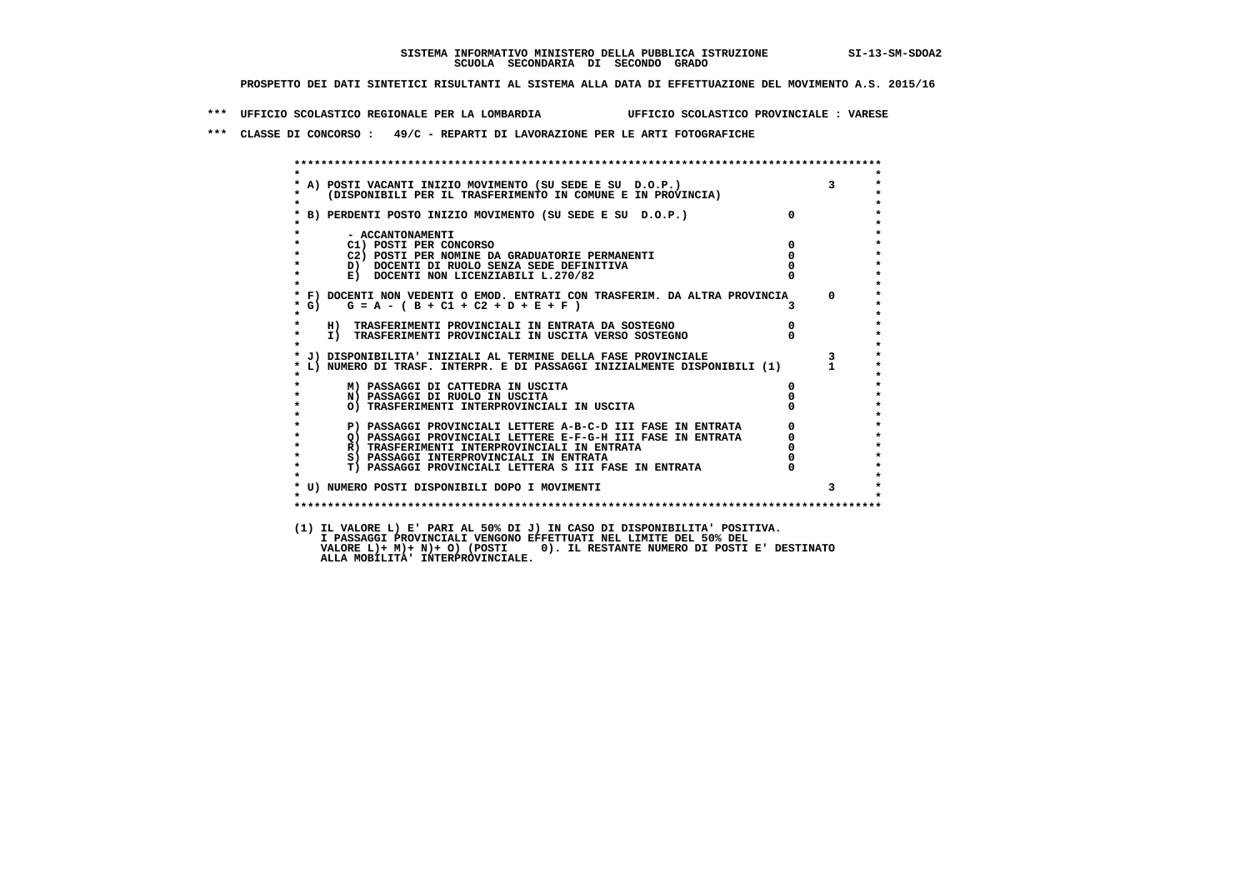**\*\*\* UFFICIO SCOLASTICO REGIONALE PER LA LOMBARDIA UFFICIO SCOLASTICO PROVINCIALE : VARESE**

 **\*\*\* CLASSE DI CONCORSO : 49/C - REPARTI DI LAVORAZIONE PER LE ARTI FOTOGRAFICHE**

| * A) POSTI VACANTI INIZIO MOVIMENTO (SU SEDE E SU D.O.P.) 3<br>* (DISPONIBILI PER IL TRASFERIMENTO IN COMUNE E IN PROVINCIA)                            |               |
|---------------------------------------------------------------------------------------------------------------------------------------------------------|---------------|
|                                                                                                                                                         | $\Omega$      |
| * B) PERDENTI POSTO INIZIO MOVIMENTO (SU SEDE E SU D.O.P.)                                                                                              |               |
| - ACCANTONAMENTI                                                                                                                                        |               |
| C1) POSTI PER CONCORSO                                                                                                                                  | $\Omega$      |
| C2) POSTI PER NOMINE DA GRADUATORIE PERMANENTI                                                                                                          | $\mathbf{0}$  |
| D) DOCENTI DI RUOLO SENZA SEDE DEFINITIVA                                                                                                               |               |
| E) DOCENTI NON LICENZIABILI L.270/82                                                                                                                    |               |
|                                                                                                                                                         |               |
| * F) DOCENTI NON VEDENTI O EMOD. ENTRATI CON TRASFERIM. DA ALTRA PROVINCIA                                                                              | $\Omega$      |
| $G = A - (B + C1 + C2 + D + E + F)$<br>* G)                                                                                                             |               |
| H) TRASFERIMENTI PROVINCIALI IN ENTRATA DA SOSTEGNO                                                                                                     | $\frac{0}{0}$ |
| I) TRASFERIMENTI PROVINCIALI IN USCITA VERSO SOSTEGNO                                                                                                   |               |
|                                                                                                                                                         |               |
| * L) NUMERO DI TRASF. INTERPR. E DI PASSAGGI INIZIALMENTE DISPONIBILI (1) 1<br>* MUMERO DI TRASF. INTERPR. E DI PASSAGGI INIZIALMENTE DISPONIBILI (1) 1 |               |
|                                                                                                                                                         |               |
| M) PASSAGGI DI CATTEDRA IN USCITA                                                                                                                       | $^{\circ}$    |
| N) PASSAGGI DI RUOLO IN USCITA                                                                                                                          |               |
| O) TRASFERIMENTI INTERPROVINCIALI IN USCITA                                                                                                             |               |
|                                                                                                                                                         |               |
| P) PASSAGGI PROVINCIALI LETTERE A-B-C-D III FASE IN ENTRATA                                                                                             |               |
| Q) PASSAGGI PROVINCIALI LETTERE E-F-G-H III FASE IN ENTRATA                                                                                             |               |
| R) TRASFERIMENTI INTERPROVINCIALI IN ENTRATA                                                                                                            |               |
| S) PASSAGGI INTERPROVINCIALI IN ENTRATA                                                                                                                 |               |
| T) PASSAGGI PROVINCIALI LETTERA S III FASE IN ENTRATA                                                                                                   |               |
| * U) NUMERO POSTI DISPONIBILI DOPO I MOVIMENTI                                                                                                          | 3             |
|                                                                                                                                                         |               |
|                                                                                                                                                         |               |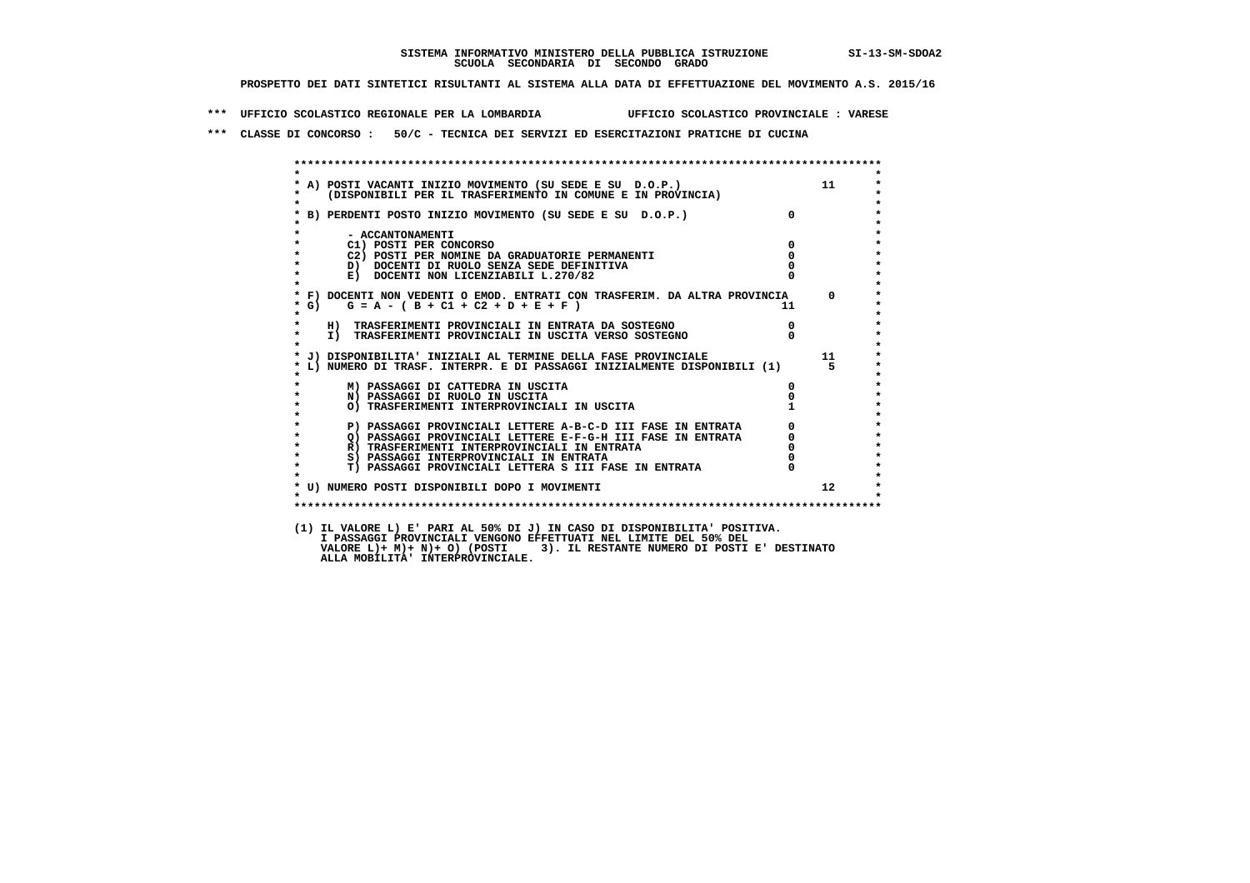**\*\*\* UFFICIO SCOLASTICO REGIONALE PER LA LOMBARDIA UFFICIO SCOLASTICO PROVINCIALE : VARESE**

 **\*\*\* CLASSE DI CONCORSO : 50/C - TECNICA DEI SERVIZI ED ESERCITAZIONI PRATICHE DI CUCINA**

 **\*\*\*\*\*\*\*\*\*\*\*\*\*\*\*\*\*\*\*\*\*\*\*\*\*\*\*\*\*\*\*\*\*\*\*\*\*\*\*\*\*\*\*\*\*\*\*\*\*\*\*\*\*\*\*\*\*\*\*\*\*\*\*\*\*\*\*\*\*\*\*\*\*\*\*\*\*\*\*\*\*\*\*\*\*\*\*\* \* \*** $\bullet$  **\* A) POSTI VACANTI INIZIO MOVIMENTO (SU SEDE E SU D.O.P.) 11 \*** $\star$  **\* (DISPONIBILI PER IL TRASFERIMENTO IN COMUNE E IN PROVINCIA) \* \* \* \* B) PERDENTI POSTO INIZIO MOVIMENTO (SU SEDE E SU D.O.P.) 0 \* \* \* \* - ACCANTONAMENTI \* \* C1) POSTI PER CONCORSO 0 \* \* C2) POSTI PER NOMINE DA GRADUATORIE PERMANENTI 0 \*D)** DOCENTI DI RUOLO SENZA SEDE DEFINITIVA  $\overline{a}$  0  $\overline{b}$  0  $\overline{c}$  0  $\overline{c}$  0  $\overline{c}$  0  $\overline{a}$  0  $\overline{c}$ **E) DOCENTI NON LICENZIABILI L.270/82 \* \* \* F) DOCENTI NON VEDENTI O EMOD. ENTRATI CON TRASFERIM. DA ALTRA PROVINCIA 0 \***  $\star$  **G)** G = A - ( B + C1 + C2 + D + E + F )  **\* \* \* H) TRASFERIMENTI PROVINCIALI IN ENTRATA DA SOSTEGNO 0 \* \* I) TRASFERIMENTI PROVINCIALI IN USCITA VERSO SOSTEGNO 0 \* \* \* \* J) DISPONIBILITA' INIZIALI AL TERMINE DELLA FASE PROVINCIALE 11 \* \* L) NUMERO DI TRASF. INTERPR. E DI PASSAGGI INIZIALMENTE DISPONIBILI (1) 5 \* \* \* \* M) PASSAGGI DI CATTEDRA IN USCITA 0 \* \* N) PASSAGGI DI RUOLO IN USCITA 0 \*O) TRASFERIMENTI INTERPROVINCIALI IN USCITA \* \* P) PASSAGGI PROVINCIALI LETTERE A-B-C-D III FASE IN ENTRATA** 0 <sup>0</sup> **DASSAGGI PROVINCIALI LETTERE E-F-G-H** III FASE IN ENTRATA 0 <sup>0</sup> **2) PASSAGGI PROVINCIALI LETTERE E-F-G-H III FASE IN ENTRATA 6 0 R**) TRASFERIMENTI INTERPROVINCIALI IN ENTRATA 6 **0 R**) TRASFERIMENTI INTERPROVINCIALI IN ENTRATA  $\begin{bmatrix} 0 & 0 \\ 0 & 0 \\ 0 & 0 \end{bmatrix}$ **8) PASSAGGI INTERPROVINCIALI IN ENTRATA 6 \*\*\*** 0 \*\*\*<br> **T) PASSAGGI PROVINCIALI LETTERA S III FASE IN ENTRATA** 0 \*\*\*  $\ddot{\phantom{1}}$  **\* T) PASSAGGI PROVINCIALI LETTERA S III FASE IN ENTRATA 0 \*** $\star$  **\* \*** $\star$  **\* U) NUMERO POSTI DISPONIBILI DOPO I MOVIMENTI 12 \* \* \* \*\*\*\*\*\*\*\*\*\*\*\*\*\*\*\*\*\*\*\*\*\*\*\*\*\*\*\*\*\*\*\*\*\*\*\*\*\*\*\*\*\*\*\*\*\*\*\*\*\*\*\*\*\*\*\*\*\*\*\*\*\*\*\*\*\*\*\*\*\*\*\*\*\*\*\*\*\*\*\*\*\*\*\*\*\*\*\* (1) IL VALORE L) E' PARI AL 50% DI J) IN CASO DI DISPONIBILITA' POSITIVA.**I PASSAGGI PROVINCIALI VENGONO EFFEIIOAII NEL LIMIIE DEL 30% DEL<br>VALORE L)+ M)+ N)+ O) (POSTI 3). IL RESTANTE NUMERO DI POSTI E' DESTINATO<br>ALLA MOBILITA' INTERPROVINCIALE.  **I PASSAGGI PROVINCIALI VENGONO EFFETTUATI NEL LIMITE DEL 50% DEL**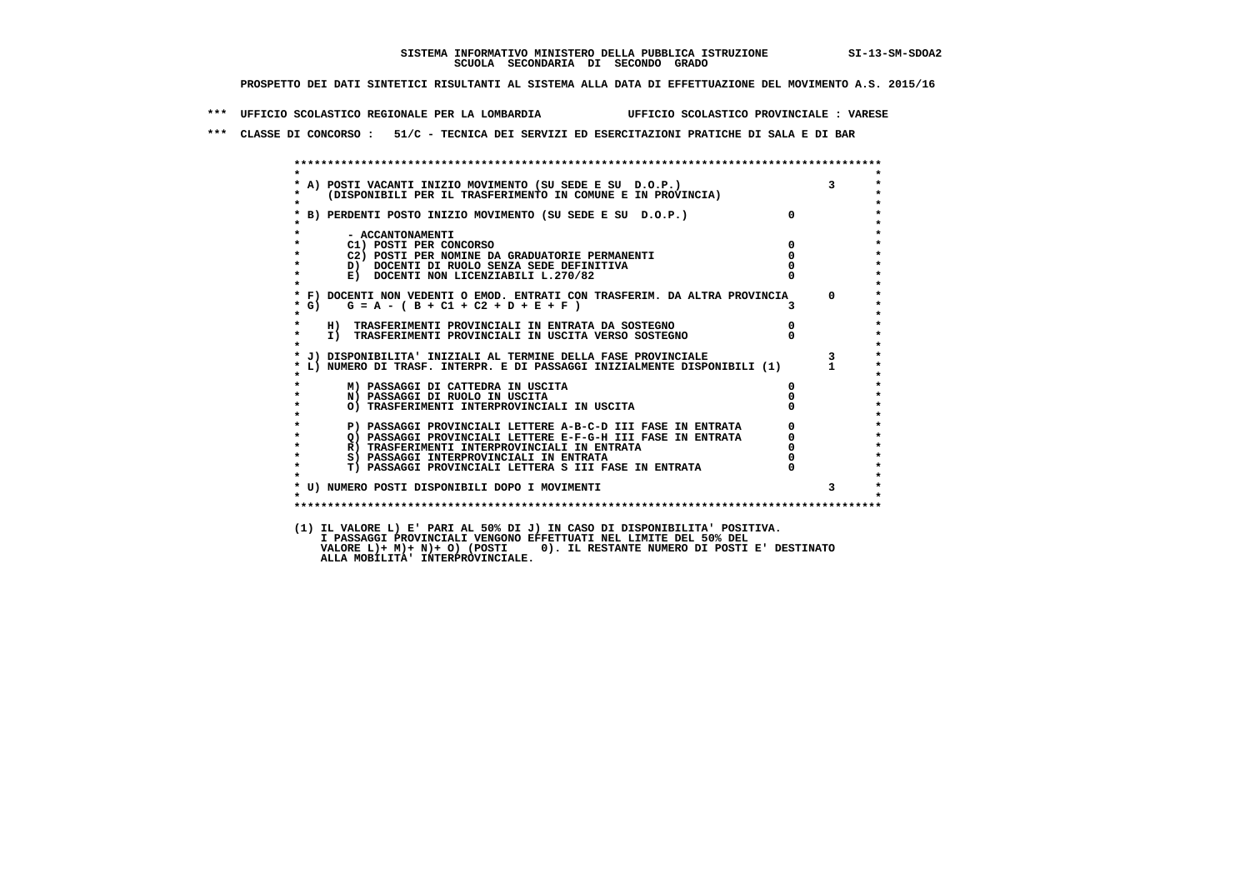**\*\*\* UFFICIO SCOLASTICO REGIONALE PER LA LOMBARDIA UFFICIO SCOLASTICO PROVINCIALE : VARESE**

 **\*\*\* CLASSE DI CONCORSO : 51/C - TECNICA DEI SERVIZI ED ESERCITAZIONI PRATICHE DI SALA E DI BAR**

| $\star$                 |                                                                                                                            |                |                |
|-------------------------|----------------------------------------------------------------------------------------------------------------------------|----------------|----------------|
|                         |                                                                                                                            |                | $\mathbf{3}$   |
|                         | * A) POSTI VACANTI INIZIO MOVIMENTO (SU SEDE E SU D.O.P.)<br>* (DISPONIBILI PER IL TRASFERIMENTO IN COMUNE E IN PROVINCIA) |                |                |
| $\star$                 |                                                                                                                            |                |                |
|                         | * B) PERDENTI POSTO INIZIO MOVIMENTO (SU SEDE E SU D.O.P.)                                                                 | $\overline{0}$ |                |
|                         |                                                                                                                            |                |                |
|                         | - ACCANTONAMENTI                                                                                                           | $\Omega$       |                |
| $\star$                 | C1) POSTI PER CONCORSO<br>C2) POSTI PER NOMINE DA GRADUATORIE PERMANENTI                                                   | $\mathbf{0}$   |                |
|                         | D) DOCENTI DI RUOLO SENZA SEDE DEFINITIVA                                                                                  |                |                |
| $\star$                 | E) DOCENTI NON LICENZIABILI L.270/82                                                                                       |                |                |
|                         |                                                                                                                            |                |                |
|                         | * F) DOCENTI NON VEDENTI O EMOD. ENTRATI CON TRASFERIM. DA ALTRA PROVINCIA 0                                               |                |                |
| $*$ G)                  | $G = A - (B + C1 + C2 + D + E + F)$                                                                                        |                |                |
| $\star$                 |                                                                                                                            |                |                |
| $\star$                 | H) TRASFERIMENTI PROVINCIALI IN ENTRATA DA SOSTEGNO                                                                        | $\overline{0}$ |                |
| $\star$<br>$\mathbf{r}$ | I) TRASFERIMENTI PROVINCIALI IN USCITA VERSO SOSTEGNO                                                                      |                |                |
|                         |                                                                                                                            |                | $\mathbf{3}$   |
|                         |                                                                                                                            |                |                |
|                         | * L) NUMERO DI TRASF. INTERPR. E DI PASSAGGI INIZIALMENTE DISPONIBILI (1)<br>*<br>*                                        |                |                |
|                         | M) PASSAGGI DI CATTEDRA IN USCITA                                                                                          | $^{\circ}$     |                |
| $\star$                 | N) PASSAGGI DI RUOLO IN USCITA                                                                                             |                |                |
|                         | O) TRASFERIMENTI INTERPROVINCIALI IN USCITA                                                                                |                |                |
|                         |                                                                                                                            |                |                |
|                         | P) PASSAGGI PROVINCIALI LETTERE A-B-C-D III FASE IN ENTRATA                                                                | 0              |                |
| $\star$<br>$\star$      | O) PASSAGGI PROVINCIALI LETTERE E-F-G-H III FASE IN ENTRATA                                                                |                |                |
| $\star$                 | R) TRASFERIMENTI INTERPROVINCIALI IN ENTRATA<br>S) PASSAGGI INTERPROVINCIALI IN ENTRATA                                    |                |                |
| $\star$                 | T) PASSAGGI PROVINCIALI LETTERA S III FASE IN ENTRATA                                                                      |                |                |
|                         |                                                                                                                            |                |                |
|                         | * U) NUMERO POSTI DISPONIBILI DOPO I MOVIMENTI                                                                             |                | 3 <sup>1</sup> |
| $\cdot$                 |                                                                                                                            |                |                |
|                         |                                                                                                                            |                |                |